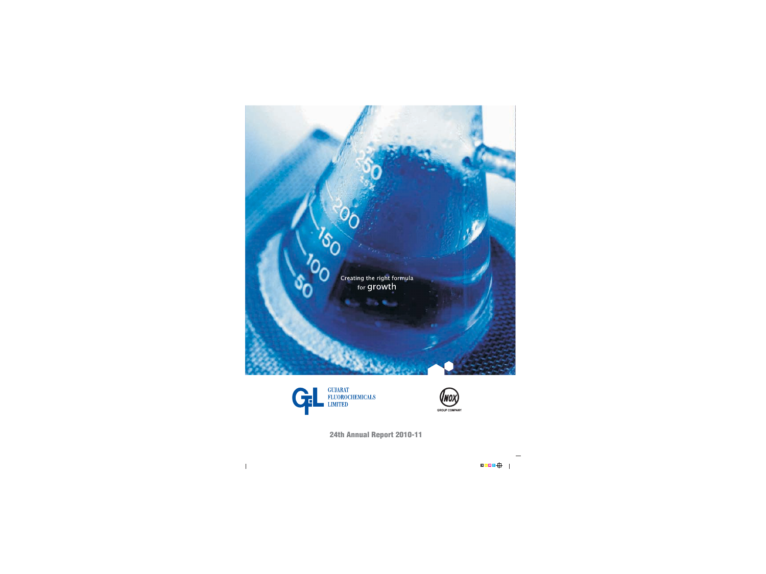





24th Annual Report 2010-11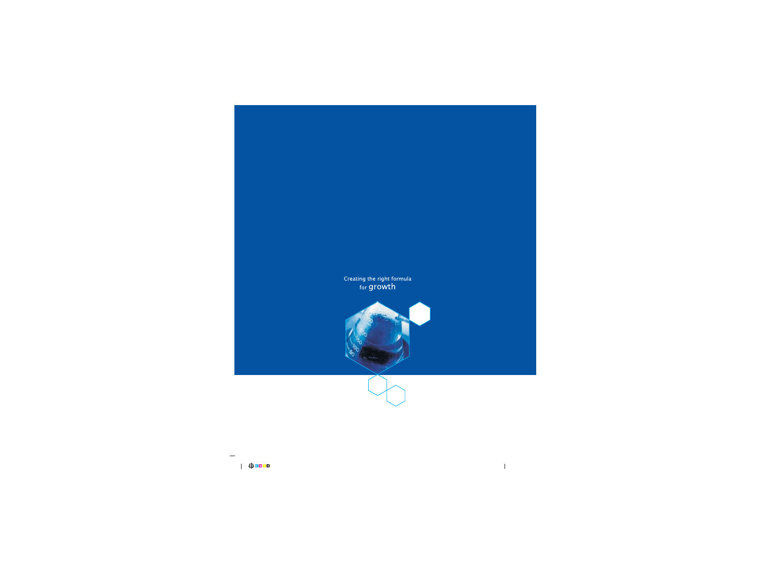# Creating the right formula<br>for **growth**



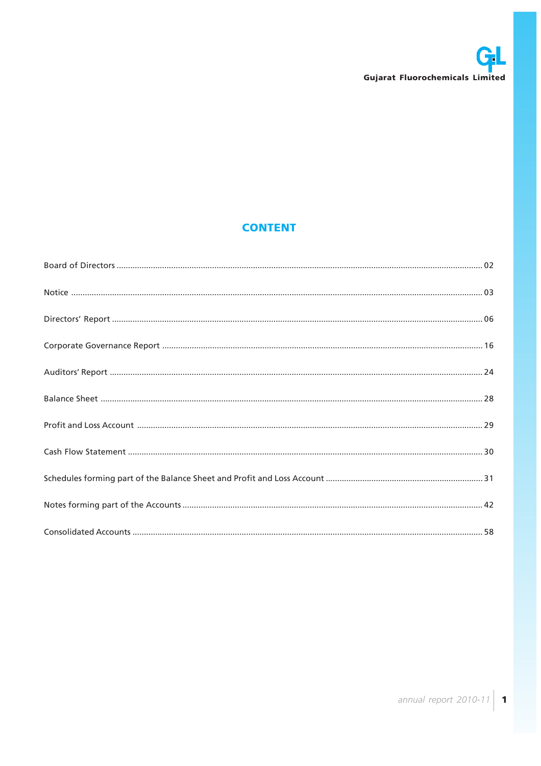## **CONTENT**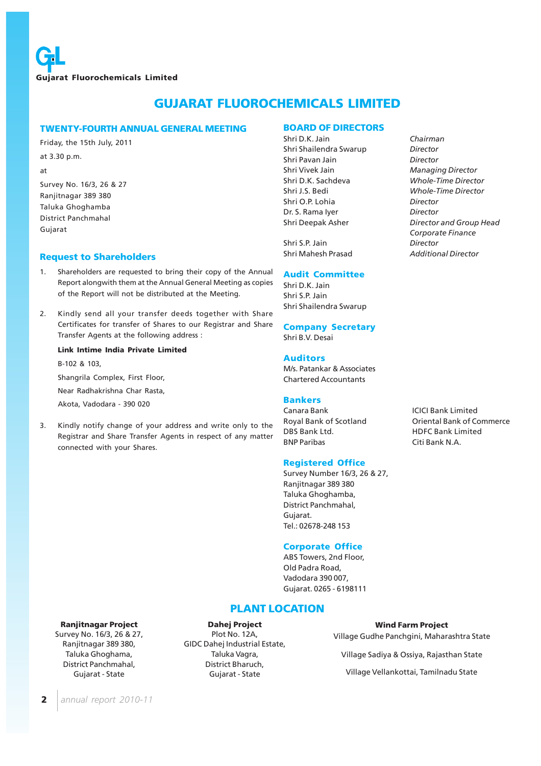# GUJARAT FLUOROCHEMICALS LIMITED

#### TWENTY-FOURTH ANNUAL GENERAL MEETING

Friday, the 15th July, 2011 at 3.30 p.m. at

Survey No. 16/3, 26 & 27 Ranjitnagar 389 380 Taluka Ghoghamba District Panchmahal Gujarat

#### Request to Shareholders

- 1. Shareholders are requested to bring their copy of the Annual Report alongwith them at the Annual General Meeting as copies of the Report will not be distributed at the Meeting.
- 2. Kindly send all your transfer deeds together with Share Certificates for transfer of Shares to our Registrar and Share Transfer Agents at the following address :

#### Link Intime India Private Limited

B-102 & 103, Shangrila Complex, First Floor, Near Radhakrishna Char Rasta, Akota, Vadodara - 390 020

3. Kindly notify change of your address and write only to the Registrar and Share Transfer Agents in respect of any matter connected with your Shares.

#### BOARD OF DIRECTORS

Shri D.K. Jain Chairman Shri Shailendra Swarup **Director** Shri Pavan Jain Director Shri D.K. Sachdeva Whole-Time Director Shri J.S. Bedi Whole-Time Director Shri O.P. Lohia **Director** Dr. S. Rama Iyer **Director** Shri Deepak Asher Director and Group Head

Shri S.P. Jain Director Shri Mahesh Prasad Additional Director

#### Audit Committee

Shri D.K. Jain Shri S.P. Jain Shri Shailendra Swarup

#### Company Secretary

Shri B.V. Desai

#### Auditors

M/s. Patankar & Associates Chartered Accountants

#### Bankers

Canara Bank **ICICI Bank Limited** DBS Bank Ltd. HDFC Bank Limited BNP Paribas Citi Bank N.A.

#### Registered Office

Survey Number 16/3, 26 & 27, Ranjitnagar 389 380 Taluka Ghoghamba, District Panchmahal, Gujarat. Tel.: 02678-248 153

#### Corporate Office

ABS Towers, 2nd Floor, Old Padra Road, Vadodara 390 007, Gujarat. 0265 - 6198111

### PLANT LOCATION

#### Ranjitnagar Project

Survey No. 16/3, 26 & 27, Ranjitnagar 389 380, Taluka Ghoghama, District Panchmahal, Gujarat - State

Dahej Project Plot No. 12A, GIDC Dahej Industrial Estate, Taluka Vagra, District Bharuch, Gujarat - State

Wind Farm Project Village Gudhe Panchgini, Maharashtra State

Village Sadiya & Ossiya, Rajasthan State

Village Vellankottai, Tamilnadu State

Managing Director Corporate Finance

Royal Bank of Scotland **Commetal Bank of Commerce**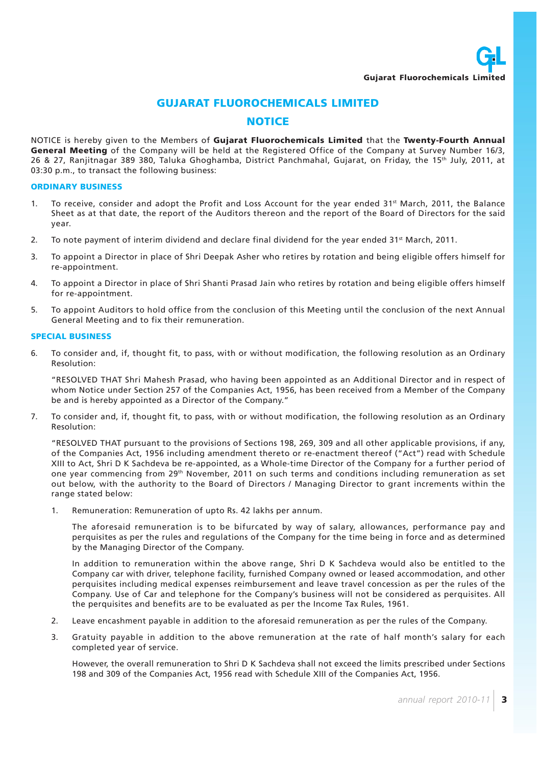## GUJARAT FLUOROCHEMICALS LIMITED

#### **NOTICE**

NOTICE is hereby given to the Members of Gujarat Fluorochemicals Limited that the Twenty-Fourth Annual General Meeting of the Company will be held at the Registered Office of the Company at Survey Number 16/3, 26 & 27, Ranjitnagar 389 380, Taluka Ghoghamba, District Panchmahal, Gujarat, on Friday, the 15th July, 2011, at 03:30 p.m., to transact the following business:

#### ORDINARY BUSINESS

- 1. To receive, consider and adopt the Profit and Loss Account for the year ended  $31<sup>st</sup>$  March, 2011, the Balance Sheet as at that date, the report of the Auditors thereon and the report of the Board of Directors for the said year.
- 2. To note payment of interim dividend and declare final dividend for the year ended  $31<sup>st</sup>$  March, 2011.
- 3. To appoint a Director in place of Shri Deepak Asher who retires by rotation and being eligible offers himself for re-appointment.
- 4. To appoint a Director in place of Shri Shanti Prasad Jain who retires by rotation and being eligible offers himself for re-appointment.
- 5. To appoint Auditors to hold office from the conclusion of this Meeting until the conclusion of the next Annual General Meeting and to fix their remuneration.

#### SPECIAL BUSINESS

6. To consider and, if, thought fit, to pass, with or without modification, the following resolution as an Ordinary Resolution:

"RESOLVED THAT Shri Mahesh Prasad, who having been appointed as an Additional Director and in respect of whom Notice under Section 257 of the Companies Act, 1956, has been received from a Member of the Company be and is hereby appointed as a Director of the Company."

7. To consider and, if, thought fit, to pass, with or without modification, the following resolution as an Ordinary Resolution:

"RESOLVED THAT pursuant to the provisions of Sections 198, 269, 309 and all other applicable provisions, if any, of the Companies Act, 1956 including amendment thereto or re-enactment thereof ("Act") read with Schedule XIII to Act, Shri D K Sachdeva be re-appointed, as a Whole-time Director of the Company for a further period of one year commencing from 29th November, 2011 on such terms and conditions including remuneration as set out below, with the authority to the Board of Directors / Managing Director to grant increments within the range stated below:

1. Remuneration: Remuneration of upto Rs. 42 lakhs per annum.

The aforesaid remuneration is to be bifurcated by way of salary, allowances, performance pay and perquisites as per the rules and regulations of the Company for the time being in force and as determined by the Managing Director of the Company.

In addition to remuneration within the above range, Shri D K Sachdeva would also be entitled to the Company car with driver, telephone facility, furnished Company owned or leased accommodation, and other perquisites including medical expenses reimbursement and leave travel concession as per the rules of the Company. Use of Car and telephone for the Company's business will not be considered as perquisites. All the perquisites and benefits are to be evaluated as per the Income Tax Rules, 1961.

- 2. Leave encashment payable in addition to the aforesaid remuneration as per the rules of the Company.
- 3. Gratuity payable in addition to the above remuneration at the rate of half month's salary for each completed year of service.

However, the overall remuneration to Shri D K Sachdeva shall not exceed the limits prescribed under Sections 198 and 309 of the Companies Act, 1956 read with Schedule XIII of the Companies Act, 1956.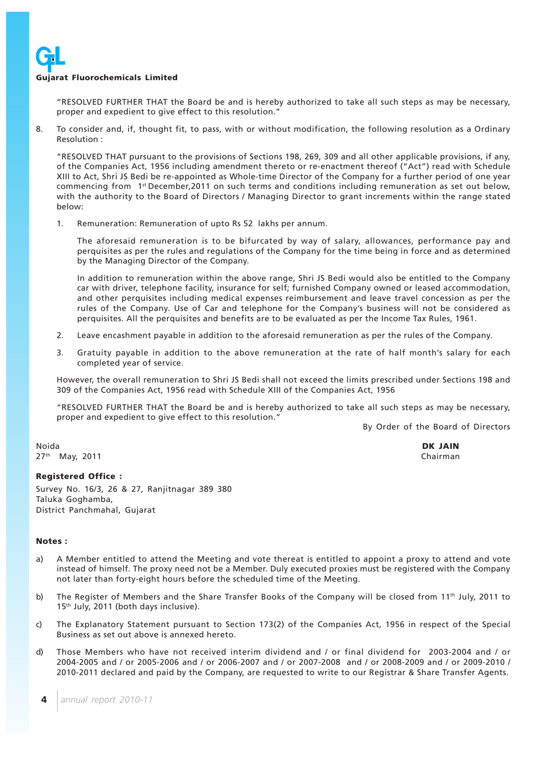

"RESOLVED FURTHER THAT the Board be and is hereby authorized to take all such steps as may be necessary, proper and expedient to give effect to this resolution."

8. To consider and, if, thought fit, to pass, with or without modification, the following resolution as a Ordinary Resolution :

"RESOLVED THAT pursuant to the provisions of Sections 198, 269, 309 and all other applicable provisions, if any, of the Companies Act, 1956 including amendment thereto or re-enactment thereof ("Act") read with Schedule XIII to Act, Shri JS Bedi be re-appointed as Whole-time Director of the Company for a further period of one year commencing from 1st December,2011 on such terms and conditions including remuneration as set out below, with the authority to the Board of Directors / Managing Director to grant increments within the range stated below:

1. Remuneration: Remuneration of upto Rs 52 lakhs per annum.

The aforesaid remuneration is to be bifurcated by way of salary, allowances, performance pay and perquisites as per the rules and regulations of the Company for the time being in force and as determined by the Managing Director of the Company.

In addition to remuneration within the above range, Shri JS Bedi would also be entitled to the Company car with driver, telephone facility, insurance for self; furnished Company owned or leased accommodation, and other perquisites including medical expenses reimbursement and leave travel concession as per the rules of the Company. Use of Car and telephone for the Company's business will not be considered as perquisites. All the perquisites and benefits are to be evaluated as per the Income Tax Rules, 1961.

- 2. Leave encashment payable in addition to the aforesaid remuneration as per the rules of the Company.
- 3. Gratuity payable in addition to the above remuneration at the rate of half month's salary for each completed year of service.

However, the overall remuneration to Shri JS Bedi shall not exceed the limits prescribed under Sections 198 and 309 of the Companies Act, 1956 read with Schedule XIII of the Companies Act, 1956

"RESOLVED FURTHER THAT the Board be and is hereby authorized to take all such steps as may be necessary, proper and expedient to give effect to this resolution."

By Order of the Board of Directors

Noida **DK JAIN** DA SAN DA SAN DA SAN DA SAN DA SAN DA SAN DA SAN DA SAN DA SAN DA SAN DA SAN DA SAN DA SAN DA SA 27<sup>th</sup> May, 2011 **Chairman** 

#### Registered Office :

Survey No. 16/3, 26 & 27, Ranjitnagar 389 380 Taluka Goghamba, District Panchmahal, Gujarat

#### Notes :

- a) A Member entitled to attend the Meeting and vote thereat is entitled to appoint a proxy to attend and vote instead of himself. The proxy need not be a Member. Duly executed proxies must be registered with the Company not later than forty-eight hours before the scheduled time of the Meeting.
- b) The Register of Members and the Share Transfer Books of the Company will be closed from 11<sup>th</sup> July, 2011 to 15<sup>th</sup> July, 2011 (both days inclusive).
- c) The Explanatory Statement pursuant to Section 173(2) of the Companies Act, 1956 in respect of the Special Business as set out above is annexed hereto.
- d) Those Members who have not received interim dividend and / or final dividend for 2003-2004 and / or 2004-2005 and / or 2005-2006 and / or 2006-2007 and / or 2007-2008 and / or 2008-2009 and / or 2009-2010 / 2010-2011 declared and paid by the Company, are requested to write to our Registrar & Share Transfer Agents.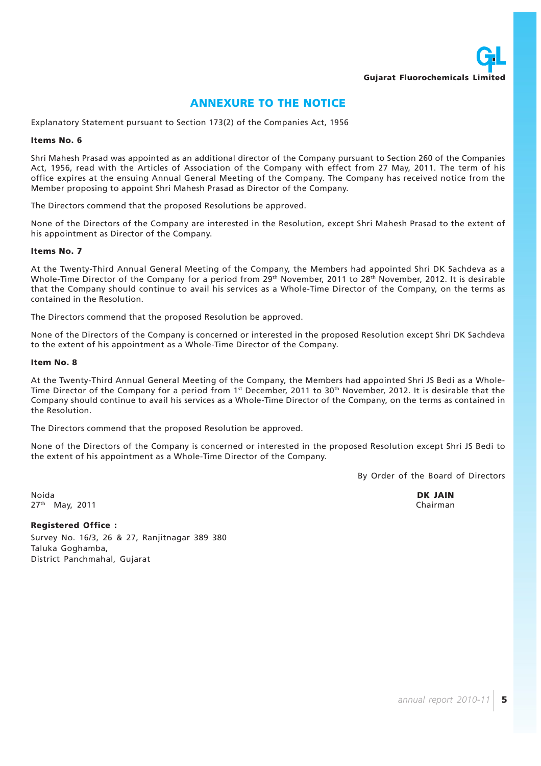### ANNEXURE TO THE NOTICE

Explanatory Statement pursuant to Section 173(2) of the Companies Act, 1956

#### Items No. 6

Shri Mahesh Prasad was appointed as an additional director of the Company pursuant to Section 260 of the Companies Act, 1956, read with the Articles of Association of the Company with effect from 27 May, 2011. The term of his office expires at the ensuing Annual General Meeting of the Company. The Company has received notice from the Member proposing to appoint Shri Mahesh Prasad as Director of the Company.

The Directors commend that the proposed Resolutions be approved.

None of the Directors of the Company are interested in the Resolution, except Shri Mahesh Prasad to the extent of his appointment as Director of the Company.

#### Items No. 7

At the Twenty-Third Annual General Meeting of the Company, the Members had appointed Shri DK Sachdeva as a Whole-Time Director of the Company for a period from 29<sup>th</sup> November, 2011 to 28<sup>th</sup> November, 2012. It is desirable that the Company should continue to avail his services as a Whole-Time Director of the Company, on the terms as contained in the Resolution.

The Directors commend that the proposed Resolution be approved.

None of the Directors of the Company is concerned or interested in the proposed Resolution except Shri DK Sachdeva to the extent of his appointment as a Whole-Time Director of the Company.

#### Item No. 8

At the Twenty-Third Annual General Meeting of the Company, the Members had appointed Shri JS Bedi as a Whole-Time Director of the Company for a period from 1<sup>st</sup> December, 2011 to 30<sup>th</sup> November, 2012. It is desirable that the Company should continue to avail his services as a Whole-Time Director of the Company, on the terms as contained in the Resolution.

The Directors commend that the proposed Resolution be approved.

None of the Directors of the Company is concerned or interested in the proposed Resolution except Shri JS Bedi to the extent of his appointment as a Whole-Time Director of the Company.

By Order of the Board of Directors

Noida **DK JAIN** DA SAN DI DA SAN DI DA SAN DI DA SAN DI DA SAN DI DA SAN DI DA SAN DI DA SAN DI DA SAN DI DA SA 27<sup>th</sup> May, 2011 **Chairman** 

#### Registered Office :

Survey No. 16/3, 26 & 27, Ranjitnagar 389 380 Taluka Goghamba, District Panchmahal, Gujarat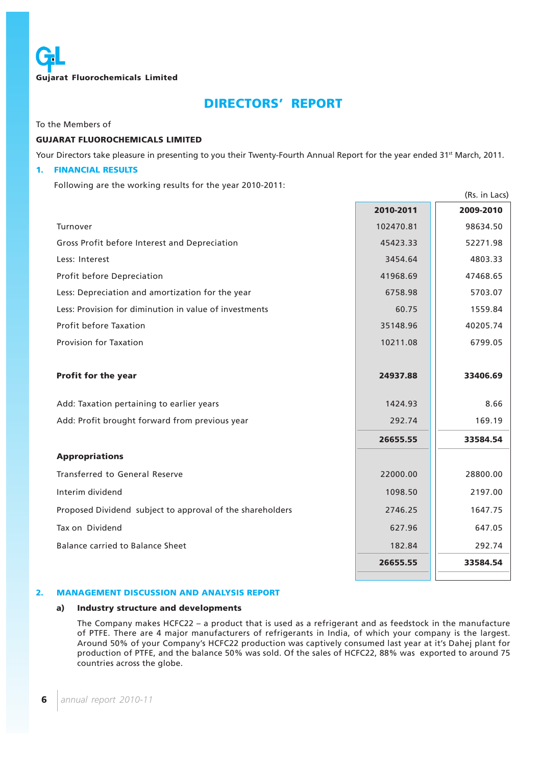

## DIRECTORS' REPORT

#### To the Members of

#### GUJARAT FLUOROCHEMICALS LIMITED

Your Directors take pleasure in presenting to you their Twenty-Fourth Annual Report for the year ended 31<sup>st</sup> March, 2011.

#### 1. FINANCIAL RESULTS

Following are the working results for the year 2010-2011:

|                                                           |           | (Rs. in Lacs) |
|-----------------------------------------------------------|-----------|---------------|
|                                                           | 2010-2011 | 2009-2010     |
| Turnover                                                  | 102470.81 | 98634.50      |
| Gross Profit before Interest and Depreciation             | 45423.33  | 52271.98      |
| Less: Interest                                            | 3454.64   | 4803.33       |
| Profit before Depreciation                                | 41968.69  | 47468.65      |
| Less: Depreciation and amortization for the year          | 6758.98   | 5703.07       |
| Less: Provision for diminution in value of investments    | 60.75     | 1559.84       |
| Profit before Taxation                                    | 35148.96  | 40205.74      |
| <b>Provision for Taxation</b>                             | 10211.08  | 6799.05       |
|                                                           |           |               |
| <b>Profit for the year</b>                                | 24937.88  | 33406.69      |
| Add: Taxation pertaining to earlier years                 | 1424.93   | 8.66          |
| Add: Profit brought forward from previous year            | 292.74    | 169.19        |
|                                                           |           |               |
|                                                           | 26655.55  | 33584.54      |
| <b>Appropriations</b>                                     |           |               |
| <b>Transferred to General Reserve</b>                     | 22000.00  | 28800.00      |
| Interim dividend                                          | 1098.50   | 2197.00       |
| Proposed Dividend subject to approval of the shareholders | 2746.25   | 1647.75       |
| Tax on Dividend                                           | 627.96    | 647.05        |
| <b>Balance carried to Balance Sheet</b>                   | 182.84    | 292.74        |
|                                                           | 26655.55  | 33584.54      |
|                                                           |           |               |

#### 2. MANAGEMENT DISCUSSION AND ANALYSIS REPORT

#### a) Industry structure and developments

The Company makes HCFC22 – a product that is used as a refrigerant and as feedstock in the manufacture of PTFE. There are 4 major manufacturers of refrigerants in India, of which your company is the largest. Around 50% of your Company's HCFC22 production was captively consumed last year at it's Dahej plant for production of PTFE, and the balance 50% was sold. Of the sales of HCFC22, 88% was exported to around 75 countries across the globe.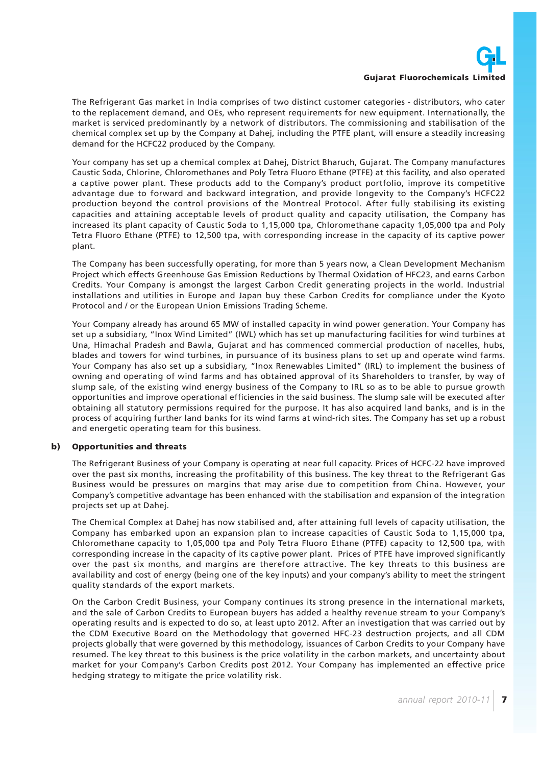The Refrigerant Gas market in India comprises of two distinct customer categories - distributors, who cater to the replacement demand, and OEs, who represent requirements for new equipment. Internationally, the market is serviced predominantly by a network of distributors. The commissioning and stabilisation of the chemical complex set up by the Company at Dahej, including the PTFE plant, will ensure a steadily increasing demand for the HCFC22 produced by the Company.

Your company has set up a chemical complex at Dahej, District Bharuch, Gujarat. The Company manufactures Caustic Soda, Chlorine, Chloromethanes and Poly Tetra Fluoro Ethane (PTFE) at this facility, and also operated a captive power plant. These products add to the Company's product portfolio, improve its competitive advantage due to forward and backward integration, and provide longevity to the Company's HCFC22 production beyond the control provisions of the Montreal Protocol. After fully stabilising its existing capacities and attaining acceptable levels of product quality and capacity utilisation, the Company has increased its plant capacity of Caustic Soda to 1,15,000 tpa, Chloromethane capacity 1,05,000 tpa and Poly Tetra Fluoro Ethane (PTFE) to 12,500 tpa, with corresponding increase in the capacity of its captive power plant.

The Company has been successfully operating, for more than 5 years now, a Clean Development Mechanism Project which effects Greenhouse Gas Emission Reductions by Thermal Oxidation of HFC23, and earns Carbon Credits. Your Company is amongst the largest Carbon Credit generating projects in the world. Industrial installations and utilities in Europe and Japan buy these Carbon Credits for compliance under the Kyoto Protocol and / or the European Union Emissions Trading Scheme.

Your Company already has around 65 MW of installed capacity in wind power generation. Your Company has set up a subsidiary, "Inox Wind Limited" (IWL) which has set up manufacturing facilities for wind turbines at Una, Himachal Pradesh and Bawla, Gujarat and has commenced commercial production of nacelles, hubs, blades and towers for wind turbines, in pursuance of its business plans to set up and operate wind farms. Your Company has also set up a subsidiary, "Inox Renewables Limited" (IRL) to implement the business of owning and operating of wind farms and has obtained approval of its Shareholders to transfer, by way of slump sale, of the existing wind energy business of the Company to IRL so as to be able to pursue growth opportunities and improve operational efficiencies in the said business. The slump sale will be executed after obtaining all statutory permissions required for the purpose. It has also acquired land banks, and is in the process of acquiring further land banks for its wind farms at wind-rich sites. The Company has set up a robust and energetic operating team for this business.

#### b) Opportunities and threats

The Refrigerant Business of your Company is operating at near full capacity. Prices of HCFC-22 have improved over the past six months, increasing the profitability of this business. The key threat to the Refrigerant Gas Business would be pressures on margins that may arise due to competition from China. However, your Company's competitive advantage has been enhanced with the stabilisation and expansion of the integration projects set up at Dahej.

The Chemical Complex at Dahej has now stabilised and, after attaining full levels of capacity utilisation, the Company has embarked upon an expansion plan to increase capacities of Caustic Soda to 1,15,000 tpa, Chloromethane capacity to 1,05,000 tpa and Poly Tetra Fluoro Ethane (PTFE) capacity to 12,500 tpa, with corresponding increase in the capacity of its captive power plant. Prices of PTFE have improved significantly over the past six months, and margins are therefore attractive. The key threats to this business are availability and cost of energy (being one of the key inputs) and your company's ability to meet the stringent quality standards of the export markets.

On the Carbon Credit Business, your Company continues its strong presence in the international markets, and the sale of Carbon Credits to European buyers has added a healthy revenue stream to your Company's operating results and is expected to do so, at least upto 2012. After an investigation that was carried out by the CDM Executive Board on the Methodology that governed HFC-23 destruction projects, and all CDM projects globally that were governed by this methodology, issuances of Carbon Credits to your Company have resumed. The key threat to this business is the price volatility in the carbon markets, and uncertainty about market for your Company's Carbon Credits post 2012. Your Company has implemented an effective price hedging strategy to mitigate the price volatility risk.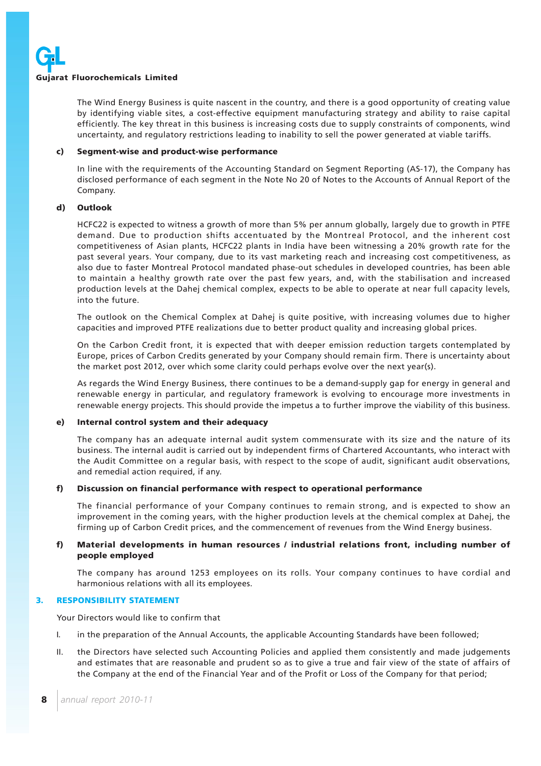

The Wind Energy Business is quite nascent in the country, and there is a good opportunity of creating value by identifying viable sites, a cost-effective equipment manufacturing strategy and ability to raise capital efficiently. The key threat in this business is increasing costs due to supply constraints of components, wind uncertainty, and regulatory restrictions leading to inability to sell the power generated at viable tariffs.

#### c) Segment-wise and product-wise performance

In line with the requirements of the Accounting Standard on Segment Reporting (AS-17), the Company has disclosed performance of each segment in the Note No 20 of Notes to the Accounts of Annual Report of the Company.

#### d) Outlook

HCFC22 is expected to witness a growth of more than 5% per annum globally, largely due to growth in PTFE demand. Due to production shifts accentuated by the Montreal Protocol, and the inherent cost competitiveness of Asian plants, HCFC22 plants in India have been witnessing a 20% growth rate for the past several years. Your company, due to its vast marketing reach and increasing cost competitiveness, as also due to faster Montreal Protocol mandated phase-out schedules in developed countries, has been able to maintain a healthy growth rate over the past few years, and, with the stabilisation and increased production levels at the Dahej chemical complex, expects to be able to operate at near full capacity levels, into the future.

The outlook on the Chemical Complex at Dahej is quite positive, with increasing volumes due to higher capacities and improved PTFE realizations due to better product quality and increasing global prices.

On the Carbon Credit front, it is expected that with deeper emission reduction targets contemplated by Europe, prices of Carbon Credits generated by your Company should remain firm. There is uncertainty about the market post 2012, over which some clarity could perhaps evolve over the next year(s).

As regards the Wind Energy Business, there continues to be a demand-supply gap for energy in general and renewable energy in particular, and regulatory framework is evolving to encourage more investments in renewable energy projects. This should provide the impetus a to further improve the viability of this business.

#### e) Internal control system and their adequacy

The company has an adequate internal audit system commensurate with its size and the nature of its business. The internal audit is carried out by independent firms of Chartered Accountants, who interact with the Audit Committee on a regular basis, with respect to the scope of audit, significant audit observations, and remedial action required, if any.

#### f) Discussion on financial performance with respect to operational performance

The financial performance of your Company continues to remain strong, and is expected to show an improvement in the coming years, with the higher production levels at the chemical complex at Dahej, the firming up of Carbon Credit prices, and the commencement of revenues from the Wind Energy business.

#### f) Material developments in human resources / industrial relations front, including number of people employed

The company has around 1253 employees on its rolls. Your company continues to have cordial and harmonious relations with all its employees.

#### 3. RESPONSIBILITY STATEMENT

Your Directors would like to confirm that

- I. in the preparation of the Annual Accounts, the applicable Accounting Standards have been followed;
- II. the Directors have selected such Accounting Policies and applied them consistently and made judgements and estimates that are reasonable and prudent so as to give a true and fair view of the state of affairs of the Company at the end of the Financial Year and of the Profit or Loss of the Company for that period;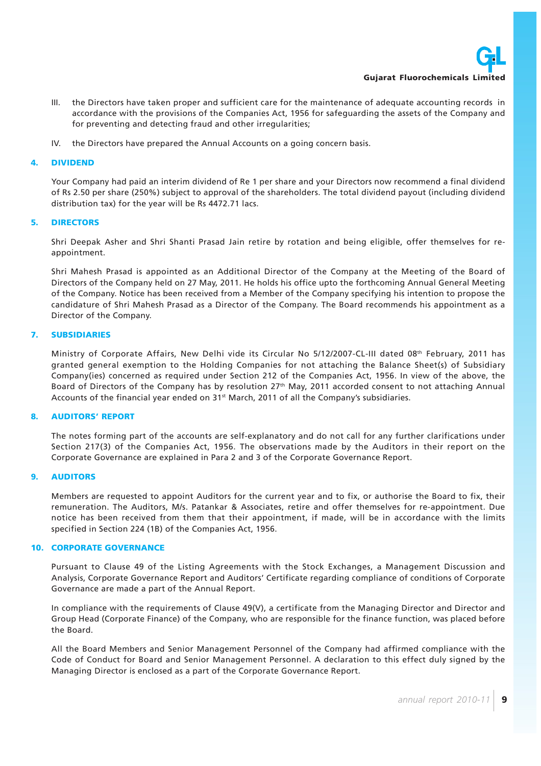# Gujarat Fluorochemicals Limited

- III. the Directors have taken proper and sufficient care for the maintenance of adequate accounting records in accordance with the provisions of the Companies Act, 1956 for safeguarding the assets of the Company and for preventing and detecting fraud and other irregularities;
- IV. the Directors have prepared the Annual Accounts on a going concern basis.

#### 4. DIVIDEND

Your Company had paid an interim dividend of Re 1 per share and your Directors now recommend a final dividend of Rs 2.50 per share (250%) subject to approval of the shareholders. The total dividend payout (including dividend distribution tax) for the year will be Rs 4472.71 lacs.

#### 5. DIRECTORS

Shri Deepak Asher and Shri Shanti Prasad Jain retire by rotation and being eligible, offer themselves for reappointment.

Shri Mahesh Prasad is appointed as an Additional Director of the Company at the Meeting of the Board of Directors of the Company held on 27 May, 2011. He holds his office upto the forthcoming Annual General Meeting of the Company. Notice has been received from a Member of the Company specifying his intention to propose the candidature of Shri Mahesh Prasad as a Director of the Company. The Board recommends his appointment as a Director of the Company.

#### 7. SUBSIDIARIES

Ministry of Corporate Affairs, New Delhi vide its Circular No 5/12/2007-CL-III dated 08<sup>th</sup> February, 2011 has granted general exemption to the Holding Companies for not attaching the Balance Sheet(s) of Subsidiary Company(ies) concerned as required under Section 212 of the Companies Act, 1956. In view of the above, the Board of Directors of the Company has by resolution 27th May, 2011 accorded consent to not attaching Annual Accounts of the financial year ended on 31<sup>st</sup> March, 2011 of all the Company's subsidiaries.

#### 8. AUDITORS' REPORT

The notes forming part of the accounts are self-explanatory and do not call for any further clarifications under Section 217(3) of the Companies Act, 1956. The observations made by the Auditors in their report on the Corporate Governance are explained in Para 2 and 3 of the Corporate Governance Report.

#### 9. AUDITORS

Members are requested to appoint Auditors for the current year and to fix, or authorise the Board to fix, their remuneration. The Auditors, M/s. Patankar & Associates, retire and offer themselves for re-appointment. Due notice has been received from them that their appointment, if made, will be in accordance with the limits specified in Section 224 (1B) of the Companies Act, 1956.

#### 10. CORPORATE GOVERNANCE

Pursuant to Clause 49 of the Listing Agreements with the Stock Exchanges, a Management Discussion and Analysis, Corporate Governance Report and Auditors' Certificate regarding compliance of conditions of Corporate Governance are made a part of the Annual Report.

In compliance with the requirements of Clause 49(V), a certificate from the Managing Director and Director and Group Head (Corporate Finance) of the Company, who are responsible for the finance function, was placed before the Board.

All the Board Members and Senior Management Personnel of the Company had affirmed compliance with the Code of Conduct for Board and Senior Management Personnel. A declaration to this effect duly signed by the Managing Director is enclosed as a part of the Corporate Governance Report.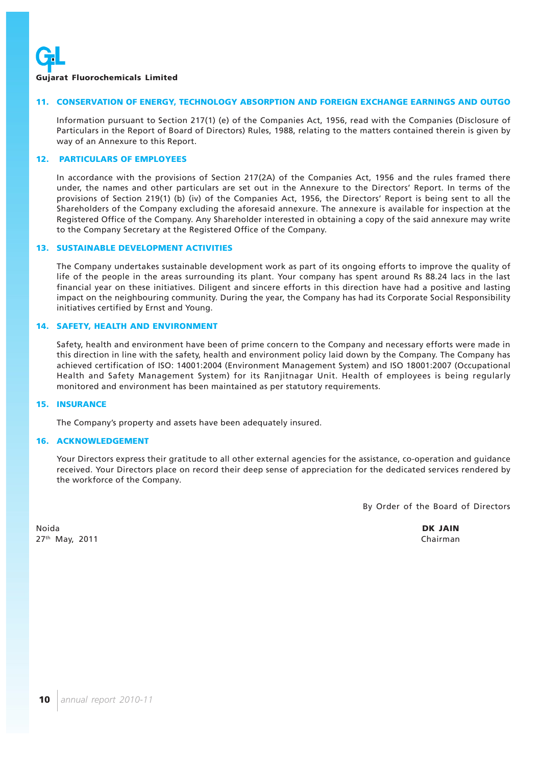

#### 11. CONSERVATION OF ENERGY, TECHNOLOGY ABSORPTION AND FOREIGN EXCHANGE EARNINGS AND OUTGO

Information pursuant to Section 217(1) (e) of the Companies Act, 1956, read with the Companies (Disclosure of Particulars in the Report of Board of Directors) Rules, 1988, relating to the matters contained therein is given by way of an Annexure to this Report.

#### 12. PARTICULARS OF EMPLOYEES

In accordance with the provisions of Section 217(2A) of the Companies Act, 1956 and the rules framed there under, the names and other particulars are set out in the Annexure to the Directors' Report. In terms of the provisions of Section 219(1) (b) (iv) of the Companies Act, 1956, the Directors' Report is being sent to all the Shareholders of the Company excluding the aforesaid annexure. The annexure is available for inspection at the Registered Office of the Company. Any Shareholder interested in obtaining a copy of the said annexure may write to the Company Secretary at the Registered Office of the Company.

#### 13. SUSTAINABLE DEVELOPMENT ACTIVITIES

The Company undertakes sustainable development work as part of its ongoing efforts to improve the quality of life of the people in the areas surrounding its plant. Your company has spent around Rs 88.24 lacs in the last financial year on these initiatives. Diligent and sincere efforts in this direction have had a positive and lasting impact on the neighbouring community. During the year, the Company has had its Corporate Social Responsibility initiatives certified by Ernst and Young.

#### 14. SAFETY, HEALTH AND ENVIRONMENT

Safety, health and environment have been of prime concern to the Company and necessary efforts were made in this direction in line with the safety, health and environment policy laid down by the Company. The Company has achieved certification of ISO: 14001:2004 (Environment Management System) and ISO 18001:2007 (Occupational Health and Safety Management System) for its Ranjitnagar Unit. Health of employees is being regularly monitored and environment has been maintained as per statutory requirements.

#### 15. INSURANCE

The Company's property and assets have been adequately insured.

#### 16. ACKNOWLEDGEMENT

Your Directors express their gratitude to all other external agencies for the assistance, co-operation and guidance received. Your Directors place on record their deep sense of appreciation for the dedicated services rendered by the workforce of the Company.

By Order of the Board of Directors

Noida **DK JAIN** DA SAN DA SAN DA SAN DA SAN DA SAN DA SAN DA SAN DA SAN DA SAN DA SAN DA SAN DA SAN DA SAN DA SA 27<sup>th</sup> May, 2011 **Chairman**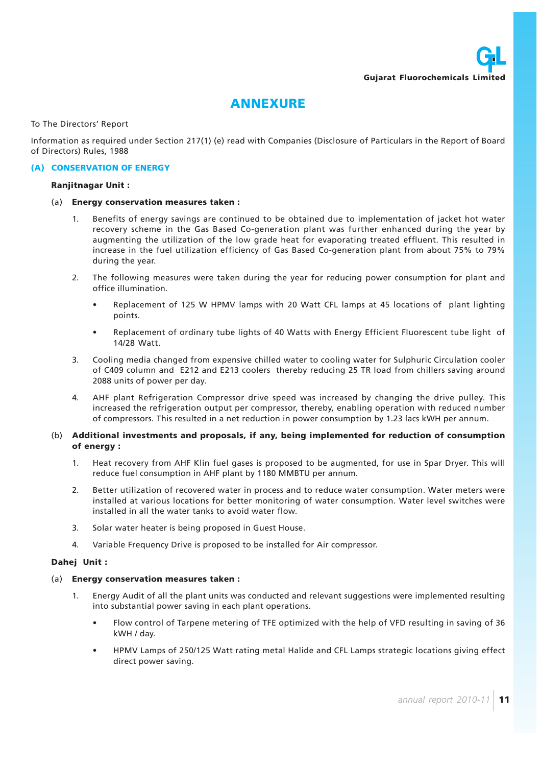## ANNEXURE

#### To The Directors' Report

Information as required under Section 217(1) (e) read with Companies (Disclosure of Particulars in the Report of Board of Directors) Rules, 1988

#### (A) CONSERVATION OF ENERGY

#### Ranjitnagar Unit :

#### (a) Energy conservation measures taken :

- 1. Benefits of energy savings are continued to be obtained due to implementation of jacket hot water recovery scheme in the Gas Based Co-generation plant was further enhanced during the year by augmenting the utilization of the low grade heat for evaporating treated effluent. This resulted in increase in the fuel utilization efficiency of Gas Based Co-generation plant from about 75% to 79% during the year.
- 2. The following measures were taken during the year for reducing power consumption for plant and office illumination.
	- Replacement of 125 W HPMV lamps with 20 Watt CFL lamps at 45 locations of plant lighting points.
	- Replacement of ordinary tube lights of 40 Watts with Energy Efficient Fluorescent tube light of 14/28 Watt.
- 3. Cooling media changed from expensive chilled water to cooling water for Sulphuric Circulation cooler of C409 column and E212 and E213 coolers thereby reducing 25 TR load from chillers saving around 2088 units of power per day.
- 4. AHF plant Refrigeration Compressor drive speed was increased by changing the drive pulley. This increased the refrigeration output per compressor, thereby, enabling operation with reduced number of compressors. This resulted in a net reduction in power consumption by 1.23 lacs kWH per annum.

#### (b) Additional investments and proposals, if any, being implemented for reduction of consumption of energy :

- 1. Heat recovery from AHF Klin fuel gases is proposed to be augmented, for use in Spar Dryer. This will reduce fuel consumption in AHF plant by 1180 MMBTU per annum.
- 2. Better utilization of recovered water in process and to reduce water consumption. Water meters were installed at various locations for better monitoring of water consumption. Water level switches were installed in all the water tanks to avoid water flow.
- 3. Solar water heater is being proposed in Guest House.
- 4. Variable Frequency Drive is proposed to be installed for Air compressor.

#### Dahej Unit :

#### (a) Energy conservation measures taken :

- 1. Energy Audit of all the plant units was conducted and relevant suggestions were implemented resulting into substantial power saving in each plant operations.
	- Flow control of Tarpene metering of TFE optimized with the help of VFD resulting in saving of 36 kWH / day.
	- HPMV Lamps of 250/125 Watt rating metal Halide and CFL Lamps strategic locations giving effect direct power saving.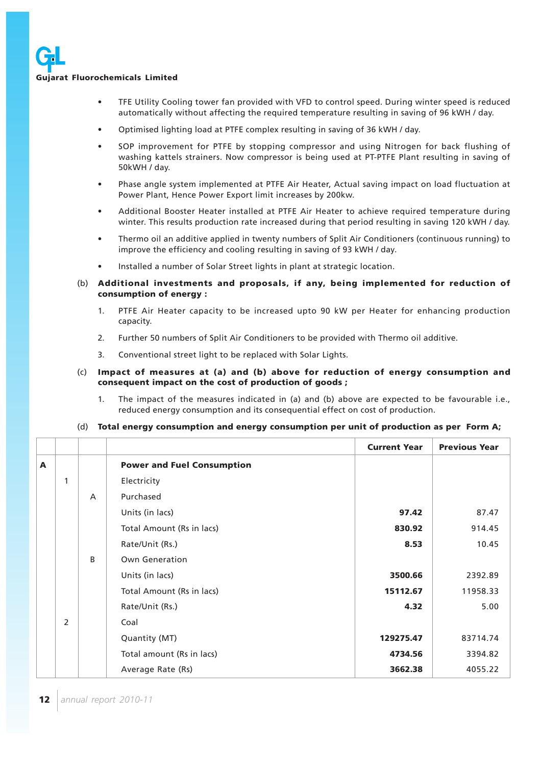- TFE Utility Cooling tower fan provided with VFD to control speed. During winter speed is reduced automatically without affecting the required temperature resulting in saving of 96 kWH / day.
- Optimised lighting load at PTFE complex resulting in saving of 36 kWH / day.
- SOP improvement for PTFE by stopping compressor and using Nitrogen for back flushing of washing kattels strainers. Now compressor is being used at PT-PTFE Plant resulting in saving of 50kWH / day.
- Phase angle system implemented at PTFE Air Heater, Actual saving impact on load fluctuation at Power Plant, Hence Power Export limit increases by 200kw.
- Additional Booster Heater installed at PTFE Air Heater to achieve required temperature during winter. This results production rate increased during that period resulting in saving 120 kWH / day.
- Thermo oil an additive applied in twenty numbers of Split Air Conditioners (continuous running) to improve the efficiency and cooling resulting in saving of 93 kWH / day.
- Installed a number of Solar Street lights in plant at strategic location.
- (b) Additional investments and proposals, if any, being implemented for reduction of consumption of energy :
	- 1. PTFE Air Heater capacity to be increased upto 90 kW per Heater for enhancing production capacity.
	- 2. Further 50 numbers of Split Air Conditioners to be provided with Thermo oil additive.
	- 3. Conventional street light to be replaced with Solar Lights.
- (c) Impact of measures at (a) and (b) above for reduction of energy consumption and consequent impact on the cost of production of goods ;
	- 1. The impact of the measures indicated in (a) and (b) above are expected to be favourable i.e., reduced energy consumption and its consequential effect on cost of production.

#### (d) Total energy consumption and energy consumption per unit of production as per Form A;

|   |                |   |                                   | <b>Current Year</b> | <b>Previous Year</b> |
|---|----------------|---|-----------------------------------|---------------------|----------------------|
| A |                |   | <b>Power and Fuel Consumption</b> |                     |                      |
|   | 1              |   | Electricity                       |                     |                      |
|   |                | A | Purchased                         |                     |                      |
|   |                |   | Units (in lacs)                   | 97.42               | 87.47                |
|   |                |   | Total Amount (Rs in lacs)         | 830.92              | 914.45               |
|   |                |   | Rate/Unit (Rs.)                   | 8.53                | 10.45                |
|   |                | B | Own Generation                    |                     |                      |
|   |                |   | Units (in lacs)                   | 3500.66             | 2392.89              |
|   |                |   | Total Amount (Rs in lacs)         | 15112.67            | 11958.33             |
|   |                |   | Rate/Unit (Rs.)                   | 4.32                | 5.00                 |
|   | $\overline{2}$ |   | Coal                              |                     |                      |
|   |                |   | Quantity (MT)                     | 129275.47           | 83714.74             |
|   |                |   | Total amount (Rs in lacs)         | 4734.56             | 3394.82              |
|   |                |   | Average Rate (Rs)                 | 3662.38             | 4055.22              |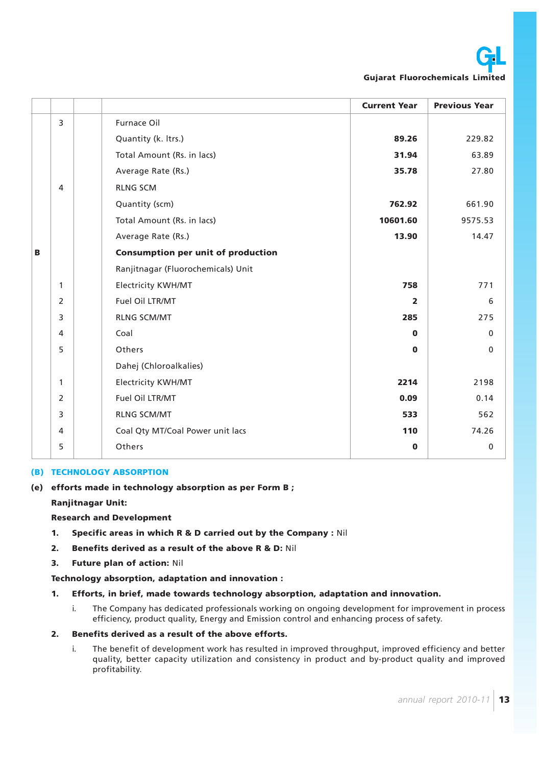|   |                |                                           | <b>Current Year</b> | <b>Previous Year</b> |
|---|----------------|-------------------------------------------|---------------------|----------------------|
|   | 3              | Furnace Oil                               |                     |                      |
|   |                | Quantity (k. ltrs.)                       | 89.26               | 229.82               |
|   |                | Total Amount (Rs. in lacs)                | 31.94               | 63.89                |
|   |                | Average Rate (Rs.)                        | 35.78               | 27.80                |
|   | 4              | <b>RLNG SCM</b>                           |                     |                      |
|   |                | Quantity (scm)                            | 762.92              | 661.90               |
|   |                | Total Amount (Rs. in lacs)                | 10601.60            | 9575.53              |
|   |                | Average Rate (Rs.)                        | 13.90               | 14.47                |
| B |                | <b>Consumption per unit of production</b> |                     |                      |
|   |                | Ranjitnagar (Fluorochemicals) Unit        |                     |                      |
|   | 1              | <b>Electricity KWH/MT</b>                 | 758                 | 771                  |
|   | $\overline{2}$ | Fuel Oil LTR/MT                           | $\overline{2}$      | 6                    |
|   | 3              | <b>RLNG SCM/MT</b>                        | 285                 | 275                  |
|   | 4              | Coal                                      | $\bf{0}$            | $\mathbf 0$          |
|   | 5              | Others                                    | $\bf{0}$            | $\Omega$             |
|   |                | Dahej (Chloroalkalies)                    |                     |                      |
|   | 1              | <b>Electricity KWH/MT</b>                 | 2214                | 2198                 |
|   | 2              | Fuel Oil LTR/MT                           | 0.09                | 0.14                 |
|   | 3              | <b>RLNG SCM/MT</b>                        | 533                 | 562                  |
|   | 4              | Coal Qty MT/Coal Power unit lacs          | 110                 | 74.26                |
|   | 5              | Others                                    | 0                   | $\mathbf 0$          |

#### (B) TECHNOLOGY ABSORPTION

#### (e) efforts made in technology absorption as per Form B ;

#### Ranjitnagar Unit:

#### Research and Development

- 1. Specific areas in which R & D carried out by the Company : Nil
- 2. Benefits derived as a result of the above R & D: Nil
- 3. Future plan of action: Nil

#### Technology absorption, adaptation and innovation :

- 1. Efforts, in brief, made towards technology absorption, adaptation and innovation.
	- i. The Company has dedicated professionals working on ongoing development for improvement in process efficiency, product quality, Energy and Emission control and enhancing process of safety.
- 2. Benefits derived as a result of the above efforts.
	- i. The benefit of development work has resulted in improved throughput, improved efficiency and better quality, better capacity utilization and consistency in product and by-product quality and improved profitability.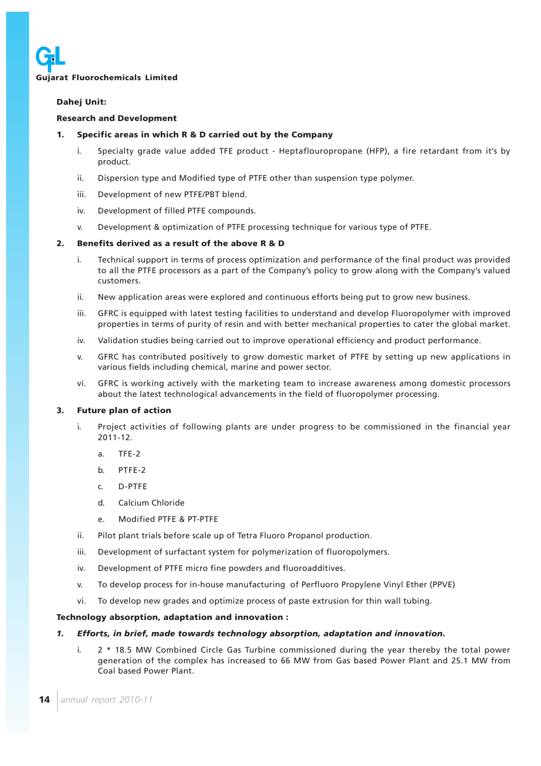

#### Dahej Unit:

#### Research and Development

#### 1. Specific areas in which R & D carried out by the Company

- i. Specialty grade value added TFE product Heptaflouropropane (HFP), a fire retardant from it's by product.
- ii. Dispersion type and Modified type of PTFE other than suspension type polymer.
- iii. Development of new PTFE/PBT blend.
- iv. Development of filled PTFE compounds.
- v. Development & optimization of PTFE processing technique for various type of PTFE.

#### 2. Benefits derived as a result of the above R & D

- i. Technical support in terms of process optimization and performance of the final product was provided to all the PTFE processors as a part of the Company's policy to grow along with the Company's valued customers.
- ii. New application areas were explored and continuous efforts being put to grow new business.
- iii. GFRC is equipped with latest testing facilities to understand and develop Fluoropolymer with improved properties in terms of purity of resin and with better mechanical properties to cater the global market.
- iv. Validation studies being carried out to improve operational efficiency and product performance.
- v. GFRC has contributed positively to grow domestic market of PTFE by setting up new applications in various fields including chemical, marine and power sector.
- vi. GFRC is working actively with the marketing team to increase awareness among domestic processors about the latest technological advancements in the field of fluoropolymer processing.

#### 3. Future plan of action

- i. Project activities of following plants are under progress to be commissioned in the financial year 2011-12.
	- a. TFE-2
	- b. PTFE-2
	- c. D-PTFE
	- d. Calcium Chloride
	- e. Modified PTFE & PT-PTFE
- ii. Pilot plant trials before scale up of Tetra Fluoro Propanol production.
- iii. Development of surfactant system for polymerization of fluoropolymers.
- iv. Development of PTFE micro fine powders and fluoroadditives.
- v. To develop process for in-house manufacturing of Perfluoro Propylene Vinyl Ether (PPVE)
- vi. To develop new grades and optimize process of paste extrusion for thin wall tubing.

#### Technology absorption, adaptation and innovation :

- 1. Efforts, in brief, made towards technology absorption, adaptation and innovation.
	- i. 2 \* 18.5 MW Combined Circle Gas Turbine commissioned during the year thereby the total power generation of the complex has increased to 66 MW from Gas based Power Plant and 25.1 MW from Coal based Power Plant.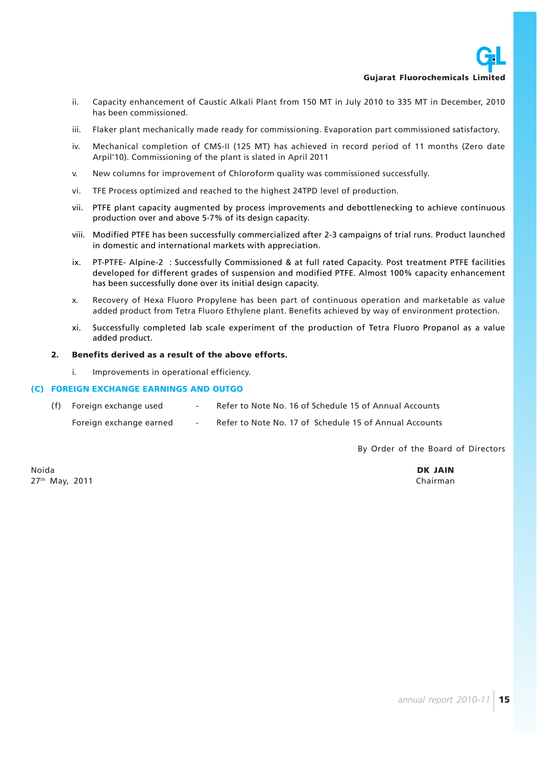- ii. Capacity enhancement of Caustic Alkali Plant from 150 MT in July 2010 to 335 MT in December, 2010 has been commissioned.
- iii. Flaker plant mechanically made ready for commissioning. Evaporation part commissioned satisfactory.
- iv. Mechanical completion of CMS-II (125 MT) has achieved in record period of 11 months (Zero date Arpil'10). Commissioning of the plant is slated in April 2011
- v. New columns for improvement of Chloroform quality was commissioned successfully.
- vi. TFE Process optimized and reached to the highest 24TPD level of production.
- vii. PTFE plant capacity augmented by process improvements and debottlenecking to achieve continuous production over and above 5-7% of its design capacity.
- viii. Modified PTFE has been successfully commercialized after 2-3 campaigns of trial runs. Product launched in domestic and international markets with appreciation.
- ix. PT-PTFE- Alpine-2 : Successfully Commissioned & at full rated Capacity. Post treatment PTFE facilities developed for different grades of suspension and modified PTFE. Almost 100% capacity enhancement has been successfully done over its initial design capacity.
- x. Recovery of Hexa Fluoro Propylene has been part of continuous operation and marketable as value added product from Tetra Fluoro Ethylene plant. Benefits achieved by way of environment protection.
- xi. Successfully completed lab scale experiment of the production of Tetra Fluoro Propanol as a value added product.

#### 2. Benefits derived as a result of the above efforts.

i. Improvements in operational efficiency.

#### (C) FOREIGN EXCHANGE EARNINGS AND OUTGO

|  | (f) Foreign exchange used |  | Refer to Note No. 16 of Schedule 15 of Annual Accounts |
|--|---------------------------|--|--------------------------------------------------------|
|--|---------------------------|--|--------------------------------------------------------|

Foreign exchange earned - Refer to Note No. 17 of Schedule 15 of Annual Accounts

By Order of the Board of Directors

Noida **DK JAIN** DA SAN DA SAN DA SAN DA SAN DA SAN DA SAN DA SAN DA SAN DA SAN DA SAN DA SAN DA SAN DA SAN DA SA 27<sup>th</sup> May, 2011 **Chairman**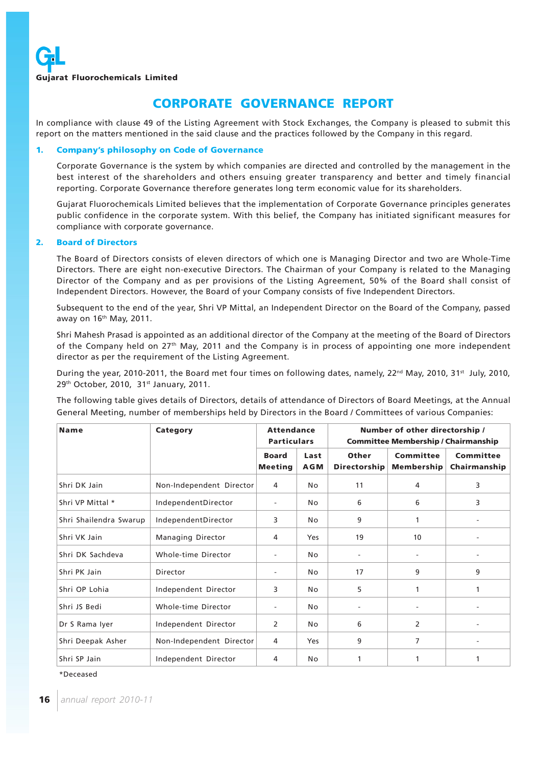# CORPORATE GOVERNANCE REPORT

In compliance with clause 49 of the Listing Agreement with Stock Exchanges, the Company is pleased to submit this report on the matters mentioned in the said clause and the practices followed by the Company in this regard.

#### 1. Company's philosophy on Code of Governance

Corporate Governance is the system by which companies are directed and controlled by the management in the best interest of the shareholders and others ensuing greater transparency and better and timely financial reporting. Corporate Governance therefore generates long term economic value for its shareholders.

Gujarat Fluorochemicals Limited believes that the implementation of Corporate Governance principles generates public confidence in the corporate system. With this belief, the Company has initiated significant measures for compliance with corporate governance.

#### 2. Board of Directors

The Board of Directors consists of eleven directors of which one is Managing Director and two are Whole-Time Directors. There are eight non-executive Directors. The Chairman of your Company is related to the Managing Director of the Company and as per provisions of the Listing Agreement, 50% of the Board shall consist of Independent Directors. However, the Board of your Company consists of five Independent Directors.

Subsequent to the end of the year, Shri VP Mittal, an Independent Director on the Board of the Company, passed away on 16th May, 2011.

Shri Mahesh Prasad is appointed as an additional director of the Company at the meeting of the Board of Directors of the Company held on 27th May, 2011 and the Company is in process of appointing one more independent director as per the requirement of the Listing Agreement.

During the year, 2010-2011, the Board met four times on following dates, namely, 22<sup>nd</sup> May, 2010, 31<sup>st</sup> July, 2010, 29th October, 2010, 31st January, 2011.

The following table gives details of Directors, details of attendance of Directors of Board Meetings, at the Annual General Meeting, number of memberships held by Directors in the Board / Committees of various Companies:

| <b>Name</b>            | Category                 | <b>Attendance</b><br><b>Particulars</b> |                    |                       | Number of other directorship /<br><b>Committee Membership / Chairmanship</b> |                           |
|------------------------|--------------------------|-----------------------------------------|--------------------|-----------------------|------------------------------------------------------------------------------|---------------------------|
|                        |                          | <b>Board</b><br><b>Meeting</b>          | Last<br><b>AGM</b> | Other<br>Directorship | Committee<br><b>Membership</b>                                               | Committee<br>Chairmanship |
| Shri DK Jain           | Non-Independent Director | 4                                       | No                 | 11                    | 4                                                                            | 3                         |
| Shri VP Mittal *       | IndependentDirector      |                                         | No                 | 6                     | 6                                                                            | 3                         |
| Shri Shailendra Swarup | IndependentDirector      | 3                                       | No                 | 9                     | 1                                                                            |                           |
| Shri VK Jain           | Managing Director        | 4                                       | Yes                | 19                    | 10                                                                           |                           |
| Shri DK Sachdeva       | Whole-time Director      |                                         | No                 |                       |                                                                              |                           |
| Shri PK Jain           | Director                 | $\overline{\phantom{0}}$                | No                 | 17                    | 9                                                                            | 9                         |
| Shri OP Lohia          | Independent Director     | 3                                       | N <sub>o</sub>     | 5                     | 1                                                                            | 1                         |
| Shri JS Bedi           | Whole-time Director      |                                         | No                 |                       |                                                                              |                           |
| Dr S Rama Iyer         | Independent Director     | 2                                       | No                 | 6                     | 2                                                                            | ۰.                        |
| Shri Deepak Asher      | Non-Independent Director | 4                                       | Yes                | 9                     | 7                                                                            |                           |
| Shri SP Jain           | Independent Director     | 4                                       | No                 | 1                     |                                                                              | 1                         |

\*Deceased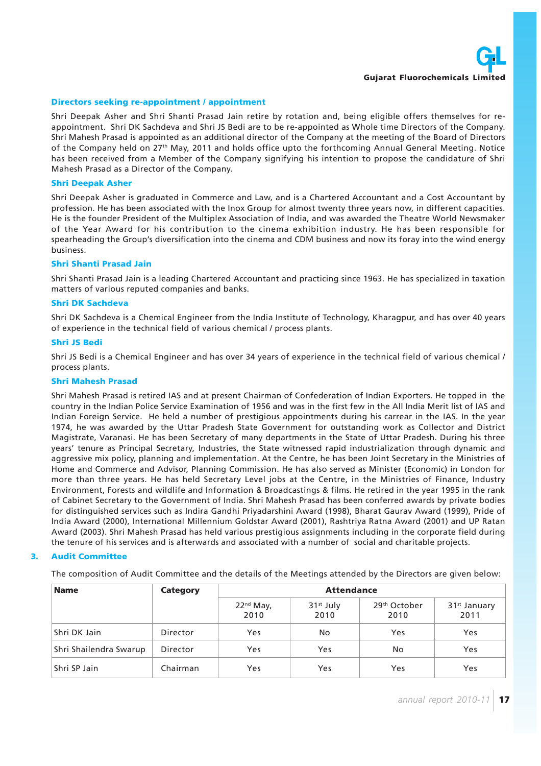#### Directors seeking re-appointment / appointment

Shri Deepak Asher and Shri Shanti Prasad Jain retire by rotation and, being eligible offers themselves for reappointment. Shri DK Sachdeva and Shri JS Bedi are to be re-appointed as Whole time Directors of the Company. Shri Mahesh Prasad is appointed as an additional director of the Company at the meeting of the Board of Directors of the Company held on 27<sup>th</sup> May, 2011 and holds office upto the forthcoming Annual General Meeting. Notice has been received from a Member of the Company signifying his intention to propose the candidature of Shri Mahesh Prasad as a Director of the Company.

#### Shri Deepak Asher

Shri Deepak Asher is graduated in Commerce and Law, and is a Chartered Accountant and a Cost Accountant by profession. He has been associated with the Inox Group for almost twenty three years now, in different capacities. He is the founder President of the Multiplex Association of India, and was awarded the Theatre World Newsmaker of the Year Award for his contribution to the cinema exhibition industry. He has been responsible for spearheading the Group's diversification into the cinema and CDM business and now its foray into the wind energy business.

#### Shri Shanti Prasad Jain

Shri Shanti Prasad Jain is a leading Chartered Accountant and practicing since 1963. He has specialized in taxation matters of various reputed companies and banks.

#### Shri DK Sachdeva

Shri DK Sachdeva is a Chemical Engineer from the India Institute of Technology, Kharagpur, and has over 40 years of experience in the technical field of various chemical / process plants.

#### Shri JS Bedi

Shri JS Bedi is a Chemical Engineer and has over 34 years of experience in the technical field of various chemical / process plants.

#### Shri Mahesh Prasad

Shri Mahesh Prasad is retired IAS and at present Chairman of Confederation of Indian Exporters. He topped in the country in the Indian Police Service Examination of 1956 and was in the first few in the All India Merit list of IAS and Indian Foreign Service. He held a number of prestigious appointments during his carrear in the IAS. In the year 1974, he was awarded by the Uttar Pradesh State Government for outstanding work as Collector and District Magistrate, Varanasi. He has been Secretary of many departments in the State of Uttar Pradesh. During his three years' tenure as Principal Secretary, Industries, the State witnessed rapid industrialization through dynamic and aggressive mix policy, planning and implementation. At the Centre, he has been Joint Secretary in the Ministries of Home and Commerce and Advisor, Planning Commission. He has also served as Minister (Economic) in London for more than three years. He has held Secretary Level jobs at the Centre, in the Ministries of Finance, Industry Environment, Forests and wildlife and Information & Broadcastings & films. He retired in the year 1995 in the rank of Cabinet Secretary to the Government of India. Shri Mahesh Prasad has been conferred awards by private bodies for distinguished services such as Indira Gandhi Priyadarshini Award (1998), Bharat Gaurav Award (1999), Pride of India Award (2000), International Millennium Goldstar Award (2001), Rashtriya Ratna Award (2001) and UP Ratan Award (2003). Shri Mahesh Prasad has held various prestigious assignments including in the corporate field during the tenure of his services and is afterwards and associated with a number of social and charitable projects.

#### 3. Audit Committee

The composition of Audit Committee and the details of the Meetings attended by the Directors are given below:

| <b>Name</b>            | <b>Category</b> | <b>Attendance</b>             |                     |                                  |                                  |  |
|------------------------|-----------------|-------------------------------|---------------------|----------------------------------|----------------------------------|--|
|                        |                 | 22 <sup>nd</sup> May,<br>2010 | $31st$ July<br>2010 | 29 <sup>th</sup> October<br>2010 | 31 <sup>st</sup> January<br>2011 |  |
| Shri DK Jain           | Director        | Yes                           | No                  | Yes                              | Yes                              |  |
| Shri Shailendra Swarup | Director        | Yes                           | Yes                 | No                               | Yes                              |  |
| Shri SP Jain           | Chairman        | Yes                           | Yes                 | Yes                              | Yes                              |  |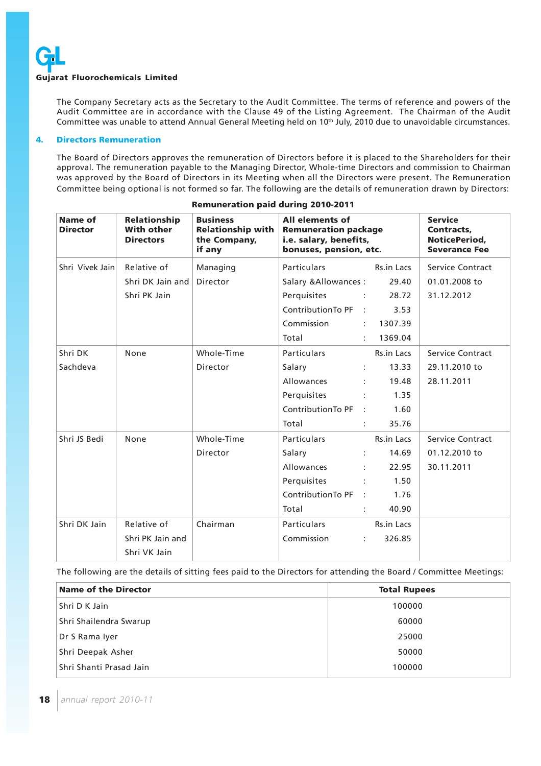

The Company Secretary acts as the Secretary to the Audit Committee. The terms of reference and powers of the Audit Committee are in accordance with the Clause 49 of the Listing Agreement. The Chairman of the Audit Committee was unable to attend Annual General Meeting held on 10<sup>th</sup> July, 2010 due to unavoidable circumstances.

#### 4. Directors Remuneration

The Board of Directors approves the remuneration of Directors before it is placed to the Shareholders for their approval. The remuneration payable to the Managing Director, Whole-time Directors and commission to Chairman was approved by the Board of Directors in its Meeting when all the Directors were present. The Remuneration Committee being optional is not formed so far. The following are the details of remuneration drawn by Directors:

| Name of<br><b>Director</b> | Relationship<br><b>With other</b><br><b>Directors</b> | <b>Business</b><br><b>Relationship with</b><br>the Company,<br>if any | All elements of<br><b>Remuneration package</b><br>i.e. salary, benefits,<br>bonuses, pension, etc. |            | <b>Service</b><br>Contracts,<br>NoticePeriod,<br><b>Severance Fee</b> |
|----------------------------|-------------------------------------------------------|-----------------------------------------------------------------------|----------------------------------------------------------------------------------------------------|------------|-----------------------------------------------------------------------|
| Shri Vivek Jain            | Relative of                                           | Managing                                                              | Particulars                                                                                        | Rs.in Lacs | <b>Service Contract</b>                                               |
|                            | Shri DK Jain and                                      | Director                                                              | Salary & Allowances:                                                                               | 29.40      | 01.01.2008 to                                                         |
|                            | Shri PK Jain                                          |                                                                       | Perquisites<br>$\ddot{\phantom{a}}$                                                                | 28.72      | 31.12.2012                                                            |
|                            |                                                       |                                                                       | ContributionTo PF<br>$\cdot$ :                                                                     | 3.53       |                                                                       |
|                            |                                                       |                                                                       | Commission<br>÷                                                                                    | 1307.39    |                                                                       |
|                            |                                                       |                                                                       | Total                                                                                              | 1369.04    |                                                                       |
| Shri DK                    | None                                                  | Whole-Time                                                            | <b>Particulars</b>                                                                                 | Rs.in Lacs | Service Contract                                                      |
| Sachdeva                   |                                                       | Director                                                              | Salary<br>÷                                                                                        | 13.33      | 29.11.2010 to                                                         |
|                            |                                                       |                                                                       | Allowances                                                                                         | 19.48      | 28.11.2011                                                            |
|                            |                                                       |                                                                       | Perquisites                                                                                        | 1.35       |                                                                       |
|                            |                                                       |                                                                       | ContributionTo PF<br>$\ddot{\phantom{a}}$                                                          | 1.60       |                                                                       |
|                            |                                                       |                                                                       | Total<br>÷                                                                                         | 35.76      |                                                                       |
| Shri JS Bedi               | None                                                  | Whole-Time                                                            | Particulars                                                                                        | Rs.in Lacs | Service Contract                                                      |
|                            |                                                       | Director                                                              | Salary<br>÷                                                                                        | 14.69      | 01.12.2010 to                                                         |
|                            |                                                       |                                                                       | Allowances<br>÷                                                                                    | 22.95      | 30.11.2011                                                            |
|                            |                                                       |                                                                       | Perquisites                                                                                        | 1.50       |                                                                       |
|                            |                                                       |                                                                       | ContributionTo PF<br>$\ddot{\phantom{a}}$                                                          | 1.76       |                                                                       |
|                            |                                                       |                                                                       | Total                                                                                              | 40.90      |                                                                       |
| Shri DK Jain               | Relative of                                           | Chairman                                                              | Particulars                                                                                        | Rs.in Lacs |                                                                       |
|                            | Shri PK Jain and<br>Shri VK Jain                      |                                                                       | Commission<br>÷                                                                                    | 326.85     |                                                                       |

#### Remuneration paid during 2010-2011

The following are the details of sitting fees paid to the Directors for attending the Board / Committee Meetings:

| <b>Name of the Director</b> | <b>Total Rupees</b> |
|-----------------------------|---------------------|
| Shri D K Jain               | 100000              |
| Shri Shailendra Swarup      | 60000               |
| Dr S Rama Iyer              | 25000               |
| Shri Deepak Asher           | 50000               |
| Shri Shanti Prasad Jain     | 100000              |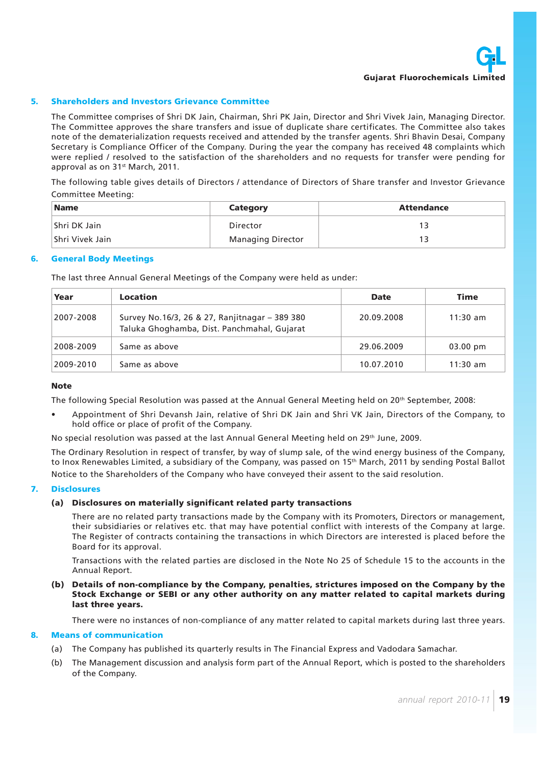#### 5. Shareholders and Investors Grievance Committee

The Committee comprises of Shri DK Jain, Chairman, Shri PK Jain, Director and Shri Vivek Jain, Managing Director. The Committee approves the share transfers and issue of duplicate share certificates. The Committee also takes note of the dematerialization requests received and attended by the transfer agents. Shri Bhavin Desai, Company Secretary is Compliance Officer of the Company. During the year the company has received 48 complaints which were replied / resolved to the satisfaction of the shareholders and no requests for transfer were pending for approval as on 31<sup>st</sup> March, 2011.

The following table gives details of Directors / attendance of Directors of Share transfer and Investor Grievance Committee Meeting:

| <b>Name</b>     | Category                 | <b>Attendance</b> |
|-----------------|--------------------------|-------------------|
| Shri DK Jain    | Director                 |                   |
| Shri Vivek Jain | <b>Managing Director</b> |                   |

#### 6. General Body Meetings

The last three Annual General Meetings of the Company were held as under:

| Year      | Location                                                                                      | <b>Date</b> | Time               |
|-----------|-----------------------------------------------------------------------------------------------|-------------|--------------------|
| 2007-2008 | Survey No.16/3, 26 & 27, Ranjitnagar - 389 380<br>Taluka Ghoghamba, Dist. Panchmahal, Gujarat | 20.09.2008  | $11:30$ am         |
| 2008-2009 | Same as above                                                                                 | 29.06.2009  | $03.00 \text{ pm}$ |
| 2009-2010 | Same as above                                                                                 | 10.07.2010  | $11:30$ am         |

#### **Note**

The following Special Resolution was passed at the Annual General Meeting held on 20<sup>th</sup> September, 2008:

• Appointment of Shri Devansh Jain, relative of Shri DK Jain and Shri VK Jain, Directors of the Company, to hold office or place of profit of the Company.

No special resolution was passed at the last Annual General Meeting held on 29th June, 2009.

The Ordinary Resolution in respect of transfer, by way of slump sale, of the wind energy business of the Company, to Inox Renewables Limited, a subsidiary of the Company, was passed on 15th March, 2011 by sending Postal Ballot Notice to the Shareholders of the Company who have conveyed their assent to the said resolution.

#### 7. Disclosures

#### (a) Disclosures on materially significant related party transactions

There are no related party transactions made by the Company with its Promoters, Directors or management, their subsidiaries or relatives etc. that may have potential conflict with interests of the Company at large. The Register of contracts containing the transactions in which Directors are interested is placed before the Board for its approval.

Transactions with the related parties are disclosed in the Note No 25 of Schedule 15 to the accounts in the Annual Report.

(b) Details of non-compliance by the Company, penalties, strictures imposed on the Company by the Stock Exchange or SEBI or any other authority on any matter related to capital markets during last three years.

There were no instances of non-compliance of any matter related to capital markets during last three years.

#### 8. Means of communication

- (a) The Company has published its quarterly results in The Financial Express and Vadodara Samachar.
- (b) The Management discussion and analysis form part of the Annual Report, which is posted to the shareholders of the Company.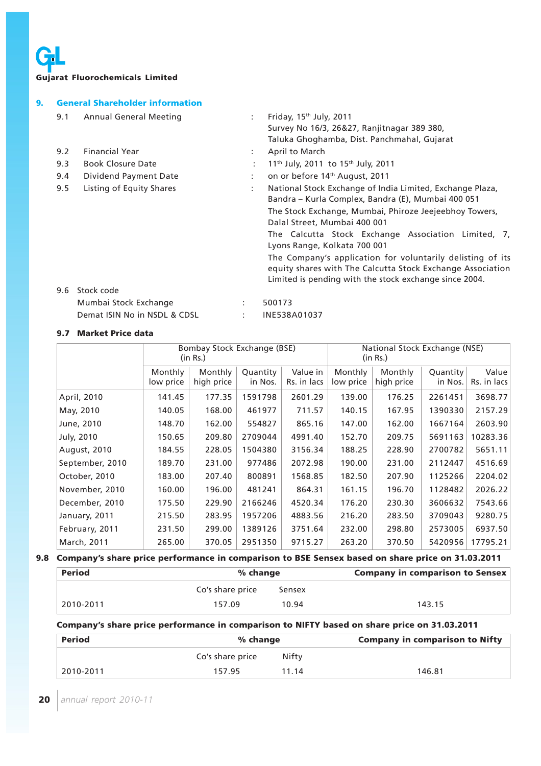#### Gujarat Fluorochemicals Limited

#### 9. General Shareholder information

| 9.1 | <b>Annual General Meeting</b> | ٠ | Friday, 15 <sup>th</sup> July, 2011<br>Survey No 16/3, 26&27, Ranjitnagar 389 380,                                                                                                 |
|-----|-------------------------------|---|------------------------------------------------------------------------------------------------------------------------------------------------------------------------------------|
|     |                               |   | Taluka Ghoghamba, Dist. Panchmahal, Gujarat                                                                                                                                        |
| 9.2 | <b>Financial Year</b>         |   | April to March                                                                                                                                                                     |
| 9.3 | <b>Book Closure Date</b>      | ٠ | 11 <sup>th</sup> July, 2011 to 15 <sup>th</sup> July, 2011                                                                                                                         |
| 9.4 | Dividend Payment Date         |   | on or before 14th August, 2011                                                                                                                                                     |
| 9.5 | Listing of Equity Shares      | ٠ | National Stock Exchange of India Limited, Exchange Plaza,<br>Bandra - Kurla Complex, Bandra (E), Mumbai 400 051                                                                    |
|     |                               |   | The Stock Exchange, Mumbai, Phiroze Jeejeebhoy Towers,<br>Dalal Street, Mumbai 400 001                                                                                             |
|     |                               |   | The Calcutta Stock Exchange Association Limited, 7,<br>Lyons Range, Kolkata 700 001                                                                                                |
|     |                               |   | The Company's application for voluntarily delisting of its<br>equity shares with The Calcutta Stock Exchange Association<br>Limited is pending with the stock exchange since 2004. |
| 9.6 | Stock code                    |   |                                                                                                                                                                                    |
|     | Mumbai Stock Exchange         |   | 500173                                                                                                                                                                             |
|     | Demat ISIN No in NSDL & CDSL  |   | INE538A01037                                                                                                                                                                       |

#### 9.7 Market Price data

|                 | Bombay Stock Exchange (BSE)<br>(in Rs.) |                       |                     | National Stock Exchange (NSE)<br>(in Rs.) |                      |                       |                     |                      |
|-----------------|-----------------------------------------|-----------------------|---------------------|-------------------------------------------|----------------------|-----------------------|---------------------|----------------------|
|                 | Monthly<br>low price                    | Monthly<br>high price | Quantity<br>in Nos. | Value in<br>Rs. in lacs                   | Monthly<br>low price | Monthly<br>high price | Quantity<br>in Nos. | Value<br>Rs. in lacs |
| April, 2010     | 141.45                                  | 177.35                | 1591798             | 2601.29                                   | 139.00               | 176.25                | 2261451             | 3698.77              |
| May, 2010       | 140.05                                  | 168.00                | 461977              | 711.57                                    | 140.15               | 167.95                | 1390330             | 2157.29              |
| June, 2010      | 148.70                                  | 162.00                | 554827              | 865.16                                    | 147.00               | 162.00                | 1667164             | 2603.90              |
| July, 2010      | 150.65                                  | 209.80                | 2709044             | 4991.40                                   | 152.70               | 209.75                | 5691163             | 10283.36             |
| August, 2010    | 184.55                                  | 228.05                | 1504380             | 3156.34                                   | 188.25               | 228.90                | 2700782             | 5651.11              |
| September, 2010 | 189.70                                  | 231.00                | 977486              | 2072.98                                   | 190.00               | 231.00                | 2112447             | 4516.69              |
| October, 2010   | 183.00                                  | 207.40                | 800891              | 1568.85                                   | 182.50               | 207.90                | 1125266             | 2204.02              |
| November, 2010  | 160.00                                  | 196.00                | 481241              | 864.31                                    | 161.15               | 196.70                | 1128482             | 2026.22              |
| December, 2010  | 175.50                                  | 229.90                | 2166246             | 4520.34                                   | 176.20               | 230.30                | 3606632             | 7543.66              |
| January, 2011   | 215.50                                  | 283.95                | 1957206             | 4883.56                                   | 216.20               | 283.50                | 3709043             | 9280.75              |
| February, 2011  | 231.50                                  | 299.00                | 1389126             | 3751.64                                   | 232.00               | 298.80                | 2573005             | 6937.50              |
| March, 2011     | 265.00                                  | 370.05                | 2951350             | 9715.27                                   | 263.20               | 370.50                | 5420956             | 17795.21             |

#### 9.8 Company's share price performance in comparison to BSE Sensex based on share price on 31.03.2011

| Period    | $%$ change       |        | <b>Company in comparison to Sensex</b> |
|-----------|------------------|--------|----------------------------------------|
|           | Co's share price | Sensex |                                        |
| 2010-2011 | 157.09           | 10.94  | 143.15                                 |

#### Company's share price performance in comparison to NIFTY based on share price on 31.03.2011

| <b>Period</b> | $%$ change       |       | <b>Company in comparison to Nifty</b> |
|---------------|------------------|-------|---------------------------------------|
|               | Co's share price | Nifty |                                       |
| 2010-2011     | 157.95           | 11.14 | 146.81                                |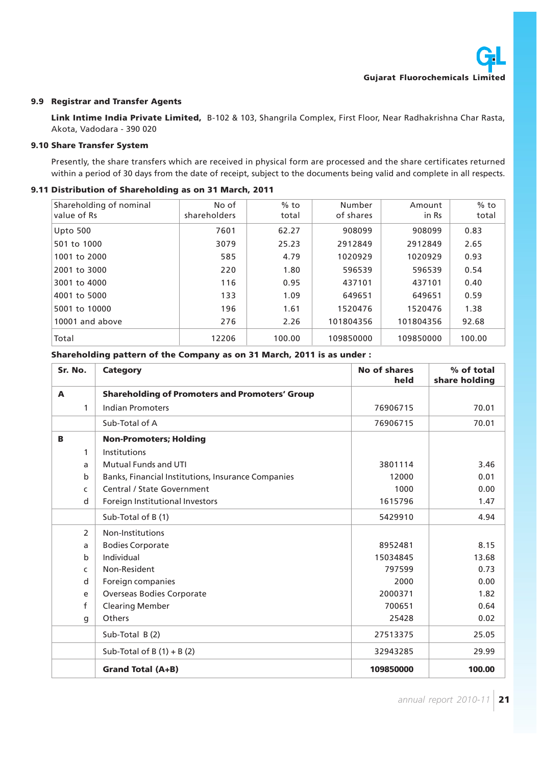#### 9.9 Registrar and Transfer Agents

Link Intime India Private Limited, B-102 & 103, Shangrila Complex, First Floor, Near Radhakrishna Char Rasta, Akota, Vadodara - 390 020

#### 9.10 Share Transfer System

Presently, the share transfers which are received in physical form are processed and the share certificates returned within a period of 30 days from the date of receipt, subject to the documents being valid and complete in all respects.

#### 9.11 Distribution of Shareholding as on 31 March, 2011

| Shareholding of nominal<br>value of Rs | No of<br>shareholders | $%$ to<br>total | Number<br>of shares | Amount<br>in Rs | $%$ to<br>total |
|----------------------------------------|-----------------------|-----------------|---------------------|-----------------|-----------------|
| <b>Upto 500</b>                        | 7601                  | 62.27           | 908099              | 908099          | 0.83            |
| 501 to 1000                            | 3079                  | 25.23           | 2912849             | 2912849         | 2.65            |
| 1001 to 2000                           | 585                   | 4.79            | 1020929             | 1020929         | 0.93            |
| 2001 to 3000                           | 220                   | 1.80            | 596539              | 596539          | 0.54            |
| 3001 to 4000                           | 116                   | 0.95            | 437101              | 437101          | 0.40            |
| 4001 to 5000                           | 133                   | 1.09            | 649651              | 649651          | 0.59            |
| 5001 to 10000                          | 196                   | 1.61            | 1520476             | 1520476         | 1.38            |
| 10001 and above                        | 276                   | 2.26            | 101804356           | 101804356       | 92.68           |
| Total                                  | 12206                 | 100.00          | 109850000           | 109850000       | 100.00          |

#### Shareholding pattern of the Company as on 31 March, 2011 is as under :

| Sr. No.        | <b>Category</b>                                       | <b>No of shares</b><br>held | % of total<br>share holding |
|----------------|-------------------------------------------------------|-----------------------------|-----------------------------|
| A              | <b>Shareholding of Promoters and Promoters' Group</b> |                             |                             |
| 1              | <b>Indian Promoters</b>                               | 76906715                    | 70.01                       |
|                | Sub-Total of A                                        | 76906715                    | 70.01                       |
| в              | <b>Non-Promoters; Holding</b>                         |                             |                             |
| 1              | Institutions                                          |                             |                             |
| a              | <b>Mutual Funds and UTI</b>                           | 3801114                     | 3.46                        |
| b              | Banks, Financial Institutions, Insurance Companies    | 12000                       | 0.01                        |
| $\mathsf{C}$   | Central / State Government                            | 1000                        | 0.00                        |
| d              | Foreign Institutional Investors                       | 1615796                     | 1.47                        |
|                | Sub-Total of B (1)                                    | 5429910                     | 4.94                        |
| $\overline{2}$ | Non-Institutions                                      |                             |                             |
| a              | <b>Bodies Corporate</b>                               | 8952481                     | 8.15                        |
| $\mathbf b$    | Individual                                            | 15034845                    | 13.68                       |
| $\mathsf{C}$   | Non-Resident                                          | 797599                      | 0.73                        |
| d              | Foreign companies                                     | 2000                        | 0.00                        |
| e              | Overseas Bodies Corporate                             | 2000371                     | 1.82                        |
| f              | <b>Clearing Member</b>                                | 700651                      | 0.64                        |
| g              | Others                                                | 25428                       | 0.02                        |
|                | Sub-Total $B(2)$                                      | 27513375                    | 25.05                       |
|                | Sub-Total of B $(1) + B(2)$                           | 32943285                    | 29.99                       |
|                | <b>Grand Total (A+B)</b>                              | 109850000                   | 100.00                      |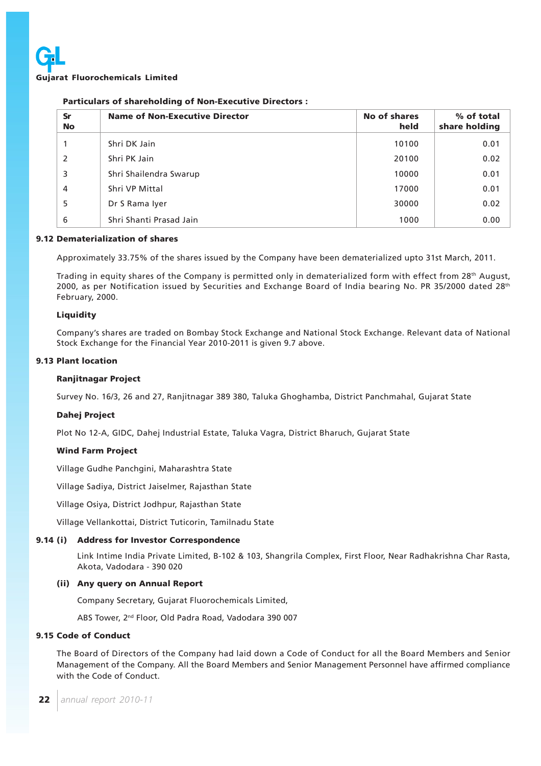#### Particulars of shareholding of Non-Executive Directors :

| <b>Sr</b><br><b>No</b> | <b>Name of Non-Executive Director</b> | No of shares<br>held | % of total<br>share holding |
|------------------------|---------------------------------------|----------------------|-----------------------------|
|                        | Shri DK Jain                          | 10100                | 0.01                        |
| 2                      | Shri PK Jain                          | 20100                | 0.02                        |
| 3                      | Shri Shailendra Swarup                | 10000                | 0.01                        |
| 4                      | Shri VP Mittal                        | 17000                | 0.01                        |
| 5                      | Dr S Rama Iyer                        | 30000                | 0.02                        |
| 6                      | Shri Shanti Prasad Jain               | 1000                 | 0.00                        |

#### 9.12 Dematerialization of shares

Approximately 33.75% of the shares issued by the Company have been dematerialized upto 31st March, 2011.

Trading in equity shares of the Company is permitted only in dematerialized form with effect from 28<sup>th</sup> August, 2000, as per Notification issued by Securities and Exchange Board of India bearing No. PR 35/2000 dated 28<sup>th</sup> February, 2000.

#### **Liquidity**

Company's shares are traded on Bombay Stock Exchange and National Stock Exchange. Relevant data of National Stock Exchange for the Financial Year 2010-2011 is given 9.7 above.

#### 9.13 Plant location

#### Ranjitnagar Project

Survey No. 16/3, 26 and 27, Ranjitnagar 389 380, Taluka Ghoghamba, District Panchmahal, Gujarat State

#### Dahej Project

Plot No 12-A, GIDC, Dahej Industrial Estate, Taluka Vagra, District Bharuch, Gujarat State

#### Wind Farm Project

Village Gudhe Panchgini, Maharashtra State

Village Sadiya, District Jaiselmer, Rajasthan State

Village Osiya, District Jodhpur, Rajasthan State

Village Vellankottai, District Tuticorin, Tamilnadu State

#### 9.14 (i) Address for Investor Correspondence

Link Intime India Private Limited, B-102 & 103, Shangrila Complex, First Floor, Near Radhakrishna Char Rasta, Akota, Vadodara - 390 020

#### (ii) Any query on Annual Report

Company Secretary, Gujarat Fluorochemicals Limited,

ABS Tower, 2nd Floor, Old Padra Road, Vadodara 390 007

#### 9.15 Code of Conduct

The Board of Directors of the Company had laid down a Code of Conduct for all the Board Members and Senior Management of the Company. All the Board Members and Senior Management Personnel have affirmed compliance with the Code of Conduct.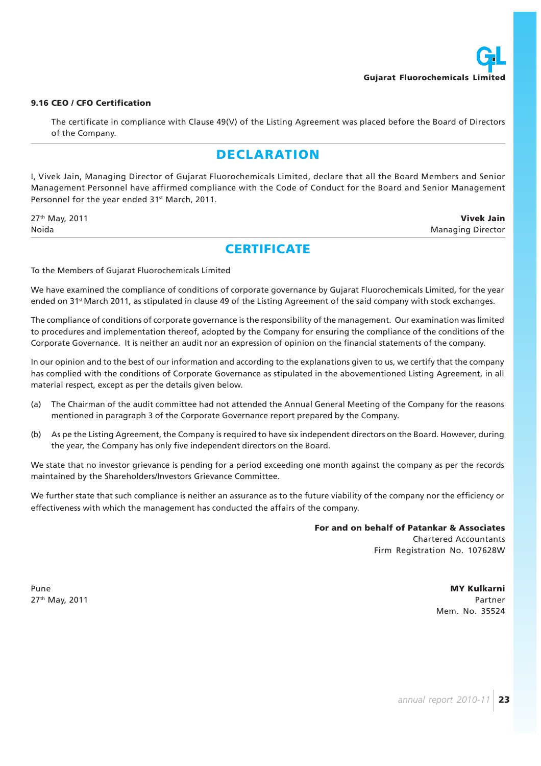#### 9.16 CEO / CFO Certification

The certificate in compliance with Clause 49(V) of the Listing Agreement was placed before the Board of Directors of the Company.

## DECLARATION

I, Vivek Jain, Managing Director of Gujarat Fluorochemicals Limited, declare that all the Board Members and Senior Management Personnel have affirmed compliance with the Code of Conduct for the Board and Senior Management Personnel for the year ended 31<sup>st</sup> March, 2011.

27th May, 2011 Vivek Jain Noida Managing Director

## **CERTIFICATE**

To the Members of Gujarat Fluorochemicals Limited

We have examined the compliance of conditions of corporate governance by Gujarat Fluorochemicals Limited, for the year ended on 31st March 2011, as stipulated in clause 49 of the Listing Agreement of the said company with stock exchanges.

The compliance of conditions of corporate governance is the responsibility of the management. Our examination was limited to procedures and implementation thereof, adopted by the Company for ensuring the compliance of the conditions of the Corporate Governance. It is neither an audit nor an expression of opinion on the financial statements of the company.

In our opinion and to the best of our information and according to the explanations given to us, we certify that the company has complied with the conditions of Corporate Governance as stipulated in the abovementioned Listing Agreement, in all material respect, except as per the details given below.

- (a) The Chairman of the audit committee had not attended the Annual General Meeting of the Company for the reasons mentioned in paragraph 3 of the Corporate Governance report prepared by the Company.
- (b) As pe the Listing Agreement, the Company is required to have six independent directors on the Board. However, during the year, the Company has only five independent directors on the Board.

We state that no investor grievance is pending for a period exceeding one month against the company as per the records maintained by the Shareholders/Investors Grievance Committee.

We further state that such compliance is neither an assurance as to the future viability of the company nor the efficiency or effectiveness with which the management has conducted the affairs of the company.

> For and on behalf of Patankar & Associates Chartered Accountants

Firm Registration No. 107628W

Pune **MY Kulkarni** 27th May, 2011 Partner Mem. No. 35524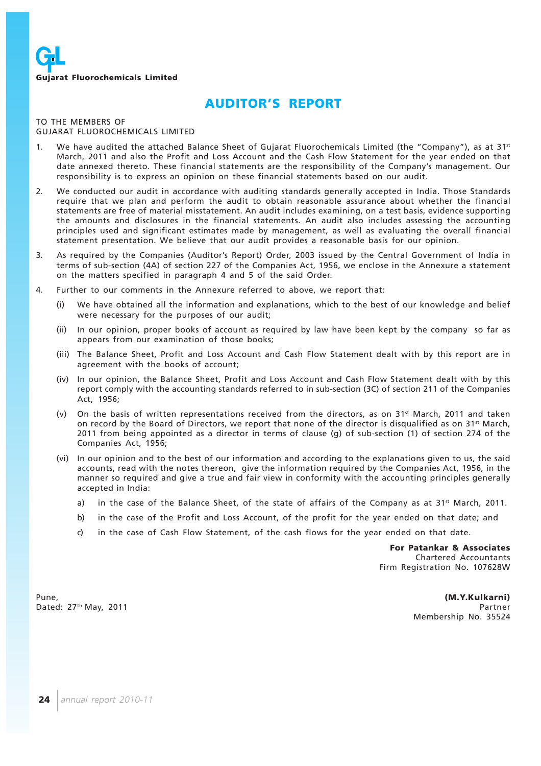

## AUDITOR'S REPORT

#### TO THE MEMBERS OF GUJARAT FLUOROCHEMICALS LIMITED

- 1. We have audited the attached Balance Sheet of Gujarat Fluorochemicals Limited (the "Company"), as at 31 $st$ March, 2011 and also the Profit and Loss Account and the Cash Flow Statement for the year ended on that date annexed thereto. These financial statements are the responsibility of the Company's management. Our responsibility is to express an opinion on these financial statements based on our audit.
- 2. We conducted our audit in accordance with auditing standards generally accepted in India. Those Standards require that we plan and perform the audit to obtain reasonable assurance about whether the financial statements are free of material misstatement. An audit includes examining, on a test basis, evidence supporting the amounts and disclosures in the financial statements. An audit also includes assessing the accounting principles used and significant estimates made by management, as well as evaluating the overall financial statement presentation. We believe that our audit provides a reasonable basis for our opinion.
- 3. As required by the Companies (Auditor's Report) Order, 2003 issued by the Central Government of India in terms of sub-section (4A) of section 227 of the Companies Act, 1956, we enclose in the Annexure a statement on the matters specified in paragraph 4 and 5 of the said Order.
- 4. Further to our comments in the Annexure referred to above, we report that:
	- (i) We have obtained all the information and explanations, which to the best of our knowledge and belief were necessary for the purposes of our audit;
	- (ii) In our opinion, proper books of account as required by law have been kept by the company so far as appears from our examination of those books;
	- (iii) The Balance Sheet, Profit and Loss Account and Cash Flow Statement dealt with by this report are in agreement with the books of account;
	- (iv) In our opinion, the Balance Sheet, Profit and Loss Account and Cash Flow Statement dealt with by this report comply with the accounting standards referred to in sub-section (3C) of section 211 of the Companies Act, 1956;
	- (v) On the basis of written representations received from the directors, as on  $31<sup>st</sup>$  March, 2011 and taken on record by the Board of Directors, we report that none of the director is disqualified as on 31<sup>st</sup> March, 2011 from being appointed as a director in terms of clause (g) of sub-section (1) of section 274 of the Companies Act, 1956;
	- (vi) In our opinion and to the best of our information and according to the explanations given to us, the said accounts, read with the notes thereon, give the information required by the Companies Act, 1956, in the manner so required and give a true and fair view in conformity with the accounting principles generally accepted in India:
		- a) in the case of the Balance Sheet, of the state of affairs of the Company as at  $31^{st}$  March, 2011.
		- b) in the case of the Profit and Loss Account, of the profit for the year ended on that date; and
		- c) in the case of Cash Flow Statement, of the cash flows for the year ended on that date.

For Patankar & Associates Chartered Accountants Firm Registration No. 107628W

Pune, (M.Y.Kulkarni) Dated: 27<sup>th</sup> May, 2011 **Partner** Membership No. 35524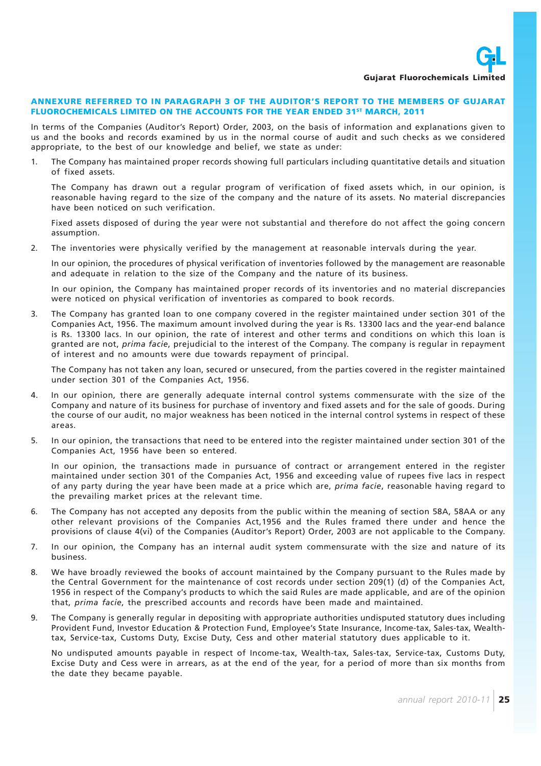#### ANNEXURE REFERRED TO IN PARAGRAPH 3 OF THE AUDITOR'S REPORT TO THE MEMBERS OF GUJARAT FLUOROCHEMICALS LIMITED ON THE ACCOUNTS FOR THE YEAR ENDED 31<sup>ST</sup> MARCH, 2011

In terms of the Companies (Auditor's Report) Order, 2003, on the basis of information and explanations given to us and the books and records examined by us in the normal course of audit and such checks as we considered appropriate, to the best of our knowledge and belief, we state as under:

1. The Company has maintained proper records showing full particulars including quantitative details and situation of fixed assets.

The Company has drawn out a regular program of verification of fixed assets which, in our opinion, is reasonable having regard to the size of the company and the nature of its assets. No material discrepancies have been noticed on such verification.

Fixed assets disposed of during the year were not substantial and therefore do not affect the going concern assumption.

2. The inventories were physically verified by the management at reasonable intervals during the year.

In our opinion, the procedures of physical verification of inventories followed by the management are reasonable and adequate in relation to the size of the Company and the nature of its business.

In our opinion, the Company has maintained proper records of its inventories and no material discrepancies were noticed on physical verification of inventories as compared to book records.

3. The Company has granted loan to one company covered in the register maintained under section 301 of the Companies Act, 1956. The maximum amount involved during the year is Rs. 13300 lacs and the year-end balance is Rs. 13300 lacs. In our opinion, the rate of interest and other terms and conditions on which this loan is granted are not, prima facie, prejudicial to the interest of the Company. The company is regular in repayment of interest and no amounts were due towards repayment of principal.

The Company has not taken any loan, secured or unsecured, from the parties covered in the register maintained under section 301 of the Companies Act, 1956.

- 4. In our opinion, there are generally adequate internal control systems commensurate with the size of the Company and nature of its business for purchase of inventory and fixed assets and for the sale of goods. During the course of our audit, no major weakness has been noticed in the internal control systems in respect of these areas.
- 5. In our opinion, the transactions that need to be entered into the register maintained under section 301 of the Companies Act, 1956 have been so entered.

In our opinion, the transactions made in pursuance of contract or arrangement entered in the register maintained under section 301 of the Companies Act, 1956 and exceeding value of rupees five lacs in respect of any party during the year have been made at a price which are, prima facie, reasonable having regard to the prevailing market prices at the relevant time.

- 6. The Company has not accepted any deposits from the public within the meaning of section 58A, 58AA or any other relevant provisions of the Companies Act,1956 and the Rules framed there under and hence the provisions of clause 4(vi) of the Companies (Auditor's Report) Order, 2003 are not applicable to the Company.
- 7. In our opinion, the Company has an internal audit system commensurate with the size and nature of its business.
- 8. We have broadly reviewed the books of account maintained by the Company pursuant to the Rules made by the Central Government for the maintenance of cost records under section 209(1) (d) of the Companies Act, 1956 in respect of the Company's products to which the said Rules are made applicable, and are of the opinion that, prima facie, the prescribed accounts and records have been made and maintained.
- 9. The Company is generally regular in depositing with appropriate authorities undisputed statutory dues including Provident Fund, Investor Education & Protection Fund, Employee's State Insurance, Income-tax, Sales-tax, Wealthtax, Service-tax, Customs Duty, Excise Duty, Cess and other material statutory dues applicable to it.

No undisputed amounts payable in respect of Income-tax, Wealth-tax, Sales-tax, Service-tax, Customs Duty, Excise Duty and Cess were in arrears, as at the end of the year, for a period of more than six months from the date they became payable.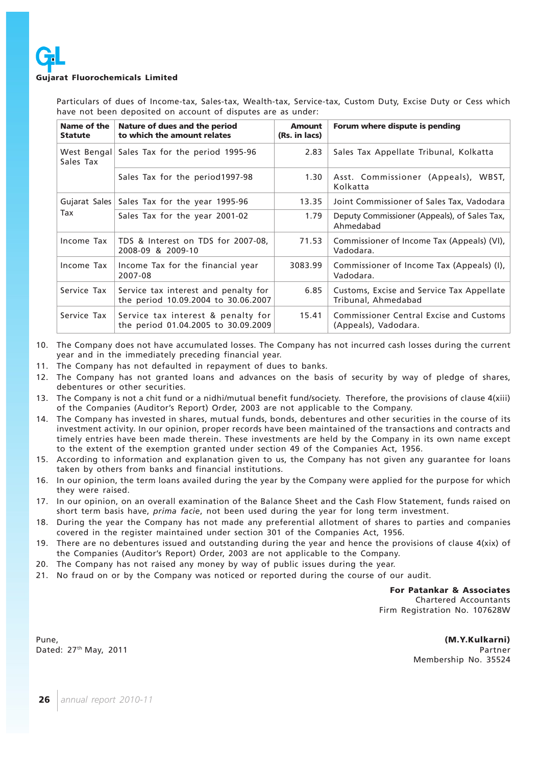

Particulars of dues of Income-tax, Sales-tax, Wealth-tax, Service-tax, Custom Duty, Excise Duty or Cess which have not been deposited on account of disputes are as under:

| Name of the<br><b>Statute</b> | Nature of dues and the period<br>to which the amount relates                | <b>Amount</b><br>(Rs. in lacs) | Forum where dispute is pending                                         |
|-------------------------------|-----------------------------------------------------------------------------|--------------------------------|------------------------------------------------------------------------|
| Sales Tax                     | West Bengal Sales Tax for the period 1995-96                                | 2.83                           | Sales Tax Appellate Tribunal, Kolkatta                                 |
|                               | Sales Tax for the period 1997-98                                            | 1.30                           | Asst. Commissioner (Appeals), WBST,<br>Kolkatta                        |
|                               | Gujarat Sales Sales Tax for the year 1995-96                                | 13.35                          | Joint Commissioner of Sales Tax, Vadodara                              |
| Tax                           | Sales Tax for the year 2001-02                                              | 1.79                           | Deputy Commissioner (Appeals), of Sales Tax,<br>Ahmedabad              |
| Income Tax                    | TDS & Interest on TDS for 2007-08,<br>2008-09 & 2009-10                     | 71.53                          | Commissioner of Income Tax (Appeals) (VI),<br>Vadodara.                |
| Income Tax                    | Income Tax for the financial year<br>2007-08                                | 3083.99                        | Commissioner of Income Tax (Appeals) (I),<br>Vadodara.                 |
| Service Tax                   | Service tax interest and penalty for<br>the period 10.09.2004 to 30.06.2007 | 6.85                           | Customs, Excise and Service Tax Appellate<br>Tribunal, Ahmedabad       |
| Service Tax                   | Service tax interest & penalty for<br>the period 01.04.2005 to 30.09.2009   | 15.41                          | <b>Commissioner Central Excise and Customs</b><br>(Appeals), Vadodara. |

- 10. The Company does not have accumulated losses. The Company has not incurred cash losses during the current year and in the immediately preceding financial year.
- 11. The Company has not defaulted in repayment of dues to banks.
- 12. The Company has not granted loans and advances on the basis of security by way of pledge of shares, debentures or other securities.
- 13. The Company is not a chit fund or a nidhi/mutual benefit fund/society. Therefore, the provisions of clause 4(xiii) of the Companies (Auditor's Report) Order, 2003 are not applicable to the Company.
- 14. The Company has invested in shares, mutual funds, bonds, debentures and other securities in the course of its investment activity. In our opinion, proper records have been maintained of the transactions and contracts and timely entries have been made therein. These investments are held by the Company in its own name except to the extent of the exemption granted under section 49 of the Companies Act, 1956.
- 15. According to information and explanation given to us, the Company has not given any guarantee for loans taken by others from banks and financial institutions.
- 16. In our opinion, the term loans availed during the year by the Company were applied for the purpose for which they were raised.
- 17. In our opinion, on an overall examination of the Balance Sheet and the Cash Flow Statement, funds raised on short term basis have, prima facie, not been used during the year for long term investment.
- 18. During the year the Company has not made any preferential allotment of shares to parties and companies covered in the register maintained under section 301 of the Companies Act, 1956.
- 19. There are no debentures issued and outstanding during the year and hence the provisions of clause 4(xix) of the Companies (Auditor's Report) Order, 2003 are not applicable to the Company.
- 20. The Company has not raised any money by way of public issues during the year.
- 21. No fraud on or by the Company was noticed or reported during the course of our audit.

For Patankar & Associates Chartered Accountants Firm Registration No. 107628W

Pune, (M.Y.Kulkarni) Membership No. 35524

Dated: 27th May, 2011 Partner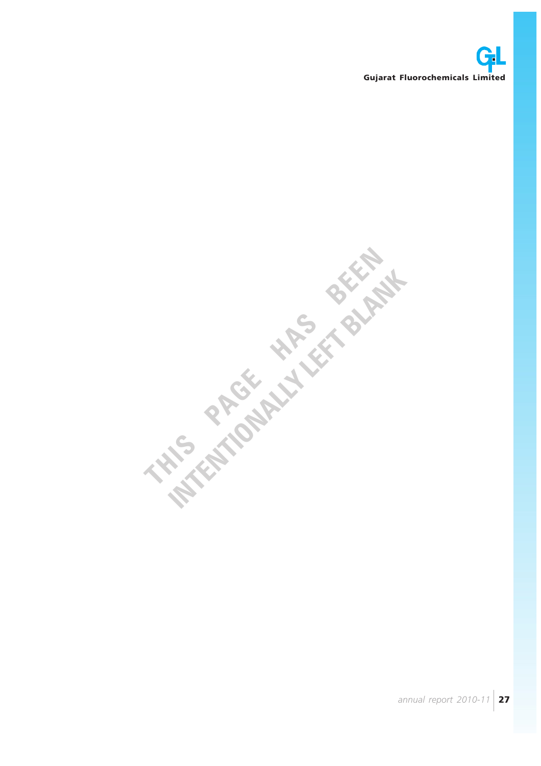

**THIS PAGE HAS BEEN INTENTIONALLY LEFT BENEFIT**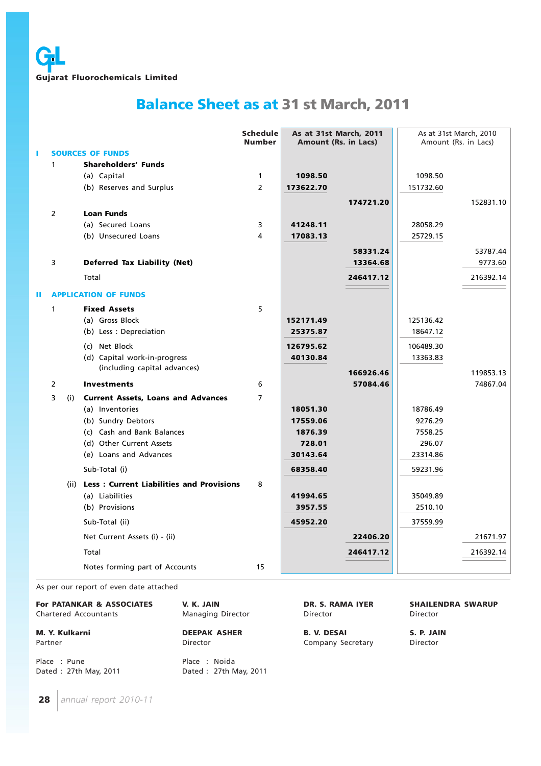# Balance Sheet as at 31 st March, 2011

|   |                | <b>Schedule</b><br><b>Number</b>              | As at 31st March, 2011 | <b>Amount (Rs. in Lacs)</b> |           | As at 31st March, 2010<br>Amount (Rs. in Lacs) |           |
|---|----------------|-----------------------------------------------|------------------------|-----------------------------|-----------|------------------------------------------------|-----------|
| ı |                | <b>SOURCES OF FUNDS</b>                       |                        |                             |           |                                                |           |
|   | 1              | <b>Shareholders' Funds</b>                    |                        |                             |           |                                                |           |
|   |                | (a) Capital                                   | $\mathbf{1}$           | 1098.50                     |           | 1098.50                                        |           |
|   |                | (b) Reserves and Surplus                      | $\overline{2}$         | 173622.70                   |           | 151732.60                                      |           |
|   |                |                                               |                        |                             | 174721.20 |                                                | 152831.10 |
|   | $\overline{2}$ | <b>Loan Funds</b>                             |                        |                             |           |                                                |           |
|   |                | (a) Secured Loans                             | 3                      | 41248.11                    |           | 28058.29                                       |           |
|   |                | (b) Unsecured Loans                           | 4                      | 17083.13                    |           | 25729.15                                       |           |
|   |                |                                               |                        |                             | 58331.24  |                                                | 53787.44  |
|   | 3              | <b>Deferred Tax Liability (Net)</b>           |                        |                             | 13364.68  |                                                | 9773.60   |
|   |                | Total                                         |                        |                             | 246417.12 |                                                | 216392.14 |
|   |                |                                               |                        |                             |           |                                                |           |
| п |                | <b>APPLICATION OF FUNDS</b>                   |                        |                             |           |                                                |           |
|   | 1              | <b>Fixed Assets</b>                           | 5                      |                             |           |                                                |           |
|   |                | (a) Gross Block                               |                        | 152171.49                   |           | 125136.42                                      |           |
|   |                | (b) Less : Depreciation                       |                        | 25375.87                    |           | 18647.12                                       |           |
|   |                | (c) Net Block                                 |                        | 126795.62                   |           | 106489.30                                      |           |
|   |                | (d) Capital work-in-progress                  |                        | 40130.84                    |           | 13363.83                                       |           |
|   |                | (including capital advances)                  |                        |                             | 166926.46 |                                                | 119853.13 |
|   | $\overline{2}$ | <b>Investments</b>                            | 6                      |                             | 57084.46  |                                                | 74867.04  |
|   | 3              | (i) Current Assets, Loans and Advances        | $\overline{7}$         |                             |           |                                                |           |
|   |                | (a) Inventories                               |                        | 18051.30                    |           | 18786.49                                       |           |
|   |                | (b) Sundry Debtors                            |                        | 17559.06                    |           | 9276.29                                        |           |
|   |                | (c) Cash and Bank Balances                    |                        | 1876.39                     |           | 7558.25                                        |           |
|   |                | (d) Other Current Assets                      |                        | 728.01                      |           | 296.07                                         |           |
|   |                | (e) Loans and Advances                        |                        | 30143.64                    |           | 23314.86                                       |           |
|   |                | Sub-Total (i)                                 |                        | 68358.40                    |           | 59231.96                                       |           |
|   |                | (ii) Less: Current Liabilities and Provisions | 8                      |                             |           |                                                |           |
|   |                | (a) Liabilities                               |                        | 41994.65                    |           | 35049.89                                       |           |
|   |                | (b) Provisions                                |                        | 3957.55                     |           | 2510.10                                        |           |
|   |                | Sub-Total (ii)                                |                        | 45952.20                    |           | 37559.99                                       |           |
|   |                | Net Current Assets (i) - (ii)                 |                        |                             | 22406.20  |                                                | 21671.97  |
|   |                | Total                                         |                        |                             | 246417.12 |                                                | 216392.14 |
|   |                | Notes forming part of Accounts                | 15                     |                             |           |                                                |           |

As per our report of even date attached

| <b>For PATANKAR &amp; ASSOCIATES</b>  | V. K. JAIN                             | <b>DR. S. RAMA IYER</b> | <b>SHAILENI</b> |
|---------------------------------------|----------------------------------------|-------------------------|-----------------|
| <b>Chartered Accountants</b>          | Managing Director                      | Director                | Director        |
| M. Y. Kulkarni                        | <b>DEEPAK ASHER</b>                    | <b>B. V. DESAI</b>      | S. P. JAIN      |
| Partner                               | Director                               | Company Secretary       | Director        |
| Place : Pune<br>Dated: 27th May, 2011 | Place : Noida<br>Dated: 27th May, 2011 |                         |                 |

# **DR. S. RAMA IYER** SHAILENDRA SWARUP<br>Director Director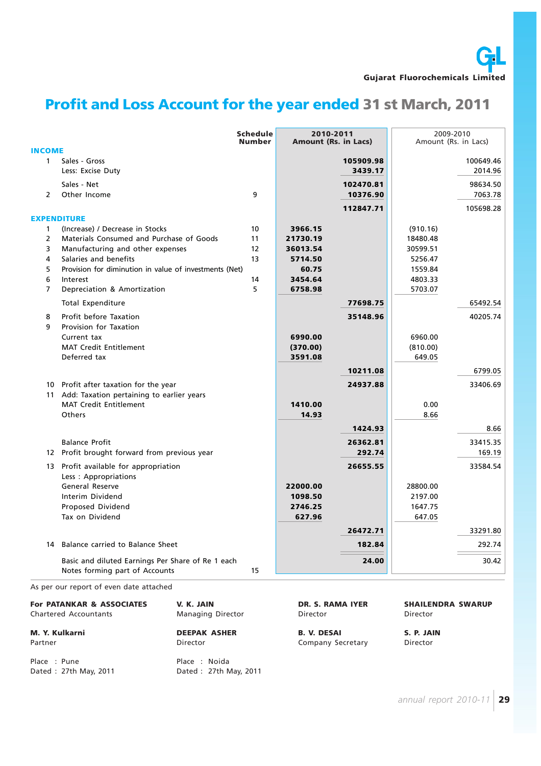# Profit and Loss Account for the year ended 31 st March, 2011

|                     |                                                        | <b>Schedule</b><br><b>Number</b> | 2010-2011<br><b>Amount (Rs. in Lacs)</b> |           | 2009-2010<br>Amount (Rs. in Lacs) |           |
|---------------------|--------------------------------------------------------|----------------------------------|------------------------------------------|-----------|-----------------------------------|-----------|
| <b>INCOME</b>       |                                                        |                                  |                                          |           |                                   |           |
| $\mathbf{1}$        | Sales - Gross                                          |                                  |                                          | 105909.98 |                                   | 100649.46 |
|                     | Less: Excise Duty                                      |                                  |                                          | 3439.17   |                                   | 2014.96   |
|                     | Sales - Net                                            |                                  |                                          | 102470.81 |                                   | 98634.50  |
| 2                   | Other Income                                           | 9                                |                                          | 10376.90  |                                   | 7063.78   |
|                     |                                                        |                                  |                                          | 112847.71 |                                   | 105698.28 |
|                     | <b>EXPENDITURE</b>                                     |                                  |                                          |           |                                   |           |
| 1                   | (Increase) / Decrease in Stocks                        | 10                               | 3966.15                                  |           | (910.16)                          |           |
| $\overline{2}$      | Materials Consumed and Purchase of Goods               | 11                               | 21730.19                                 |           | 18480.48                          |           |
| 3                   | Manufacturing and other expenses                       | 12                               | 36013.54                                 |           | 30599.51                          |           |
| 4                   | Salaries and benefits                                  | 13                               | 5714.50                                  |           | 5256.47                           |           |
| 5                   | Provision for diminution in value of investments (Net) |                                  | 60.75                                    |           | 1559.84                           |           |
| 6<br>$\overline{7}$ | Interest                                               | 14<br>5                          | 3454.64                                  |           | 4803.33                           |           |
|                     | Depreciation & Amortization                            |                                  | 6758.98                                  |           | 5703.07                           |           |
|                     | <b>Total Expenditure</b>                               |                                  |                                          | 77698.75  |                                   | 65492.54  |
| 8                   | Profit before Taxation                                 |                                  |                                          | 35148.96  |                                   | 40205.74  |
| 9                   | Provision for Taxation                                 |                                  |                                          |           |                                   |           |
|                     | Current tax                                            |                                  | 6990.00                                  |           | 6960.00                           |           |
|                     | <b>MAT Credit Entitlement</b>                          |                                  | (370.00)                                 |           | (810.00)                          |           |
|                     | Deferred tax                                           |                                  | 3591.08                                  |           | 649.05                            |           |
|                     |                                                        |                                  |                                          | 10211.08  |                                   | 6799.05   |
|                     | 10 Profit after taxation for the year                  |                                  |                                          | 24937.88  |                                   | 33406.69  |
|                     | 11 Add: Taxation pertaining to earlier years           |                                  |                                          |           |                                   |           |
|                     | <b>MAT Credit Entitlement</b>                          |                                  | 1410.00                                  |           | 0.00                              |           |
|                     | Others                                                 |                                  | 14.93                                    |           | 8.66                              |           |
|                     |                                                        |                                  |                                          | 1424.93   |                                   | 8.66      |
|                     | <b>Balance Profit</b>                                  |                                  |                                          | 26362.81  |                                   | 33415.35  |
|                     | 12 Profit brought forward from previous year           |                                  |                                          | 292.74    |                                   | 169.19    |
| 13                  | Profit available for appropriation                     |                                  |                                          | 26655.55  |                                   | 33584.54  |
|                     | Less : Appropriations                                  |                                  |                                          |           |                                   |           |
|                     | <b>General Reserve</b>                                 |                                  | 22000.00                                 |           | 28800.00                          |           |
|                     | Interim Dividend                                       |                                  | 1098.50                                  |           | 2197.00                           |           |
|                     | Proposed Dividend                                      |                                  | 2746.25                                  |           | 1647.75                           |           |
|                     | Tax on Dividend                                        |                                  | 627.96                                   |           | 647.05                            |           |
|                     |                                                        |                                  |                                          | 26472.71  |                                   | 33291.80  |
|                     | 14 Balance carried to Balance Sheet                    |                                  |                                          | 182.84    |                                   | 292.74    |
|                     |                                                        |                                  |                                          |           |                                   |           |
|                     | Basic and diluted Earnings Per Share of Re 1 each      |                                  |                                          | 24.00     |                                   | 30.42     |
|                     | Notes forming part of Accounts                         | 15                               |                                          |           |                                   |           |

As per our report of even date attached

| <b>For PATANKAR &amp; ASSOCIATES</b>  | V. K. JAIN                             | <b>DR. S. RAMA IYER</b> | <b>SHAILENDRA SWARUP</b> |
|---------------------------------------|----------------------------------------|-------------------------|--------------------------|
| <b>Chartered Accountants</b>          | Managing Director                      | Director                | Director                 |
| M. Y. Kulkarni                        | <b>DEEPAK ASHER</b>                    | <b>B. V. DESAI</b>      | S. P. JAIN               |
| Partner                               | Director                               | Company Secretary       | Director                 |
| Place : Pune<br>Dated: 27th May, 2011 | Place : Noida<br>Dated: 27th May, 2011 |                         |                          |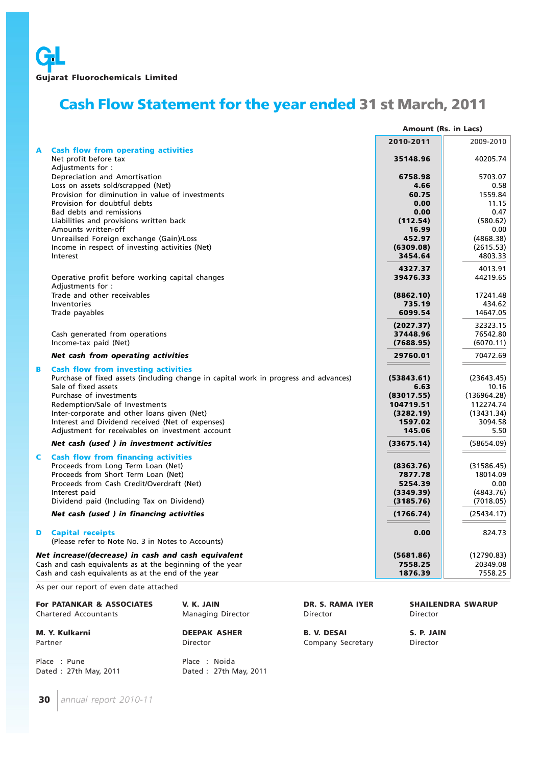

# Cash Flow Statement for the year ended 31 st March, 2011

|   |                                                                                         | <b>Amount (Rs. in Lacs)</b> |                     |
|---|-----------------------------------------------------------------------------------------|-----------------------------|---------------------|
|   |                                                                                         | 2010-2011                   | 2009-2010           |
| A | <b>Cash flow from operating activities</b><br>Net profit before tax<br>Adjustments for: | 35148.96                    | 40205.74            |
|   | Depreciation and Amortisation                                                           | 6758.98                     | 5703.07             |
|   | Loss on assets sold/scrapped (Net)                                                      | 4.66                        | 0.58                |
|   | Provision for diminution in value of investments                                        | 60.75                       | 1559.84             |
|   | Provision for doubtful debts                                                            | 0.00                        | 11.15               |
|   | Bad debts and remissions                                                                | 0.00                        | 0.47                |
|   | Liabilities and provisions written back<br>Amounts written-off                          | (112.54)<br>16.99           | (580.62)<br>0.00    |
|   | Unreailsed Foreign exchange (Gain)/Loss                                                 | 452.97                      | (4868.38)           |
|   | Income in respect of investing activities (Net)                                         | (6309.08)                   | (2615.53)           |
|   | Interest                                                                                | 3454.64                     | 4803.33             |
|   |                                                                                         |                             |                     |
|   | Operative profit before working capital changes<br>Adjustments for:                     | 4327.37<br>39476.33         | 4013.91<br>44219.65 |
|   | Trade and other receivables                                                             | (8862.10)                   | 17241.48            |
|   | Inventories                                                                             | 735.19                      | 434.62              |
|   | Trade payables                                                                          | 6099.54                     | 14647.05            |
|   |                                                                                         | (2027.37)                   | 32323.15            |
|   | Cash generated from operations                                                          | 37448.96                    | 76542.80            |
|   | Income-tax paid (Net)                                                                   | (7688.95)                   | (6070.11)           |
|   | Net cash from operating activities                                                      | 29760.01                    | 70472.69            |
| в | <b>Cash flow from investing activities</b>                                              |                             |                     |
|   | Purchase of fixed assets (including change in capital work in progress and advances)    | (53843.61)                  | (23643.45)          |
|   | Sale of fixed assets                                                                    | 6.63                        | 10.16               |
|   | Purchase of investments                                                                 | (83017.55)                  | (136964.28)         |
|   | Redemption/Sale of Investments                                                          | 104719.51                   | 112274.74           |
|   | Inter-corporate and other loans given (Net)                                             | (3282.19)                   | (13431.34)          |
|   | Interest and Dividend received (Net of expenses)                                        | 1597.02                     | 3094.58             |
|   | Adjustment for receivables on investment account                                        | 145.06                      | 5.50                |
|   | Net cash (used) in investment activities                                                | (33675.14)                  | (58654.09)          |
| C | <b>Cash flow from financing activities</b>                                              |                             |                     |
|   | Proceeds from Long Term Loan (Net)<br>Proceeds from Short Term Loan (Net)               | (8363.76)                   | (31586.45)          |
|   | Proceeds from Cash Credit/Overdraft (Net)                                               | 7877.78<br>5254.39          | 18014.09<br>0.00    |
|   | Interest paid                                                                           | (3349.39)                   | (4843.76)           |
|   | Dividend paid (Including Tax on Dividend)                                               | (3185.76)                   | (7018.05)           |
|   | Net cash (used) in financing activities                                                 | (1766.74)                   | (25434.17)          |
|   |                                                                                         |                             |                     |
| D | <b>Capital receipts</b>                                                                 | 0.00                        | 824.73              |
|   | (Please refer to Note No. 3 in Notes to Accounts)                                       |                             |                     |
|   | Net increase/(decrease) in cash and cash equivalent                                     | (5681.86)                   | (12790.83)          |
|   | Cash and cash equivalents as at the beginning of the year                               | 7558.25                     | 20349.08            |
|   | Cash and cash equivalents as at the end of the year                                     | 1876.39                     | 7558.25             |
|   |                                                                                         |                             |                     |

As per our report of even date attached

| <b>For PATANKAR &amp; ASSOCIATES</b>  | V. K. JAIN                             | <b>DR. S. RAMA IYER</b> | <b>SHAILE</b> |
|---------------------------------------|----------------------------------------|-------------------------|---------------|
| <b>Chartered Accountants</b>          | Managing Director                      | Director                | Director      |
| M. Y. Kulkarni                        | <b>DEEPAK ASHER</b>                    | <b>B. V. DESAI</b>      | S. P. JA      |
| Partner                               | Director                               | Company Secretary       | Director      |
| Place : Pune<br>Dated: 27th May, 2011 | Place : Noida<br>Dated: 27th May, 2011 |                         |               |

B. V. DESAI S. P. JAIN Company Secretary Director

# **DR. S. RAMA IYER SHAILENDRA SWARUP**<br>Director Director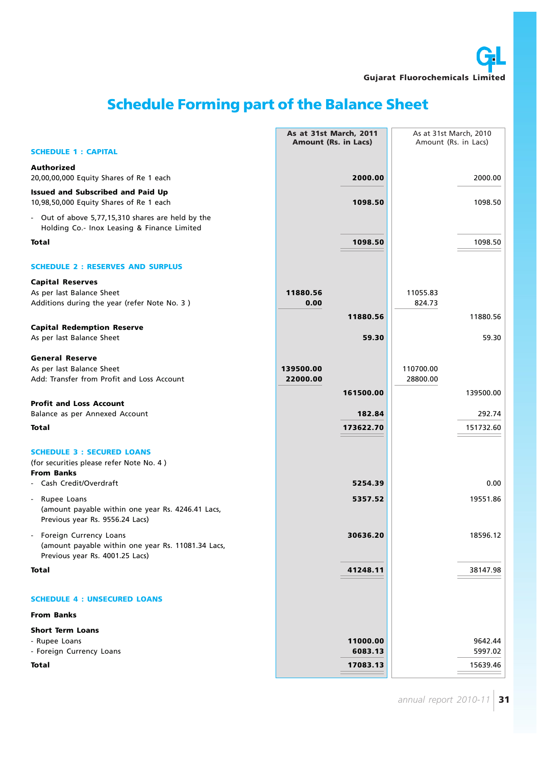

# Schedule Forming part of the Balance Sheet

|                                                                                                                   | As at 31st March, 2011<br><b>Amount (Rs. in Lacs)</b> | As at 31st March, 2010<br>Amount (Rs. in Lacs) |
|-------------------------------------------------------------------------------------------------------------------|-------------------------------------------------------|------------------------------------------------|
| <b>SCHEDULE 1: CAPITAL</b>                                                                                        |                                                       |                                                |
| <b>Authorized</b><br>20,00,00,000 Equity Shares of Re 1 each                                                      | 2000.00                                               | 2000.00                                        |
| <b>Issued and Subscribed and Paid Up</b><br>10,98,50,000 Equity Shares of Re 1 each                               | 1098.50                                               | 1098.50                                        |
| - Out of above 5,77,15,310 shares are held by the<br>Holding Co.- Inox Leasing & Finance Limited                  |                                                       |                                                |
| Total                                                                                                             | 1098.50                                               | 1098.50                                        |
| <b>SCHEDULE 2: RESERVES AND SURPLUS</b>                                                                           |                                                       |                                                |
| <b>Capital Reserves</b>                                                                                           |                                                       |                                                |
| As per last Balance Sheet                                                                                         | 11880.56                                              | 11055.83                                       |
| Additions during the year (refer Note No. 3)                                                                      | 0.00                                                  | 824.73                                         |
|                                                                                                                   | 11880.56                                              | 11880.56                                       |
| <b>Capital Redemption Reserve</b>                                                                                 |                                                       |                                                |
| As per last Balance Sheet                                                                                         | 59.30                                                 | 59.30                                          |
| <b>General Reserve</b>                                                                                            |                                                       |                                                |
| As per last Balance Sheet                                                                                         | 139500.00                                             | 110700.00                                      |
| Add: Transfer from Profit and Loss Account                                                                        | 22000.00                                              | 28800.00                                       |
|                                                                                                                   | 161500.00                                             | 139500.00                                      |
| <b>Profit and Loss Account</b>                                                                                    |                                                       |                                                |
| Balance as per Annexed Account                                                                                    | 182.84                                                | 292.74                                         |
| Total                                                                                                             | 173622.70                                             | 151732.60                                      |
|                                                                                                                   |                                                       |                                                |
| <b>SCHEDULE 3 : SECURED LOANS</b>                                                                                 |                                                       |                                                |
| (for securities please refer Note No. 4)                                                                          |                                                       |                                                |
| <b>From Banks</b>                                                                                                 |                                                       |                                                |
| - Cash Credit/Overdraft                                                                                           | 5254.39                                               | 0.00                                           |
| - Rupee Loans                                                                                                     | 5357.52                                               | 19551.86                                       |
| (amount payable within one year Rs. 4246.41 Lacs,<br>Previous year Rs. 9556.24 Lacs)                              |                                                       |                                                |
| - Foreign Currency Loans<br>(amount payable within one year Rs. 11081.34 Lacs,<br>Previous year Rs. 4001.25 Lacs) | 30636.20                                              | 18596.12                                       |
| <b>Total</b>                                                                                                      | 41248.11                                              | 38147.98                                       |
| <b>SCHEDULE 4 : UNSECURED LOANS</b>                                                                               |                                                       |                                                |
| <b>From Banks</b>                                                                                                 |                                                       |                                                |
| <b>Short Term Loans</b>                                                                                           |                                                       |                                                |
| - Rupee Loans                                                                                                     | 11000.00                                              | 9642.44                                        |
| - Foreign Currency Loans                                                                                          | 6083.13                                               | 5997.02                                        |
| Total                                                                                                             | 17083.13                                              | 15639.46                                       |
|                                                                                                                   |                                                       |                                                |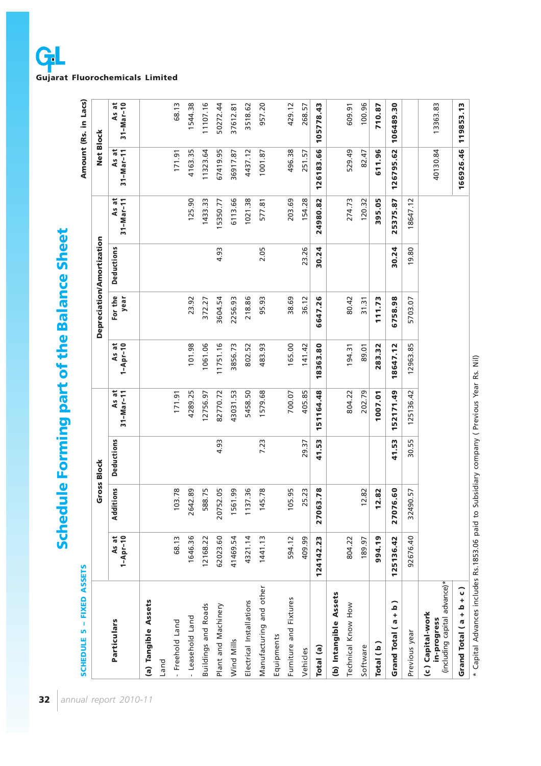| <b>SCHEDULE 5 - FIXED ASSETS</b> |                         |                        | <b>Gross Block</b> |                          |                         |                 | Depreciation/Amortization |                            | Amount (Rs. in Lacs)<br>Net Block |                         |
|----------------------------------|-------------------------|------------------------|--------------------|--------------------------|-------------------------|-----------------|---------------------------|----------------------------|-----------------------------------|-------------------------|
| Particulars                      | $1 - Apr - 10$<br>As at | Additions              | Deductions         | As at<br>$31 - Max - 11$ | $1 - Apr - 10$<br>As at | For the<br>year | Deductions                | As at<br>$31 - $ Mar $-11$ | As at<br>$31 - 12 - 11$           | $31 - Ma - 10$<br>As at |
| (a) Tangible Assets              |                         |                        |                    |                          |                         |                 |                           |                            |                                   |                         |
| Land                             |                         |                        |                    |                          |                         |                 |                           |                            |                                   |                         |
| - Freehold Land                  | 68.13                   | 103.78                 |                    | 171.91                   |                         |                 |                           |                            | 171.91                            | 68.13                   |
| - Leasehold Land                 | 1646.36                 | 2642.89                |                    | 4289.25                  | 101.98                  | 23.92           |                           | 125.90                     | 4163.35                           | 1544.38                 |
| <b>Buildings and Roads</b>       | 12168.22                | 588.75                 |                    | 12756.97                 | 1061.06                 | 372.27          |                           | 1433.33                    | 11323.64                          | 11107.16                |
| Plant and Machinery              | 62023.60                | 20752.05               | 4.93               | 82770.72                 | 11751.16                | 3604.54         | 4.93                      | 15350.77                   | 67419.95                          | 50272.44                |
| Wind Mills                       | 41469.54                | 1561.99                |                    | 43031.53                 | 3856.73                 | 2256.93         |                           | 6113.66                    | 36917.87                          | 37612.81                |
| Electrical Installations         | 4321.14                 | 137.36<br>$\mathbf{r}$ |                    | 5458.50                  | 802.52                  | 218.86          |                           | 1021.38                    | 4437.12                           | 3518.62                 |
| Manufacturing and other          | 1441.13                 | 145.78                 | 7.23               | 1579.68                  | 483.93                  | 95.93           | 2.05                      | 577.81                     | 1001.87                           | 957.20                  |
| Equipments                       |                         |                        |                    |                          |                         |                 |                           |                            |                                   |                         |
| Furniture and Fixtures           | 594.12                  | 105.95                 |                    | 700.07                   | 165.00                  | 38.69           |                           | 203.69                     | 496.38                            | 429.12                  |

| ິຍ<br>Æ | ៊ី<br>ć<br>٩ |
|---------|--------------|

GL

Gujarat Flu orochemicals Limited

| 5 - FIXED ASSETS<br><b>SCHEDULE</b>                                                                           |                   |                          |                    |                                    |                                                 |                 |                           |                            |                    | Amount (Rs. in Lacs)      |
|---------------------------------------------------------------------------------------------------------------|-------------------|--------------------------|--------------------|------------------------------------|-------------------------------------------------|-----------------|---------------------------|----------------------------|--------------------|---------------------------|
|                                                                                                               |                   |                          | <b>Gross Block</b> |                                    |                                                 |                 | Depreciation/Amortization |                            | Net Block          |                           |
| Particulars                                                                                                   | As at<br>1-Apr-10 | Additions                | Deductions         | ಕ<br>$31 - Max - 11$<br>$\ddot{a}$ | $1 - Appr - 10$<br>ă<br>$\overline{\mathbf{A}}$ | For the<br>year | Deductions                | ä<br>$31 - Max - 11$<br>4s | As at<br>31-Mar-11 | ã<br>$31 - $ Mar-10<br>4s |
| (a) Tangible Assets                                                                                           |                   |                          |                    |                                    |                                                 |                 |                           |                            |                    |                           |
| Land                                                                                                          |                   |                          |                    |                                    |                                                 |                 |                           |                            |                    |                           |
| - Freehold Land                                                                                               | 68.13             | 103.78                   |                    | 171.91                             |                                                 |                 |                           |                            | 171.91             | 68.13                     |
| - Leasehold Land                                                                                              | 1646.36           | 2642.89                  |                    | 4289.25                            | 101.98                                          | 23.92           |                           | 125.90                     | 4163.35            | 1544.38                   |
| <b>Buildings and Roads</b>                                                                                    | 12168.22          | 588.75                   |                    | 12756.97                           | 1061.06                                         | 372.27          |                           | 1433.33                    | 11323.64           | 11107.16                  |
| Plant and Machinery                                                                                           | 62023.60          | 752.05<br>207            | 4.93               | 82770.72                           | 11751.16                                        | 3604.54         | 4.93                      | 15350.77                   | 67419.95           | 50272.44                  |
| Wind Mills                                                                                                    | 41469.54          | 561.99<br>مّ ب           |                    | 43031.53                           | 3856.73                                         | 2256.93         |                           | 6113.66                    | 36917.87           | 37612.81                  |
| Electrical Installations                                                                                      | 4321.14           | 137.36<br>$\overline{1}$ |                    | 5458.50                            | 802.52                                          | 218.86          |                           | 1021.38                    | 4437.12            | 3518.62                   |
| Manufacturing and other                                                                                       | 1441.13           | 145.78                   | 7.23               | 1579.68                            | 483.93                                          | 95.93           | 2.05                      | 577.81                     | 1001.87            | 957.20                    |
| Equipments                                                                                                    |                   |                          |                    |                                    |                                                 |                 |                           |                            |                    |                           |
| Furniture and Fixtures                                                                                        | 594.12            | 05.95                    |                    | 700.07                             | 165.00                                          | 38.69           |                           | 203.69                     | 496.38             | 429.12                    |
| Vehicles                                                                                                      | 409.99            | 25.23                    | 29.37              | 405.85                             | 141.42                                          | 36.12           | 23.26                     | 154.28                     | 251.57             | 268.57                    |
| Total (a)                                                                                                     | 124142.23         | 63.78<br><b>270</b>      | 41.53              | 151164.48                          | 18363.80                                        | 6647.26         | 30.24                     | 24980.82                   | 126183.66          | 105778.43                 |
| (b) Intangible Assets                                                                                         |                   |                          |                    |                                    |                                                 |                 |                           |                            |                    |                           |
| Technical Know How                                                                                            | 804.22            |                          |                    | 804.22                             | 194.31                                          | 80.42           |                           | 274.73                     | 529.49             | 609.91                    |
| Software                                                                                                      | 189.97            | 12.82                    |                    | 202.79                             | 89.01                                           | 31.31           |                           | 120.32                     | 82.47              | 100.96                    |
| Total (b)                                                                                                     | 994.19            | 12.82                    |                    | 1007.01                            | 283.32                                          | 111.73          |                           | 395.05                     | 611.96             | 710.87                    |
| ء<br>٠<br>Q<br>Grand Total (                                                                                  | 125136.42         | 76.60<br>270             | 41.53              | 52171.49                           | 18647.12                                        | 6758.98         | 30.24                     | 25375.87                   | 126795.62          | 106489.30                 |
| Previous year                                                                                                 | 92676.40          | 32490.57                 | 30.55              | 125136.42                          | 12963.85                                        | 5703.07         | 19.80                     | 18647.12                   |                    |                           |
| (including capital advance)*<br>(c) Capital-work<br>in-progress                                               |                   |                          |                    |                                    |                                                 |                 |                           |                            | 40130.84           | 13363.83                  |
| Grand Total ( $a + b + c$ )                                                                                   |                   |                          |                    |                                    |                                                 |                 |                           |                            | 166926.46          | 119853.13                 |
| A F F F A D C D D D P A D P A D P A D P A D P A D P A D P A D P A D P A D P A D P A D P A D P A D P A D P A D |                   | Cubridian                |                    | paper / Draviour Vaar              | í.<br>ă                                         |                 |                           |                            |                    |                           |

(ii) N.S. Near Year You Neutron Streets And Alling Cription Company Controller Superver Neutron Neutron Neutron Streets Ave \* Capital Advances includes Rs.1853.06 paid to Subsidiary company ( Previous Year Rs. Nil)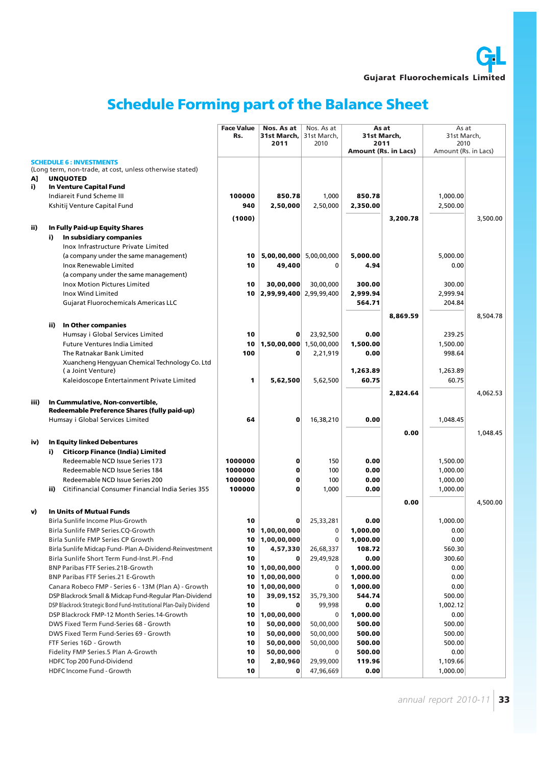

# Schedule Forming part of the Balance Sheet

|      |                                                                     | <b>Face Value</b> | Nos. As at              | Nos. As at  | As at                       |          | As at                |          |
|------|---------------------------------------------------------------------|-------------------|-------------------------|-------------|-----------------------------|----------|----------------------|----------|
|      |                                                                     | Rs.               | 31st March,             | 31st March, | 31st March,                 |          | 31st March,          |          |
|      |                                                                     |                   | 2011                    | 2010        | 2011                        |          | 2010                 |          |
|      |                                                                     |                   |                         |             | <b>Amount (Rs. in Lacs)</b> |          | Amount (Rs. in Lacs) |          |
|      | <b>SCHEDULE 6: INVESTMENTS</b>                                      |                   |                         |             |                             |          |                      |          |
|      | (Long term, non-trade, at cost, unless otherwise stated)            |                   |                         |             |                             |          |                      |          |
| A]   | <b>UNQUOTED</b>                                                     |                   |                         |             |                             |          |                      |          |
| i)   | <b>In Venture Capital Fund</b>                                      |                   |                         |             |                             |          |                      |          |
|      | Indiareit Fund Scheme III                                           | 100000            | 850.78                  | 1,000       | 850.78                      |          | 1,000.00             |          |
|      | Kshitij Venture Capital Fund                                        | 940               | 2,50,000                | 2,50,000    | 2,350.00                    |          | 2,500.00             |          |
|      |                                                                     | (1000)            |                         |             |                             | 3,200.78 |                      | 3,500.00 |
| ii)  | In Fully Paid-up Equity Shares                                      |                   |                         |             |                             |          |                      |          |
|      | In subsidiary companies<br>i)                                       |                   |                         |             |                             |          |                      |          |
|      | Inox Infrastructure Private Limited                                 |                   |                         |             |                             |          |                      |          |
|      |                                                                     |                   |                         |             |                             |          |                      |          |
|      | (a company under the same management)                               | 10                | 5,00,00,000 5,00,00,000 |             | 5,000.00                    |          | 5,000.00             |          |
|      | Inox Renewable Limited                                              | 10                | 49,400                  | 0           | 4.94                        |          | 0.00                 |          |
|      | (a company under the same management)                               |                   |                         |             |                             |          |                      |          |
|      | <b>Inox Motion Pictures Limited</b>                                 | 10                | 30,00,000               | 30,00,000   | 300.00                      |          | 300.00               |          |
|      | <b>Inox Wind Limited</b>                                            | 10                | 2,99,99,400 2,99,99,400 |             | 2,999.94                    |          | 2,999.94             |          |
|      | <b>Gujarat Fluorochemicals Americas LLC</b>                         |                   |                         |             | 564.71                      |          | 204.84               |          |
|      |                                                                     |                   |                         |             |                             | 8,869.59 |                      | 8.504.78 |
|      | In Other companies<br>ii)                                           |                   |                         |             |                             |          |                      |          |
|      | Humsay i Global Services Limited                                    | 10                | 0                       | 23,92,500   | 0.00                        |          | 239.25               |          |
|      | <b>Future Ventures India Limited</b>                                | 10                | 1,50,00,000             | 1,50,00,000 | 1,500.00                    |          | 1,500.00             |          |
|      | The Ratnakar Bank Limited                                           | 100               | 0                       | 2,21,919    | 0.00                        |          | 998.64               |          |
|      | Xuancheng Hengyuan Chemical Technology Co. Ltd                      |                   |                         |             |                             |          |                      |          |
|      | (a Joint Venture)                                                   |                   |                         |             | 1,263.89                    |          | 1,263.89             |          |
|      | Kaleidoscope Entertainment Private Limited                          | 1                 | 5,62,500                | 5,62,500    | 60.75                       |          | 60.75                |          |
|      |                                                                     |                   |                         |             |                             |          |                      |          |
|      |                                                                     |                   |                         |             |                             | 2,824.64 |                      | 4,062.53 |
| iii) | In Cummulative, Non-convertible,                                    |                   |                         |             |                             |          |                      |          |
|      | Redeemable Preference Shares (fully paid-up)                        |                   |                         |             |                             |          |                      |          |
|      | Humsay i Global Services Limited                                    | 64                | 0                       | 16,38,210   | 0.00                        |          | 1,048.45             |          |
|      |                                                                     |                   |                         |             |                             | 0.00     |                      | 1,048.45 |
| iv)  | <b>In Equity linked Debentures</b>                                  |                   |                         |             |                             |          |                      |          |
|      | <b>Citicorp Finance (India) Limited</b><br>i)                       |                   |                         |             |                             |          |                      |          |
|      | Redeemable NCD Issue Series 173                                     | 1000000           | 0                       | 150         | 0.00                        |          | 1,500.00             |          |
|      | Redeemable NCD Issue Series 184                                     | 1000000           | $\mathbf 0$             | 100         | 0.00                        |          | 1,000.00             |          |
|      | Redeemable NCD Issue Series 200                                     | 1000000           | 0                       | 100         | 0.00                        |          | 1,000.00             |          |
|      | Citifinancial Consumer Financial India Series 355<br>ii)            | 100000            | 0                       | 1,000       | 0.00                        |          | 1,000.00             |          |
|      |                                                                     |                   |                         |             |                             |          |                      |          |
|      |                                                                     |                   |                         |             |                             | 0.00     |                      | 4,500.00 |
| v)   | <b>In Units of Mutual Funds</b>                                     |                   |                         |             |                             |          |                      |          |
|      | Birla Sunlife Income Plus-Growth                                    | 10                | 0                       | 25,33,281   | 0.00                        |          | 1,000.00             |          |
|      | Birla Sunlife FMP Series.CQ-Growth                                  |                   | 10   1,00,00,000        | 0           | 1,000.00                    |          | 0.00                 |          |
|      | Birla Sunlife FMP Series CP Growth                                  | 10                | 1,00,00,000             | 0           | 1,000.00                    |          | 0.00                 |          |
|      | Birla Sunlife Midcap Fund-Plan A-Dividend-Reinvestment              | 10                | 4,57,330                | 26,68,337   | 108.72                      |          | 560.30               |          |
|      | Birla Sunlife Short Term Fund-Inst.Pl.-Fnd                          | 10                | 0                       | 29,49,928   | 0.00                        |          | 300.60               |          |
|      | <b>BNP Paribas FTF Series.21B-Growth</b>                            | 10                | 1,00,00,000             | 0           | 1,000.00                    |          | 0.00                 |          |
|      | <b>BNP Paribas FTF Series.21 E-Growth</b>                           | 10                | 1,00,00,000             | 0           | 1,000.00                    |          | 0.00                 |          |
|      | Canara Robeco FMP - Series 6 - 13M (Plan A) - Growth                | 10                | 1,00,00,000             | 0           | 1,000.00                    |          | 0.00                 |          |
|      | DSP Blackrock Small & Midcap Fund-Regular Plan-Dividend             | 10                | 39,09,152               | 35,79,300   | 544.74                      |          | 500.00               |          |
|      | DSP Blackrock Strategic Bond Fund-Institutional Plan-Daily Dividend | 10                | 0                       | 99,998      | 0.00                        |          | 1,002.12             |          |
|      | DSP Blackrock FMP-12 Month Series.14-Growth                         | 10                | 1,00,00,000             | 0           | 1,000.00                    |          | 0.00                 |          |
|      | DWS Fixed Term Fund-Series 68 - Growth                              | 10                | 50,00,000               | 50,00,000   | 500.00                      |          | 500.00               |          |
|      | DWS Fixed Term Fund-Series 69 - Growth                              | 10                | 50,00,000               | 50,00,000   | 500.00                      |          | 500.00               |          |
|      | FTF Series 16D - Growth                                             | 10                | 50,00,000               | 50,00,000   | 500.00                      |          | 500.00               |          |
|      | Fidelity FMP Series.5 Plan A-Growth                                 | 10                | 50,00,000               | 0           | 500.00                      |          | 0.00                 |          |
|      | HDFC Top 200 Fund-Dividend                                          | 10                | 2,80,960                | 29,99,000   | 119.96                      |          | 1,109.66             |          |
|      | HDFC Income Fund - Growth                                           | 10                | 0                       | 47,96,669   | 0.00                        |          | 1,000.00             |          |
|      |                                                                     |                   |                         |             |                             |          |                      |          |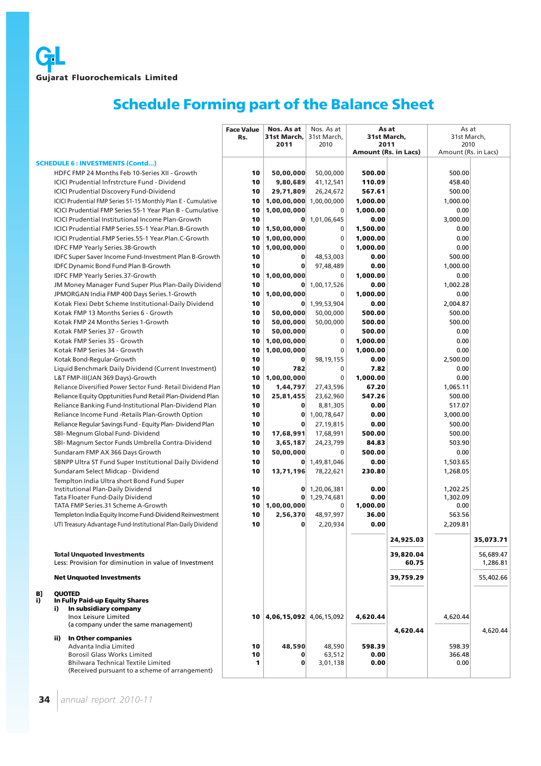# Schedule Forming part of the Balance Sheet

|                                                                                                            | <b>Face Value</b><br>Rs. | Nos. As at<br>31st March,<br>2011 | Nos. As at<br>31st March,<br>2010 | 31st March.<br>2011         | As at     | As at<br>31st March,<br>2010 |           |
|------------------------------------------------------------------------------------------------------------|--------------------------|-----------------------------------|-----------------------------------|-----------------------------|-----------|------------------------------|-----------|
|                                                                                                            |                          |                                   |                                   | <b>Amount (Rs. in Lacs)</b> |           | Amount (Rs. in Lacs)         |           |
| <b>SCHEDULE 6 : INVESTMENTS (Contd)</b>                                                                    |                          |                                   |                                   |                             |           |                              |           |
| HDFC FMP 24 Months Feb 10-Series XII - Growth                                                              | 10                       | 50,00,000                         | 50,00,000                         | 500.00                      |           | 500.00                       |           |
| <b>ICICI Prudential Infrstrcture Fund - Dividend</b>                                                       | 10                       | 9,80,689                          | 41, 12, 541                       | 110.09                      |           | 458.40                       |           |
| <b>ICICI Prudential Discovery Fund-Dividend</b>                                                            | 10                       | 29,71,809                         | 26,24,672                         | 567.61                      |           | 500.00                       |           |
| ICICI Prudential FMP Series 51-15 Monthly Plan E - Cumulative                                              | 10                       | 1,00,00,000 1,00,00,000           |                                   | 1,000.00                    |           | 1,000.00                     |           |
| ICICI Prudential FMP Series 55-1 Year Plan B - Cumulative                                                  | 10                       | 1,00,00,000                       | 0                                 | 1,000.00                    |           | 0.00                         |           |
| <b>ICICI Prudential Institutional Income Plan-Growth</b>                                                   | 10                       |                                   | $0$ 1,01,06,645                   | 0.00                        |           | 3,000.00                     |           |
| ICICI Prudential FMP Series.55-1 Year.Plan.B-Growth<br>ICICI Prudential.FMP Series.55-1 Year.Plan.C-Growth | 10<br>10                 | 1,50,00,000                       | $\Omega$<br>0                     | 1,500.00<br>1,000.00        |           | 0.00<br>0.00                 |           |
| IDFC FMP Yearly Series.38-Growth                                                                           | 10                       | 1,00,00,000<br>1,00,00,000        | 0                                 | 1,000.00                    |           | 0.00                         |           |
| IDFC Super Saver Income Fund-Investment Plan B-Growth                                                      | 10                       | $\mathbf{0}$                      | 48,53,003                         | 0.00                        |           | 500.00                       |           |
| IDFC Dynamic Bond Fund Plan B-Growth                                                                       | 10                       | $\mathbf 0$                       | 97,48,489                         | 0.00                        |           | 1,000.00                     |           |
| IDFC FMP Yearly Series.37-Growth                                                                           | 10                       | 1,00,00,000                       | 0                                 | 1,000.00                    |           | 0.00                         |           |
| JM Money Manager Fund Super Plus Plan-Daily Dividend                                                       | 10                       | $\mathbf{0}$                      | 1,00,17,526                       | 0.00                        |           | 1,002.28                     |           |
| JPMORGAN India FMP 400 Days Series.1-Growth                                                                | 10                       | 1,00,00,000                       | 0                                 | 1,000.00                    |           | 0.00                         |           |
| Kotak Flexi Debt Scheme Institutional-Daily Dividend                                                       | 10                       |                                   | $0$ 1,99,53,904                   | 0.00                        |           | 2,004.87                     |           |
| Kotak FMP 13 Months Series 6 - Growth                                                                      | 10                       | 50,00,000                         | 50,00,000                         | 500.00                      |           | 500.00                       |           |
| Kotak FMP 24 Months Series 1-Growth                                                                        | 10                       | 50,00,000                         | 50,00,000                         | 500.00                      |           | 500.00                       |           |
| Kotak FMP Series 37 - Growth                                                                               | 10                       | 50,00,000                         | 0                                 | 500.00                      |           | 0.00                         |           |
| Kotak FMP Series 35 - Growth                                                                               | 10                       | 1,00,00,000                       | 0                                 | 1,000.00                    |           | 0.00                         |           |
| Kotak FMP Series 34 - Growth                                                                               | 10                       | 1,00,00,000                       | $\Omega$                          | 1,000.00                    |           | 0.00                         |           |
| Kotak Bond-Regular-Growth                                                                                  | 10                       | 0                                 | 98, 19, 155                       | 0.00                        |           | 2.500.00                     |           |
| Liquid Benchmark Daily Dividend (Current Investment)                                                       | 10                       | 782                               | 0                                 | 7.82                        |           | 0.00                         |           |
| L&T FMP-III(JAN 369 Days)-Growth<br>Reliance Diversified Power Sector Fund- Retail Dividend Plan           | 10<br>10                 | 1,00,00,000                       | $\mathbf 0$                       | 1,000.00<br>67.20           |           | 0.00                         |           |
| Reliance Equity Opptunities Fund Retail Plan-Dividend Plan                                                 | 10                       | 1,44,797<br>25,81,455             | 27,43,596<br>23,62,960            | 547.26                      |           | 1,065.11<br>500.00           |           |
| Reliance Banking Fund-Institutional Plan-Dividend Plan                                                     | 10                       | $\mathbf 0$                       | 8,81,305                          | 0.00                        |           | 517.07                       |           |
| Reliance Income Fund - Retails Plan-Growth Option                                                          | 10                       | $\mathbf{0}$                      | 1,00,78,647                       | 0.00                        |           | 3,000.00                     |           |
| Reliance Regular Savings Fund - Equity Plan-Dividend Plan                                                  | 10                       | $\mathbf{0}$                      | 27,19,815                         | 0.00                        |           | 500.00                       |           |
| SBI- Megnum Global Fund-Dividend                                                                           | 10                       | 17,68,991                         | 17,68,991                         | 500.00                      |           | 500.00                       |           |
| SBI- Magnum Sector Funds Umbrella Contra-Dividend                                                          | 10                       | 3,65,187                          | 24,23,799                         | 84.83                       |           | 503.90                       |           |
| Sundaram FMP AX 366 Days Growth                                                                            | 10                       | 50,00,000                         | 0                                 | 500.00                      |           | 0.00                         |           |
| SBNPP Ultra ST Fund Super Institutional Daily Dividend                                                     | 10                       | $\mathbf{O}$                      | 1,49,81,046                       | 0.00                        |           | 1,503.65                     |           |
| Sundaram Select Midcap - Dividend                                                                          | 10                       | 13,71,196                         | 78,22,621                         | 230.80                      |           | 1,268.05                     |           |
| Templton India Ultra short Bond Fund Super                                                                 |                          |                                   |                                   |                             |           |                              |           |
| Institutional Plan-Daily Dividend                                                                          | 10                       |                                   | $0$ 1,20,06,381                   | 0.00                        |           | 1,202.25                     |           |
| Tata Floater Fund-Daily Dividend<br>TATA FMP Series.31 Scheme A-Growth                                     | 10<br>10                 | 1,00,00,000                       | $0$ 1,29,74,681<br>0              | 0.00<br>1,000.00            |           | 1,302.09<br>0.00             |           |
| Templeton India Equity Income Fund-Dividend Reinvestment                                                   | 10                       | 2,56,370                          | 48,97,997                         | 36.00                       |           | 563.56                       |           |
| UTI Treasury Advantage Fund-Institutional Plan-Daily Dividend                                              | 10                       | $\mathbf 0$                       | 2,20,934                          | 0.00                        |           | 2,209.81                     |           |
|                                                                                                            |                          |                                   |                                   |                             | 24,925.03 |                              | 35,073.71 |
| <b>Total Unquoted Investments</b>                                                                          |                          |                                   |                                   |                             | 39,820.04 |                              | 56,689.47 |
| Less: Provision for diminution in value of Investment                                                      |                          |                                   |                                   |                             | 60.75     |                              | 1,286.81  |
| <b>Net Unquoted Investments</b>                                                                            |                          |                                   |                                   |                             | 39,759.29 |                              | 55,402.66 |
| <b>OUOTED</b><br>B]                                                                                        |                          |                                   |                                   |                             |           |                              |           |
| In Fully Paid-up Equity Shares<br>i)                                                                       |                          |                                   |                                   |                             |           |                              |           |
| In subsidiary company<br>i)                                                                                |                          |                                   |                                   |                             |           |                              |           |
| Inox Leisure Limited                                                                                       |                          | 10 $ 4,06,15,092 $ 4,06,15,092    |                                   | 4,620.44                    |           | 4,620.44                     |           |
| (a company under the same management)                                                                      |                          |                                   |                                   |                             | 4.620.44  |                              | 4,620.44  |
| ii) In Other companies                                                                                     |                          |                                   |                                   |                             |           |                              |           |
| Advanta India Limited                                                                                      | 10                       | 48,590                            | 48,590                            | 598.39                      |           | 598.39                       |           |
| <b>Borosil Glass Works Limited</b><br><b>Bhilwara Technical Textile Limited</b>                            | 10<br>1                  | $\mathbf{o}$<br>$\mathbf{0}$      | 63,512<br>3,01,138                | 0.00<br>0.00                |           | 366.48<br>0.00               |           |
| (Received pursuant to a scheme of arrangement)                                                             |                          |                                   |                                   |                             |           |                              |           |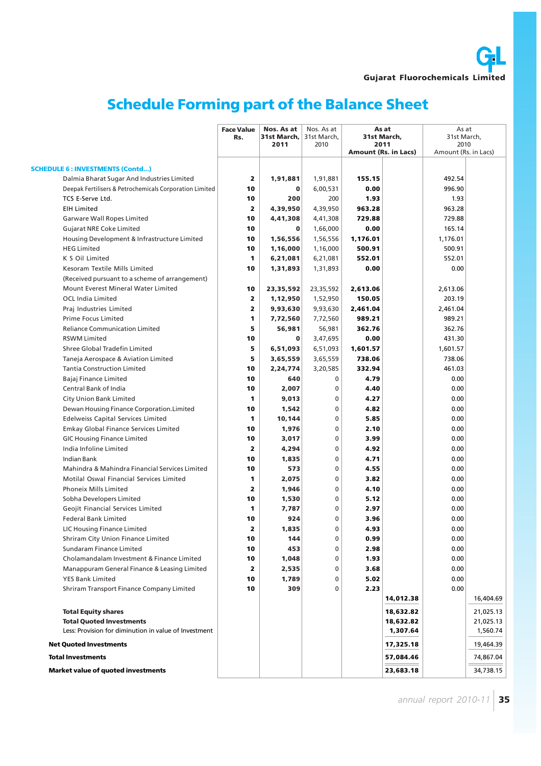

|                                                         | <b>Face Value</b><br>Rs. | Nos. As at<br>31st March,<br>2011 | Nos. As at<br>31st March,<br>2010 | As at<br>31st March,<br>2011 |           | As at<br>31st March,<br>2010 |           |
|---------------------------------------------------------|--------------------------|-----------------------------------|-----------------------------------|------------------------------|-----------|------------------------------|-----------|
|                                                         |                          |                                   |                                   | <b>Amount (Rs. in Lacs)</b>  |           | Amount (Rs. in Lacs)         |           |
| <b>SCHEDULE 6: INVESTMENTS (Contd)</b>                  |                          |                                   |                                   |                              |           |                              |           |
| Dalmia Bharat Sugar And Industries Limited              | 2                        | 1,91,881                          | 1,91,881                          | 155.15                       |           | 492.54                       |           |
| Deepak Fertilisers & Petrochemicals Corporation Limited | 10                       | 0                                 | 6,00,531                          | 0.00                         |           | 996.90                       |           |
| TCS E-Serve Ltd.                                        | 10                       | 200                               | 200                               | 1.93                         |           | 1.93                         |           |
| <b>EIH Limited</b>                                      | 2                        | 4,39,950                          | 4,39,950                          | 963.28                       |           | 963.28                       |           |
| <b>Garware Wall Ropes Limited</b>                       | 10                       | 4,41,308                          | 4,41,308                          | 729.88                       |           | 729.88                       |           |
| <b>Gujarat NRE Coke Limited</b>                         | 10                       | 0                                 | 1,66,000                          | 0.00                         |           | 165.14                       |           |
| Housing Development & Infrastructure Limited            | 10                       | 1,56,556                          | 1,56,556                          | 1,176.01                     |           | 1,176.01                     |           |
| <b>HEG Limited</b>                                      | 10                       | 1,16,000                          | 1,16,000                          | 500.91                       |           | 500.91                       |           |
| K S Oil Limited                                         | 1                        | 6,21,081                          | 6,21,081                          | 552.01                       |           | 552.01                       |           |
| Kesoram Textile Mills Limited                           | 10                       | 1,31,893                          | 1,31,893                          | 0.00                         |           | 0.00                         |           |
| (Received pursuant to a scheme of arrangement)          |                          |                                   |                                   |                              |           |                              |           |
| Mount Everest Mineral Water Limited                     | 10                       | 23,35,592                         | 23,35,592                         | 2,613.06                     |           | 2,613.06                     |           |
| <b>OCL India Limited</b>                                | 2                        | 1,12,950                          | 1,52,950                          | 150.05                       |           | 203.19                       |           |
| Praj Industries Limited                                 | 2                        | 9,93,630                          | 9,93,630                          | 2,461.04                     |           | 2,461.04                     |           |
| <b>Prime Focus Limited</b>                              | 1                        | 7,72,560                          | 7,72,560                          | 989.21                       |           | 989.21                       |           |
| <b>Reliance Communication Limited</b>                   | 5                        | 56,981                            | 56,981                            | 362.76                       |           | 362.76                       |           |
| <b>RSWM Limited</b>                                     | 10                       | 0                                 | 3,47,695                          | 0.00                         |           | 431.30                       |           |
| Shree Global Tradefin Limited                           | 5                        | 6,51,093                          | 6,51,093                          | 1,601.57                     |           | 1,601.57                     |           |
| Taneja Aerospace & Aviation Limited                     | 5                        | 3,65,559                          | 3,65,559                          | 738.06                       |           | 738.06                       |           |
| <b>Tantia Construction Limited</b>                      | 10                       | 2,24,774                          | 3,20,585                          | 332.94                       |           | 461.03                       |           |
| Bajaj Finance Limited                                   | 10                       | 640                               | 0                                 | 4.79                         |           | 0.00                         |           |
| Central Bank of India                                   | 10                       | 2,007                             | $\mathbf 0$                       | 4.40                         |           | 0.00                         |           |
| <b>City Union Bank Limited</b>                          | 1                        | 9,013                             | $\mathbf 0$                       | 4.27                         |           | 0.00                         |           |
| Dewan Housing Finance Corporation.Limited               | 10                       | 1,542                             | 0                                 | 4.82                         |           | 0.00                         |           |
| <b>Edelweiss Capital Services Limited</b>               | 1                        | 10,144                            | 0                                 | 5.85                         |           | 0.00                         |           |
| <b>Emkay Global Finance Services Limited</b>            | 10                       | 1,976                             | 0                                 | 2.10                         |           | 0.00                         |           |
| <b>GIC Housing Finance Limited</b>                      | 10                       | 3,017                             | 0                                 | 3.99                         |           | 0.00                         |           |
| India Infoline Limited                                  | 2                        | 4,294                             | 0                                 | 4.92                         |           | 0.00                         |           |
| Indian Bank                                             | 10                       | 1,835                             | $\mathbf 0$                       | 4.71                         |           | 0.00                         |           |
| Mahindra & Mahindra Financial Services Limited          | 10                       | 573                               | 0                                 | 4.55                         |           | 0.00                         |           |
| Motilal Oswal Financial Services Limited                | 1                        | 2,075                             | 0                                 | 3.82                         |           | 0.00                         |           |
| Phoneix Mills Limited                                   | 2                        | 1,946                             | 0                                 | 4.10                         |           | 0.00                         |           |
| Sobha Developers Limited                                | 10                       | 1,530                             | 0                                 | 5.12                         |           | 0.00                         |           |
| Geojit Financial Services Limited                       | 1                        | 7,787                             | 0                                 | 2.97                         |           | 0.00                         |           |
| <b>Federal Bank Limited</b>                             | 10                       | 924                               | 0                                 | 3.96                         |           | 0.00                         |           |
| <b>LIC Housing Finance Limited</b>                      | $\mathbf{z}$             | 1,835                             | 0                                 | 4.93                         |           | 0.00                         |           |
| Shriram City Union Finance Limited                      | 10                       | 144                               | 0                                 | 0.99                         |           | 0.00                         |           |
| Sundaram Finance Limited                                | 10                       | 453                               | 0                                 | 2.98                         |           | 0.00                         |           |
| Cholamandalam Investment & Finance Limited              | 10                       | 1,048                             | 0                                 | 1.93                         |           | 0.00                         |           |
| Manappuram General Finance & Leasing Limited            | 2                        | 2,535                             | 0                                 | 3.68                         |           | 0.00                         |           |
| <b>YES Bank Limited</b>                                 | 10                       | 1,789                             | 0                                 | 5.02                         |           | 0.00                         |           |
| Shriram Transport Finance Company Limited               | 10                       | 309                               | 0                                 | 2.23                         |           | 0.00                         |           |
|                                                         |                          |                                   |                                   |                              | 14,012.38 |                              | 16,404.69 |
| <b>Total Equity shares</b>                              |                          |                                   |                                   |                              | 18,632.82 |                              | 21,025.13 |
| <b>Total Quoted Investments</b>                         |                          |                                   |                                   |                              | 18,632.82 |                              | 21,025.13 |
| Less: Provision for diminution in value of Investment   |                          |                                   |                                   |                              | 1,307.64  |                              | 1,560.74  |
| <b>Net Quoted Investments</b>                           |                          |                                   |                                   |                              | 17,325.18 |                              | 19,464.39 |
| <b>Total Investments</b>                                |                          |                                   |                                   |                              | 57,084.46 |                              | 74,867.04 |
| <b>Market value of quoted investments</b>               |                          |                                   |                                   |                              | 23,683.18 |                              | 34,738.15 |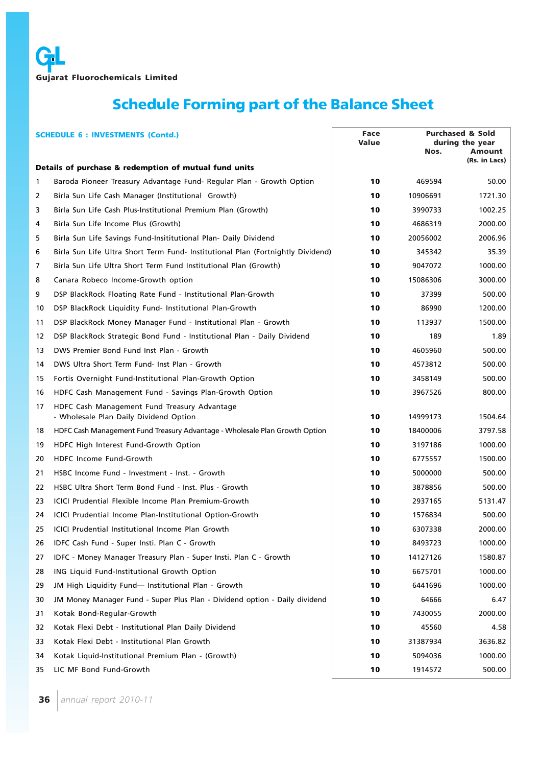| <b>SCHEDULE 6 : INVESTMENTS (Contd.)</b> |                                                                                        | Face<br>Value | Nos.     | <b>Purchased &amp; Sold</b><br>during the year<br>Amount |
|------------------------------------------|----------------------------------------------------------------------------------------|---------------|----------|----------------------------------------------------------|
|                                          | Details of purchase & redemption of mutual fund units                                  |               |          | (Rs. in Lacs)                                            |
| 1                                        | Baroda Pioneer Treasury Advantage Fund- Regular Plan - Growth Option                   | 10            | 469594   | 50.00                                                    |
| 2                                        | Birla Sun Life Cash Manager (Institutional Growth)                                     | 10            | 10906691 | 1721.30                                                  |
| 3                                        | Birla Sun Life Cash Plus-Institutional Premium Plan (Growth)                           | 10            | 3990733  | 1002.25                                                  |
| 4                                        | Birla Sun Life Income Plus (Growth)                                                    | 10            | 4686319  | 2000.00                                                  |
| 5.                                       | Birla Sun Life Savings Fund-Insititutional Plan- Daily Dividend                        | 10            | 20056002 | 2006.96                                                  |
| 6                                        | Birla Sun Life Ultra Short Term Fund- Institutional Plan (Fortnightly Dividend)        | 10            | 345342   | 35.39                                                    |
| 7                                        | Birla Sun Life Ultra Short Term Fund Institutional Plan (Growth)                       | 10            | 9047072  | 1000.00                                                  |
| 8                                        | Canara Robeco Income-Growth option                                                     | 10            | 15086306 | 3000.00                                                  |
| 9                                        | DSP BlackRock Floating Rate Fund - Institutional Plan-Growth                           | 10            | 37399    | 500.00                                                   |
| 10                                       | DSP BlackRock Liquidity Fund- Institutional Plan-Growth                                | 10            | 86990    | 1200.00                                                  |
| 11                                       | DSP BlackRock Money Manager Fund - Institutional Plan - Growth                         | 10            | 113937   | 1500.00                                                  |
| 12                                       | DSP BlackRock Strategic Bond Fund - Institutional Plan - Daily Dividend                | 10            | 189      | 1.89                                                     |
| 13                                       | DWS Premier Bond Fund Inst Plan - Growth                                               | 10            | 4605960  | 500.00                                                   |
| 14                                       | DWS Ultra Short Term Fund- Inst Plan - Growth                                          | 10            | 4573812  | 500.00                                                   |
| 15                                       | Fortis Overnight Fund-Institutional Plan-Growth Option                                 | 10            | 3458149  | 500.00                                                   |
| 16                                       | HDFC Cash Management Fund - Savings Plan-Growth Option                                 | 10            | 3967526  | 800.00                                                   |
| 17                                       | HDFC Cash Management Fund Treasury Advantage<br>- Wholesale Plan Daily Dividend Option | 10            | 14999173 | 1504.64                                                  |
| 18                                       | HDFC Cash Management Fund Treasury Advantage - Wholesale Plan Growth Option            | 10            | 18400006 | 3797.58                                                  |
| 19                                       | HDFC High Interest Fund-Growth Option                                                  | 10            | 3197186  | 1000.00                                                  |
| 20                                       | HDFC Income Fund-Growth                                                                | 10            | 6775557  | 1500.00                                                  |
| 21                                       | HSBC Income Fund - Investment - Inst. - Growth                                         | 10            | 5000000  | 500.00                                                   |
| 22                                       | HSBC Ultra Short Term Bond Fund - Inst. Plus - Growth                                  | 10            | 3878856  | 500.00                                                   |
| 23                                       | ICICI Prudential Flexible Income Plan Premium-Growth                                   | 10            | 2937165  | 5131.47                                                  |
| 24                                       | ICICI Prudential Income Plan-Institutional Option-Growth                               | 10            | 1576834  | 500.00                                                   |
| 25                                       | <b>ICICI Prudential Institutional Income Plan Growth</b>                               | 10            | 6307338  | 2000.00                                                  |
| 26                                       | IDFC Cash Fund - Super Insti. Plan C - Growth                                          | 10            | 8493723  | 1000.00                                                  |
| 27                                       | IDFC - Money Manager Treasury Plan - Super Insti. Plan C - Growth                      | 10            | 14127126 | 1580.87                                                  |
| 28                                       | ING Liquid Fund-Institutional Growth Option                                            | 10            | 6675701  | 1000.00                                                  |
| 29                                       | JM High Liquidity Fund- Institutional Plan - Growth                                    | 10            | 6441696  | 1000.00                                                  |
| 30                                       | JM Money Manager Fund - Super Plus Plan - Dividend option - Daily dividend             | 10            | 64666    | 6.47                                                     |
| 31                                       | Kotak Bond-Regular-Growth                                                              | 10            | 7430055  | 2000.00                                                  |
| 32                                       | Kotak Flexi Debt - Institutional Plan Daily Dividend                                   | 10            | 45560    | 4.58                                                     |
| 33                                       | Kotak Flexi Debt - Institutional Plan Growth                                           | 10            | 31387934 | 3636.82                                                  |
| 34                                       | Kotak Liquid-Institutional Premium Plan - (Growth)                                     | 10            | 5094036  | 1000.00                                                  |
| 35                                       | LIC MF Bond Fund-Growth                                                                | 10            | 1914572  | 500.00                                                   |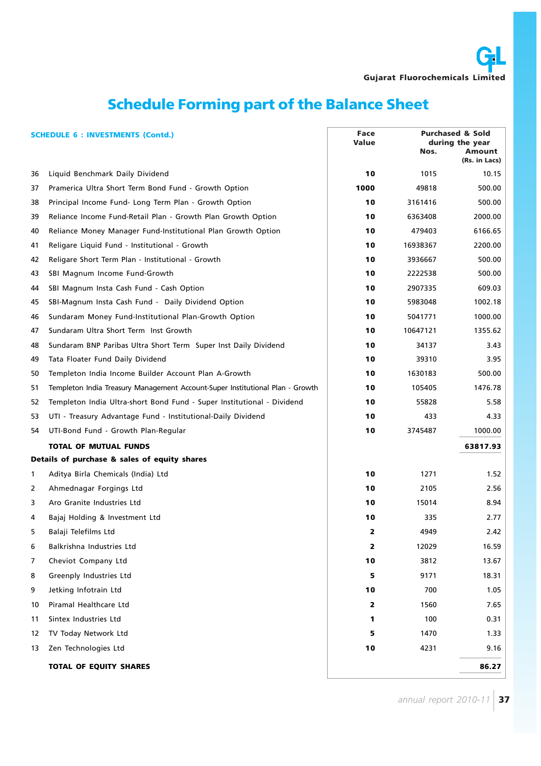|    | <b>SCHEDULE 6 : INVESTMENTS (Contd.)</b>                                      | Face<br>Value | Nos.     | <b>Purchased &amp; Sold</b><br>during the year<br>Amount<br>(Rs. in Lacs) |
|----|-------------------------------------------------------------------------------|---------------|----------|---------------------------------------------------------------------------|
| 36 | Liquid Benchmark Daily Dividend                                               | 10            | 1015     | 10.15                                                                     |
| 37 | Pramerica Ultra Short Term Bond Fund - Growth Option                          | 1000          | 49818    | 500.00                                                                    |
| 38 | Principal Income Fund- Long Term Plan - Growth Option                         | 10            | 3161416  | 500.00                                                                    |
| 39 | Reliance Income Fund-Retail Plan - Growth Plan Growth Option                  | 10            | 6363408  | 2000.00                                                                   |
| 40 | Reliance Money Manager Fund-Institutional Plan Growth Option                  | 10            | 479403   | 6166.65                                                                   |
| 41 | Religare Liquid Fund - Institutional - Growth                                 | 10            | 16938367 | 2200.00                                                                   |
| 42 | Religare Short Term Plan - Institutional - Growth                             | 10            | 3936667  | 500.00                                                                    |
| 43 | SBI Magnum Income Fund-Growth                                                 | 10            | 2222538  | 500.00                                                                    |
| 44 | SBI Magnum Insta Cash Fund - Cash Option                                      | 10            | 2907335  | 609.03                                                                    |
| 45 | SBI-Magnum Insta Cash Fund - Daily Dividend Option                            | 10            | 5983048  | 1002.18                                                                   |
| 46 | Sundaram Money Fund-Institutional Plan-Growth Option                          | 10            | 5041771  | 1000.00                                                                   |
| 47 | Sundaram Ultra Short Term Inst Growth                                         | 10            | 10647121 | 1355.62                                                                   |
| 48 | Sundaram BNP Paribas Ultra Short Term Super Inst Daily Dividend               | 10            | 34137    | 3.43                                                                      |
| 49 | Tata Floater Fund Daily Dividend                                              | 10            | 39310    | 3.95                                                                      |
| 50 | Templeton India Income Builder Account Plan A-Growth                          | 10            | 1630183  | 500.00                                                                    |
| 51 | Templeton India Treasury Management Account-Super Institutional Plan - Growth | 10            | 105405   | 1476.78                                                                   |
| 52 | Templeton India Ultra-short Bond Fund - Super Institutional - Dividend        | 10            | 55828    | 5.58                                                                      |
| 53 | UTI - Treasury Advantage Fund - Institutional-Daily Dividend                  | 10            | 433      | 4.33                                                                      |
| 54 | UTI-Bond Fund - Growth Plan-Regular                                           | 10            | 3745487  | 1000.00                                                                   |
|    | <b>TOTAL OF MUTUAL FUNDS</b>                                                  |               |          | 63817.93                                                                  |
|    | Details of purchase & sales of equity shares                                  |               |          |                                                                           |
| 1  | Aditya Birla Chemicals (India) Ltd                                            | 10            | 1271     | 1.52                                                                      |
| 2  | Ahmednagar Forgings Ltd                                                       | 10            | 2105     | 2.56                                                                      |
| 3  | Aro Granite Industries Ltd                                                    | 10            | 15014    | 8.94                                                                      |
| 4  | Bajaj Holding & Investment Ltd                                                | 10            | 335      | 2.77                                                                      |
| 5  | Balaji Telefilms Ltd                                                          | 2             | 4949     | 2.42                                                                      |
| 6  | Balkrishna Industries Ltd                                                     | 2             | 12029    | 16.59                                                                     |
| 7  | Cheviot Company Ltd                                                           | 10            | 3812     | 13.67                                                                     |
| 8  | Greenply Industries Ltd                                                       | 5             | 9171     | 18.31                                                                     |
| 9  | Jetking Infotrain Ltd                                                         | 10            | 700      | 1.05                                                                      |
| 10 | Piramal Healthcare Ltd                                                        | 2             | 1560     | 7.65                                                                      |
| 11 | Sintex Industries Ltd                                                         | 1             | 100      | 0.31                                                                      |
| 12 | TV Today Network Ltd                                                          | 5             | 1470     | 1.33                                                                      |
| 13 | Zen Technologies Ltd                                                          | 10            | 4231     | 9.16                                                                      |
|    | <b>TOTAL OF EQUITY SHARES</b>                                                 |               |          | 86.27                                                                     |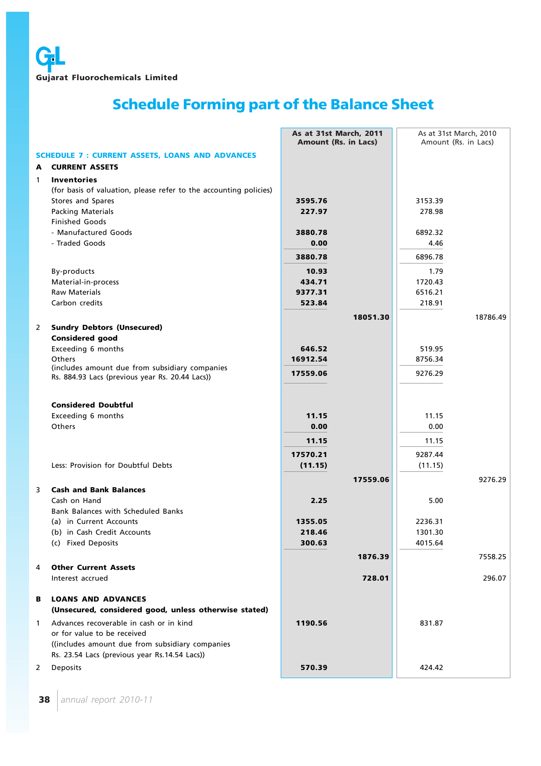

|              |                                                                        | As at 31st March, 2011<br><b>Amount (Rs. in Lacs)</b> |          | As at 31st March, 2010<br>Amount (Rs. in Lacs) |          |
|--------------|------------------------------------------------------------------------|-------------------------------------------------------|----------|------------------------------------------------|----------|
|              | <b>SCHEDULE 7 : CURRENT ASSETS, LOANS AND ADVANCES</b>                 |                                                       |          |                                                |          |
| A            | <b>CURRENT ASSETS</b>                                                  |                                                       |          |                                                |          |
| 1            | <b>Inventories</b>                                                     |                                                       |          |                                                |          |
|              | (for basis of valuation, please refer to the accounting policies)      |                                                       |          |                                                |          |
|              | Stores and Spares                                                      | 3595.76                                               |          | 3153.39                                        |          |
|              | Packing Materials                                                      | 227.97                                                |          | 278.98                                         |          |
|              | Finished Goods                                                         |                                                       |          |                                                |          |
|              | - Manufactured Goods                                                   | 3880.78                                               |          | 6892.32                                        |          |
|              | - Traded Goods                                                         | 0.00                                                  |          | 4.46                                           |          |
|              |                                                                        | 3880.78                                               |          | 6896.78                                        |          |
|              | By-products                                                            | 10.93                                                 |          | 1.79                                           |          |
|              | Material-in-process                                                    | 434.71                                                |          | 1720.43                                        |          |
|              | <b>Raw Materials</b>                                                   | 9377.31                                               |          | 6516.21                                        |          |
|              | Carbon credits                                                         | 523.84                                                |          | 218.91                                         |          |
|              |                                                                        |                                                       | 18051.30 |                                                | 18786.49 |
| 2            | <b>Sundry Debtors (Unsecured)</b>                                      |                                                       |          |                                                |          |
|              | <b>Considered good</b>                                                 |                                                       |          |                                                |          |
|              | Exceeding 6 months<br>Others                                           | 646.52<br>16912.54                                    |          | 519.95<br>8756.34                              |          |
|              | (includes amount due from subsidiary companies                         |                                                       |          |                                                |          |
|              | Rs. 884.93 Lacs (previous year Rs. 20.44 Lacs))                        | 17559.06                                              |          | 9276.29                                        |          |
|              |                                                                        |                                                       |          |                                                |          |
|              | <b>Considered Doubtful</b>                                             |                                                       |          |                                                |          |
|              | Exceeding 6 months                                                     | 11.15                                                 |          | 11.15                                          |          |
|              | Others                                                                 | 0.00                                                  |          | 0.00                                           |          |
|              |                                                                        | 11.15                                                 |          | 11.15                                          |          |
|              |                                                                        | 17570.21                                              |          | 9287.44                                        |          |
|              | Less: Provision for Doubtful Debts                                     | (11.15)                                               |          | (11.15)                                        |          |
|              |                                                                        |                                                       | 17559.06 |                                                | 9276.29  |
| 3            | <b>Cash and Bank Balances</b>                                          |                                                       |          |                                                |          |
|              | Cash on Hand                                                           | 2.25                                                  |          | 5.00                                           |          |
|              | Bank Balances with Scheduled Banks                                     |                                                       |          |                                                |          |
|              | (a) in Current Accounts                                                | 1355.05                                               |          | 2236.31                                        |          |
|              | (b) in Cash Credit Accounts                                            | 218.46                                                |          | 1301.30                                        |          |
|              | (c) Fixed Deposits                                                     | 300.63                                                |          | 4015.64                                        |          |
| 4            | <b>Other Current Assets</b>                                            |                                                       | 1876.39  |                                                | 7558.25  |
|              | Interest accrued                                                       |                                                       | 728.01   |                                                | 296.07   |
|              |                                                                        |                                                       |          |                                                |          |
| в            | <b>LOANS AND ADVANCES</b>                                              |                                                       |          |                                                |          |
|              | (Unsecured, considered good, unless otherwise stated)                  |                                                       |          |                                                |          |
| $\mathbf{1}$ | Advances recoverable in cash or in kind<br>or for value to be received | 1190.56                                               |          | 831.87                                         |          |
|              | ((includes amount due from subsidiary companies                        |                                                       |          |                                                |          |
|              | Rs. 23.54 Lacs (previous year Rs.14.54 Lacs))                          |                                                       |          |                                                |          |
| 2            | Deposits                                                               | 570.39                                                |          | 424.42                                         |          |
|              |                                                                        |                                                       |          |                                                |          |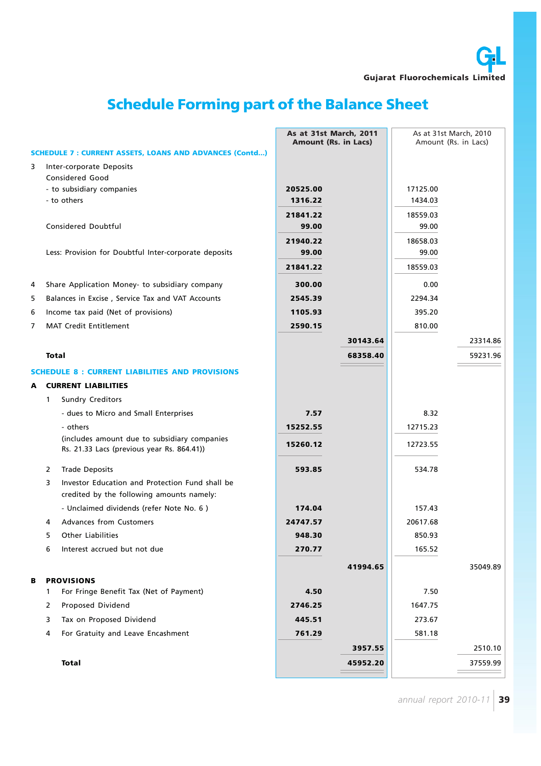

|   |              | As at 31st March, 2011<br><b>Amount (Rs. in Lacs)</b>                                        |          | As at 31st March, 2010<br>Amount (Rs. in Lacs) |          |          |
|---|--------------|----------------------------------------------------------------------------------------------|----------|------------------------------------------------|----------|----------|
|   |              | <b>SCHEDULE 7 : CURRENT ASSETS, LOANS AND ADVANCES (Contd)</b>                               |          |                                                |          |          |
| 3 |              | Inter-corporate Deposits<br>Considered Good                                                  |          |                                                |          |          |
|   |              | - to subsidiary companies                                                                    | 20525.00 |                                                | 17125.00 |          |
|   |              | - to others                                                                                  | 1316.22  |                                                | 1434.03  |          |
|   |              |                                                                                              | 21841.22 |                                                | 18559.03 |          |
|   |              | Considered Doubtful                                                                          | 99.00    |                                                | 99.00    |          |
|   |              |                                                                                              | 21940.22 |                                                | 18658.03 |          |
|   |              | Less: Provision for Doubtful Inter-corporate deposits                                        | 99.00    |                                                | 99.00    |          |
|   |              |                                                                                              | 21841.22 |                                                | 18559.03 |          |
| 4 |              | Share Application Money- to subsidiary company                                               | 300.00   |                                                | 0.00     |          |
| 5 |              | Balances in Excise, Service Tax and VAT Accounts                                             | 2545.39  |                                                | 2294.34  |          |
| 6 |              | Income tax paid (Net of provisions)                                                          | 1105.93  |                                                | 395.20   |          |
| 7 |              | <b>MAT Credit Entitlement</b>                                                                | 2590.15  |                                                | 810.00   |          |
|   |              |                                                                                              |          | 30143.64                                       |          | 23314.86 |
|   | <b>Total</b> |                                                                                              |          | 68358.40                                       |          | 59231.96 |
|   |              | <b>SCHEDULE 8 : CURRENT LIABILITIES AND PROVISIONS</b>                                       |          |                                                |          |          |
| A |              | <b>CURRENT LIABILITIES</b>                                                                   |          |                                                |          |          |
|   | 1            | <b>Sundry Creditors</b>                                                                      |          |                                                |          |          |
|   |              | - dues to Micro and Small Enterprises                                                        | 7.57     |                                                | 8.32     |          |
|   |              | - others                                                                                     | 15252.55 |                                                | 12715.23 |          |
|   |              | (includes amount due to subsidiary companies<br>Rs. 21.33 Lacs (previous year Rs. 864.41))   | 15260.12 |                                                | 12723.55 |          |
|   | 2            | <b>Trade Deposits</b>                                                                        | 593.85   |                                                | 534.78   |          |
|   | 3            | Investor Education and Protection Fund shall be<br>credited by the following amounts namely: |          |                                                |          |          |
|   |              | - Unclaimed dividends (refer Note No. 6)                                                     | 174.04   |                                                | 157.43   |          |
|   | 4            | Advances from Customers                                                                      | 24747.57 |                                                | 20617.68 |          |
|   | 5.           | Other Liabilities                                                                            | 948.30   |                                                | 850.93   |          |
|   | 6            | Interest accrued but not due                                                                 | 270.77   |                                                | 165.52   |          |
|   |              |                                                                                              |          | 41994.65                                       |          | 35049.89 |
| в |              | <b>PROVISIONS</b>                                                                            |          |                                                |          |          |
|   | 1            | For Fringe Benefit Tax (Net of Payment)                                                      | 4.50     |                                                | 7.50     |          |
|   | 2            | Proposed Dividend                                                                            | 2746.25  |                                                | 1647.75  |          |
|   | 3            | Tax on Proposed Dividend                                                                     | 445.51   |                                                | 273.67   |          |
|   | 4            | For Gratuity and Leave Encashment                                                            | 761.29   |                                                | 581.18   |          |
|   |              |                                                                                              |          | 3957.55                                        |          | 2510.10  |
|   |              | <b>Total</b>                                                                                 |          | 45952.20                                       |          | 37559.99 |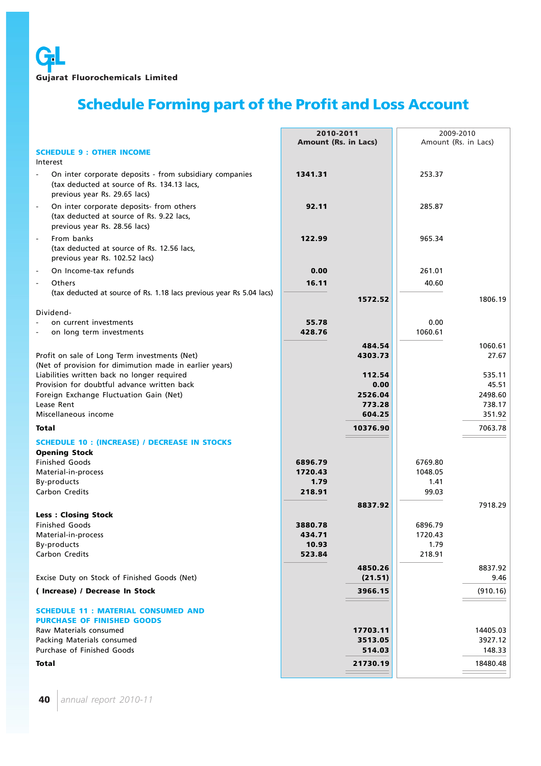# Schedule Forming part of the Profit and Loss Account

|                                                                                                                                         | 2010-2011                   |                    | 2009-2010            |                 |
|-----------------------------------------------------------------------------------------------------------------------------------------|-----------------------------|--------------------|----------------------|-----------------|
|                                                                                                                                         | <b>Amount (Rs. in Lacs)</b> |                    | Amount (Rs. in Lacs) |                 |
| <b>SCHEDULE 9 : OTHER INCOME</b><br>Interest                                                                                            |                             |                    |                      |                 |
| On inter corporate deposits - from subsidiary companies<br>(tax deducted at source of Rs. 134.13 lacs,<br>previous year Rs. 29.65 lacs) | 1341.31                     |                    | 253.37               |                 |
| On inter corporate deposits- from others<br>(tax deducted at source of Rs. 9.22 lacs,<br>previous year Rs. 28.56 lacs)                  | 92.11                       |                    | 285.87               |                 |
| From banks<br>(tax deducted at source of Rs. 12.56 lacs,<br>previous year Rs. 102.52 lacs)                                              | 122.99                      |                    | 965.34               |                 |
| On Income-tax refunds                                                                                                                   | 0.00                        |                    | 261.01               |                 |
| Others                                                                                                                                  | 16.11                       |                    | 40.60                |                 |
| (tax deducted at source of Rs. 1.18 lacs previous year Rs 5.04 lacs)                                                                    |                             | 1572.52            |                      | 1806.19         |
| Dividend-                                                                                                                               |                             |                    |                      |                 |
| on current investments<br>on long term investments                                                                                      | 55.78<br>428.76             |                    | 0.00<br>1060.61      |                 |
|                                                                                                                                         |                             | 484.54             |                      | 1060.61         |
| Profit on sale of Long Term investments (Net)                                                                                           |                             | 4303.73            |                      | 27.67           |
| (Net of provision for dimimution made in earlier years)<br>Liabilities written back no longer required                                  |                             | 112.54             |                      | 535.11          |
| Provision for doubtful advance written back                                                                                             |                             | 0.00               |                      | 45.51           |
| Foreign Exchange Fluctuation Gain (Net)                                                                                                 |                             | 2526.04            |                      | 2498.60         |
| Lease Rent                                                                                                                              |                             | 773.28             |                      | 738.17          |
| Miscellaneous income                                                                                                                    |                             | 604.25             |                      | 351.92          |
| Total                                                                                                                                   |                             | 10376.90           |                      | 7063.78         |
| <b>SCHEDULE 10 : (INCREASE) / DECREASE IN STOCKS</b>                                                                                    |                             |                    |                      |                 |
| <b>Opening Stock</b>                                                                                                                    |                             |                    |                      |                 |
| <b>Finished Goods</b>                                                                                                                   | 6896.79                     |                    | 6769.80              |                 |
| Material-in-process                                                                                                                     | 1720.43<br>1.79             |                    | 1048.05<br>1.41      |                 |
| By-products<br>Carbon Credits                                                                                                           | 218.91                      |                    | 99.03                |                 |
|                                                                                                                                         |                             |                    |                      |                 |
|                                                                                                                                         |                             | 8837.92            |                      | 7918.29         |
| <b>Less: Closing Stock</b><br><b>Finished Goods</b>                                                                                     | 3880.78                     |                    | 6896.79              |                 |
| Material-in-process                                                                                                                     | 434.71                      |                    | 1720.43              |                 |
| By-products                                                                                                                             | 10.93                       |                    | 1.79                 |                 |
| Carbon Credits                                                                                                                          | 523.84                      |                    | 218.91               |                 |
| Excise Duty on Stock of Finished Goods (Net)                                                                                            |                             | 4850.26<br>(21.51) |                      | 8837.92<br>9.46 |
| (Increase) / Decrease In Stock                                                                                                          |                             | 3966.15            |                      | (910.16)        |
| <b>SCHEDULE 11 : MATERIAL CONSUMED AND</b>                                                                                              |                             |                    |                      |                 |
| <b>PURCHASE OF FINISHED GOODS</b>                                                                                                       |                             |                    |                      |                 |
| Raw Materials consumed                                                                                                                  |                             | 17703.11           |                      | 14405.03        |
| Packing Materials consumed                                                                                                              |                             | 3513.05            |                      | 3927.12         |
| Purchase of Finished Goods                                                                                                              |                             | 514.03             |                      | 148.33          |
| Total                                                                                                                                   |                             | 21730.19           |                      | 18480.48        |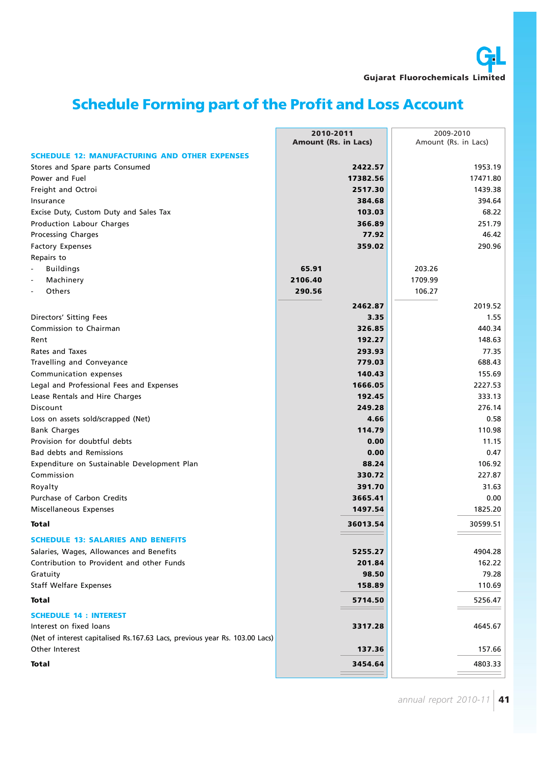# Schedule Forming part of the Profit and Loss Account

|                                                                             | 2010-2011                   | 2009-2010            |
|-----------------------------------------------------------------------------|-----------------------------|----------------------|
|                                                                             | <b>Amount (Rs. in Lacs)</b> | Amount (Rs. in Lacs) |
| <b>SCHEDULE 12: MANUFACTURING AND OTHER EXPENSES</b>                        |                             |                      |
| Stores and Spare parts Consumed                                             | 2422.57                     | 1953.19              |
| Power and Fuel                                                              | 17382.56                    | 17471.80             |
| Freight and Octroi                                                          | 2517.30                     | 1439.38              |
| Insurance                                                                   | 384.68                      | 394.64               |
| Excise Duty, Custom Duty and Sales Tax                                      | 103.03                      | 68.22                |
| Production Labour Charges                                                   | 366.89                      | 251.79               |
| Processing Charges                                                          | 77.92                       | 46.42                |
| <b>Factory Expenses</b>                                                     | 359.02                      | 290.96               |
| Repairs to                                                                  |                             |                      |
| <b>Buildings</b>                                                            | 65.91                       | 203.26               |
| Machinery                                                                   | 2106.40                     | 1709.99              |
| Others                                                                      | 290.56                      | 106.27               |
|                                                                             | 2462.87                     | 2019.52              |
| Directors' Sitting Fees                                                     | 3.35                        | 1.55                 |
| Commission to Chairman                                                      | 326.85                      | 440.34               |
| Rent                                                                        | 192.27                      | 148.63               |
| Rates and Taxes                                                             | 293.93                      | 77.35                |
| Travelling and Conveyance                                                   | 779.03                      | 688.43               |
| Communication expenses                                                      | 140.43                      | 155.69               |
| Legal and Professional Fees and Expenses                                    | 1666.05                     | 2227.53              |
| Lease Rentals and Hire Charges                                              | 192.45                      | 333.13               |
| Discount                                                                    | 249.28                      | 276.14               |
| Loss on assets sold/scrapped (Net)                                          | 4.66                        | 0.58                 |
| <b>Bank Charges</b>                                                         | 114.79                      | 110.98               |
| Provision for doubtful debts                                                | 0.00                        | 11.15                |
| <b>Bad debts and Remissions</b>                                             | 0.00                        | 0.47                 |
| Expenditure on Sustainable Development Plan                                 | 88.24                       | 106.92               |
| Commission                                                                  | 330.72                      | 227.87               |
| Royalty                                                                     | 391.70                      | 31.63                |
| Purchase of Carbon Credits                                                  | 3665.41                     | 0.00                 |
| Miscellaneous Expenses                                                      | 1497.54                     | 1825.20              |
| Total                                                                       | 36013.54                    | 30599.51             |
| <b>SCHEDULE 13: SALARIES AND BENEFITS</b>                                   |                             |                      |
| Salaries, Wages, Allowances and Benefits                                    | 5255.27                     | 4904.28              |
| Contribution to Provident and other Funds                                   | 201.84                      | 162.22               |
| Gratuity                                                                    | 98.50                       | 79.28                |
| <b>Staff Welfare Expenses</b>                                               | 158.89                      | 110.69               |
| Total                                                                       | 5714.50                     | 5256.47              |
| <b>SCHEDULE 14 : INTEREST</b>                                               |                             |                      |
| Interest on fixed loans                                                     | 3317.28                     | 4645.67              |
| (Net of interest capitalised Rs.167.63 Lacs, previous year Rs. 103.00 Lacs) |                             |                      |
| Other Interest                                                              | 137.36                      | 157.66               |
| Total                                                                       | 3454.64                     | 4803.33              |
|                                                                             |                             |                      |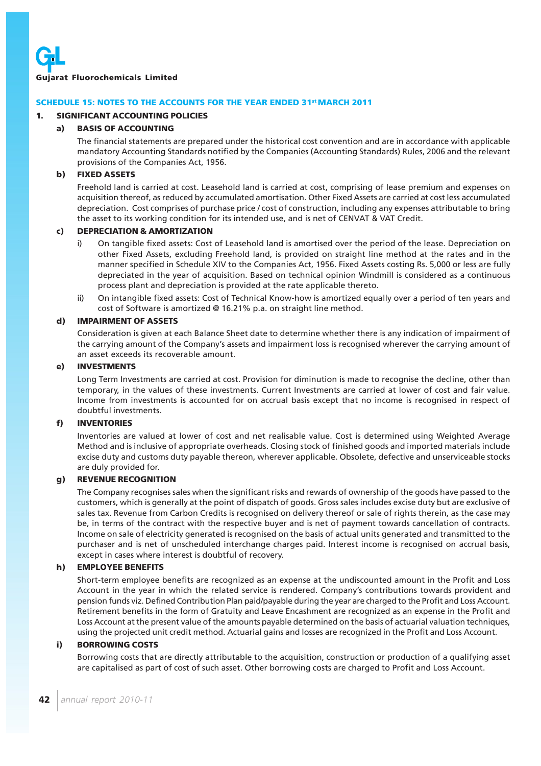#### SCHEDULE 15: NOTES TO THE ACCOUNTS FOR THE YEAR ENDED 31st MARCH 2011

#### 1. SIGNIFICANT ACCOUNTING POLICIES

#### a) BASIS OF ACCOUNTING

The financial statements are prepared under the historical cost convention and are in accordance with applicable mandatory Accounting Standards notified by the Companies (Accounting Standards) Rules, 2006 and the relevant provisions of the Companies Act, 1956.

#### b) FIXED ASSETS

Freehold land is carried at cost. Leasehold land is carried at cost, comprising of lease premium and expenses on acquisition thereof, as reduced by accumulated amortisation. Other Fixed Assets are carried at cost less accumulated depreciation. Cost comprises of purchase price / cost of construction, including any expenses attributable to bring the asset to its working condition for its intended use, and is net of CENVAT & VAT Credit.

#### c) DEPRECIATION & AMORTIZATION

- i) On tangible fixed assets: Cost of Leasehold land is amortised over the period of the lease. Depreciation on other Fixed Assets, excluding Freehold land, is provided on straight line method at the rates and in the manner specified in Schedule XIV to the Companies Act, 1956. Fixed Assets costing Rs. 5,000 or less are fully depreciated in the year of acquisition. Based on technical opinion Windmill is considered as a continuous process plant and depreciation is provided at the rate applicable thereto.
- ii) On intangible fixed assets: Cost of Technical Know-how is amortized equally over a period of ten years and cost of Software is amortized @ 16.21% p.a. on straight line method.

#### d) IMPAIRMENT OF ASSETS

Consideration is given at each Balance Sheet date to determine whether there is any indication of impairment of the carrying amount of the Company's assets and impairment loss is recognised wherever the carrying amount of an asset exceeds its recoverable amount.

#### e) INVESTMENTS

Long Term Investments are carried at cost. Provision for diminution is made to recognise the decline, other than temporary, in the values of these investments. Current Investments are carried at lower of cost and fair value. Income from investments is accounted for on accrual basis except that no income is recognised in respect of doubtful investments.

#### f) INVENTORIES

Inventories are valued at lower of cost and net realisable value. Cost is determined using Weighted Average Method and is inclusive of appropriate overheads. Closing stock of finished goods and imported materials include excise duty and customs duty payable thereon, wherever applicable. Obsolete, defective and unserviceable stocks are duly provided for.

#### g) REVENUE RECOGNITION

The Company recognises sales when the significant risks and rewards of ownership of the goods have passed to the customers, which is generally at the point of dispatch of goods. Gross sales includes excise duty but are exclusive of sales tax. Revenue from Carbon Credits is recognised on delivery thereof or sale of rights therein, as the case may be, in terms of the contract with the respective buyer and is net of payment towards cancellation of contracts. Income on sale of electricity generated is recognised on the basis of actual units generated and transmitted to the purchaser and is net of unscheduled interchange charges paid. Interest income is recognised on accrual basis, except in cases where interest is doubtful of recovery.

#### h) EMPLOYEE BENEFITS

Short-term employee benefits are recognized as an expense at the undiscounted amount in the Profit and Loss Account in the year in which the related service is rendered. Company's contributions towards provident and pension funds viz. Defined Contribution Plan paid/payable during the year are charged to the Profit and Loss Account. Retirement benefits in the form of Gratuity and Leave Encashment are recognized as an expense in the Profit and Loss Account at the present value of the amounts payable determined on the basis of actuarial valuation techniques, using the projected unit credit method. Actuarial gains and losses are recognized in the Profit and Loss Account.

#### i) BORROWING COSTS

Borrowing costs that are directly attributable to the acquisition, construction or production of a qualifying asset are capitalised as part of cost of such asset. Other borrowing costs are charged to Profit and Loss Account.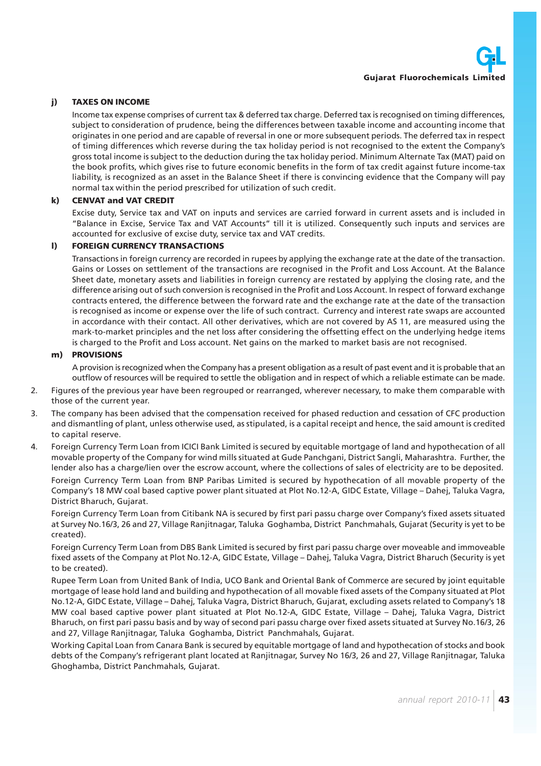#### j) TAXES ON INCOME

Income tax expense comprises of current tax & deferred tax charge. Deferred tax is recognised on timing differences, subject to consideration of prudence, being the differences between taxable income and accounting income that originates in one period and are capable of reversal in one or more subsequent periods. The deferred tax in respect of timing differences which reverse during the tax holiday period is not recognised to the extent the Company's gross total income is subject to the deduction during the tax holiday period. Minimum Alternate Tax (MAT) paid on the book profits, which gives rise to future economic benefits in the form of tax credit against future income-tax liability, is recognized as an asset in the Balance Sheet if there is convincing evidence that the Company will pay normal tax within the period prescribed for utilization of such credit.

#### k) CENVAT and VAT CREDIT

Excise duty, Service tax and VAT on inputs and services are carried forward in current assets and is included in "Balance in Excise, Service Tax and VAT Accounts" till it is utilized. Consequently such inputs and services are accounted for exclusive of excise duty, service tax and VAT credits.

#### l) FOREIGN CURRENCY TRANSACTIONS

Transactions in foreign currency are recorded in rupees by applying the exchange rate at the date of the transaction. Gains or Losses on settlement of the transactions are recognised in the Profit and Loss Account. At the Balance Sheet date, monetary assets and liabilities in foreign currency are restated by applying the closing rate, and the difference arising out of such conversion is recognised in the Profit and Loss Account. In respect of forward exchange contracts entered, the difference between the forward rate and the exchange rate at the date of the transaction is recognised as income or expense over the life of such contract. Currency and interest rate swaps are accounted in accordance with their contact. All other derivatives, which are not covered by AS 11, are measured using the mark-to-market principles and the net loss after considering the offsetting effect on the underlying hedge items is charged to the Profit and Loss account. Net gains on the marked to market basis are not recognised.

#### m) PROVISIONS

A provision is recognized when the Company has a present obligation as a result of past event and it is probable that an outflow of resources will be required to settle the obligation and in respect of which a reliable estimate can be made.

- 2. Figures of the previous year have been regrouped or rearranged, wherever necessary, to make them comparable with those of the current year.
- 3. The company has been advised that the compensation received for phased reduction and cessation of CFC production and dismantling of plant, unless otherwise used, as stipulated, is a capital receipt and hence, the said amount is credited to capital reserve.
- 4. Foreign Currency Term Loan from ICICI Bank Limited is secured by equitable mortgage of land and hypothecation of all movable property of the Company for wind mills situated at Gude Panchgani, District Sangli, Maharashtra. Further, the lender also has a charge/lien over the escrow account, where the collections of sales of electricity are to be deposited. Foreign Currency Term Loan from BNP Paribas Limited is secured by hypothecation of all movable property of the Company's 18 MW coal based captive power plant situated at Plot No.12-A, GIDC Estate, Village – Dahej, Taluka Vagra, District Bharuch, Gujarat.

Foreign Currency Term Loan from Citibank NA is secured by first pari passu charge over Company's fixed assets situated at Survey No.16/3, 26 and 27, Village Ranjitnagar, Taluka Goghamba, District Panchmahals, Gujarat (Security is yet to be created).

Foreign Currency Term Loan from DBS Bank Limited is secured by first pari passu charge over moveable and immoveable fixed assets of the Company at Plot No.12-A, GIDC Estate, Village – Dahej, Taluka Vagra, District Bharuch (Security is yet to be created).

Rupee Term Loan from United Bank of India, UCO Bank and Oriental Bank of Commerce are secured by joint equitable mortgage of lease hold land and building and hypothecation of all movable fixed assets of the Company situated at Plot No.12-A, GIDC Estate, Village – Dahej, Taluka Vagra, District Bharuch, Gujarat, excluding assets related to Company's 18 MW coal based captive power plant situated at Plot No.12-A, GIDC Estate, Village – Dahej, Taluka Vagra, District Bharuch, on first pari passu basis and by way of second pari passu charge over fixed assets situated at Survey No.16/3, 26 and 27, Village Ranjitnagar, Taluka Goghamba, District Panchmahals, Gujarat.

Working Capital Loan from Canara Bank is secured by equitable mortgage of land and hypothecation of stocks and book debts of the Company's refrigerant plant located at Ranjitnagar, Survey No 16/3, 26 and 27, Village Ranjitnagar, Taluka Ghoghamba, District Panchmahals, Gujarat.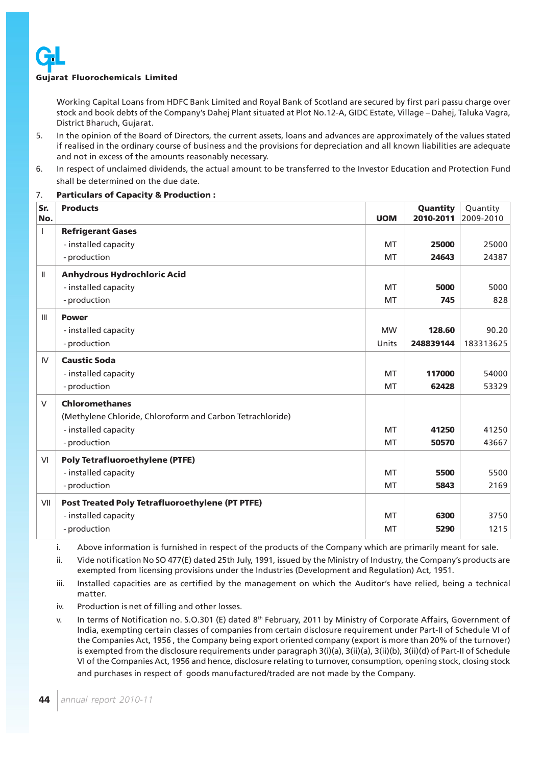

Working Capital Loans from HDFC Bank Limited and Royal Bank of Scotland are secured by first pari passu charge over stock and book debts of the Company's Dahej Plant situated at Plot No.12-A, GIDC Estate, Village – Dahej, Taluka Vagra, District Bharuch, Gujarat.

- 5. In the opinion of the Board of Directors, the current assets, loans and advances are approximately of the values stated if realised in the ordinary course of business and the provisions for depreciation and all known liabilities are adequate and not in excess of the amounts reasonably necessary.
- 6. In respect of unclaimed dividends, the actual amount to be transferred to the Investor Education and Protection Fund shall be determined on the due date.

#### 7. Particulars of Capacity & Production :

| Sr.<br>No.   | <b>Products</b>                                           | <b>UOM</b> | Quantity<br>2010-2011 | Quantity<br>2009-2010 |
|--------------|-----------------------------------------------------------|------------|-----------------------|-----------------------|
| $\mathbf{I}$ | <b>Refrigerant Gases</b>                                  |            |                       |                       |
|              | - installed capacity                                      | MT         | 25000                 | 25000                 |
|              | - production                                              | MT         | 24643                 | 24387                 |
| $\mathbf{I}$ | Anhydrous Hydrochloric Acid                               |            |                       |                       |
|              | - installed capacity                                      | MT         | 5000                  | 5000                  |
|              | - production                                              | MT         | 745                   | 828                   |
| III          | <b>Power</b>                                              |            |                       |                       |
|              | - installed capacity                                      | <b>MW</b>  | 128.60                | 90.20                 |
|              | - production                                              | Units      | 248839144             | 183313625             |
| IV           | <b>Caustic Soda</b>                                       |            |                       |                       |
|              | - installed capacity                                      | MT         | 117000                | 54000                 |
|              | - production                                              | MT         | 62428                 | 53329                 |
| $\vee$       | <b>Chloromethanes</b>                                     |            |                       |                       |
|              | (Methylene Chloride, Chloroform and Carbon Tetrachloride) |            |                       |                       |
|              | - installed capacity                                      | MT         | 41250                 | 41250                 |
|              | - production                                              | MT         | 50570                 | 43667                 |
| VI           | <b>Poly Tetrafluoroethylene (PTFE)</b>                    |            |                       |                       |
|              | - installed capacity                                      | MT         | 5500                  | 5500                  |
|              | - production                                              | MT         | 5843                  | 2169                  |
| VII          | <b>Post Treated Poly Tetrafluoroethylene (PT PTFE)</b>    |            |                       |                       |
|              | - installed capacity                                      | MT         | 6300                  | 3750                  |
|              | - production                                              | MT         | 5290                  | 1215                  |

i. Above information is furnished in respect of the products of the Company which are primarily meant for sale.

ii. Vide notification No SO 477(E) dated 25th July, 1991, issued by the Ministry of Industry, the Company's products are exempted from licensing provisions under the Industries (Development and Regulation) Act, 1951.

iii. Installed capacities are as certified by the management on which the Auditor's have relied, being a technical matter.

- iv. Production is net of filling and other losses.
- v. In terms of Notification no. S.O.301 (E) dated 8th February, 2011 by Ministry of Corporate Affairs, Government of India, exempting certain classes of companies from certain disclosure requirement under Part-II of Schedule VI of the Companies Act, 1956 , the Company being export oriented company (export is more than 20% of the turnover) is exempted from the disclosure requirements under paragraph 3(i)(a), 3(ii)(a), 3(ii)(b), 3(ii)(d) of Part-II of Schedule VI of the Companies Act, 1956 and hence, disclosure relating to turnover, consumption, opening stock, closing stock and purchases in respect of goods manufactured/traded are not made by the Company.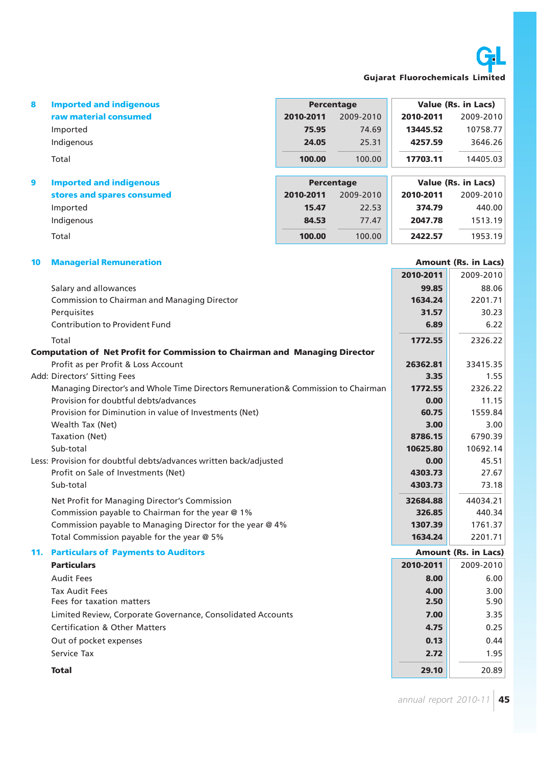| 8 | <b>Imported and indigenous</b> |           | Percentage        |           | Value (Rs. in Lacs) |
|---|--------------------------------|-----------|-------------------|-----------|---------------------|
|   | raw material consumed          | 2010-2011 | 2009-2010         | 2010-2011 | 2009-2010           |
|   | Imported                       | 75.95     | 74.69             | 13445.52  | 10758.77            |
|   | Indigenous                     | 24.05     | 25.31             | 4257.59   | 3646.26             |
|   | Total                          | 100.00    | 100.00            | 17703.11  | 14405.03            |
| 9 | <b>Imported and indigenous</b> |           | <b>Percentage</b> |           | Value (Rs. in Lacs) |
|   | stores and spares consumed     | 2010-2011 | 2009-2010         | 2010-2011 | 2009-2010           |
|   | Imported                       | 15.47     | 22.53             | 374.79    | 440.00              |
|   | Indigenous                     | 84.53     | 77.47             | 2047.78   | 1513.19             |
|   | Total                          | 100.00    | 100.00            | 2422.57   | 1953.19             |
|   |                                |           |                   |           |                     |

| 10 | <b>Managerial Remuneration</b>                                                    |           | <b>Amount (Rs. in Lacs)</b> |
|----|-----------------------------------------------------------------------------------|-----------|-----------------------------|
|    |                                                                                   | 2010-2011 | 2009-2010                   |
|    | Salary and allowances                                                             | 99.85     | 88.06                       |
|    | Commission to Chairman and Managing Director                                      | 1634.24   | 2201.71                     |
|    | Perquisites                                                                       | 31.57     | 30.23                       |
|    | Contribution to Provident Fund                                                    | 6.89      | 6.22                        |
|    | Total                                                                             | 1772.55   | 2326.22                     |
|    | <b>Computation of Net Profit for Commission to Chairman and Managing Director</b> |           |                             |
|    | Profit as per Profit & Loss Account                                               | 26362.81  | 33415.35                    |
|    | Add: Directors' Sitting Fees                                                      | 3.35      | 1.55                        |
|    | Managing Director's and Whole Time Directors Remuneration& Commission to Chairman | 1772.55   | 2326.22                     |
|    | Provision for doubtful debts/advances                                             | 0.00      | 11.15                       |
|    | Provision for Diminution in value of Investments (Net)                            | 60.75     | 1559.84                     |
|    | Wealth Tax (Net)                                                                  | 3.00      | 3.00                        |
|    | Taxation (Net)                                                                    | 8786.15   | 6790.39                     |
|    | Sub-total                                                                         | 10625.80  | 10692.14                    |
|    | Less: Provision for doubtful debts/advances written back/adjusted                 | 0.00      | 45.51                       |
|    | Profit on Sale of Investments (Net)                                               | 4303.73   | 27.67                       |
|    | Sub-total                                                                         | 4303.73   | 73.18                       |
|    | Net Profit for Managing Director's Commission                                     | 32684.88  | 44034.21                    |
|    | Commission payable to Chairman for the year @ 1%                                  | 326.85    | 440.34                      |
|    | Commission payable to Managing Director for the year @ 4%                         | 1307.39   | 1761.37                     |
|    | Total Commission payable for the year @ 5%                                        | 1634.24   | 2201.71                     |
|    | <b>11. Particulars of Payments to Auditors</b>                                    |           | <b>Amount (Rs. in Lacs)</b> |
|    | <b>Particulars</b>                                                                | 2010-2011 | 2009-2010                   |
|    | <b>Audit Fees</b>                                                                 | 8.00      | 6.00                        |
|    | <b>Tax Audit Fees</b>                                                             | 4.00      | 3.00                        |
|    | Fees for taxation matters                                                         | 2.50      | 5.90                        |
|    | Limited Review, Corporate Governance, Consolidated Accounts                       | 7.00      | 3.35                        |
|    | <b>Certification &amp; Other Matters</b>                                          | 4.75      | 0.25                        |
|    | Out of pocket expenses                                                            | 0.13      | 0.44                        |
|    | Service Tax                                                                       | 2.72      | 1.95                        |
|    | <b>Total</b>                                                                      | 29.10     | 20.89                       |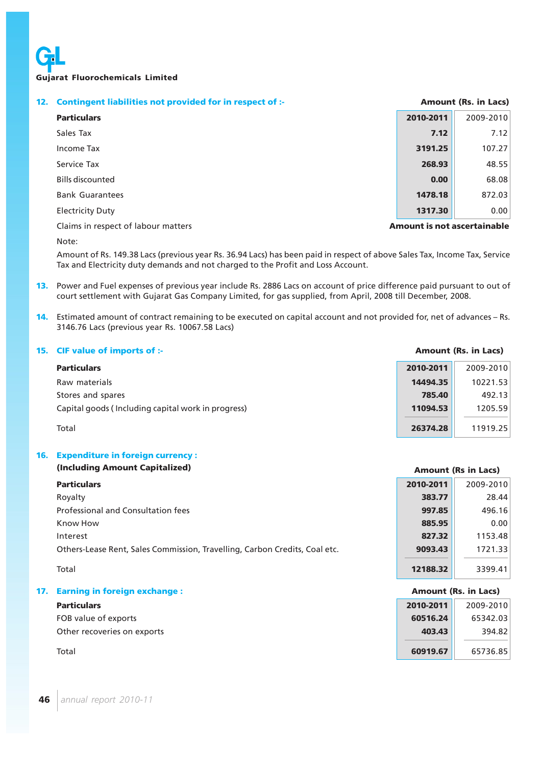#### 12. Contingent liabilities not provided for in respect of :- **Amount (Rs. in Lacs)** Amount (Rs. in Lacs)

| <b>Particulars</b>                  | 2010-2011                          | 2009-2010 |
|-------------------------------------|------------------------------------|-----------|
| Sales Tax                           | 7.12                               | 7.12      |
| Income Tax                          | 3191.25                            | 107.27    |
| Service Tax                         | 268.93                             | 48.55     |
| <b>Bills discounted</b>             | 0.00                               | 68.08     |
| <b>Bank Guarantees</b>              | 1478.18                            | 872.03    |
| <b>Electricity Duty</b>             | 1317.30                            | 0.00      |
| Claims in respect of labour matters | <b>Amount is not ascertainable</b> |           |

Note:

Amount of Rs. 149.38 Lacs (previous year Rs. 36.94 Lacs) has been paid in respect of above Sales Tax, Income Tax, Service Tax and Electricity duty demands and not charged to the Profit and Loss Account.

- 13. Power and Fuel expenses of previous year include Rs. 2886 Lacs on account of price difference paid pursuant to out of court settlement with Gujarat Gas Company Limited, for gas supplied, from April, 2008 till December, 2008.
- 14. Estimated amount of contract remaining to be executed on capital account and not provided for, net of advances Rs. 3146.76 Lacs (previous year Rs. 10067.58 Lacs)

| 15. CIF value of imports of :-                     |           | <b>Amount (Rs. in Lacs)</b> |
|----------------------------------------------------|-----------|-----------------------------|
| <b>Particulars</b>                                 | 2010-2011 | 2009-2010                   |
| Raw materials                                      | 14494.35  | 10221.53                    |
| Stores and spares                                  | 785.40    | 492.13                      |
| Capital goods (Including capital work in progress) | 11094.53  | 1205.59                     |
| Total                                              | 26374.28  | 11919.25                    |

#### 16. Expenditure in foreign currency :

| (Including Amount Capitalized)                                             |           | <b>Amount (Rs in Lacs)</b> |  |  |  |
|----------------------------------------------------------------------------|-----------|----------------------------|--|--|--|
| <b>Particulars</b>                                                         | 2010-2011 | 2009-2010                  |  |  |  |
| Royalty                                                                    | 383.77    | 28.44                      |  |  |  |
| <b>Professional and Consultation fees</b>                                  | 997.85    | 496.16                     |  |  |  |
| Know How                                                                   | 885.95    | 0.00                       |  |  |  |
| Interest                                                                   | 827.32    | 1153.48                    |  |  |  |
| Others-Lease Rent, Sales Commission, Travelling, Carbon Credits, Coal etc. | 9093.43   | 1721.33                    |  |  |  |
| Total                                                                      | 12188.32  | 3399.41                    |  |  |  |

| 17. Earning in foreign exchange : | <b>Amount (Rs. in Lacs)</b> |           |  |  |  |
|-----------------------------------|-----------------------------|-----------|--|--|--|
| <b>Particulars</b>                | 2010-2011                   | 2009-2010 |  |  |  |
| FOB value of exports              | 60516.24                    | 65342.03  |  |  |  |
| Other recoveries on exports       | 403.43                      | 394.82    |  |  |  |
| Total                             | 60919.67                    | 65736.85  |  |  |  |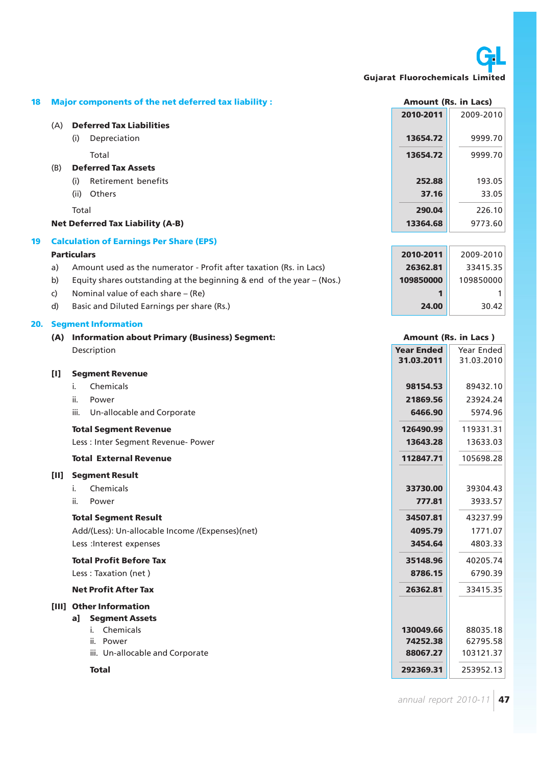| 18  |              | <b>Major components of the net deferred tax liability:</b>              | <b>Amount (Rs. in Lacs)</b> |                             |
|-----|--------------|-------------------------------------------------------------------------|-----------------------------|-----------------------------|
|     |              |                                                                         | 2010-2011                   | 2009-2010                   |
|     | (A)          | <b>Deferred Tax Liabilities</b>                                         |                             |                             |
|     |              | Depreciation<br>(i)                                                     | 13654.72                    | 9999.70                     |
|     |              | Total                                                                   | 13654.72                    | 9999.70                     |
|     | (B)          | <b>Deferred Tax Assets</b>                                              |                             |                             |
|     |              | Retirement benefits<br>(i)                                              | 252.88                      | 193.05                      |
|     |              | (ii) Others                                                             | 37.16                       | 33.05                       |
|     |              | Total                                                                   | 290.04                      | 226.10                      |
|     |              | <b>Net Deferred Tax Liability (A-B)</b>                                 | 13364.68                    | 9773.60                     |
| 19  |              | <b>Calculation of Earnings Per Share (EPS)</b>                          |                             |                             |
|     |              | <b>Particulars</b>                                                      | 2010-2011                   | 2009-2010                   |
|     | a)           | Amount used as the numerator - Profit after taxation (Rs. in Lacs)      | 26362.81                    | 33415.35                    |
|     | b)           | Equity shares outstanding at the beginning $&$ end of the year - (Nos.) | 109850000                   | 109850000                   |
|     | $\mathsf{c}$ | Nominal value of each share - (Re)                                      | 1                           | $\mathbf{1}$                |
|     | d)           | Basic and Diluted Earnings per share (Rs.)                              | 24.00                       | 30.42                       |
|     |              |                                                                         |                             |                             |
| 20. |              | <b>Segment Information</b>                                              |                             | <b>Amount (Rs. in Lacs)</b> |
|     |              | (A) Information about Primary (Business) Segment:<br>Description        | <b>Year Ended</b>           | Year Ended                  |
|     |              |                                                                         | 31.03.2011                  | 31.03.2010                  |
|     | $[1]$        | <b>Segment Revenue</b>                                                  |                             |                             |
|     |              | Chemicals<br>i.                                                         | 98154.53                    | 89432.10                    |
|     |              | ii.<br>Power                                                            | 21869.56                    | 23924.24                    |
|     |              | Un-allocable and Corporate<br>iii.                                      | 6466.90                     | 5974.96                     |
|     |              | <b>Total Segment Revenue</b>                                            | 126490.99                   | 119331.31                   |
|     |              | Less : Inter Segment Revenue- Power                                     | 13643.28                    | 13633.03                    |
|     |              | <b>Total External Revenue</b>                                           | 112847.71                   | 105698.28                   |
|     |              |                                                                         |                             |                             |
|     | $[11]$       | <b>Segment Result</b>                                                   |                             |                             |
|     |              | Chemicals<br>i.                                                         | 33730.00                    | 39304.43                    |
|     |              | Power<br>ii.                                                            | 777.81                      | 3933.57                     |
|     |              | <b>Total Segment Result</b>                                             | 34507.81                    | 43237.99                    |
|     |              | Add/(Less): Un-allocable Income /(Expenses)(net)                        | 4095.79                     | 1771.07                     |
|     |              | Less : Interest expenses                                                | 3454.64                     | 4803.33                     |
|     |              | <b>Total Profit Before Tax</b>                                          | 35148.96                    | 40205.74                    |
|     |              | Less: Taxation (net)                                                    | 8786.15                     | 6790.39                     |
|     |              | <b>Net Profit After Tax</b>                                             | 26362.81                    | 33415.35                    |
|     |              | [III] Other Information                                                 |                             |                             |
|     |              | <b>Segment Assets</b><br>al                                             |                             |                             |
|     |              | i. Chemicals                                                            | 130049.66                   | 88035.18                    |
|     |              | ii. Power                                                               | 74252.38                    | 62795.58                    |
|     |              | iii. Un-allocable and Corporate                                         | 88067.27                    | 103121.37                   |
|     |              | <b>Total</b>                                                            | 292369.31                   | 253952.13                   |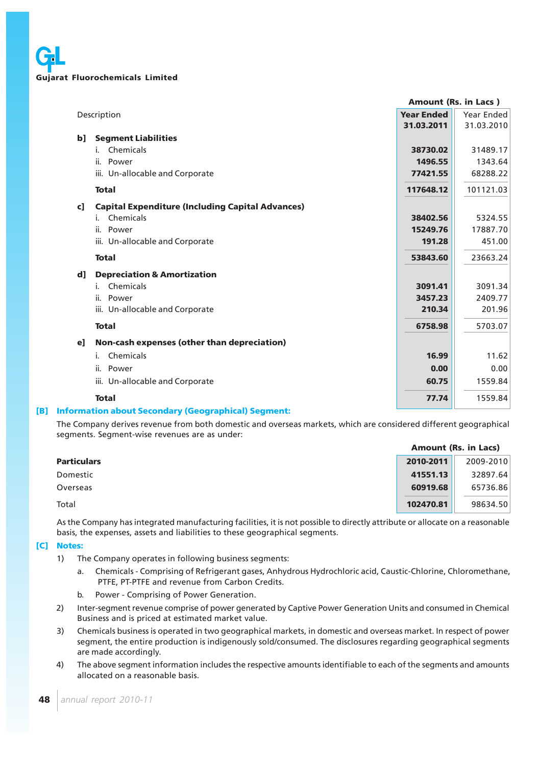

|                |                                                         |                   | <b>Amount (Rs. in Lacs)</b> |
|----------------|---------------------------------------------------------|-------------------|-----------------------------|
|                | Description                                             | <b>Year Ended</b> | Year Ended                  |
|                |                                                         | 31.03.2011        | 31.03.2010                  |
| bl             | <b>Segment Liabilities</b>                              |                   |                             |
|                | Chemicals<br>i.                                         | 38730.02          | 31489.17                    |
|                | Power<br>ii.                                            | 1496.55           | 1343.64                     |
|                | iii. Un-allocable and Corporate                         | 77421.55          | 68288.22                    |
|                | <b>Total</b>                                            | 117648.12         | 101121.03                   |
| c]             | <b>Capital Expenditure (Including Capital Advances)</b> |                   |                             |
|                | Chemicals                                               | 38402.56          | 5324.55                     |
|                | ii.<br>Power                                            | 15249.76          | 17887.70                    |
|                | iii. Un-allocable and Corporate                         | 191.28            | 451.00                      |
|                | <b>Total</b>                                            | 53843.60          | 23663.24                    |
| d]             | <b>Depreciation &amp; Amortization</b>                  |                   |                             |
|                | Chemicals<br>i.,                                        | 3091.41           | 3091.34                     |
|                | ii.<br>Power                                            | 3457.23           | 2409.77                     |
|                | iii. Un-allocable and Corporate                         | 210.34            | 201.96                      |
|                | <b>Total</b>                                            | 6758.98           | 5703.07                     |
| e <sub>l</sub> | Non-cash expenses (other than depreciation)             |                   |                             |
|                | Chemicals<br>i.                                         | 16.99             | 11.62                       |
|                | ii.<br>Power                                            | 0.00              | 0.00                        |
|                | iii. Un-allocable and Corporate                         | 60.75             | 1559.84                     |
|                | <b>Total</b>                                            | 77.74             | 1559.84                     |
|                |                                                         |                   |                             |

#### [B] Information about Secondary (Geographical) Segment:

The Company derives revenue from both domestic and overseas markets, which are considered different geographical segments. Segment-wise revenues are as under:

|                    | <b>Amount (Rs. in Lacs)</b> |           |  |  |  |  |  |  |
|--------------------|-----------------------------|-----------|--|--|--|--|--|--|
| <b>Particulars</b> | 2010-2011                   | 2009-2010 |  |  |  |  |  |  |
| Domestic           | 41551.13                    | 32897.64  |  |  |  |  |  |  |
| Overseas           | 60919.68                    | 65736.86  |  |  |  |  |  |  |
| Total              | 102470.81                   | 98634.50  |  |  |  |  |  |  |

As the Company has integrated manufacturing facilities, it is not possible to directly attribute or allocate on a reasonable basis, the expenses, assets and liabilities to these geographical segments.

#### [C] Notes:

- 1) The Company operates in following business segments:
	- a. Chemicals Comprising of Refrigerant gases, Anhydrous Hydrochloric acid, Caustic-Chlorine, Chloromethane, PTFE, PT-PTFE and revenue from Carbon Credits.
	- b. Power Comprising of Power Generation.
- 2) Inter-segment revenue comprise of power generated by Captive Power Generation Units and consumed in Chemical Business and is priced at estimated market value.
- 3) Chemicals business is operated in two geographical markets, in domestic and overseas market. In respect of power segment, the entire production is indigenously sold/consumed. The disclosures regarding geographical segments are made accordingly.
- 4) The above segment information includes the respective amounts identifiable to each of the segments and amounts allocated on a reasonable basis.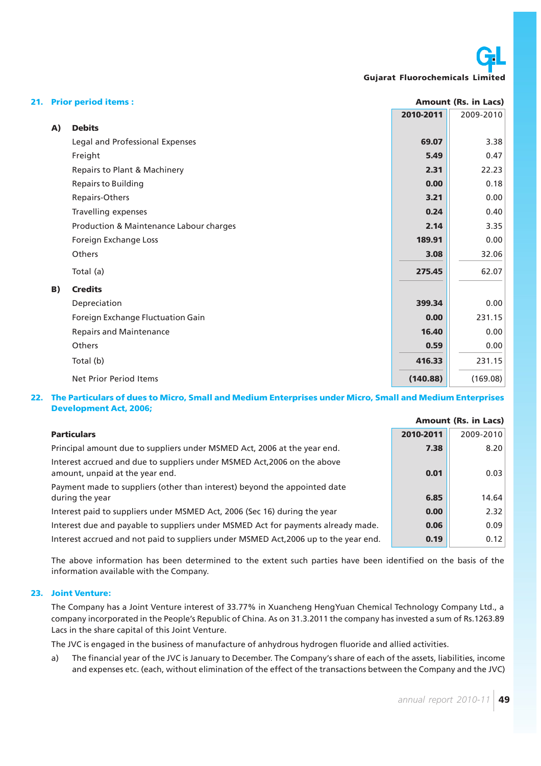| 21. | <b>Prior period items:</b> |                                         |           | <b>Amount (Rs. in Lacs)</b> |  |  |  |  |
|-----|----------------------------|-----------------------------------------|-----------|-----------------------------|--|--|--|--|
|     |                            |                                         | 2010-2011 | 2009-2010                   |  |  |  |  |
|     | A)                         | <b>Debits</b>                           |           |                             |  |  |  |  |
|     |                            | Legal and Professional Expenses         | 69.07     | 3.38                        |  |  |  |  |
|     |                            | Freight                                 | 5.49      | 0.47                        |  |  |  |  |
|     |                            | Repairs to Plant & Machinery            | 2.31      | 22.23                       |  |  |  |  |
|     |                            | Repairs to Building                     | 0.00      | 0.18                        |  |  |  |  |
|     |                            | Repairs-Others                          | 3.21      | 0.00                        |  |  |  |  |
|     |                            | Travelling expenses                     | 0.24      | 0.40                        |  |  |  |  |
|     |                            | Production & Maintenance Labour charges | 2.14      | 3.35                        |  |  |  |  |
|     |                            | Foreign Exchange Loss                   | 189.91    | 0.00                        |  |  |  |  |
|     |                            | Others                                  | 3.08      | 32.06                       |  |  |  |  |
|     |                            | Total (a)                               | 275.45    | 62.07                       |  |  |  |  |
|     | B)                         | <b>Credits</b>                          |           |                             |  |  |  |  |
|     |                            | Depreciation                            | 399.34    | 0.00                        |  |  |  |  |
|     |                            | Foreign Exchange Fluctuation Gain       | 0.00      | 231.15                      |  |  |  |  |
|     |                            | <b>Repairs and Maintenance</b>          | 16.40     | 0.00                        |  |  |  |  |
|     |                            | Others                                  | 0.59      | 0.00                        |  |  |  |  |
|     |                            | Total (b)                               | 416.33    | 231.15                      |  |  |  |  |
|     |                            | Net Prior Period Items                  | (140.88)  | (169.08)                    |  |  |  |  |

#### 22. The Particulars of dues to Micro, Small and Medium Enterprises under Micro, Small and Medium Enterprises Development Act, 2006;

|                                                                                                             |           | <b>Amount (Rs. in Lacs)</b> |
|-------------------------------------------------------------------------------------------------------------|-----------|-----------------------------|
| <b>Particulars</b>                                                                                          | 2010-2011 | 2009-2010                   |
| Principal amount due to suppliers under MSMED Act, 2006 at the year end.                                    | 7.38      | 8.20                        |
| Interest accrued and due to suppliers under MSMED Act, 2006 on the above<br>amount, unpaid at the year end. | 0.01      | 0.03                        |
| Payment made to suppliers (other than interest) beyond the appointed date                                   |           |                             |
| during the year                                                                                             | 6.85      | 14.64                       |
| Interest paid to suppliers under MSMED Act, 2006 (Sec 16) during the year                                   | 0.00      | 2.32                        |
| Interest due and payable to suppliers under MSMED Act for payments already made.                            | 0.06      | 0.09                        |
| Interest accrued and not paid to suppliers under MSMED Act, 2006 up to the year end.                        | 0.19      | 0.12                        |

The above information has been determined to the extent such parties have been identified on the basis of the information available with the Company.

#### 23. Joint Venture:

The Company has a Joint Venture interest of 33.77% in Xuancheng HengYuan Chemical Technology Company Ltd., a company incorporated in the People's Republic of China. As on 31.3.2011 the company has invested a sum of Rs.1263.89 Lacs in the share capital of this Joint Venture.

The JVC is engaged in the business of manufacture of anhydrous hydrogen fluoride and allied activities.

a) The financial year of the JVC is January to December. The Company's share of each of the assets, liabilities, income and expenses etc. (each, without elimination of the effect of the transactions between the Company and the JVC)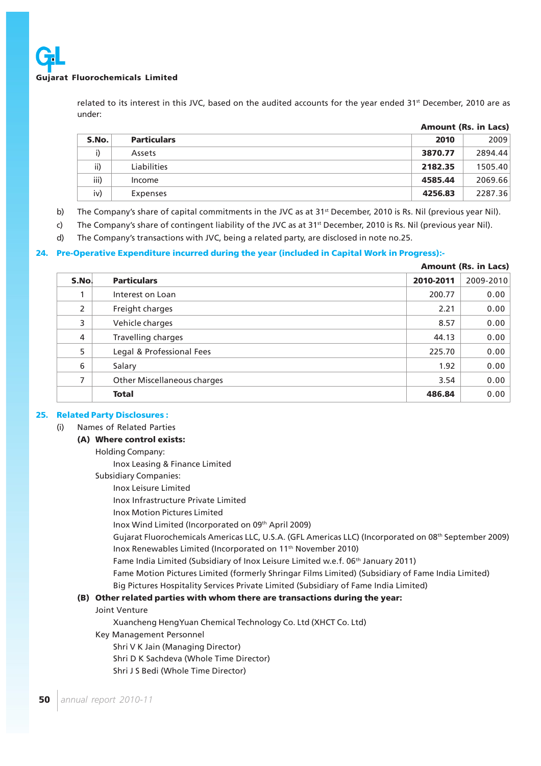

related to its interest in this JVC, based on the audited accounts for the year ended 31<sup>st</sup> December, 2010 are as under:

|       |                    | <b>Amount (Rs. in Lacs)</b> |
|-------|--------------------|-----------------------------|
| S.No. | <b>Particulars</b> | 2009<br>2010                |
| i)    | Assets             | 2894.44<br>3870.77          |
| ii)   | Liabilities        | 1505.40<br>2182.35          |
| iii)  | Income             | 4585.44<br>2069.66          |
| iv)   | Expenses           | 2287.36<br>4256.83          |

b) The Company's share of capital commitments in the JVC as at 31<sup>st</sup> December, 2010 is Rs. Nil (previous year Nil).

- c) The Company's share of contingent liability of the JVC as at 31<sup>st</sup> December, 2010 is Rs. Nil (previous year Nil).
- d) The Company's transactions with JVC, being a related party, are disclosed in note no.25.

#### 24. Pre-Operative Expenditure incurred during the year (included in Capital Work in Progress):-

|                |                                    |           | <b>Amount (Rs. in Lacs)</b> |
|----------------|------------------------------------|-----------|-----------------------------|
| S.No.          | <b>Particulars</b>                 | 2010-2011 | 2009-2010                   |
|                | Interest on Loan                   | 200.77    | 0.00                        |
| $\overline{2}$ | Freight charges                    | 2.21      | 0.00                        |
| 3              | Vehicle charges                    | 8.57      | 0.00                        |
| 4              | Travelling charges                 | 44.13     | 0.00                        |
| 5              | Legal & Professional Fees          | 225.70    | 0.00                        |
| 6              | Salary                             | 1.92      | 0.00                        |
| 7              | <b>Other Miscellaneous charges</b> | 3.54      | 0.00                        |
|                | <b>Total</b>                       | 486.84    | 0.00                        |

#### 25. Related Party Disclosures :

(i) Names of Related Parties

#### (A) Where control exists:

Holding Company:

- Inox Leasing & Finance Limited
- Subsidiary Companies:
	- Inox Leisure Limited
		- Inox Infrastructure Private Limited
		- Inox Motion Pictures Limited
		- Inox Wind Limited (Incorporated on 09th April 2009)

Gujarat Fluorochemicals Americas LLC, U.S.A. (GFL Americas LLC) (Incorporated on 08th September 2009) Inox Renewables Limited (Incorporated on 11th November 2010)

Fame India Limited (Subsidiary of Inox Leisure Limited w.e.f. 06<sup>th</sup> January 2011)

Fame Motion Pictures Limited (formerly Shringar Films Limited) (Subsidiary of Fame India Limited)

Big Pictures Hospitality Services Private Limited (Subsidiary of Fame India Limited)

#### (B) Other related parties with whom there are transactions during the year:

Joint Venture

Xuancheng HengYuan Chemical Technology Co. Ltd (XHCT Co. Ltd)

Key Management Personnel

Shri V K Jain (Managing Director)

Shri D K Sachdeva (Whole Time Director)

Shri J S Bedi (Whole Time Director)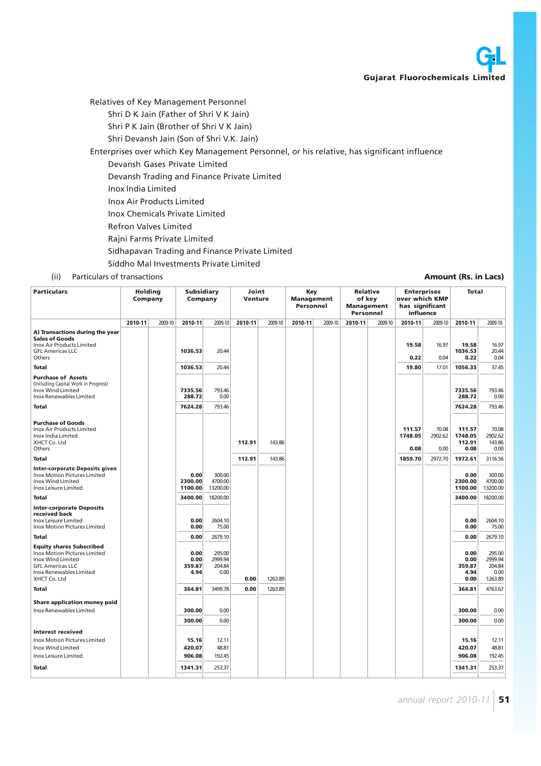Relatives of Key Management Personnel

- Shri D K Jain (Father of Shri V K Jain)
- Shri P K Jain (Brother of Shri V K Jain)

Shri Devansh Jain (Son of Shri V.K. Jain)

Enterprises over which Key Management Personnel, or his relative, has significant influence

- Devansh Gases Private Limited
- Devansh Trading and Finance Private Limited

Inox India Limited

- Inox Air Products Limited
- Inox Chemicals Private Limited
- Refron Valves Limited
- Rajni Farms Private Limited
- Sidhapavan Trading and Finance Private Limited
- Siddho Mal Investments Private Limited
- (ii) Particulars of transactions and the control of the control of the control of the control of the control of the control of the control of the control of the control of the control of the control of the control of the c

| <b>Particulars</b>                                                                                                                                         | Holding<br>Company |         | <b>Subsidiary</b><br>Company   |                                     | Joint<br><b>Venture</b> |         | <b>Key</b><br><b>Management</b><br>Personnel |         | <b>Relative</b><br>of key<br>Management<br>Personnel |         | <b>Enterprises</b><br>over which KMP<br>has significant<br>influence |                          | <b>Total</b>                           |                                                |
|------------------------------------------------------------------------------------------------------------------------------------------------------------|--------------------|---------|--------------------------------|-------------------------------------|-------------------------|---------|----------------------------------------------|---------|------------------------------------------------------|---------|----------------------------------------------------------------------|--------------------------|----------------------------------------|------------------------------------------------|
|                                                                                                                                                            | 2010-11            | 2009-10 | 2010-11                        | 2009-10                             | 2010-11                 | 2009-10 | 2010-11                                      | 2009-10 | 2010-11                                              | 2009-10 | 2010-11                                                              | 2009-10                  | 2010-11                                | 2009-10                                        |
| A) Transactions during the year<br><b>Sales of Goods</b><br>Inox Air Products Limited<br><b>GFL Americas LLC</b><br><b>Others</b>                          |                    |         | 1036.53                        | 20.44                               |                         |         |                                              |         |                                                      |         | 19.58<br>0.22                                                        | 16.97<br>0.04            | 19.58<br>1036.53<br>0.22               | 16.97<br>20.44<br>0.04                         |
| Total                                                                                                                                                      |                    |         | 1036.53                        | 20.44                               |                         |         |                                              |         |                                                      |         | 19.80                                                                | 17.01                    | 1056.33                                | 37.45                                          |
| <b>Purchase of Assets</b><br>(Including Capital Work in Progress)<br>Inox Wind Limited<br>Inox Renewables Limited                                          |                    |         | 7335.56<br>288.72              | 793.46<br>0.00                      |                         |         |                                              |         |                                                      |         |                                                                      |                          | 7335.56<br>288.72                      | 793.46<br>0.00                                 |
| <b>Total</b>                                                                                                                                               |                    |         | 7624.28                        | 793.46                              |                         |         |                                              |         |                                                      |         |                                                                      |                          | 7624.28                                | 793.46                                         |
| <b>Purchase of Goods</b><br>Inox Air Products Limited<br>Inox India Limited<br>XHCT Co. Ltd<br>Others                                                      |                    |         |                                |                                     | 112.91                  | 143.86  |                                              |         |                                                      |         | 111.57<br>1748.05<br>0.08                                            | 70.08<br>2902.62<br>0.00 | 111.57<br>1748.05<br>112.91<br>0.08    | 70.08<br>2902.62<br>143.86<br>0.00             |
| Total                                                                                                                                                      |                    |         |                                |                                     | 112.91                  | 143.86  |                                              |         |                                                      |         | 1859.70                                                              | 2972.70                  | 1972.61                                | 3116.56                                        |
| Inter-corporate Deposits given<br><b>Inox Motion Pictures Limited</b><br>Inox Wind Limited<br><b>Inox Leisure Limited</b>                                  |                    |         | 0.00<br>2300.00<br>1100.00     | 300.00<br>4700.00<br>13200.00       |                         |         |                                              |         |                                                      |         |                                                                      |                          | 0.00<br>2300.00<br>1100.00             | 300.00<br>4700.00<br>13200.00                  |
| Total                                                                                                                                                      |                    |         | 3400.00                        | 18200.00                            |                         |         |                                              |         |                                                      |         |                                                                      |                          | 3400.00                                | 18200.00                                       |
| <b>Inter-corporate Deposits</b><br>received back<br><b>Inox Leisure Limited</b><br><b>Inox Motion Pictures Limited</b>                                     |                    |         | 0.00<br>0.00                   | 2604.10<br>75.00                    |                         |         |                                              |         |                                                      |         |                                                                      |                          | 0.00<br>0.00                           | 2604.10<br>75.00                               |
| Total                                                                                                                                                      |                    |         | 0.00                           | 2679.10                             |                         |         |                                              |         |                                                      |         |                                                                      |                          | 0.00                                   | 2679.10                                        |
| <b>Equity shares Subscribed</b><br>Inox Motion Pictures Limited<br>Inox Wind Limited<br><b>GFL Americas LLC</b><br>Inox Renewables Limited<br>XHCT Co. Ltd |                    |         | 0.00<br>0.00<br>359.87<br>4.94 | 295.00<br>2999.94<br>204.84<br>0.00 | 0.00                    | 1263.89 |                                              |         |                                                      |         |                                                                      |                          | 0.00<br>0.00<br>359.87<br>4.94<br>0.00 | 295.00<br>2999.94<br>204.84<br>0.00<br>1263.89 |
| Total                                                                                                                                                      |                    |         | 364.81                         | 3499.78                             | 0.00                    | 1263.89 |                                              |         |                                                      |         |                                                                      |                          | 364.81                                 | 4763.67                                        |
| Share application money paid<br>Inox Renewables Limited                                                                                                    |                    |         | 300.00                         | 0.00                                |                         |         |                                              |         |                                                      |         |                                                                      |                          | 300.00                                 | 0.00                                           |
|                                                                                                                                                            |                    |         | 300.00                         | 0.00                                |                         |         |                                              |         |                                                      |         |                                                                      |                          | 300.00                                 | 0.00                                           |
| <b>Interest received</b><br>Inox Motion Pictures Limited<br>Inox Wind Limited<br>Inox Leisure Limited                                                      |                    |         | 15.16<br>420.07<br>906.08      | 12.11<br>48.81<br>192.45            |                         |         |                                              |         |                                                      |         |                                                                      |                          | 15.16<br>420.07<br>906.08              | 12.11<br>48.81<br>192.45                       |
| Total                                                                                                                                                      |                    |         | 1341.31                        | 253.37                              |                         |         |                                              |         |                                                      |         |                                                                      |                          | 1341.31                                | 253.37                                         |
|                                                                                                                                                            |                    |         |                                |                                     |                         |         |                                              |         |                                                      |         |                                                                      |                          |                                        |                                                |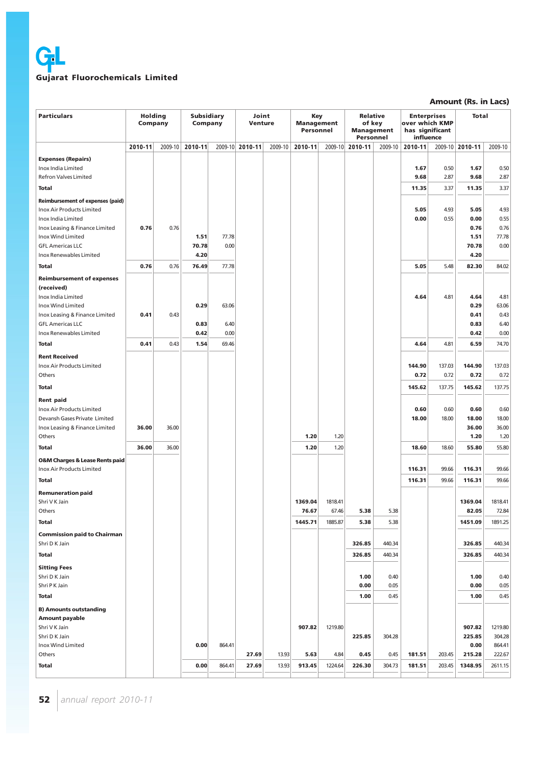# G Gujarat Fluorochemicals Limited

#### Amount (Rs. in Lacs)

| <b>Particulars</b>                                                                                                                                                                | Holding<br>Company |         | <b>Subsidiary</b><br>Company |                       | Joint<br><b>Venture</b> |         | Relative<br>Key<br><b>Management</b><br>of key<br>Personnel<br><b>Management</b><br>Personnel |                  |                 | <b>Enterprises</b><br>over which KMP<br>has significant<br>influence |                | <b>Total</b>   |                                       |                                       |
|-----------------------------------------------------------------------------------------------------------------------------------------------------------------------------------|--------------------|---------|------------------------------|-----------------------|-------------------------|---------|-----------------------------------------------------------------------------------------------|------------------|-----------------|----------------------------------------------------------------------|----------------|----------------|---------------------------------------|---------------------------------------|
|                                                                                                                                                                                   | 2010-11            | 2009-10 | 2010-11                      |                       | 2009-10 2010-11         | 2009-10 | 2010-11                                                                                       |                  | 2009-10 2010-11 | 2009-10                                                              | 2010-11        |                | 2009-10 2010-11                       | 2009-10                               |
| <b>Expenses (Repairs)</b><br>Inox India Limited<br><b>Refron Valves Limited</b>                                                                                                   |                    |         |                              |                       |                         |         |                                                                                               |                  |                 |                                                                      | 1.67<br>9.68   | 0.50<br>2.87   | 1.67<br>9.68                          | 0.50<br>2.87                          |
| Total                                                                                                                                                                             |                    |         |                              |                       |                         |         |                                                                                               |                  |                 |                                                                      | 11.35          | 3.37           | 11.35                                 | 3.37                                  |
| <b>Reimbursement of expenses (paid)</b>                                                                                                                                           |                    |         |                              |                       |                         |         |                                                                                               |                  |                 |                                                                      |                |                |                                       |                                       |
| Inox Air Products Limited<br>Inox India Limited<br>Inox Leasing & Finance Limited<br>Inox Wind Limited<br><b>GFL Americas LLC</b>                                                 | 0.76               | 0.76    | 1.51<br>70.78                | 77.78<br>0.00         |                         |         |                                                                                               |                  |                 |                                                                      | 5.05<br>0.00   | 4.93<br>0.55   | 5.05<br>0.00<br>0.76<br>1.51<br>70.78 | 4.93<br>0.55<br>0.76<br>77.78<br>0.00 |
| Inox Renewables Limited                                                                                                                                                           |                    |         | 4.20                         |                       |                         |         |                                                                                               |                  |                 |                                                                      |                |                | 4.20                                  |                                       |
| Total                                                                                                                                                                             | 0.76               | 0.76    | 76.49                        | 77.78                 |                         |         |                                                                                               |                  |                 |                                                                      | 5.05           | 5.48           | 82.30                                 | 84.02                                 |
| <b>Reimbursement of expenses</b><br>(received)<br>Inox India Limited<br>Inox Wind Limited<br>Inox Leasing & Finance Limited<br><b>GFL Americas LLC</b><br>Inox Renewables Limited | 0.41               | 0.43    | 0.29<br>0.83<br>0.42         | 63.06<br>6.40<br>0.00 |                         |         |                                                                                               |                  |                 |                                                                      | 4.64           | 4.81           | 4.64<br>0.29<br>0.41<br>0.83<br>0.42  | 4.81<br>63.06<br>0.43<br>6.40<br>0.00 |
| Total                                                                                                                                                                             | 0.41               | 0.43    | 1.54                         | 69.46                 |                         |         |                                                                                               |                  |                 |                                                                      | 4.64           | 4.81           | 6.59                                  | 74.70                                 |
| <b>Rent Received</b><br>Inox Air Products Limited<br>Others                                                                                                                       |                    |         |                              |                       |                         |         |                                                                                               |                  |                 |                                                                      | 144.90<br>0.72 | 137.03<br>0.72 | 144.90<br>0.72                        | 137.03<br>0.72                        |
| <b>Total</b>                                                                                                                                                                      |                    |         |                              |                       |                         |         |                                                                                               |                  |                 |                                                                      | 145.62         | 137.75         | 145.62                                | 137.75                                |
| Rent paid<br>Inox Air Products Limited<br>Devansh Gases Private Limited<br>Inox Leasing & Finance Limited<br>Others                                                               | 36.00              | 36.00   |                              |                       |                         |         | 1.20                                                                                          | 1.20             |                 |                                                                      | 0.60<br>18.00  | 0.60<br>18.00  | 0.60<br>18.00<br>36.00<br>1.20        | 0.60<br>18.00<br>36.00<br>1.20        |
| Total                                                                                                                                                                             | 36.00              | 36.00   |                              |                       |                         |         | 1.20                                                                                          | 1.20             |                 |                                                                      | 18.60          | 18.60          | 55.80                                 | 55.80                                 |
| <b>O&amp;M Charges &amp; Lease Rents paid</b><br>Inox Air Products Limited                                                                                                        |                    |         |                              |                       |                         |         |                                                                                               |                  |                 |                                                                      | 116.31         | 99.66          | 116.31                                | 99.66                                 |
| <b>Total</b>                                                                                                                                                                      |                    |         |                              |                       |                         |         |                                                                                               |                  |                 |                                                                      | 116.31         | 99.66          | 116.31                                | 99.66                                 |
| <b>Remuneration paid</b><br>Shri V K Jain<br>Others                                                                                                                               |                    |         |                              |                       |                         |         | 1369.04<br>76.67                                                                              | 1818.41<br>67.46 | 5.38            | 5.38                                                                 |                |                | 1369.04<br>82.05                      | 1818.41<br>72.84                      |
| <b>Total</b>                                                                                                                                                                      |                    |         |                              |                       |                         |         | 1445.71                                                                                       | 1885.87          | 5.38            | 5.38                                                                 |                |                | 1451.09                               | 1891.25                               |
| <b>Commission paid to Chairman</b><br>Shri D K Jain                                                                                                                               |                    |         |                              |                       |                         |         |                                                                                               |                  | 326.85          | 440.34                                                               |                |                | 326.85                                | 440.34                                |
| Total                                                                                                                                                                             |                    |         |                              |                       |                         |         |                                                                                               |                  | 326.85          | 440.34                                                               |                |                | 326.85                                | 440.34                                |
| <b>Sitting Fees</b><br>Shri D K Jain<br>Shri P K Jain                                                                                                                             |                    |         |                              |                       |                         |         |                                                                                               |                  | 1.00<br>0.00    | 0.40<br>0.05                                                         |                |                | 1.00<br>0.00                          | 0.40<br>0.05                          |
| Total                                                                                                                                                                             |                    |         |                              |                       |                         |         |                                                                                               |                  | 1.00            | 0.45                                                                 |                |                | 1.00                                  | 0.45                                  |
| <b>B) Amounts outstanding</b><br><b>Amount payable</b><br>Shri V K Jain<br>Shri D K Jain                                                                                          |                    |         |                              |                       |                         |         | 907.82                                                                                        | 1219.80          | 225.85          | 304.28                                                               |                |                | 907.82<br>225.85                      | 1219.80<br>304.28                     |
| Inox Wind Limited<br>Others                                                                                                                                                       |                    |         | 0.00                         | 864.41                | 27.69                   | 13.93   | 5.63                                                                                          | 4.84             | 0.45            | 0.45                                                                 | 181.51         | 203.45         | 0.00<br>215.28                        | 864.41<br>222.67                      |
| Total                                                                                                                                                                             |                    |         | 0.00                         | 864.41                | 27.69                   | 13.93   | 913.45                                                                                        | 1224.64          | 226.30          | 304.73                                                               | 181.51         | 203.45         | 1348.95                               | 2611.15                               |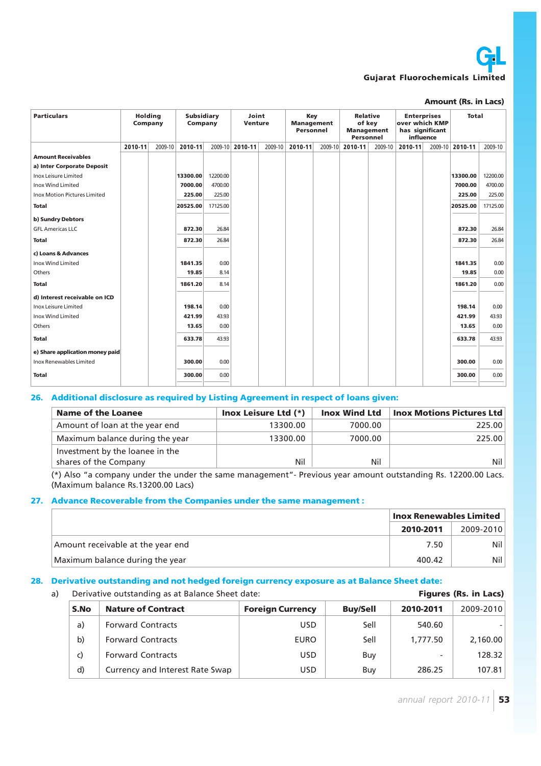

#### Amount (Rs. in Lacs)

| <b>Particulars</b>                  | Holding<br>Company |         | <b>Subsidiary</b><br>Company |          | Joint<br><b>Venture</b> |         | <b>Key</b><br><b>Management</b><br>Personnel |         | Relative<br>of key<br><b>Management</b><br>Personnel |         | <b>Enterprises</b><br>over which KMP<br>has significant<br>influence |  | <b>Total</b>    |          |
|-------------------------------------|--------------------|---------|------------------------------|----------|-------------------------|---------|----------------------------------------------|---------|------------------------------------------------------|---------|----------------------------------------------------------------------|--|-----------------|----------|
|                                     | 2010-11            | 2009-10 | 2010-11                      |          | 2009-10 2010-11         | 2009-10 | 2010-11                                      | 2009-10 | 2010-11                                              | 2009-10 | $2010 - 11$                                                          |  | 2009-10 2010-11 | 2009-10  |
| <b>Amount Receivables</b>           |                    |         |                              |          |                         |         |                                              |         |                                                      |         |                                                                      |  |                 |          |
| a) Inter Corporate Deposit          |                    |         |                              |          |                         |         |                                              |         |                                                      |         |                                                                      |  |                 |          |
| Inox Leisure Limited                |                    |         | 13300.00                     | 12200.00 |                         |         |                                              |         |                                                      |         |                                                                      |  | 13300.00        | 12200.00 |
| Inox Wind Limited                   |                    |         | 7000.00                      | 4700.00  |                         |         |                                              |         |                                                      |         |                                                                      |  | 7000.00         | 4700.00  |
| <b>Inox Motion Pictures Limited</b> |                    |         | 225.00                       | 225.00   |                         |         |                                              |         |                                                      |         |                                                                      |  | 225.00          | 225.00   |
| <b>Total</b>                        |                    |         | 20525.00                     | 17125.00 |                         |         |                                              |         |                                                      |         |                                                                      |  | 20525.00        | 17125.00 |
| b) Sundry Debtors                   |                    |         |                              |          |                         |         |                                              |         |                                                      |         |                                                                      |  |                 |          |
| <b>GFL Americas LLC</b>             |                    |         | 872.30                       | 26.84    |                         |         |                                              |         |                                                      |         |                                                                      |  | 872.30          | 26.84    |
| <b>Total</b>                        |                    |         | 872.30                       | 26.84    |                         |         |                                              |         |                                                      |         |                                                                      |  | 872.30          | 26.84    |
| c) Loans & Advances                 |                    |         |                              |          |                         |         |                                              |         |                                                      |         |                                                                      |  |                 |          |
| Inox Wind Limited                   |                    |         | 1841.35                      | 0.00     |                         |         |                                              |         |                                                      |         |                                                                      |  | 1841.35         | 0.00     |
| Others                              |                    |         | 19.85                        | 8.14     |                         |         |                                              |         |                                                      |         |                                                                      |  | 19.85           | 0.00     |
| <b>Total</b>                        |                    |         | 1861.20                      | 8.14     |                         |         |                                              |         |                                                      |         |                                                                      |  | 1861.20         | 0.00     |
| d) Interest receivable on ICD       |                    |         |                              |          |                         |         |                                              |         |                                                      |         |                                                                      |  |                 |          |
| Inox Leisure Limited                |                    |         | 198.14                       | 0.00     |                         |         |                                              |         |                                                      |         |                                                                      |  | 198.14          | 0.00     |
| Inox Wind Limited                   |                    |         | 421.99                       | 43.93    |                         |         |                                              |         |                                                      |         |                                                                      |  | 421.99          | 43.93    |
| Others                              |                    |         | 13.65                        | 0.00     |                         |         |                                              |         |                                                      |         |                                                                      |  | 13.65           | 0.00     |
| <b>Total</b>                        |                    |         | 633.78                       | 43.93    |                         |         |                                              |         |                                                      |         |                                                                      |  | 633.78          | 43.93    |
| e) Share application money paid     |                    |         |                              |          |                         |         |                                              |         |                                                      |         |                                                                      |  |                 |          |
| Inox Renewables Limited             |                    |         | 300.00                       | 0.00     |                         |         |                                              |         |                                                      |         |                                                                      |  | 300.00          | 0.00     |
| <b>Total</b>                        |                    |         | 300.00                       | 0.00     |                         |         |                                              |         |                                                      |         |                                                                      |  | 300.00          | 0.00     |
|                                     |                    |         |                              |          |                         |         |                                              |         |                                                      |         |                                                                      |  |                 |          |

#### 26. Additional disclosure as required by Listing Agreement in respect of loans given:

| <b>Name of the Loanee</b>                                | Inox Leisure Ltd (*) | <b>Inox Wind Ltd</b> | <b>Inox Motions Pictures Ltd</b> |
|----------------------------------------------------------|----------------------|----------------------|----------------------------------|
| Amount of loan at the year end                           | 13300.00             | 7000.00              | 225.00                           |
| Maximum balance during the year                          | 13300.00             | 7000.00              | 225.00                           |
| Investment by the loanee in the<br>shares of the Company | Nil                  | Nil                  | Nill                             |

(\*) Also "a company under the under the same management"- Previous year amount outstanding Rs. 12200.00 Lacs. (Maximum balance Rs.13200.00 Lacs)

#### 27. Advance Recoverable from the Companies under the same management :

|                                   | <b>Inox Renewables Limited</b> |           |
|-----------------------------------|--------------------------------|-----------|
|                                   | 2010-2011                      | 2009-2010 |
| Amount receivable at the year end | 7.50                           | Nil       |
| Maximum balance during the year   | 400.42                         | Nil       |

#### 28. Derivative outstanding and not hedged foreign currency exposure as at Balance Sheet date:

| a) |                                                                                 | Derivative outstanding as at Balance Sheet date: |             | <b>Figures (Rs. in Lacs)</b> |                          |           |
|----|---------------------------------------------------------------------------------|--------------------------------------------------|-------------|------------------------------|--------------------------|-----------|
|    | <b>Nature of Contract</b><br>S.No<br><b>Foreign Currency</b><br><b>Buy/Sell</b> |                                                  |             |                              | 2010-2011                | 2009-2010 |
|    | a)                                                                              | <b>Forward Contracts</b>                         | USD         | Sell                         | 540.60                   |           |
|    | b)                                                                              | <b>Forward Contracts</b>                         | <b>EURO</b> | Sell                         | 1,777.50                 | 2,160.00  |
|    | C)                                                                              | <b>Forward Contracts</b>                         | <b>USD</b>  | Buy                          | $\overline{\phantom{0}}$ | 128.32    |
|    | d)                                                                              | <b>Currency and Interest Rate Swap</b>           | USD         | Buy                          | 286.25                   | 107.81    |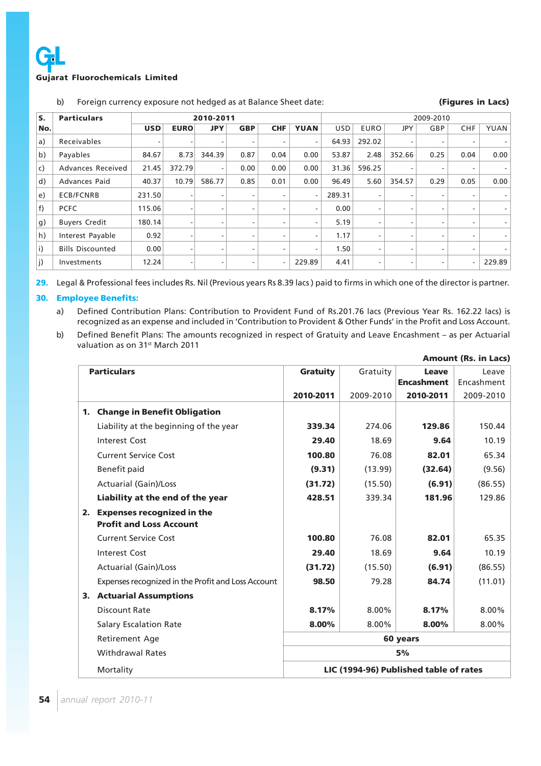# Gujarat Fluorochemicals Limited

S. Particulars 2010-2011 2009-2010 No. USD EURO JPY GBP CHF YUAN USD EURO JPY GBP CHF YUAN a) Receivables | -| -| -| -| -| -| 64.93 | 292.02 | -| - | - | b) Payables 84.67 8.73 344.39 0.87 0.04 0.00 53.87 2.48 352.66 0.25 0.04 0.00 c)  $\vert$  Advances Received  $\vert$  21.45 372.79 - 0.00 0.00 0.00 31.36 596.25 - - - - d) Advances Paid 40.37 10.79 586.77 0.85 0.01 0.00 96.49 5.60 354.57 0.29 0.05 0.00 e) ECB/FCNRB 231.50 - - - - - 289.31 - - - - f) | PCFC | 115.06 | - | - | - | - | 0.00 | - | - | - | g) | Buyers Credit | 180.14 | - | - | - | - | - | - | - | - | h) | Interest Payable | 0.92 - | - | - | - | 1.17 | - | - | - | - | i) | Bills Discounted | 0.00 | - | - | - | - | - | 1.50 | - | - | - | - | - | j) Investments 12.24 - - - - 229.89 4.41 - - - - 229.89

b) Foreign currency exposure not hedged as at Balance Sheet date: (Figures in Lacs)

29. Legal & Professional fees includes Rs. Nil (Previous years Rs 8.39 lacs ) paid to firms in which one of the director is partner.

#### 30. Employee Benefits:

- a) Defined Contribution Plans: Contribution to Provident Fund of Rs.201.76 lacs (Previous Year Rs. 162.22 lacs) is recognized as an expense and included in 'Contribution to Provident & Other Funds' in the Profit and Loss Account.
- b) Defined Benefit Plans: The amounts recognized in respect of Gratuity and Leave Encashment as per Actuarial valuation as on 31<sup>st</sup> March 2011

| <b>Amount (Rs. in Lacs)</b>                        |                 |           |                                        |            |  |  |
|----------------------------------------------------|-----------------|-----------|----------------------------------------|------------|--|--|
| <b>Particulars</b>                                 | <b>Gratuity</b> | Gratuity  | Leave                                  | Leave      |  |  |
|                                                    |                 |           | <b>Encashment</b>                      | Encashment |  |  |
|                                                    | 2010-2011       | 2009-2010 | 2010-2011                              | 2009-2010  |  |  |
| 1. Change in Benefit Obligation                    |                 |           |                                        |            |  |  |
| Liability at the beginning of the year             | 339.34          | 274.06    | 129.86                                 | 150.44     |  |  |
| <b>Interest Cost</b>                               | 29.40           | 18.69     | 9.64                                   | 10.19      |  |  |
| <b>Current Service Cost</b>                        | 100.80          | 76.08     | 82.01                                  | 65.34      |  |  |
| Benefit paid                                       | (9.31)          | (13.99)   | (32.64)                                | (9.56)     |  |  |
| <b>Actuarial (Gain)/Loss</b>                       | (31.72)         | (15.50)   | (6.91)                                 | (86.55)    |  |  |
| Liability at the end of the year                   | 428.51          | 339.34    | 181.96                                 | 129.86     |  |  |
| 2. Expenses recognized in the                      |                 |           |                                        |            |  |  |
| <b>Profit and Loss Account</b>                     |                 |           |                                        |            |  |  |
| <b>Current Service Cost</b>                        | 100.80          | 76.08     | 82.01                                  | 65.35      |  |  |
| <b>Interest Cost</b>                               | 29.40           | 18.69     | 9.64                                   | 10.19      |  |  |
| <b>Actuarial (Gain)/Loss</b>                       | (31.72)         | (15.50)   | (6.91)                                 | (86.55)    |  |  |
| Expenses recognized in the Profit and Loss Account | 98.50           | 79.28     | 84.74                                  | (11.01)    |  |  |
| <b>3. Actuarial Assumptions</b>                    |                 |           |                                        |            |  |  |
| Discount Rate                                      | 8.17%           | 8.00%     | 8.17%                                  | 8.00%      |  |  |
| <b>Salary Escalation Rate</b>                      | 8.00%           | 8.00%     | 8.00%                                  | 8.00%      |  |  |
| <b>Retirement Age</b>                              |                 |           | 60 years                               |            |  |  |
| <b>Withdrawal Rates</b>                            |                 |           | 5%                                     |            |  |  |
| Mortality                                          |                 |           | LIC (1994-96) Published table of rates |            |  |  |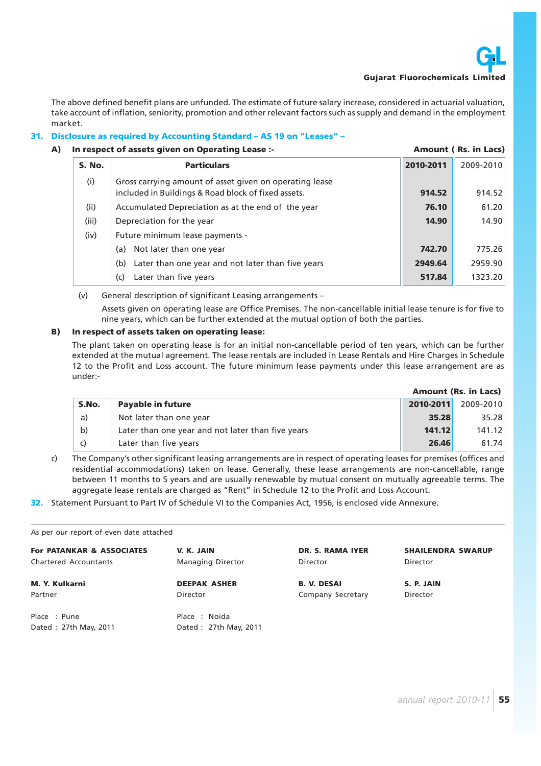The above defined benefit plans are unfunded. The estimate of future salary increase, considered in actuarial valuation, take account of inflation, seniority, promotion and other relevant factors such as supply and demand in the employment market.

#### 31. Disclosure as required by Accounting Standard – AS 19 on "Leases" –

#### A) In respect of assets given on Operating Lease :- Amount (Rs. in Lacs)

| <b>S. No.</b> | <b>Particulars</b>                                                                                             | 2010-2011 | 2009-2010 |
|---------------|----------------------------------------------------------------------------------------------------------------|-----------|-----------|
| (i)           | Gross carrying amount of asset given on operating lease<br>included in Buildings & Road block of fixed assets. | 914.52    | 914.52    |
| (ii)          | Accumulated Depreciation as at the end of the year                                                             | 76.10     | 61.20     |
| (iii)         | Depreciation for the year                                                                                      | 14.90     | 14.90     |
| (iv)          | Future minimum lease payments -                                                                                |           |           |
|               | Not later than one year<br>(a)                                                                                 | 742.70    | 775.26    |
|               | Later than one year and not later than five years<br>(b)                                                       | 2949.64   | 2959.90   |
|               | Later than five years<br>(c)                                                                                   | 517.84    | 1323.20   |

#### (v) General description of significant Leasing arrangements –

Assets given on operating lease are Office Premises. The non-cancellable initial lease tenure is for five to nine years, which can be further extended at the mutual option of both the parties.

#### B) In respect of assets taken on operating lease:

The plant taken on operating lease is for an initial non-cancellable period of ten years, which can be further extended at the mutual agreement. The lease rentals are included in Lease Rentals and Hire Charges in Schedule 12 to the Profit and Loss account. The future minimum lease payments under this lease arrangement are as under:-

|       |                                                   |           | <b>Amount (Rs. in Lacs)</b> |
|-------|---------------------------------------------------|-----------|-----------------------------|
| S.No. | <b>Payable in future</b>                          | 2010-2011 | 2009-2010                   |
| a)    | Not later than one year                           | 35.28     | 35.28                       |
| b)    | Later than one year and not later than five years | 141.12    | 141.12                      |
|       | Later than five years                             | 26.46     | 61.74                       |

c) The Company's other significant leasing arrangements are in respect of operating leases for premises (offices and residential accommodations) taken on lease. Generally, these lease arrangements are non-cancellable, range between 11 months to 5 years and are usually renewable by mutual consent on mutually agreeable terms. The aggregate lease rentals are charged as "Rent" in Schedule 12 to the Profit and Loss Account.

32. Statement Pursuant to Part IV of Schedule VI to the Companies Act, 1956, is enclosed vide Annexure.

As per our report of even date attached

| <b>For PATANKAR &amp; ASSOCIATES</b><br><b>Chartered Accountants</b> | V. K. JAIN<br>Managing Director | <b>DR. S. RAMA IYER</b><br>Director | <b>SHAILENDRA SWARUP</b><br>Director |
|----------------------------------------------------------------------|---------------------------------|-------------------------------------|--------------------------------------|
| M. Y. Kulkarni                                                       | <b>DEEPAK ASHER</b>             | <b>B. V. DESAI</b>                  | S. P. JAIN                           |
| Partner                                                              | Director                        | Company Secretary                   | Director                             |
| Place : Pune                                                         | Place : Noida                   |                                     |                                      |
| Dated: 27th May, 2011                                                | Dated: 27th May, 2011           |                                     |                                      |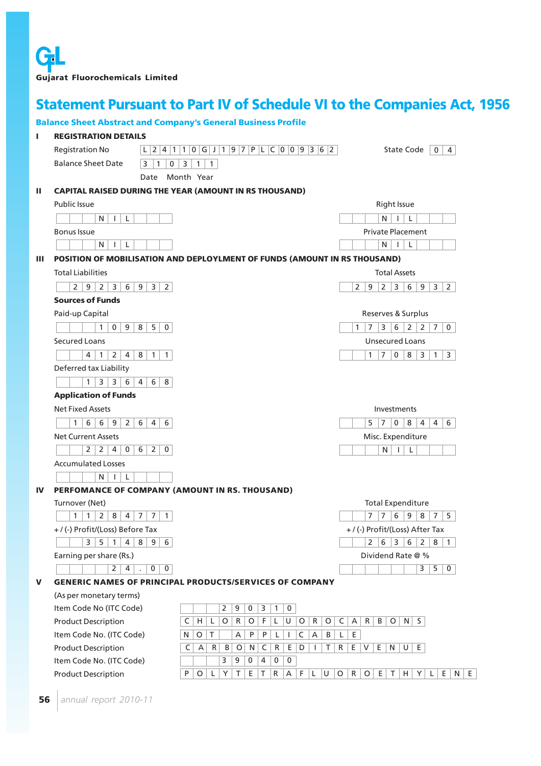### Statement Pursuant to Part IV of Schedule VI to the Companies Act, 1956

|    | <b>Gujarat Fluorochemicals Limited</b>                                      |                                                |                                   |                       |         |                   |             |              |         |                               |                                  |                                  |                |                |
|----|-----------------------------------------------------------------------------|------------------------------------------------|-----------------------------------|-----------------------|---------|-------------------|-------------|--------------|---------|-------------------------------|----------------------------------|----------------------------------|----------------|----------------|
|    | <b>Statement Pursuant to Part IV of Schedule VI to the Companies A</b>      |                                                |                                   |                       |         |                   |             |              |         |                               |                                  |                                  |                |                |
|    | <b>Balance Sheet Abstract and Company's General Business Profile</b>        |                                                |                                   |                       |         |                   |             |              |         |                               |                                  |                                  |                |                |
| ı  | <b>REGISTRATION DETAILS</b>                                                 |                                                |                                   |                       |         |                   |             |              |         |                               |                                  |                                  |                |                |
|    | <b>Registration No</b>                                                      | 2 4 1<br>L                                     | $\mathbf{1}$<br>$ 0 G $ J $ 1 $   | 9 7 P L C 0 0 9 3 6 2 |         |                   |             |              |         |                               | <b>State Code</b>                |                                  | 0              | 4              |
|    | <b>Balance Sheet Date</b>                                                   | $\mathsf{O}\xspace$<br>3<br>1                  | 3<br>$\mathbf{1}$<br>$\mathbf{1}$ |                       |         |                   |             |              |         |                               |                                  |                                  |                |                |
|    |                                                                             | Date                                           | Month Year                        |                       |         |                   |             |              |         |                               |                                  |                                  |                |                |
| П  | <b>CAPITAL RAISED DURING THE YEAR (AMOUNT IN RS THOUSAND)</b>               |                                                |                                   |                       |         |                   |             |              |         |                               |                                  |                                  |                |                |
|    | <b>Public Issue</b>                                                         |                                                |                                   |                       |         |                   |             |              |         |                               | <b>Right Issue</b>               |                                  |                |                |
|    | N<br>$\mathbf{L}$<br>L                                                      |                                                |                                   |                       |         |                   |             |              |         |                               | N<br>$\mathbf{I}$                | L                                |                |                |
|    | <b>Bonus</b> Issue                                                          |                                                |                                   |                       |         |                   |             |              |         |                               | <b>Private Placement</b>         |                                  |                |                |
|    | N<br>$\Box$<br>L                                                            |                                                |                                   |                       |         |                   |             |              |         |                               | N<br>$\mathbf{I}$                | L                                |                |                |
| Ш  | POSITION OF MOBILISATION AND DEPLOYLMENT OF FUNDS (AMOUNT IN RS THOUSAND)   |                                                |                                   |                       |         |                   |             |              |         |                               |                                  |                                  |                |                |
|    | <b>Total Liabilities</b>                                                    |                                                |                                   |                       |         |                   |             |              |         |                               | <b>Total Assets</b>              |                                  |                |                |
|    | $\overline{2}$<br>9<br>$\overline{2}$<br>3<br>6                             | 9<br>$\overline{\mathbf{3}}$<br>$\overline{2}$ |                                   |                       |         |                   |             |              |         | 9<br>$\overline{2}$           | 3<br>2                           | 6<br>9                           | 3              | $\overline{2}$ |
|    | <b>Sources of Funds</b>                                                     |                                                |                                   |                       |         |                   |             |              |         |                               |                                  |                                  |                |                |
|    | Paid-up Capital                                                             |                                                |                                   |                       |         |                   |             |              |         |                               | Reserves & Surplus               |                                  |                |                |
|    | $\mathbf{1}$<br>0<br>9                                                      | 5 <sup>1</sup><br>0<br>8                       |                                   |                       |         |                   |             |              |         | $\mathbf{1}$<br>7             | 6 <sup>1</sup><br>$\overline{3}$ | $\overline{2}$<br>$\overline{2}$ | $\overline{7}$ | $\mathbf 0$    |
|    | <b>Secured Loans</b>                                                        |                                                |                                   |                       |         |                   |             |              |         |                               | <b>Unsecured Loans</b>           |                                  |                |                |
|    | $\mathbf{1}$<br>$\overline{2}$<br>4<br>4                                    | 8<br>$\mathbf{1}$<br>$\mathbf{1}$              |                                   |                       |         |                   |             |              |         | 1                             | 8<br>7<br>0                      | 3                                | $\mathbf{1}$   | 3              |
|    | Deferred tax Liability                                                      |                                                |                                   |                       |         |                   |             |              |         |                               |                                  |                                  |                |                |
|    | $\mathbf{1}$<br>$\overline{3}$<br>3<br>6                                    | 4<br>6 <sup>1</sup><br>8                       |                                   |                       |         |                   |             |              |         |                               |                                  |                                  |                |                |
|    | <b>Application of Funds</b>                                                 |                                                |                                   |                       |         |                   |             |              |         |                               |                                  |                                  |                |                |
|    | <b>Net Fixed Assets</b>                                                     |                                                |                                   |                       |         |                   |             |              |         |                               | Investments                      |                                  |                |                |
|    | 6<br>6<br>9<br>$\mathbf{1}$<br>$\overline{2}$                               | 4 <br>6<br>6                                   |                                   |                       |         |                   |             |              |         | 5                             | 7<br>0<br>8                      | 4                                | 4              | 6              |
|    | <b>Net Current Assets</b>                                                   |                                                |                                   |                       |         |                   |             |              |         |                               | Misc. Expenditure                |                                  |                |                |
|    | $\mathbf{2}$<br>$\overline{2}$<br>4<br>0                                    | 0<br>6<br>$\mathbf{2}$                         |                                   |                       |         |                   |             |              |         |                               | N<br>$\mathbf{L}$                | L                                |                |                |
|    | <b>Accumulated Losses</b>                                                   |                                                |                                   |                       |         |                   |             |              |         |                               |                                  |                                  |                |                |
|    | $\begin{array}{ c c c c c }\n\hline\n\hline\n\hline\n\end{array}$ N   1   L |                                                |                                   |                       |         |                   |             |              |         |                               |                                  |                                  |                |                |
| IV | PERFOMANCE OF COMPANY (AMOUNT IN RS. THOUSAND)                              |                                                |                                   |                       |         |                   |             |              |         |                               |                                  |                                  |                |                |
|    | Turnover (Net)                                                              |                                                |                                   |                       |         |                   |             |              |         |                               | <b>Total Expenditure</b>         |                                  |                |                |
|    | 8<br>4<br>1<br>2<br>1                                                       | 7<br>$7^{\circ}$<br>$\mathbf{1}$               |                                   |                       |         |                   |             |              |         | 7                             | 6<br>9<br>7                      | 8                                | 7              | 5 <sub>1</sub> |
|    | + / (-) Profit/(Loss) Before Tax                                            |                                                |                                   |                       |         |                   |             |              |         | +/(-) Profit/(Loss) After Tax |                                  |                                  |                |                |
|    | 5<br>3<br>$\mathbf{1}$<br>4                                                 | 8<br>9 <sup>1</sup><br>6                       |                                   |                       |         |                   |             |              |         | 2                             | 6<br>6<br>3                      | $\overline{2}$                   | 8              | $\mathbf{1}$   |
|    | Earning per share (Rs.)                                                     |                                                |                                   |                       |         |                   |             |              |         |                               | Dividend Rate @ %                |                                  |                |                |
|    | $\overline{2}$<br>4<br>$\epsilon$                                           | 0<br>0                                         |                                   |                       |         |                   |             |              |         |                               |                                  | 3                                | 5              | $\mathbf 0$    |
| v  | <b>GENERIC NAMES OF PRINCIPAL PRODUCTS/SERVICES OF COMPANY</b>              |                                                |                                   |                       |         |                   |             |              |         |                               |                                  |                                  |                |                |
|    | (As per monetary terms)                                                     |                                                |                                   |                       |         |                   |             |              |         |                               |                                  |                                  |                |                |
|    | Item Code No (ITC Code)                                                     |                                                |                                   | 2<br>9<br>0           | 3       | $\mathbf{1}$<br>0 |             |              |         |                               |                                  |                                  |                |                |
|    | <b>Product Description</b>                                                  |                                                | H<br>$\subset$<br>L               | R<br>O                | F<br>O  | L<br>U            | O           | R<br>O       | C       | A<br>R<br>B                   | N<br>$\circ$                     | S.                               |                |                |
|    | Item Code No. (ITC Code)                                                    |                                                | $\sf T$<br>O<br>N                 | A                     | P<br>P  | L<br>$\mathbf{I}$ | $\mathsf C$ | A<br>B       | L       | E                             |                                  |                                  |                |                |
|    | <b>Product Description</b>                                                  |                                                | C   A   R                         | $\vert$ B<br>$\circ$  | $N$ C R | E                 | $\mathsf D$ | $\mathbf{I}$ | T.<br>R | E<br>E<br>V                   | $N \cup E$                       |                                  |                |                |

390400

 $\boxed{\text{P} \mid \text{O} \mid \text{L} \mid \text{Y} \mid \text{T} \mid \text{E} \mid \text{T} \mid \text{R} \mid \text{A} \mid \text{F} \mid \text{L} \mid \text{U} \mid \text{O} \mid \text{R} \mid \text{O} \mid \text{E} \mid \text{T} \mid \text{H} \mid \text{Y} \mid \text{L} \mid \text{E} \mid \text{N} \mid \text{E}}$ 

Item Code No. (ITC Code) Product Description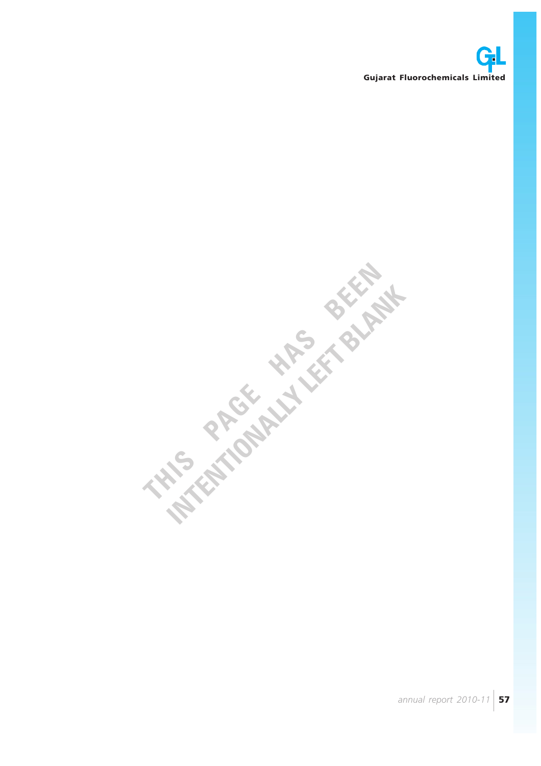

**THIS PAGE HAS BEEN PARTICLE HAS BEEN**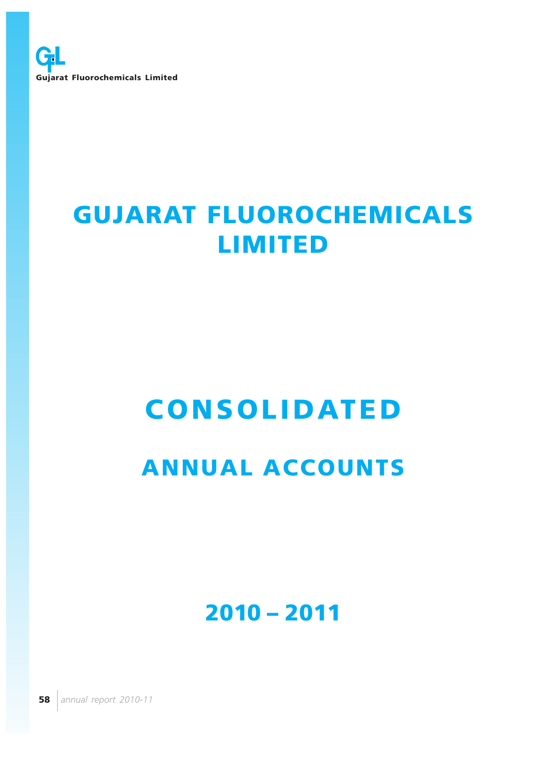

# GUJARAT FLUOROCHEMICALS LIMITED

# CONSOLIDATED

# ANNUAL ACCOUNTS

2010 – 2011

**58** annual report 2010-11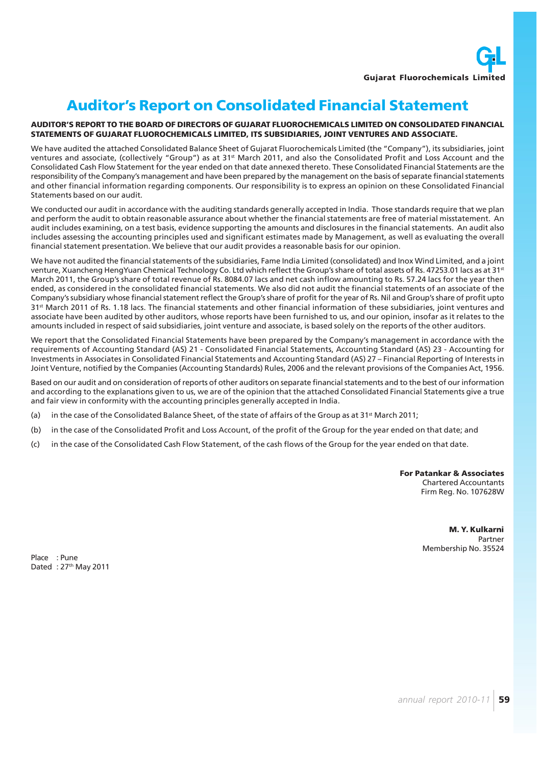## Auditor's Report on Consolidated Financial Statement

#### AUDITOR'S REPORT TO THE BOARD OF DIRECTORS OF GUJARAT FLUOROCHEMICALS LIMITED ON CONSOLIDATED FINANCIAL STATEMENTS OF GUJARAT FLUOROCHEMICALS LIMITED, ITS SUBSIDIARIES, JOINT VENTURES AND ASSOCIATE.

We have audited the attached Consolidated Balance Sheet of Gujarat Fluorochemicals Limited (the "Company"), its subsidiaries, joint ventures and associate, (collectively "Group") as at 31<sup>st</sup> March 2011, and also the Consolidated Profit and Loss Account and the Consolidated Cash Flow Statement for the year ended on that date annexed thereto. These Consolidated Financial Statements are the responsibility of the Company's management and have been prepared by the management on the basis of separate financial statements and other financial information regarding components. Our responsibility is to express an opinion on these Consolidated Financial Statements based on our audit.

We conducted our audit in accordance with the auditing standards generally accepted in India. Those standards require that we plan and perform the audit to obtain reasonable assurance about whether the financial statements are free of material misstatement. An audit includes examining, on a test basis, evidence supporting the amounts and disclosures in the financial statements. An audit also includes assessing the accounting principles used and significant estimates made by Management, as well as evaluating the overall financial statement presentation. We believe that our audit provides a reasonable basis for our opinion.

We have not audited the financial statements of the subsidiaries, Fame India Limited (consolidated) and Inox Wind Limited, and a joint venture, Xuancheng HengYuan Chemical Technology Co. Ltd which reflect the Group's share of total assets of Rs. 47253.01 lacs as at 31st March 2011, the Group's share of total revenue of Rs. 8084.07 lacs and net cash inflow amounting to Rs. 57.24 lacs for the year then ended, as considered in the consolidated financial statements. We also did not audit the financial statements of an associate of the Company's subsidiary whose financial statement reflect the Group's share of profit for the year of Rs. Nil and Group's share of profit upto 31<sup>st</sup> March 2011 of Rs. 1.18 lacs. The financial statements and other financial information of these subsidiaries, joint ventures and associate have been audited by other auditors, whose reports have been furnished to us, and our opinion, insofar as it relates to the amounts included in respect of said subsidiaries, joint venture and associate, is based solely on the reports of the other auditors.

We report that the Consolidated Financial Statements have been prepared by the Company's management in accordance with the requirements of Accounting Standard (AS) 21 - Consolidated Financial Statements, Accounting Standard (AS) 23 - Accounting for Investments in Associates in Consolidated Financial Statements and Accounting Standard (AS) 27 – Financial Reporting of Interests in Joint Venture, notified by the Companies (Accounting Standards) Rules, 2006 and the relevant provisions of the Companies Act, 1956.

Based on our audit and on consideration of reports of other auditors on separate financial statements and to the best of our information and according to the explanations given to us, we are of the opinion that the attached Consolidated Financial Statements give a true and fair view in conformity with the accounting principles generally accepted in India.

- (a) in the case of the Consolidated Balance Sheet, of the state of affairs of the Group as at 31<sup>st</sup> March 2011;
- (b) in the case of the Consolidated Profit and Loss Account, of the profit of the Group for the year ended on that date; and
- (c) in the case of the Consolidated Cash Flow Statement, of the cash flows of the Group for the year ended on that date.

For Patankar & Associates Chartered Accountants Firm Reg. No. 107628W

> M. Y. Kulkarni Partner Membership No. 35524

Place : Pune Dated : 27th May 2011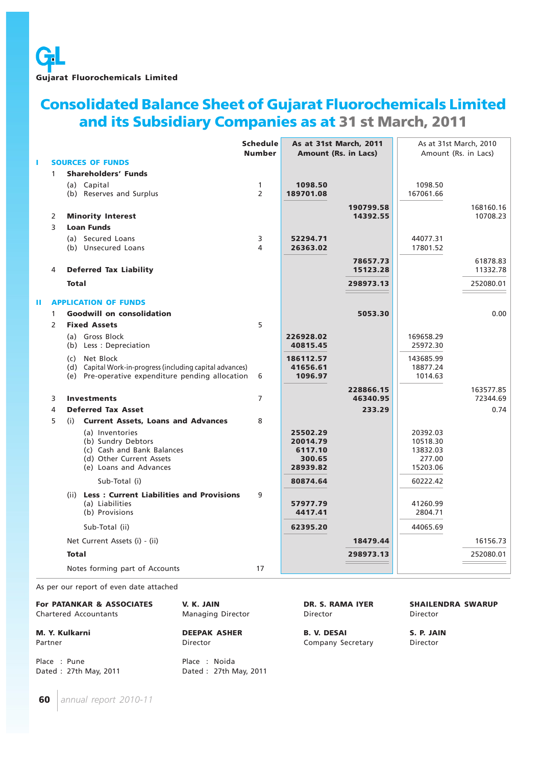## Consolidated Balance Sheet of Gujarat Fluorochemicals Limited and its Subsidiary Companies as at 31 st March, 2011

|   |               |              |                                                                                                                                | <b>Schedule</b><br><b>Number</b> | As at 31st March, 2011<br><b>Amount (Rs. in Lacs)</b> |                      |                                  | As at 31st March, 2010<br>Amount (Rs. in Lacs) |
|---|---------------|--------------|--------------------------------------------------------------------------------------------------------------------------------|----------------------------------|-------------------------------------------------------|----------------------|----------------------------------|------------------------------------------------|
| Т |               |              | <b>SOURCES OF FUNDS</b>                                                                                                        |                                  |                                                       |                      |                                  |                                                |
|   | 1             |              | <b>Shareholders' Funds</b>                                                                                                     |                                  |                                                       |                      |                                  |                                                |
|   |               |              | (a) Capital<br>(b) Reserves and Surplus                                                                                        | $\mathbf{1}$<br>$\overline{2}$   | 1098.50<br>189701.08                                  |                      | 1098.50<br>167061.66             |                                                |
|   |               |              |                                                                                                                                |                                  |                                                       | 190799.58            |                                  | 168160.16                                      |
|   | 2             |              | <b>Minority Interest</b>                                                                                                       |                                  |                                                       | 14392.55             |                                  | 10708.23                                       |
|   | 3             |              | <b>Loan Funds</b>                                                                                                              |                                  |                                                       |                      |                                  |                                                |
|   |               |              | (a) Secured Loans<br>(b) Unsecured Loans                                                                                       | 3<br>4                           | 52294.71<br>26363.02                                  |                      | 44077.31<br>17801.52             |                                                |
|   | 4             |              | <b>Deferred Tax Liability</b>                                                                                                  |                                  |                                                       | 78657.73<br>15123.28 |                                  | 61878.83<br>11332.78                           |
|   |               | <b>Total</b> |                                                                                                                                |                                  |                                                       | 298973.13            |                                  | 252080.01                                      |
| ш |               |              | <b>APPLICATION OF FUNDS</b>                                                                                                    |                                  |                                                       |                      |                                  |                                                |
|   | 1             |              | <b>Goodwill on consolidation</b>                                                                                               |                                  |                                                       | 5053.30              |                                  | 0.00                                           |
|   | $\mathcal{P}$ |              | <b>Fixed Assets</b>                                                                                                            | 5                                |                                                       |                      |                                  |                                                |
|   |               |              | (a) Gross Block<br>(b) Less : Depreciation                                                                                     |                                  | 226928.02<br>40815.45                                 |                      | 169658.29<br>25972.30            |                                                |
|   |               |              | (c) Net Block<br>(d) Capital Work-in-progress (including capital advances)<br>(e) Pre-operative expenditure pending allocation | 6                                | 186112.57<br>41656.61<br>1096.97                      |                      | 143685.99<br>18877.24<br>1014.63 |                                                |
|   |               |              |                                                                                                                                |                                  |                                                       | 228866.15            |                                  | 163577.85                                      |
|   | 3             |              | <b>Investments</b>                                                                                                             | 7                                |                                                       | 46340.95             |                                  | 72344.69                                       |
|   | 4             |              | <b>Deferred Tax Asset</b>                                                                                                      |                                  |                                                       | 233.29               |                                  | 0.74                                           |
|   | 5             | (i)          | <b>Current Assets, Loans and Advances</b>                                                                                      | 8                                |                                                       |                      |                                  |                                                |
|   |               |              | (a) Inventories<br>(b) Sundry Debtors<br>(c) Cash and Bank Balances                                                            |                                  | 25502.29<br>20014.79<br>6117.10                       |                      | 20392.03<br>10518.30<br>13832.03 |                                                |
|   |               |              | (d) Other Current Assets<br>(e) Loans and Advances                                                                             |                                  | 300.65<br>28939.82                                    |                      | 277.00<br>15203.06               |                                                |
|   |               |              | Sub-Total (i)                                                                                                                  |                                  | 80874.64                                              |                      | 60222.42                         |                                                |
|   |               |              | (ii) Less: Current Liabilities and Provisions<br>(a) Liabilities<br>(b) Provisions                                             | 9                                | 57977.79<br>4417.41                                   |                      | 41260.99<br>2804.71              |                                                |
|   |               |              | Sub-Total (ii)                                                                                                                 |                                  | 62395.20                                              |                      | 44065.69                         |                                                |
|   |               |              | Net Current Assets (i) - (ii)                                                                                                  |                                  |                                                       | 18479.44             |                                  | 16156.73                                       |
|   |               | <b>Total</b> |                                                                                                                                |                                  |                                                       | 298973.13            |                                  | 252080.01                                      |
|   |               |              | Notes forming part of Accounts                                                                                                 | 17                               |                                                       |                      |                                  |                                                |

As per our report of even date attached

| <b>For PATANKAR &amp; ASSOCIATES</b>  | V. K. JAIN                             | <b>DR. S. RAMA IYER</b> | <b>SHAILE</b> |  |
|---------------------------------------|----------------------------------------|-------------------------|---------------|--|
| <b>Chartered Accountants</b>          | Managing Director                      | Director                | Director      |  |
| M. Y. Kulkarni                        | <b>DEEPAK ASHER</b>                    | <b>B. V. DESAI</b>      | S. P. JA      |  |
| Partner                               | Director                               | Company Secretary       | Director      |  |
| Place : Pune<br>Dated: 27th May, 2011 | Place : Noida<br>Dated: 27th May, 2011 |                         |               |  |

B. V. DESAI S. P. JAIN Company Secretary Director

# DR. S. RAMA IYER SHAILENDRA SWARUP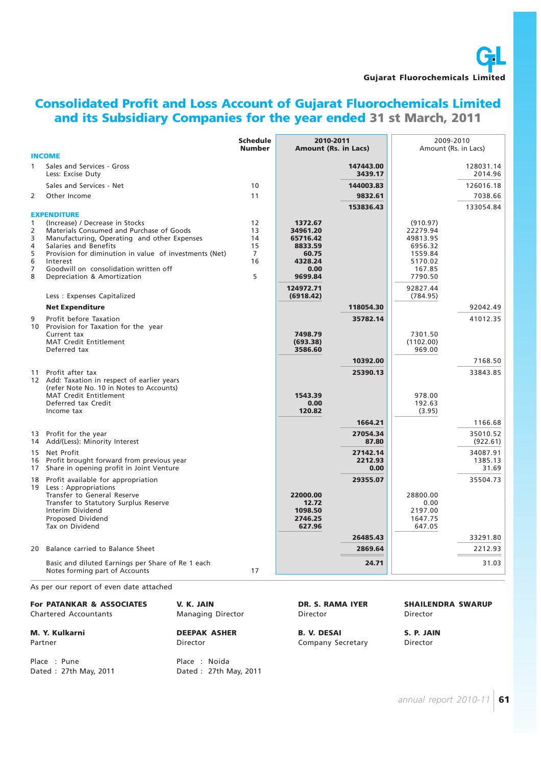#### Consolidated Profit and Loss Account of Gujarat Fluorochemicals Limited and its Subsidiary Companies for the year ended 31 st March, 2011

|                        |                                                                                                                                                                                       | <b>Schedule</b><br><b>Number</b> | 2010-2011<br><b>Amount (Rs. in Lacs)</b>       |                             | 2009-2010<br>Amount (Rs. in Lacs)                  |                              |
|------------------------|---------------------------------------------------------------------------------------------------------------------------------------------------------------------------------------|----------------------------------|------------------------------------------------|-----------------------------|----------------------------------------------------|------------------------------|
|                        | <b>INCOME</b>                                                                                                                                                                         |                                  |                                                |                             |                                                    |                              |
| $\mathbf{1}$           | Sales and Services - Gross<br>Less: Excise Duty                                                                                                                                       |                                  |                                                | 147443.00<br>3439.17        |                                                    | 128031.14<br>2014.96         |
|                        | Sales and Services - Net                                                                                                                                                              | 10                               |                                                | 144003.83                   |                                                    | 126016.18                    |
| $\overline{2}$         | Other Income                                                                                                                                                                          | 11                               |                                                | 9832.61                     |                                                    | 7038.66                      |
| $\mathbf{1}$<br>2<br>3 | <b>EXPENDITURE</b><br>(Increase) / Decrease in Stocks<br>Materials Consumed and Purchase of Goods<br>Manufacturing, Operating and other Expenses                                      | 12<br>13<br>14                   | 1372.67<br>34961.20<br>65716.42                | 153836.43                   | (910.97)<br>22279.94<br>49813.95                   | 133054.84                    |
| 4<br>5<br>6<br>7<br>8  | Salaries and Benefits<br>Provision for diminution in value of investments (Net)<br>Interest<br>Goodwill on consolidation written off<br>Depreciation & Amortization                   | 15<br>$\overline{7}$<br>16<br>5  | 8833.59<br>60.75<br>4328.24<br>0.00<br>9699.84 |                             | 6956.32<br>1559.84<br>5170.02<br>167.85<br>7790.50 |                              |
|                        | Less: Expenses Capitalized                                                                                                                                                            |                                  | 124972.71<br>(6918.42)                         |                             | 92827.44<br>(784.95)                               |                              |
|                        | <b>Net Expenditure</b>                                                                                                                                                                |                                  |                                                | 118054.30                   |                                                    | 92042.49                     |
| 9                      | Profit before Taxation<br>10 Provision for Taxation for the year<br>Current tax                                                                                                       |                                  | 7498.79                                        | 35782.14                    | 7301.50                                            | 41012.35                     |
|                        | MAT Credit Entitlement<br>Deferred tax                                                                                                                                                |                                  | (693.38)<br>3586.60                            |                             | (1102.00)<br>969.00                                |                              |
|                        |                                                                                                                                                                                       |                                  |                                                | 10392.00                    |                                                    | 7168.50                      |
|                        | 11 Profit after tax<br>12 Add: Taxation in respect of earlier years<br>(refer Note No. 10 in Notes to Accounts)<br><b>MAT Credit Entitlement</b><br>Deferred tax Credit<br>Income tax |                                  | 1543.39<br>0.00<br>120.82                      | 25390.13                    | 978.00<br>192.63<br>(3.95)                         | 33843.85                     |
|                        |                                                                                                                                                                                       |                                  |                                                | 1664.21                     |                                                    | 1166.68                      |
|                        | 13 Profit for the year<br>14 Add/(Less): Minority Interest                                                                                                                            |                                  |                                                | 27054.34<br>87.80           |                                                    | 35010.52<br>(922.61)         |
|                        | 15 Net Profit<br>16 Profit brought forward from previous year<br>17 Share in opening profit in Joint Venture                                                                          |                                  |                                                | 27142.14<br>2212.93<br>0.00 |                                                    | 34087.91<br>1385.13<br>31.69 |
|                        | 18 Profit available for appropriation<br>19 Less : Appropriations<br>Transfer to General Reserve                                                                                      |                                  | 22000.00                                       | 29355.07                    | 28800.00                                           | 35504.73                     |
|                        | Transfer to Statutory Surplus Reserve<br>Interim Dividend<br>Proposed Dividend<br>Tax on Dividend                                                                                     |                                  | 12.72<br>1098.50<br>2746.25<br>627.96          |                             | 0.00<br>2197.00<br>1647.75<br>647.05               |                              |
|                        |                                                                                                                                                                                       |                                  |                                                | 26485.43                    |                                                    | 33291.80                     |
| 20                     | Balance carried to Balance Sheet                                                                                                                                                      |                                  |                                                | 2869.64                     |                                                    | 2212.93                      |
|                        | Basic and diluted Earnings per Share of Re 1 each<br>Notes forming part of Accounts                                                                                                   | 17                               |                                                | 24.71                       |                                                    | 31.03                        |

As per our report of even date attached

| <b>For PATANKAR &amp; ASSOCIATES</b>  | V. K. JAIN                             | <b>DR. S. RAMA IYER</b> | <b>SHAILENDRA SWARUP</b> |
|---------------------------------------|----------------------------------------|-------------------------|--------------------------|
| <b>Chartered Accountants</b>          | Managing Director                      | Director                | Director                 |
| M. Y. Kulkarni                        | <b>DEEPAK ASHER</b>                    | <b>B. V. DESAI</b>      | S. P. JAIN               |
| Partner                               | Director                               | Company Secretary       | Director                 |
| Place : Pune<br>Dated: 27th May, 2011 | Place : Noida<br>Dated: 27th May, 2011 |                         |                          |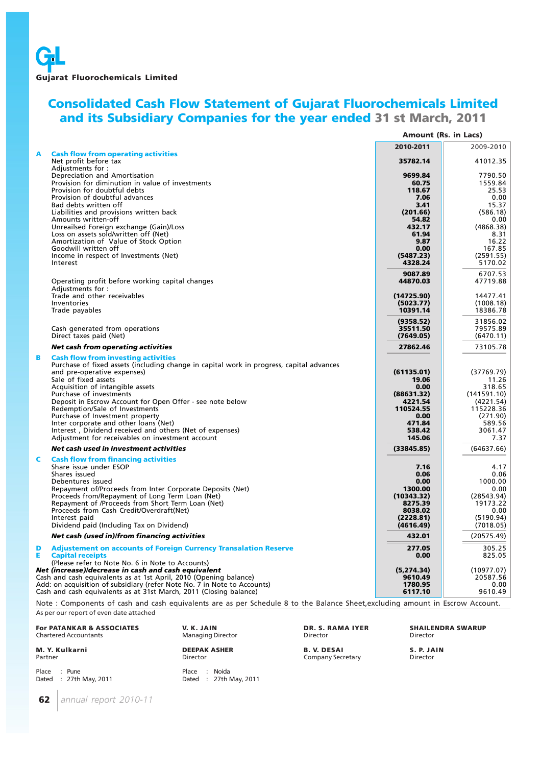#### Consolidated Cash Flow Statement of Gujarat Fluorochemicals Limited and its Subsidiary Companies for the year ended 31 st March, 2011

|        |                                                                                                                                                                                                                                                                                                                                                             | <b>Amount (Rs. in Lacs)</b>                                         |                                                                        |
|--------|-------------------------------------------------------------------------------------------------------------------------------------------------------------------------------------------------------------------------------------------------------------------------------------------------------------------------------------------------------------|---------------------------------------------------------------------|------------------------------------------------------------------------|
|        |                                                                                                                                                                                                                                                                                                                                                             | 2010-2011                                                           | 2009-2010                                                              |
| A      | <b>Cash flow from operating activities</b>                                                                                                                                                                                                                                                                                                                  |                                                                     |                                                                        |
|        | Net profit before tax<br>Adjustments for:                                                                                                                                                                                                                                                                                                                   | 35782.14                                                            | 41012.35                                                               |
|        | Depreciation and Amortisation                                                                                                                                                                                                                                                                                                                               | 9699.84                                                             | 7790.50                                                                |
|        | Provision for diminution in value of investments                                                                                                                                                                                                                                                                                                            | 60.75                                                               | 1559.84                                                                |
|        | Provision for doubtful debts<br>Provision of doubtful advances                                                                                                                                                                                                                                                                                              | 118.67<br>7.06                                                      | 25.53                                                                  |
|        | Bad debts written off                                                                                                                                                                                                                                                                                                                                       | 3.41                                                                | 0.00<br>15.37                                                          |
|        | Liabilities and provisions written back                                                                                                                                                                                                                                                                                                                     | (201.66)                                                            | (586.18)                                                               |
|        | Amounts written-off                                                                                                                                                                                                                                                                                                                                         | 54.82                                                               | 0.00                                                                   |
|        | Unreailsed Foreign exchange (Gain)/Loss<br>Loss on assets sold/written off (Net)                                                                                                                                                                                                                                                                            | 432.17<br>61.94                                                     | (4868.38)<br>8.31                                                      |
|        | Amortization of Value of Stock Option                                                                                                                                                                                                                                                                                                                       | 9.87                                                                | 16.22                                                                  |
|        | Goodwill written off                                                                                                                                                                                                                                                                                                                                        | 0.00                                                                | 167.85                                                                 |
|        | Income in respect of Investments (Net)                                                                                                                                                                                                                                                                                                                      | (5487.23)<br>4328.24                                                | (2591.55)                                                              |
|        | Interest                                                                                                                                                                                                                                                                                                                                                    |                                                                     | 5170.02                                                                |
|        | Operating profit before working capital changes                                                                                                                                                                                                                                                                                                             | 9087.89<br>44870.03                                                 | 6707.53<br>47719.88                                                    |
|        | Adjustments for:                                                                                                                                                                                                                                                                                                                                            |                                                                     |                                                                        |
|        | Trade and other receivables                                                                                                                                                                                                                                                                                                                                 | (14725.90)                                                          | 14477.41                                                               |
|        | Inventories<br>Trade payables                                                                                                                                                                                                                                                                                                                               | (5023.77)<br>10391.14                                               | (1008.18)<br>18386.78                                                  |
|        |                                                                                                                                                                                                                                                                                                                                                             |                                                                     |                                                                        |
|        | Cash generated from operations                                                                                                                                                                                                                                                                                                                              | (9358.52)<br>35511.50                                               | 31856.02<br>79575.89                                                   |
|        | Direct taxes paid (Net)                                                                                                                                                                                                                                                                                                                                     | (7649.05)                                                           | (6470.11)                                                              |
|        | Net cash from operating activities                                                                                                                                                                                                                                                                                                                          | 27862.46                                                            | 73105.78                                                               |
| В      | <b>Cash flow from investing activities</b><br>Purchase of fixed assets (including change in capital work in progress, capital advances<br>and pre-operative expenses)<br>Sale of fixed assets<br>Acquisition of intangible assets<br>Purchase of investments<br>Deposit in Escrow Account for Open Offer - see note below<br>Redemption/Sale of Investments | (61135.01)<br>19.06<br>0.00<br>(88631.32)<br>4221.54<br>110524.55   | (37769.79)<br>11.26<br>318.65<br>(141591.10)<br>(4221.54)<br>115228.36 |
|        | Purchase of Investment property<br>Inter corporate and other loans (Net)<br>Interest, Dividend received and others (Net of expenses)<br>Adjustment for receivables on investment account                                                                                                                                                                    | 0.00<br>471.84<br>538.42<br>145.06                                  | (271.90)<br>589.56<br>3061.47<br>7.37                                  |
|        | Net cash used in investment activities                                                                                                                                                                                                                                                                                                                      | (33845.85)                                                          | (64637.66)                                                             |
| C      | <b>Cash flow from financing activities</b><br>Share issue under ESOP<br>Shares issued<br>Debentures issued<br>Repayment of/Proceeds from Inter Corporate Deposits (Net)<br>Proceeds from/Repayment of Long Term Loan (Net)<br>Repayment of /Proceeds from Short Term Loan (Net)<br>Proceeds from Cash Credit/Overdraft(Net)                                 | 7.16<br>0.06<br>0.00<br>1300.00<br>(10343.32)<br>8275.39<br>8038.02 | 4.17<br>0.06<br>1000.00<br>0.00<br>(28543.94)<br>19173.22<br>0.00      |
|        | Interest paid                                                                                                                                                                                                                                                                                                                                               | (2228.81)                                                           | (5190.94)                                                              |
|        | Dividend paid (Including Tax on Dividend)<br>Net cash (used in)/from financing activities                                                                                                                                                                                                                                                                   | (4616.49)<br>432.01                                                 | (7018.05)<br>(20575.49)                                                |
|        |                                                                                                                                                                                                                                                                                                                                                             |                                                                     |                                                                        |
| D<br>Е | <b>Adjustement on accounts of Foreign Currency Transalation Reserve</b><br><b>Capital receipts</b><br>(Please refer to Note No. 6 in Note to Accounts)<br>Net (increase)/decrease in cash and cash equivalent                                                                                                                                               | 277.05<br>0.00<br>(5,274.34)                                        | 305.25<br>825.05<br>(10977.07)                                         |
|        | Cash and cash equivalents as at 1st April, 2010 (Opening balance)<br>Add: on acquisition of subsidiary (refer Note No. 7 in Note to Accounts)                                                                                                                                                                                                               | 9610.49                                                             | 20587.56                                                               |
|        | Cash and cash equivalents as at 31st March, 2011 (Closing balance)                                                                                                                                                                                                                                                                                          | 1780.95<br>6117.10                                                  | 0.00<br>9610.49                                                        |
|        | Note: Components of cash and cash equivalents are as per Schedule 8 to the Balance Sheet, excluding amount in Escrow Account.                                                                                                                                                                                                                               |                                                                     |                                                                        |

As per our report of even date attached

**For PATANKAR & ASSOCIATES V. K. JAIN V. K. JAIN DR. S. RAMA IYER** SHAILENDRA SWARUP<br>Chartered Accountants **Managing Director** Director Director Director Director Chartered Accountants M. Y. Kulkarni DEEPAK ASHER B. V. DESAI S. P. JAIN

Place : Noida<br>Dated : 27th May, 2011

Company Secretary

Place : Pune<br>Dated : 27th May, 2011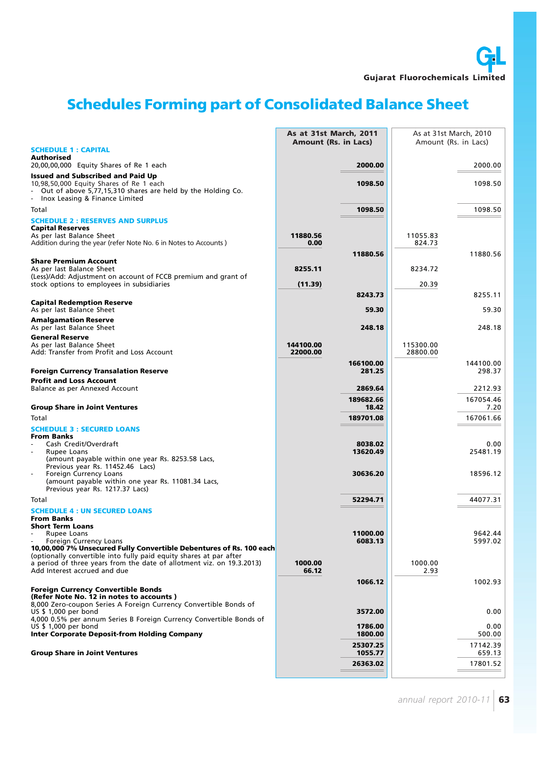|                                                                                                                                                                     | As at 31st March, 2011<br><b>Amount (Rs. in Lacs)</b> |                     |                       | As at 31st March, 2010<br>Amount (Rs. in Lacs) |
|---------------------------------------------------------------------------------------------------------------------------------------------------------------------|-------------------------------------------------------|---------------------|-----------------------|------------------------------------------------|
| <b>SCHEDULE 1: CAPITAL</b>                                                                                                                                          |                                                       |                     |                       |                                                |
| Authorised<br>20,00,00,000 Equity Shares of Re 1 each                                                                                                               |                                                       | 2000.00             |                       | 2000.00                                        |
| <b>Issued and Subscribed and Paid Up</b><br>10,98,50,000 Equity Shares of Re 1 each                                                                                 |                                                       | 1098.50             |                       | 1098.50                                        |
| Out of above 5,77,15,310 shares are held by the Holding Co.<br>Inox Leasing & Finance Limited                                                                       |                                                       |                     |                       |                                                |
| Total                                                                                                                                                               |                                                       | 1098.50             |                       | 1098.50                                        |
| <b>SCHEDULE 2: RESERVES AND SURPLUS</b><br><b>Capital Reserves</b>                                                                                                  |                                                       |                     |                       |                                                |
| As per last Balance Sheet<br>Addition during the year (refer Note No. 6 in Notes to Accounts)                                                                       | 11880.56<br>0.00                                      |                     | 11055.83<br>824.73    |                                                |
|                                                                                                                                                                     |                                                       | 11880.56            |                       | 11880.56                                       |
| <b>Share Premium Account</b><br>As per last Balance Sheet                                                                                                           | 8255.11                                               |                     | 8234.72               |                                                |
| (Less)/Add: Adjustment on account of FCCB premium and grant of                                                                                                      |                                                       |                     |                       |                                                |
| stock options to employees in subsidiaries                                                                                                                          | (11.39)                                               |                     | 20.39                 |                                                |
| <b>Capital Redemption Reserve</b>                                                                                                                                   |                                                       | 8243.73             |                       | 8255.11                                        |
| As per last Balance Sheet                                                                                                                                           |                                                       | 59.30               |                       | 59.30                                          |
| <b>Amalgamation Reserve</b><br>As per last Balance Sheet                                                                                                            |                                                       | 248.18              |                       | 248.18                                         |
| <b>General Reserve</b>                                                                                                                                              |                                                       |                     |                       |                                                |
| As per last Balance Sheet<br>Add: Transfer from Profit and Loss Account                                                                                             | 144100.00<br>22000.00                                 |                     | 115300.00<br>28800.00 |                                                |
| <b>Foreign Currency Transalation Reserve</b><br><b>Profit and Loss Account</b>                                                                                      |                                                       | 166100.00<br>281.25 |                       | 144100.00<br>298.37                            |
| Balance as per Annexed Account                                                                                                                                      |                                                       | 2869.64             |                       | 2212.93                                        |
|                                                                                                                                                                     |                                                       | 189682.66           |                       | 167054.46                                      |
| <b>Group Share in Joint Ventures</b>                                                                                                                                |                                                       | 18.42               |                       | 7.20                                           |
| Total                                                                                                                                                               |                                                       | 189701.08           |                       | 167061.66                                      |
| <b>SCHEDULE 3 : SECURED LOANS</b><br><b>From Banks</b>                                                                                                              |                                                       |                     |                       |                                                |
| Cash Credit/Overdraft<br>Rupee Loans                                                                                                                                |                                                       | 8038.02<br>13620.49 |                       | 0.00<br>25481.19                               |
| (amount payable within one year Rs. 8253.58 Lacs,                                                                                                                   |                                                       |                     |                       |                                                |
| Previous year Rs. 11452.46 Lacs)<br>Foreign Currency Loans<br>$\overline{\phantom{a}}$                                                                              |                                                       | 30636.20            |                       | 18596.12                                       |
| (amount payable within one year Rs. 11081.34 Lacs,<br>Previous year Rs. 1217.37 Lacs)                                                                               |                                                       |                     |                       |                                                |
| Total                                                                                                                                                               |                                                       | 52294.71            |                       | 44077.31                                       |
| <b>SCHEDULE 4 : UN SECURED LOANS</b><br><b>From Banks</b><br><b>Short Term Loans</b>                                                                                |                                                       |                     |                       |                                                |
| Rupee Loans                                                                                                                                                         |                                                       | 11000.00            |                       | 9642.44                                        |
| Foreign Currency Loans<br>10,00,000 7% Unsecured Fully Convertible Debentures of Rs. 100 each<br>(optionally convertible into fully paid equity shares at par after |                                                       | 6083.13             |                       | 5997.02                                        |
| a period of three years from the date of allotment viz. on 19.3.2013)                                                                                               | 1000.00                                               |                     | 1000.00               |                                                |
| Add Interest accrued and due                                                                                                                                        | 66.12                                                 |                     | 2.93                  |                                                |
| <b>Foreign Currency Convertible Bonds</b>                                                                                                                           |                                                       | 1066.12             |                       | 1002.93                                        |
| (Refer Note No. 12 in notes to accounts)                                                                                                                            |                                                       |                     |                       |                                                |
| 8,000 Zero-coupon Series A Foreign Currency Convertible Bonds of<br>US \$ 1,000 per bond                                                                            |                                                       | 3572.00             |                       | 0.00                                           |
| 4,000 0.5% per annum Series B Foreign Currency Convertible Bonds of                                                                                                 |                                                       |                     |                       |                                                |
| US \$ 1,000 per bond<br><b>Inter Corporate Deposit-from Holding Company</b>                                                                                         |                                                       | 1786.00             |                       | 0.00                                           |
|                                                                                                                                                                     |                                                       | 1800.00<br>25307.25 |                       | 500.00<br>17142.39                             |
| <b>Group Share in Joint Ventures</b>                                                                                                                                |                                                       | 1055.77             |                       | 659.13                                         |
|                                                                                                                                                                     |                                                       | 26363.02            |                       | 17801.52                                       |
|                                                                                                                                                                     |                                                       |                     |                       |                                                |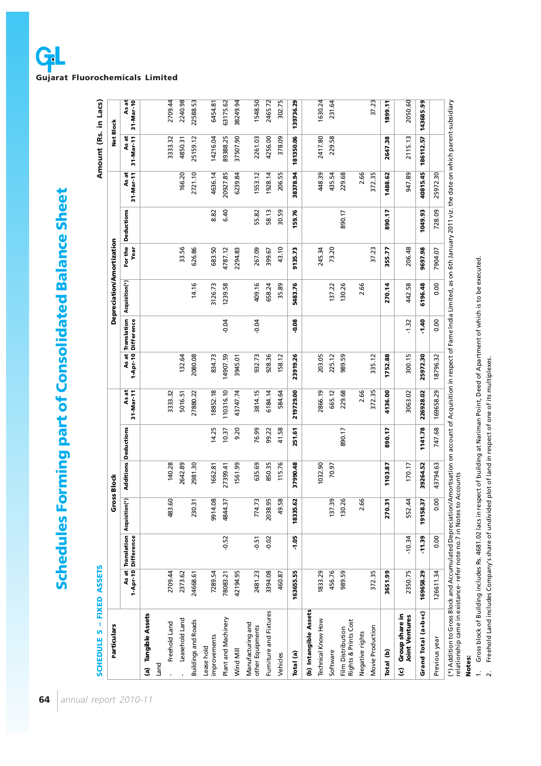| SCHEDULE 5 - FIXED ASSETS                       |           |                                          |                             |            |                             |                    |          |                                    |                |                           |                   |                    | Amount (Rs. in Lacs) |                    |
|-------------------------------------------------|-----------|------------------------------------------|-----------------------------|------------|-----------------------------|--------------------|----------|------------------------------------|----------------|---------------------------|-------------------|--------------------|----------------------|--------------------|
| <b>Particulars</b>                              |           |                                          | Ū                           | ross Block |                             |                    |          |                                    |                | Depreciation/Amortization |                   |                    |                      | Net Block          |
|                                                 |           | As at Translation<br>1-Apr-10 Difference | Acquisition(*)              |            | <b>Additions Deductions</b> | As at<br>31-Mar-11 | As at    | Translation<br>1-Apr-10 Difference | Acquisition(*) | For the<br>Year           | <b>Deductions</b> | 31-Mar-11<br>As at | As at<br>31-Mar-11   | As at<br>31-Mar-10 |
| <b>Tangible Assets</b><br><u>ີ</u>              |           |                                          |                             |            |                             |                    |          |                                    |                |                           |                   |                    |                      |                    |
| Land                                            |           |                                          |                             |            |                             |                    |          |                                    |                |                           |                   |                    |                      |                    |
| Freehold Land                                   | 2709.44   |                                          | 60<br>483.                  | 140.28     |                             | 3333.32            |          |                                    |                |                           |                   |                    | 3333.32              | 2709.44            |
| Leasehold Land                                  | 2373.62   |                                          |                             | 2642.89    |                             | 5016.51            | 132.64   |                                    |                | 33.56                     |                   | 166.20             | 4850.31              | 2240.98            |
| <b>Buildings and Roads</b>                      | 24668.61  |                                          | $\frac{1}{2}$<br>230.       | 2981.30    |                             | 27880.22           | 2080.08  |                                    | 14.16          | 626.86                    |                   | 2721.10            | 25159.12             | 22588.53           |
| improvements<br>Lease hold                      | 7289.54   |                                          | 8Ö<br>9914.                 | 1662.81    | 14.25                       | 18852.18           | 834.73   |                                    | 3126.73        | 683.50                    | 8.82              | 4636.14            | 14216.04             | 6454.81            |
| Plant and Machinery                             | 78083.21  | $-0.52$                                  | $\tilde{\epsilon}$<br>4844. | 27399.41   | 10.37                       | 110316.10          | 14907.59 | $-0.04$                            | 1239.58        | 4787.12                   | 6.40              | 20927.85           | 89388.25             | 63175.62           |
| Wind Mill                                       | 42194.95  |                                          |                             | 1561.99    | 9.20                        | 43747.74           | 3945.01  |                                    |                | 2294.83                   |                   | 6239.84            | 37507.90             | 38249.94           |
| Manufacturing and<br>other Equipments           | 2481.23   | $-0.51$                                  | 13<br>774.                  | 635.69     | 76.99                       | 3814.15            | 932.73   | $-0.04$                            | 409.16         | 267.09                    | 55.82             | 1553.12            | 2261.03              | 1548.50            |
| Furniture and Fixtures                          | 3394.08   | $-0.02$                                  | 59<br>2038.                 | 850.35     | 99.22                       | 6184.14            | 928.36   |                                    | 658.24         | 399.67                    | 58.13             | 1928.14            | 4256.00              | 2465.72            |
| Vehicles                                        | 460.87    |                                          | $\overline{58}$<br>අ        | 115.76     | 41.58                       | 584.64             | 158.12   |                                    | 35.89          | 43.10                     | 30.59             | 206.55             | 378.09               | 302.75             |
| Total (a)                                       | 163655.55 | $-1.05$                                  | S.<br>18335.                | 37990.48   | 251.61                      | 219729.00          | 23919.26 | -0.08                              | 5483.76        | 9135.73                   | 159.76            | 38378.94           | 181350.06            | 139736.29          |
| (b) Intangible Assets                           |           |                                          |                             |            |                             |                    |          |                                    |                |                           |                   |                    |                      |                    |
| Technical Know How                              | 1833.29   |                                          |                             | 1032.90    |                             | 2866.19            | 203.05   |                                    |                | 245.34                    |                   | 448.39             | 2417.80              | 1630.24            |
| Software                                        | 456.76    |                                          | sö<br>137.                  | 70.97      |                             | 665.12             | 225.12   |                                    | 137.22         | 73.20                     |                   | 435.54             | 229.58               | 231.64             |
| Rights & Prints Cost<br>Film Distribution       | 989.59    |                                          | $\overline{26}$<br>130.     |            | 890.17                      | 229.68             | 989.59   |                                    | 130.26         |                           | 890.17            | 229.68             |                      |                    |
| Negative rights                                 |           |                                          | 66<br>$\sim$                |            |                             | 2.66               |          |                                    | 2.66           |                           |                   | 2.66               |                      |                    |
| Movie Production                                | 372.35    |                                          |                             |            |                             | 372.35             | 335.12   |                                    |                | 37.23                     |                   | 372.35             |                      | 37.23              |
| Total (b)                                       | 3651.99   |                                          | 5<br>270.                   | 1103.87    | 890.17                      | 4136.00            | 1752.88  |                                    | 270.14         | 355.77                    | 890.17            | 1488.62            | 2647.38              | 1899.11            |
| Group share in<br>Joint Ventures<br>$\tilde{c}$ | 2350.75   | $-10.34$                                 | $\overline{4}$<br>552.      | 170.17     |                             | 3063.02            | 300.15   | $-1.32$                            | 442.58         | 206.48                    |                   | 947.89             | 2115.13              | 2050.60            |
| Grand Total (a+b+c)                             | 169658.29 | $-11.39$                                 | 57<br>19158.                | 39264.52   | 1141.78                     | 226928.02          | 25972.30 | $-1.40$                            | 6196.48        | 9697.98                   | 1049.93           | 40815.45           | 186112.57            | 143685.99          |
| Previous year                                   | 126611.34 | 0.00                                     | $\overline{8}$<br>o         | 43794.63   | 747.68                      | 169658.29          | 18796.32 | 0.00                               | 0.00           | 7904.07                   | 728.09            | 25972.30           |                      |                    |

1. Gross block of Building includes Rs. 4681.02 lacs in respect of building at Nariman Point, Deed of Apartment of which is to be executed. 1. Gross block of Building includes Rs. 4681.02 lacs in respect of building at Nariman Point, Deed of Apartment of which is to be executed. Notes:

2. Freehold Land includes Company's share of undivided plot of land in respect of one of its multiplexes.

2. Freehold Land includes Company's share of undivided plot of land in respect of one of its multiplexes.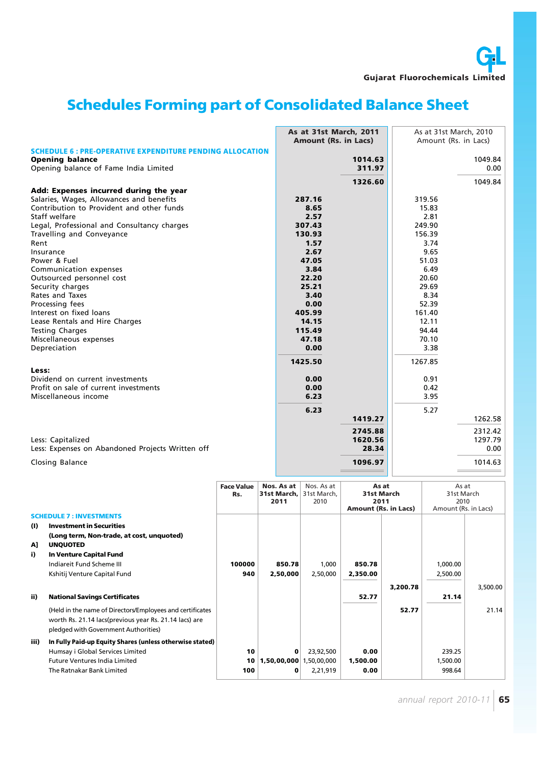|                                                                 | As at 31st March, 2011      | As at 31st March, 2010 |
|-----------------------------------------------------------------|-----------------------------|------------------------|
|                                                                 | <b>Amount (Rs. in Lacs)</b> | Amount (Rs. in Lacs)   |
| <b>SCHEDULE 6: PRE-OPERATIVE EXPENDITURE PENDING ALLOCATION</b> |                             |                        |
| <b>Opening balance</b>                                          | 1014.63                     | 1049.84                |
| Opening balance of Fame India Limited                           | 311.97                      | 0.00                   |
|                                                                 | 1326.60                     | 1049.84                |
| Add: Expenses incurred during the year                          |                             |                        |
| Salaries, Wages, Allowances and benefits                        | 287.16                      | 319.56                 |
| Contribution to Provident and other funds                       | 8.65                        | 15.83                  |
| Staff welfare                                                   | 2.57                        | 2.81                   |
| Legal, Professional and Consultancy charges                     | 307.43                      | 249.90                 |
| Travelling and Conveyance                                       | 130.93                      | 156.39                 |
| Rent                                                            | 1.57                        | 3.74                   |
| Insurance                                                       | 2.67                        | 9.65                   |
| Power & Fuel                                                    | 47.05                       | 51.03                  |
| Communication expenses                                          | 3.84                        | 6.49                   |
| Outsourced personnel cost                                       | 22.20                       | 20.60                  |
| Security charges                                                | 25.21                       | 29.69                  |
| Rates and Taxes                                                 | 3.40                        | 8.34                   |
| Processing fees                                                 | 0.00                        | 52.39                  |
| Interest on fixed loans                                         | 405.99                      | 161.40                 |
| Lease Rentals and Hire Charges                                  | 14.15                       | 12.11                  |
| <b>Testing Charges</b>                                          | 115.49                      | 94.44                  |
| Miscellaneous expenses                                          | 47.18                       | 70.10                  |
| Depreciation                                                    | 0.00                        | 3.38                   |
|                                                                 | 1425.50                     | 1267.85                |
| Less:<br>Dividend on current investments                        | 0.00                        | 0.91                   |
| Profit on sale of current investments                           | 0.00                        | 0.42                   |
| Miscellaneous income                                            | 6.23                        | 3.95                   |
|                                                                 |                             |                        |
|                                                                 | 6.23<br>1419.27             | 5.27<br>1262.58        |
|                                                                 |                             |                        |
|                                                                 | 2745.88                     | 2312.42                |
| Less: Capitalized                                               | 1620.56                     | 1297.79                |
| Less: Expenses on Abandoned Projects Written off                | 28.34                       | 0.00                   |
| Closing Balance                                                 | 1096.97                     | 1014.63                |
|                                                                 |                             |                        |
|                                                                 |                             |                        |

|                                                                                                                                                                           | <b>Face Value</b><br>Rs. | Nos. As at<br>31st March.<br>2011 | Nos. As at<br>31st March,<br>2010    |                          | As at<br>31st March<br>2011<br><b>Amount (Rs. in Lacs)</b> | As at<br>31st March<br>2010<br>Amount (Rs. in Lacs) |          |
|---------------------------------------------------------------------------------------------------------------------------------------------------------------------------|--------------------------|-----------------------------------|--------------------------------------|--------------------------|------------------------------------------------------------|-----------------------------------------------------|----------|
| <b>SCHEDULE 7: INVESTMENTS</b><br>(1)<br><b>Investment in Securities</b><br>(Long term, Non-trade, at cost, unquoted)<br><b>UNQUOTED</b><br>A]                            |                          |                                   |                                      |                          |                                                            |                                                     |          |
| i)<br><b>In Venture Capital Fund</b><br>Indiareit Fund Scheme III<br>Kshitij Venture Capital Fund                                                                         | 100000<br>940            | 850.78<br>2,50,000                | 1,000<br>2,50,000                    | 850.78<br>2,350.00       | 3,200.78                                                   | 1,000.00<br>2,500.00                                | 3,500.00 |
| ii)<br><b>National Savings Certificates</b>                                                                                                                               |                          |                                   |                                      | 52.77                    |                                                            | 21.14                                               |          |
| (Held in the name of Directors/Employees and certificates<br>worth Rs. 21.14 lacs (previous year Rs. 21.14 lacs) are<br>pledged with Government Authorities)              |                          |                                   |                                      |                          | 52.77                                                      |                                                     | 21.14    |
| iii)<br>In Fully Paid-up Equity Shares (unless otherwise stated)<br>Humsay i Global Services Limited<br><b>Future Ventures India Limited</b><br>The Ratnakar Bank Limited | 10<br>10<br>100          | 0<br>1,50,00,000<br>0             | 23,92,500<br>1,50,00,000<br>2,21,919 | 0.00<br>1,500.00<br>0.00 |                                                            | 239.25<br>1,500.00<br>998.64                        |          |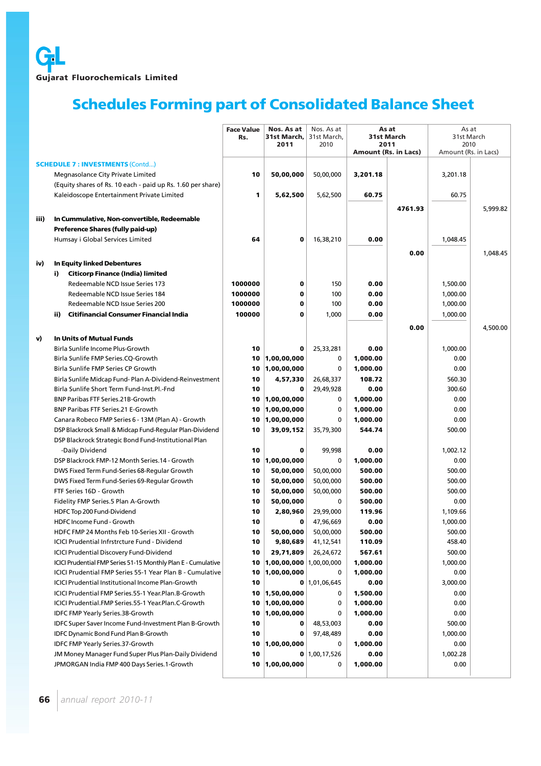|      |                                                                                                     | <b>Face Value</b><br>Rs. | Nos. As at<br>31st March,<br>2011 | Nos. As at<br>31st March.<br>2010 | As at<br>31st March<br>2011 |         | As at<br>31st March<br>2010 |          |
|------|-----------------------------------------------------------------------------------------------------|--------------------------|-----------------------------------|-----------------------------------|-----------------------------|---------|-----------------------------|----------|
|      |                                                                                                     |                          |                                   |                                   | <b>Amount (Rs. in Lacs)</b> |         | Amount (Rs. in Lacs)        |          |
|      | <b>SCHEDULE 7 : INVESTMENTS (Contd)</b>                                                             |                          |                                   |                                   |                             |         |                             |          |
|      | Megnasolance City Private Limited                                                                   | 10                       | 50,00,000                         | 50,00,000                         | 3,201.18                    |         | 3,201.18                    |          |
|      | (Equity shares of Rs. 10 each - paid up Rs. 1.60 per share)                                         |                          |                                   |                                   |                             |         |                             |          |
|      | Kaleidoscope Entertainment Private Limited                                                          | 1                        | 5,62,500                          | 5,62,500                          | 60.75                       |         | 60.75                       |          |
|      |                                                                                                     |                          |                                   |                                   |                             | 4761.93 |                             | 5,999.82 |
| iii) | In Cummulative, Non-convertible, Redeemable                                                         |                          |                                   |                                   |                             |         |                             |          |
|      | <b>Preference Shares (fully paid-up)</b>                                                            |                          |                                   |                                   |                             |         |                             |          |
|      | Humsay i Global Services Limited                                                                    | 64                       | 0                                 | 16,38,210                         | 0.00                        |         | 1,048.45                    |          |
|      |                                                                                                     |                          |                                   |                                   |                             | 0.00    |                             | 1,048.45 |
| iv)  | <b>In Equity linked Debentures</b>                                                                  |                          |                                   |                                   |                             |         |                             |          |
|      | <b>Citicorp Finance (India) limited</b><br>i)                                                       |                          |                                   |                                   |                             |         |                             |          |
|      | Redeemable NCD Issue Series 173                                                                     | 1000000                  | 0                                 | 150                               | 0.00                        |         | 1,500.00                    |          |
|      | Redeemable NCD Issue Series 184                                                                     | 1000000                  | 0                                 | 100                               | 0.00                        |         | 1,000.00                    |          |
|      | Redeemable NCD Issue Series 200                                                                     | 1000000                  | 0                                 | 100                               | 0.00                        |         | 1,000.00                    |          |
|      | <b>Citifinancial Consumer Financial India</b><br>ii)                                                | 100000                   | 0                                 | 1,000                             | 0.00                        |         | 1,000.00                    |          |
|      |                                                                                                     |                          |                                   |                                   |                             |         |                             |          |
|      | <b>In Units of Mutual Funds</b>                                                                     |                          |                                   |                                   |                             | 0.00    |                             | 4.500.00 |
| v)   |                                                                                                     | 10                       |                                   |                                   |                             |         |                             |          |
|      | Birla Sunlife Income Plus-Growth                                                                    |                          | 0<br>1,00,00,000                  | 25,33,281<br>0                    | 0.00<br>1,000.00            |         | 1,000.00<br>0.00            |          |
|      | Birla Sunlife FMP Series.CQ-Growth<br>Birla Sunlife FMP Series CP Growth                            | 10<br>10                 | 1,00,00,000                       | 0                                 | 1,000.00                    |         | 0.00                        |          |
|      | Birla Sunlife Midcap Fund-Plan A-Dividend-Reinvestment                                              | 10                       | 4,57,330                          | 26,68,337                         | 108.72                      |         | 560.30                      |          |
|      | Birla Sunlife Short Term Fund-Inst.Pl.-Fnd                                                          | 10                       | 0                                 | 29,49,928                         | 0.00                        |         | 300.60                      |          |
|      | BNP Paribas FTF Series.21B-Growth                                                                   |                          | 10 1,00,00,000                    | 0                                 | 1,000.00                    |         | 0.00                        |          |
|      | <b>BNP Paribas FTF Series.21 E-Growth</b>                                                           | 10                       | 1,00,00,000                       | 0                                 | 1,000.00                    |         | 0.00                        |          |
|      | Canara Robeco FMP Series 6 - 13M (Plan A) - Growth                                                  | 10                       | 1,00,00,000                       | 0                                 | 1,000.00                    |         | 0.00                        |          |
|      | DSP Blackrock Small & Midcap Fund-Regular Plan-Dividend                                             | 10                       | 39,09,152                         | 35,79,300                         | 544.74                      |         | 500.00                      |          |
|      | DSP Blackrock Strategic Bond Fund-Institutional Plan                                                |                          |                                   |                                   |                             |         |                             |          |
|      | -Daily Dividend                                                                                     | 10                       | 0                                 | 99,998                            | 0.00                        |         | 1,002.12                    |          |
|      | DSP Blackrock FMP-12 Month Series.14 - Growth                                                       | 10                       | 1,00,00,000                       | 0                                 | 1,000.00                    |         | 0.00                        |          |
|      | DWS Fixed Term Fund-Series 68-Regular Growth                                                        | 10                       | 50,00,000                         | 50,00,000                         | 500.00                      |         | 500.00                      |          |
|      | DWS Fixed Term Fund-Series 69-Regular Growth                                                        | 10                       | 50,00,000                         | 50,00,000                         | 500.00                      |         | 500.00                      |          |
|      | FTF Series 16D - Growth                                                                             | 10                       | 50,00,000                         | 50,00,000                         | 500.00                      |         | 500.00                      |          |
|      | Fidelity FMP Series.5 Plan A-Growth                                                                 | 10                       | 50,00,000                         | 0                                 | 500.00                      |         | 0.00                        |          |
|      | HDFC Top 200 Fund-Dividend                                                                          | 10                       | 2,80,960                          | 29,99,000                         | 119.96                      |         | 1,109.66                    |          |
|      | HDFC Income Fund - Growth                                                                           | 10                       | 0                                 | 47,96,669                         | 0.00                        |         | 1,000.00                    |          |
|      | HDFC FMP 24 Months Feb 10-Series XII - Growth                                                       | 10                       | 50,00,000                         | 50,00,000                         | 500.00                      |         | 500.00                      |          |
|      | ICICI Prudential Infrstrcture Fund - Dividend                                                       | 10                       | 9,80,689                          | 41,12,541                         | 110.09                      |         | 458.40                      |          |
|      | <b>ICICI Prudential Discovery Fund-Dividend</b>                                                     | 10                       | 29,71,809                         | 26,24,672                         | 567.61                      |         | 500.00                      |          |
|      | ICICI Prudential FMP Series 51-15 Monthly Plan E - Cumulative                                       |                          | 10   1,00,00,000   1,00,00,000    |                                   | 1,000.00                    |         | 1,000.00                    |          |
|      | ICICI Prudential FMP Series 55-1 Year Plan B - Cumulative                                           | 10                       | 1,00,00,000                       | 0                                 | 1,000.00                    |         | 0.00                        |          |
|      | ICICI Prudential Institutional Income Plan-Growth                                                   | 10                       |                                   | 0 1,01,06,645                     | 0.00                        |         | 3,000.00                    |          |
|      | ICICI Prudential FMP Series.55-1 Year.Plan.B-Growth                                                 |                          | 10 1,50,00,000                    | 0                                 | 1,500.00                    |         | 0.00                        |          |
|      | ICICI Prudential.FMP Series.55-1 Year.Plan.C-Growth                                                 | 10                       | 1,00,00,000                       | 0                                 | 1,000.00                    |         | 0.00                        |          |
|      | IDFC FMP Yearly Series.38-Growth                                                                    | 10                       | 1,00,00,000                       | 0                                 | 1,000.00                    |         | 0.00                        |          |
|      | IDFC Super Saver Income Fund-Investment Plan B-Growth                                               | 10                       | 0                                 | 48,53,003                         | 0.00                        |         | 500.00                      |          |
|      | IDFC Dynamic Bond Fund Plan B-Growth                                                                | 10                       | 0                                 | 97,48,489                         | 0.00                        |         | 1,000.00                    |          |
|      | <b>IDFC FMP Yearly Series.37-Growth</b>                                                             | 10                       | 1,00,00,000                       | 0                                 | 1,000.00                    |         | 0.00                        |          |
|      | JM Money Manager Fund Super Plus Plan-Daily Dividend<br>JPMORGAN India FMP 400 Days Series.1-Growth | 10<br>10                 | 1,00,00,000                       | 0 1,00,17,526<br>0                | 0.00<br>1,000.00            |         | 1,002.28<br>0.00            |          |
|      |                                                                                                     |                          |                                   |                                   |                             |         |                             |          |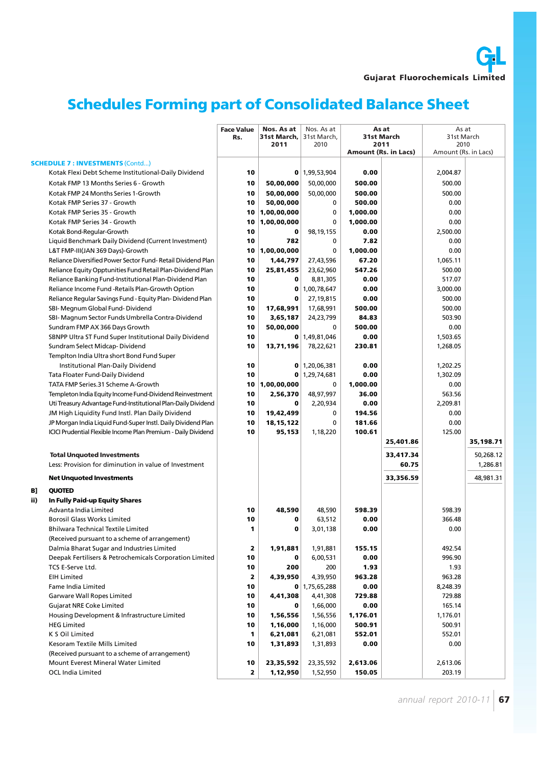|     |                                                                        | <b>Face Value</b><br>Rs. | Nos. As at<br>31st March, | Nos. As at<br>31st March. |                                     | As at<br>31st March | As at<br>31st March          |           |
|-----|------------------------------------------------------------------------|--------------------------|---------------------------|---------------------------|-------------------------------------|---------------------|------------------------------|-----------|
|     |                                                                        |                          | 2011                      | 2010                      | 2011<br><b>Amount (Rs. in Lacs)</b> |                     | 2010<br>Amount (Rs. in Lacs) |           |
|     | <b>SCHEDULE 7: INVESTMENTS (Contd)</b>                                 |                          |                           |                           |                                     |                     |                              |           |
|     | Kotak Flexi Debt Scheme Institutional-Daily Dividend                   | 10                       |                           | 0 1,99,53,904             | 0.00                                |                     | 2,004.87                     |           |
|     | Kotak FMP 13 Months Series 6 - Growth                                  | 10                       | 50,00,000                 | 50,00,000                 | 500.00                              |                     | 500.00                       |           |
|     | Kotak FMP 24 Months Series 1-Growth                                    | 10                       | 50,00,000                 | 50,00,000                 | 500.00                              |                     | 500.00                       |           |
|     | Kotak FMP Series 37 - Growth                                           | 10                       | 50,00,000                 | 0                         | 500.00                              |                     | 0.00                         |           |
|     | Kotak FMP Series 35 - Growth                                           | 10                       | 1,00,00,000               | 0                         | 1,000.00                            |                     | 0.00                         |           |
|     | Kotak FMP Series 34 - Growth                                           | 10                       | 1,00,00,000               | 0                         | 1,000.00                            |                     | 0.00                         |           |
|     | Kotak Bond-Regular-Growth                                              | 10                       | 0                         | 98, 19, 155               | 0.00                                |                     | 2,500.00                     |           |
|     | Liquid Benchmark Daily Dividend (Current Investment)                   | 10                       | 782                       | 0                         | 7.82                                |                     | 0.00                         |           |
|     | L&T FMP-III(JAN 369 Days)-Growth                                       | 10                       | 1,00,00,000               | 0                         | 1,000.00                            |                     | 0.00                         |           |
|     | Reliance Diversified Power Sector Fund-Retail Dividend Plan            | 10                       | 1,44,797                  | 27,43,596                 | 67.20                               |                     | 1,065.11                     |           |
|     | Reliance Equity Opptunities Fund Retail Plan-Dividend Plan             | 10                       | 25,81,455                 | 23,62,960                 | 547.26                              |                     | 500.00                       |           |
|     | Reliance Banking Fund-Institutional Plan-Dividend Plan                 | 10                       | 0                         | 8,81,305                  | 0.00                                |                     | 517.07                       |           |
|     | Reliance Income Fund - Retails Plan-Growth Option                      | 10                       | 0                         | 1,00,78,647               | 0.00                                |                     | 3,000.00                     |           |
|     | Reliance Regular Savings Fund - Equity Plan-Dividend Plan              | 10                       | 0                         | 27,19,815                 | 0.00                                |                     | 500.00                       |           |
|     | SBI- Megnum Global Fund-Dividend                                       | 10                       | 17,68,991                 | 17,68,991                 | 500.00                              |                     | 500.00                       |           |
|     | SBI- Magnum Sector Funds Umbrella Contra-Dividend                      | 10                       | 3,65,187                  | 24,23,799                 | 84.83                               |                     | 503.90                       |           |
|     | Sundram FMP AX 366 Days Growth                                         | 10                       | 50,00,000                 | 0                         | 500.00                              |                     | 0.00                         |           |
|     | SBNPP Ultra ST Fund Super Institutional Daily Dividend                 | 10                       |                           | 0 1,49,81,046             | 0.00                                |                     | 1,503.65                     |           |
|     | Sundram Select Midcap-Dividend                                         | 10                       | 13,71,196                 | 78,22,621                 | 230.81                              |                     | 1,268.05                     |           |
|     | Templton India Ultra short Bond Fund Super                             |                          |                           | $0$   1,20,06,381         | 0.00                                |                     |                              |           |
|     | Institutional Plan-Daily Dividend                                      | 10<br>10                 |                           |                           | 0.00                                |                     | 1,202.25                     |           |
|     | Tata Floater Fund-Daily Dividend<br>TATA FMP Series.31 Scheme A-Growth | 10                       | 1,00,00,000               | 0 1,29,74,681<br>0        | 1,000.00                            |                     | 1,302.09<br>0.00             |           |
|     | Templeton India Equity Income Fund-Dividend Reinvestment               | 10                       | 2,56,370                  | 48,97,997                 | 36.00                               |                     | 563.56                       |           |
|     | Uti Treasury Advantage Fund-Institutional Plan-Daily Dividend          | 10                       | 0                         | 2,20,934                  | 0.00                                |                     | 2,209.81                     |           |
|     | JM High Liquidity Fund Instl. Plan Daily Dividend                      | 10                       | 19,42,499                 | 0                         | 194.56                              |                     | 0.00                         |           |
|     | JP Morgan India Liquid Fund-Super Instl. Daily Dividend Plan           | 10                       | 18, 15, 122               | 0                         | 181.66                              |                     | 0.00                         |           |
|     | ICICI Prudential Flexible Income Plan Premium - Daily Dividend         | 10                       | 95,153                    | 1,18,220                  | 100.61                              |                     | 125.00                       |           |
|     |                                                                        |                          |                           |                           |                                     | 25,401.86           |                              | 35,198.71 |
|     | <b>Total Unquoted Investments</b>                                      |                          |                           |                           |                                     | 33,417.34           |                              | 50,268.12 |
|     | Less: Provision for diminution in value of Investment                  |                          |                           |                           |                                     | 60.75               |                              | 1,286.81  |
|     | <b>Net Unquoted Investments</b>                                        |                          |                           |                           |                                     | 33,356.59           |                              | 48,981.31 |
| B]  | <b>QUOTED</b>                                                          |                          |                           |                           |                                     |                     |                              |           |
| ii) | In Fully Paid-up Equity Shares                                         |                          |                           |                           |                                     |                     |                              |           |
|     | Advanta India Limited                                                  | 10                       | 48,590                    | 48,590                    | 598.39                              |                     | 598.39                       |           |
|     | <b>Borosil Glass Works Limited</b>                                     | 10                       | 0                         | 63,512                    | 0.00                                |                     | 366.48                       |           |
|     | <b>Bhilwara Technical Textile Limited</b>                              | 1                        | 0                         | 3,01,138                  | 0.00                                |                     | 0.00                         |           |
|     | (Received pursuant to a scheme of arrangement)                         |                          |                           |                           |                                     |                     |                              |           |
|     | Dalmia Bharat Sugar and Industries Limited                             | $\mathbf{z}$             | 1,91,881                  | 1,91,881                  | 155.15                              |                     | 492.54                       |           |
|     | Deepak Fertilisers & Petrochemicals Corporation Limited                | 10                       | 0                         | 6,00,531                  | 0.00                                |                     | 996.90                       |           |
|     | TCS E-Serve Ltd.                                                       | 10                       | 200                       | 200                       | 1.93                                |                     | 1.93                         |           |
|     | <b>EIH Limited</b>                                                     | 2                        | 4,39,950                  | 4,39,950                  | 963.28                              |                     | 963.28                       |           |
|     | Fame India Limited                                                     | 10                       |                           | $0$   1,75,65,288         | 0.00                                |                     | 8,248.39                     |           |
|     | <b>Garware Wall Ropes Limited</b>                                      | 10                       | 4,41,308                  | 4,41,308                  | 729.88                              |                     | 729.88                       |           |
|     | <b>Gujarat NRE Coke Limited</b>                                        | 10                       | 0                         | 1,66,000                  | 0.00                                |                     | 165.14                       |           |
|     | Housing Development & Infrastructure Limited                           | 10                       | 1,56,556                  | 1,56,556                  | 1,176.01                            |                     | 1,176.01                     |           |
|     | <b>HEG Limited</b><br>K S Oil Limited                                  | 10<br>1                  | 1,16,000<br>6,21,081      | 1,16,000<br>6,21,081      | 500.91<br>552.01                    |                     | 500.91<br>552.01             |           |
|     | Kesoram Textile Mills Limited                                          | 10                       | 1,31,893                  | 1,31,893                  | 0.00                                |                     | 0.00                         |           |
|     | (Received pursuant to a scheme of arrangement)                         |                          |                           |                           |                                     |                     |                              |           |
|     | Mount Everest Mineral Water Limited                                    | 10                       | 23,35,592                 | 23,35,592                 | 2,613.06                            |                     | 2,613.06                     |           |
|     | <b>OCL India Limited</b>                                               | $\mathbf{z}$             | 1,12,950                  | 1,52,950                  | 150.05                              |                     | 203.19                       |           |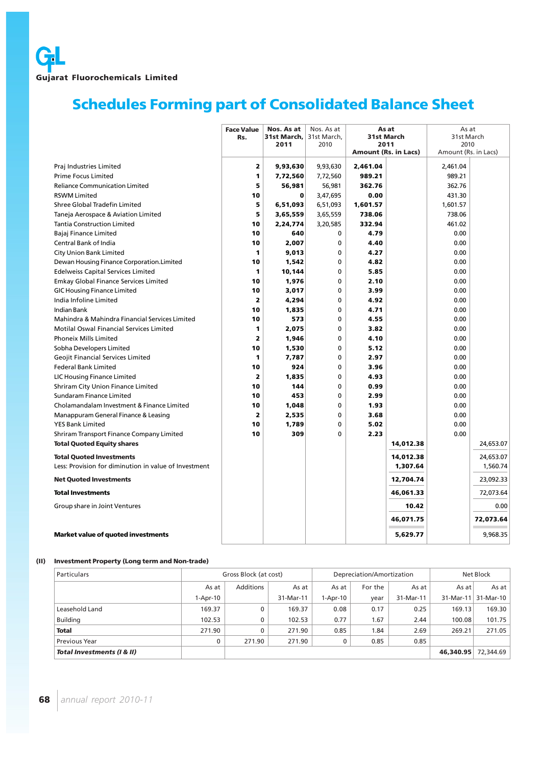|                                                       | <b>Face Value</b><br>Rs. | Nos. As at<br>31st March,<br>2011 | Nos. As at<br>31st March,<br>2010 | As at<br>31st March<br>2011<br><b>Amount (Rs. in Lacs)</b> |           | As at<br>31st March<br>2010<br>Amount (Rs. in Lacs) |           |
|-------------------------------------------------------|--------------------------|-----------------------------------|-----------------------------------|------------------------------------------------------------|-----------|-----------------------------------------------------|-----------|
| Praj Industries Limited                               | 2                        | 9,93,630                          | 9,93,630                          | 2,461.04                                                   |           | 2,461.04                                            |           |
| <b>Prime Focus Limited</b>                            | 1                        | 7,72,560                          | 7,72,560                          | 989.21                                                     |           | 989.21                                              |           |
| <b>Reliance Communication Limited</b>                 | 5                        | 56,981                            | 56,981                            | 362.76                                                     |           | 362.76                                              |           |
| <b>RSWM Limited</b>                                   | 10                       | 0                                 | 3,47,695                          | 0.00                                                       |           | 431.30                                              |           |
| Shree Global Tradefin Limited                         | 5                        | 6,51,093                          | 6,51,093                          | 1,601.57                                                   |           | 1,601.57                                            |           |
| Taneja Aerospace & Aviation Limited                   | 5                        | 3,65,559                          | 3,65,559                          | 738.06                                                     |           | 738.06                                              |           |
| <b>Tantia Construction Limited</b>                    | 10                       | 2,24,774                          | 3,20,585                          | 332.94                                                     |           | 461.02                                              |           |
| Bajaj Finance Limited                                 | 10                       | 640                               | 0                                 | 4.79                                                       |           | 0.00                                                |           |
| Central Bank of India                                 | 10                       | 2,007                             | 0                                 | 4.40                                                       |           | 0.00                                                |           |
| City Union Bank Limited                               | 1                        | 9,013                             | 0                                 | 4.27                                                       |           | 0.00                                                |           |
| Dewan Housing Finance Corporation.Limited             | 10                       | 1,542                             | 0                                 | 4.82                                                       |           | 0.00                                                |           |
| <b>Edelweiss Capital Services Limited</b>             | 1                        | 10,144                            | 0                                 | 5.85                                                       |           | 0.00                                                |           |
| <b>Emkay Global Finance Services Limited</b>          | 10                       | 1,976                             | 0                                 | 2.10                                                       |           | 0.00                                                |           |
| <b>GIC Housing Finance Limited</b>                    | 10                       | 3,017                             | 0                                 | 3.99                                                       |           | 0.00                                                |           |
| India Infoline Limited                                | $\overline{2}$           | 4,294                             | 0                                 | 4.92                                                       |           | 0.00                                                |           |
| <b>Indian Bank</b>                                    | 10                       | 1,835                             | 0                                 | 4.71                                                       |           | 0.00                                                |           |
| Mahindra & Mahindra Financial Services Limited        | 10                       | 573                               | 0                                 | 4.55                                                       |           | 0.00                                                |           |
| <b>Motilal Oswal Financial Services Limited</b>       | 1                        | 2.075                             | 0                                 | 3.82                                                       |           | 0.00                                                |           |
| <b>Phoneix Mills Limited</b>                          | $\overline{2}$           | 1,946                             | 0                                 | 4.10                                                       |           | 0.00                                                |           |
| Sobha Developers Limited                              | 10                       | 1,530                             | 0                                 | 5.12                                                       |           | 0.00                                                |           |
| Geojit Financial Services Limited                     | 1                        | 7,787                             | 0                                 | 2.97                                                       |           | 0.00                                                |           |
| <b>Federal Bank Limited</b>                           | 10                       | 924                               | 0                                 | 3.96                                                       |           | 0.00                                                |           |
| <b>LIC Housing Finance Limited</b>                    | $\overline{\mathbf{z}}$  | 1,835                             | 0                                 | 4.93                                                       |           | 0.00                                                |           |
| Shriram City Union Finance Limited                    | 10                       | 144                               | 0                                 | 0.99                                                       |           | 0.00                                                |           |
| Sundaram Finance Limited                              | 10                       | 453                               | 0                                 | 2.99                                                       |           | 0.00                                                |           |
| Cholamandalam Investment & Finance Limited            | 10                       | 1,048                             | 0                                 | 1.93                                                       |           | 0.00                                                |           |
| Manappuram General Finance & Leasing                  | $\overline{\mathbf{z}}$  | 2,535                             | 0                                 | 3.68                                                       |           | 0.00                                                |           |
| <b>YES Bank Limited</b>                               | 10                       | 1,789                             | 0                                 | 5.02                                                       |           | 0.00                                                |           |
| Shriram Transport Finance Company Limited             | 10                       | 309                               | 0                                 | 2.23                                                       |           | 0.00                                                |           |
| <b>Total Quoted Equity shares</b>                     |                          |                                   |                                   |                                                            | 14,012.38 |                                                     | 24,653.07 |
| <b>Total Quoted Investments</b>                       |                          |                                   |                                   |                                                            | 14,012.38 |                                                     | 24,653.07 |
| Less: Provision for diminution in value of Investment |                          |                                   |                                   |                                                            | 1,307.64  |                                                     | 1,560.74  |
| <b>Net Quoted Investments</b>                         |                          |                                   |                                   |                                                            | 12,704.74 |                                                     | 23,092.33 |
| <b>Total Investments</b>                              |                          |                                   |                                   |                                                            | 46,061.33 |                                                     | 72,073.64 |
| Group share in Joint Ventures                         |                          |                                   |                                   |                                                            | 10.42     |                                                     | 0.00      |
|                                                       |                          |                                   |                                   |                                                            | 46,071.75 |                                                     | 72,073.64 |
| <b>Market value of quoted investments</b>             |                          |                                   |                                   |                                                            | 5,629.77  |                                                     | 9,968.35  |

#### (II) Investment Property (Long term and Non-trade)

| Particulars                |          | Gross Block (at cost) |           |          | Depreciation/Amortization |           |             | Net Block |
|----------------------------|----------|-----------------------|-----------|----------|---------------------------|-----------|-------------|-----------|
|                            | As at    | Additions             | As at     | As at    | For the                   | As at     | As at       | As at     |
|                            | 1-Apr-10 |                       | 31-Mar-11 | 1-Apr-10 | year                      | 31-Mar-11 | $31-Mar-11$ | 31-Mar-10 |
| Leasehold Land             | 169.37   | 0                     | 169.37    | 0.08     | 0.17                      | 0.25      | 169.13      | 169.30    |
| <b>Building</b>            | 102.53   | 0                     | 102.53    | 0.77     | 1.67                      | 2.44      | 100.08      | 101.75    |
| <b>Total</b>               | 271.90   | 0                     | 271.90    | 0.85     | 84.،                      | 2.69      | 269.21      | 271.05    |
| <b>Previous Year</b>       | 0        | 271.90                | 271.90    | 0        | 0.85                      | 0.85      |             |           |
| Total Investments (I & II) |          |                       |           |          |                           |           | 46,340.95   | 72,344.69 |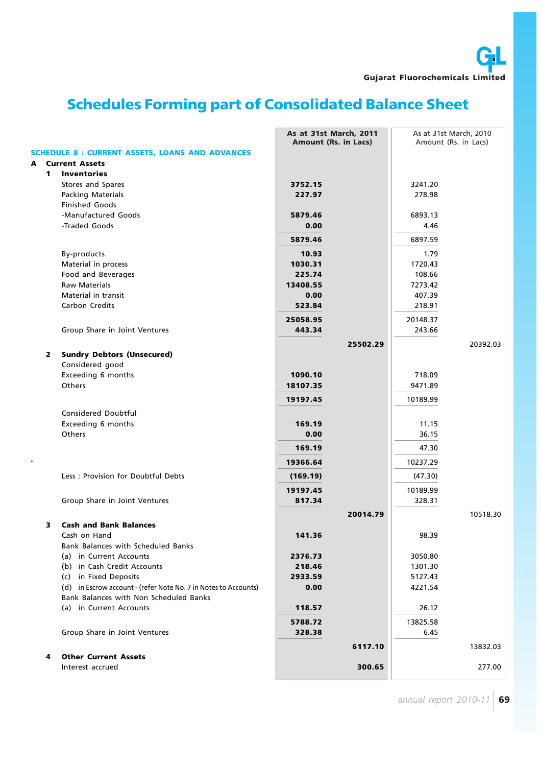

|   |                                                                 | As at 31st March, 2011<br><b>Amount (Rs. in Lacs)</b> | As at 31st March, 2010<br>Amount (Rs. in Lacs) |          |
|---|-----------------------------------------------------------------|-------------------------------------------------------|------------------------------------------------|----------|
|   | <b>SCHEDULE 8 : CURRENT ASSETS, LOANS AND ADVANCES</b>          |                                                       |                                                |          |
|   | <b>A</b> Current Assets                                         |                                                       |                                                |          |
| 1 | <b>Inventories</b><br>Stores and Spares                         | 3752.15                                               | 3241.20                                        |          |
|   | Packing Materials                                               | 227.97                                                | 278.98                                         |          |
|   | <b>Finished Goods</b>                                           |                                                       |                                                |          |
|   | -Manufactured Goods                                             | 5879.46                                               | 6893.13                                        |          |
|   | -Traded Goods                                                   | 0.00                                                  | 4.46                                           |          |
|   |                                                                 |                                                       |                                                |          |
|   |                                                                 | 5879.46                                               | 6897.59                                        |          |
|   | By-products                                                     | 10.93                                                 | 1.79                                           |          |
|   | Material in process                                             | 1030.31                                               | 1720.43                                        |          |
|   | Food and Beverages                                              | 225.74                                                | 108.66                                         |          |
|   | <b>Raw Materials</b>                                            | 13408.55                                              | 7273.42                                        |          |
|   | Material in transit                                             | 0.00                                                  | 407.39                                         |          |
|   | Carbon Credits                                                  | 523.84                                                | 218.91                                         |          |
|   |                                                                 | 25058.95                                              | 20148.37                                       |          |
|   | Group Share in Joint Ventures                                   | 443.34                                                | 243.66                                         |          |
|   |                                                                 | 25502.29                                              |                                                | 20392.03 |
| 2 | <b>Sundry Debtors (Unsecured)</b>                               |                                                       |                                                |          |
|   | Considered good                                                 |                                                       |                                                |          |
|   | Exceeding 6 months                                              | 1090.10                                               | 718.09                                         |          |
|   | Others                                                          | 18107.35                                              | 9471.89                                        |          |
|   |                                                                 | 19197.45                                              | 10189.99                                       |          |
|   |                                                                 |                                                       |                                                |          |
|   | Considered Doubtful                                             |                                                       |                                                |          |
|   | Exceeding 6 months                                              | 169.19                                                | 11.15                                          |          |
|   | Others                                                          | 0.00                                                  | 36.15                                          |          |
|   |                                                                 | 169.19                                                | 47.30                                          |          |
|   |                                                                 | 19366.64                                              | 10237.29                                       |          |
|   | Less: Provision for Doubtful Debts                              | (169.19)                                              | (47.30)                                        |          |
|   |                                                                 | 19197.45                                              | 10189.99                                       |          |
|   | Group Share in Joint Ventures                                   | 817.34                                                | 328.31                                         |          |
|   |                                                                 | 20014.79                                              |                                                | 10518.30 |
| 3 | <b>Cash and Bank Balances</b>                                   |                                                       |                                                |          |
|   | Cash on Hand                                                    | 141.36                                                | 98.39                                          |          |
|   | Bank Balances with Scheduled Banks                              |                                                       |                                                |          |
|   | (a) in Current Accounts                                         | 2376.73                                               | 3050.80                                        |          |
|   | (b) in Cash Credit Accounts                                     | 218.46                                                | 1301.30                                        |          |
|   | (c) in Fixed Deposits                                           | 2933.59                                               | 5127.43                                        |          |
|   | (d) in Escrow account - (refer Note No. 7 in Notes to Accounts) | 0.00                                                  | 4221.54                                        |          |
|   | Bank Balances with Non Scheduled Banks                          |                                                       |                                                |          |
|   | (a) in Current Accounts                                         | 118.57                                                | 26.12                                          |          |
|   |                                                                 | 5788.72                                               | 13825.58                                       |          |
|   | Group Share in Joint Ventures                                   | 328.38                                                | 6.45                                           |          |
|   |                                                                 | 6117.10                                               |                                                | 13832.03 |
| 4 | <b>Other Current Assets</b>                                     |                                                       |                                                |          |
|   | Interest accrued                                                | 300.65                                                |                                                | 277.00   |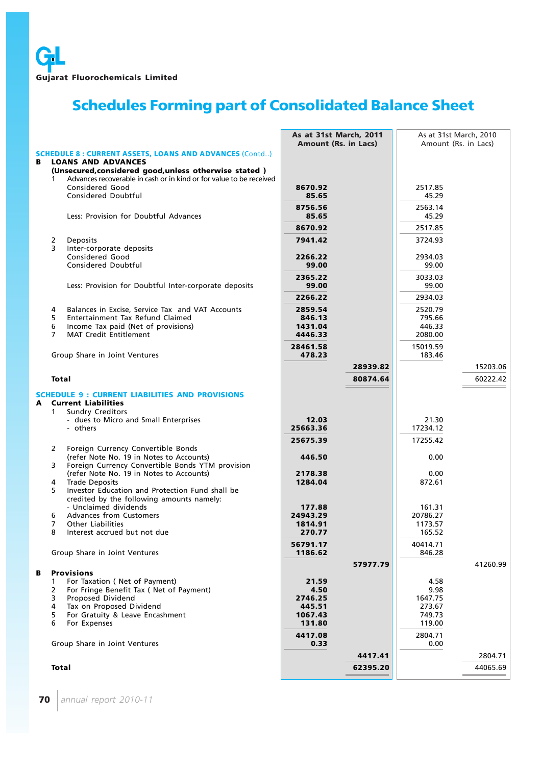|   |              |                                                                                    | As at 31st March, 2011      |          | As at 31st March, 2010 |          |
|---|--------------|------------------------------------------------------------------------------------|-----------------------------|----------|------------------------|----------|
|   |              |                                                                                    | <b>Amount (Rs. in Lacs)</b> |          | Amount (Rs. in Lacs)   |          |
|   |              | <b>SCHEDULE 8 : CURRENT ASSETS, LOANS AND ADVANCES (Contd)</b>                     |                             |          |                        |          |
| в |              | <b>LOANS AND ADVANCES</b><br>(Unsecured, considered good, unless otherwise stated) |                             |          |                        |          |
|   | 1            | Advances recoverable in cash or in kind or for value to be received                |                             |          |                        |          |
|   |              | Considered Good                                                                    | 8670.92                     |          | 2517.85                |          |
|   |              | Considered Doubtful                                                                | 85.65                       |          | 45.29                  |          |
|   |              |                                                                                    | 8756.56                     |          | 2563.14                |          |
|   |              | Less: Provision for Doubtful Advances                                              | 85.65                       |          | 45.29                  |          |
|   |              |                                                                                    | 8670.92                     |          | 2517.85                |          |
|   | 2            | Deposits                                                                           | 7941.42                     |          | 3724.93                |          |
|   | 3            | Inter-corporate deposits                                                           |                             |          |                        |          |
|   |              | Considered Good                                                                    | 2266.22                     |          | 2934.03                |          |
|   |              | Considered Doubtful                                                                | 99.00                       |          | 99.00                  |          |
|   |              |                                                                                    | 2365.22                     |          | 3033.03                |          |
|   |              | Less: Provision for Doubtful Inter-corporate deposits                              | 99.00                       |          | 99.00                  |          |
|   |              |                                                                                    | 2266.22                     |          | 2934.03                |          |
|   | 4            | Balances in Excise, Service Tax and VAT Accounts                                   | 2859.54                     |          | 2520.79                |          |
|   | 5            | Entertainment Tax Refund Claimed                                                   | 846.13                      |          | 795.66                 |          |
|   | 6            | Income Tax paid (Net of provisions)                                                | 1431.04                     |          | 446.33                 |          |
|   | 7            | <b>MAT Credit Entitlement</b>                                                      | 4446.33                     |          | 2080.00                |          |
|   |              |                                                                                    | 28461.58                    |          | 15019.59               |          |
|   |              | Group Share in Joint Ventures                                                      | 478.23                      |          | 183.46                 |          |
|   |              |                                                                                    |                             | 28939.82 |                        | 15203.06 |
|   | <b>Total</b> |                                                                                    |                             | 80874.64 |                        | 60222.42 |
|   |              | <b>SCHEDULE 9: CURRENT LIABILITIES AND PROVISIONS</b>                              |                             |          |                        |          |
|   |              | <b>A</b> Current Liabilities                                                       |                             |          |                        |          |
|   | 1            | <b>Sundry Creditors</b>                                                            |                             |          |                        |          |
|   |              | - dues to Micro and Small Enterprises                                              | 12.03                       |          | 21.30                  |          |
|   |              | - others                                                                           | 25663.36                    |          | 17234.12               |          |
|   |              |                                                                                    | 25675.39                    |          | 17255.42               |          |
|   | 2            | Foreign Currency Convertible Bonds<br>(refer Note No. 19 in Notes to Accounts)     | 446.50                      |          | 0.00                   |          |
|   | 3            | Foreign Currency Convertible Bonds YTM provision                                   |                             |          |                        |          |
|   |              | (refer Note No. 19 in Notes to Accounts)                                           | 2178.38                     |          | 0.00                   |          |
|   | 4            | <b>Trade Deposits</b>                                                              | 1284.04                     |          | 872.61                 |          |
|   | 5            | Investor Education and Protection Fund shall be                                    |                             |          |                        |          |
|   |              | credited by the following amounts namely:<br>- Unclaimed dividends                 | 177.88                      |          | 161.31                 |          |
|   | 6            | Advances from Customers                                                            | 24943.29                    |          | 20786.27               |          |
|   | 7            | Other Liabilities                                                                  | 1814.91                     |          | 1173.57                |          |
|   | 8            | Interest accrued but not due                                                       | 270.77                      |          | 165.52                 |          |
|   |              |                                                                                    | 56791.17                    |          | 40414.71               |          |
|   |              | Group Share in Joint Ventures                                                      | 1186.62                     |          | 846.28                 |          |
|   |              |                                                                                    |                             | 57977.79 |                        | 41260.99 |
| в | 1            | <b>Provisions</b><br>For Taxation ( Net of Payment)                                | 21.59                       |          | 4.58                   |          |
|   | 2            | For Fringe Benefit Tax ( Net of Payment)                                           | 4.50                        |          | 9.98                   |          |
|   | 3            | Proposed Dividend                                                                  | 2746.25                     |          | 1647.75                |          |
|   | 4            | Tax on Proposed Dividend                                                           | 445.51                      |          | 273.67                 |          |
|   | 5            | For Gratuity & Leave Encashment                                                    | 1067.43                     |          | 749.73                 |          |
|   | 6            | For Expenses                                                                       | 131.80                      |          | 119.00                 |          |
|   |              |                                                                                    | 4417.08                     |          | 2804.71                |          |
|   |              | Group Share in Joint Ventures                                                      | 0.33                        |          | 0.00                   |          |
|   |              |                                                                                    |                             | 4417.41  |                        | 2804.71  |
|   | Total        |                                                                                    |                             | 62395.20 |                        | 44065.69 |
|   |              |                                                                                    |                             |          |                        |          |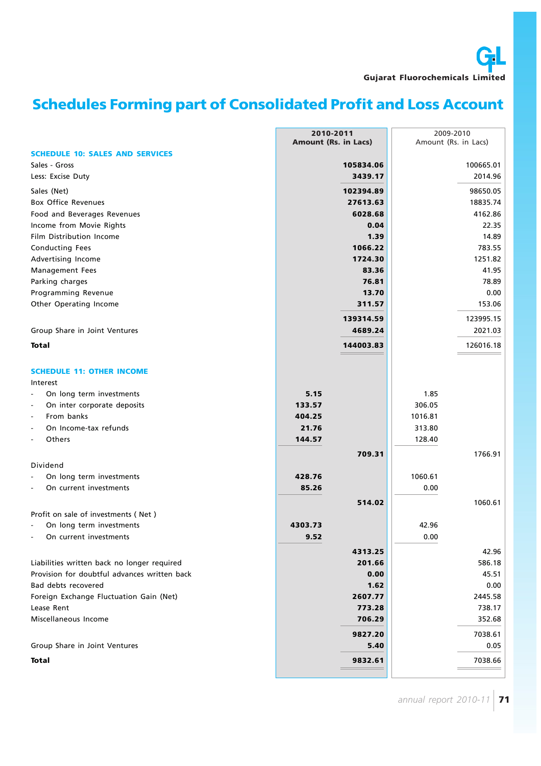# Schedules Forming part of Consolidated Profit and Loss Account

|                                                         | 2010-2011<br><b>Amount (Rs. in Lacs)</b> | 2009-2010<br>Amount (Rs. in Lacs) |
|---------------------------------------------------------|------------------------------------------|-----------------------------------|
| <b>SCHEDULE 10: SALES AND SERVICES</b>                  |                                          |                                   |
| Sales - Gross                                           | 105834.06                                | 100665.01                         |
| Less: Excise Duty                                       | 3439.17                                  | 2014.96                           |
| Sales (Net)                                             | 102394.89                                | 98650.05                          |
| <b>Box Office Revenues</b>                              | 27613.63                                 | 18835.74                          |
| Food and Beverages Revenues                             | 6028.68                                  | 4162.86                           |
| Income from Movie Rights                                | 0.04                                     | 22.35                             |
| Film Distribution Income                                | 1.39                                     | 14.89                             |
| <b>Conducting Fees</b>                                  | 1066.22                                  | 783.55                            |
| Advertising Income                                      | 1724.30                                  | 1251.82                           |
| Management Fees                                         | 83.36                                    | 41.95                             |
| Parking charges                                         | 76.81                                    | 78.89                             |
| Programming Revenue                                     | 13.70                                    | 0.00                              |
| Other Operating Income                                  | 311.57                                   | 153.06                            |
|                                                         | 139314.59                                | 123995.15                         |
| Group Share in Joint Ventures                           | 4689.24                                  | 2021.03                           |
| Total                                                   | 144003.83                                | 126016.18                         |
| <b>SCHEDULE 11: OTHER INCOME</b>                        |                                          |                                   |
| Interest                                                |                                          |                                   |
| On long term investments<br>$\overline{\phantom{a}}$    | 5.15                                     | 1.85                              |
| On inter corporate deposits<br>$\overline{\phantom{a}}$ | 133.57                                   | 306.05                            |
| From banks<br>$\sim$                                    | 404.25                                   | 1016.81                           |
| On Income-tax refunds                                   | 21.76                                    | 313.80                            |
| Others<br>$\overline{a}$                                | 144.57                                   | 128.40                            |
|                                                         | 709.31                                   | 1766.91                           |
| Dividend                                                |                                          |                                   |
| On long term investments                                | 428.76                                   | 1060.61                           |
| On current investments                                  | 85.26                                    | 0.00                              |
| Profit on sale of investments (Net)                     | 514.02                                   | 1060.61                           |
| On long term investments                                | 4303.73                                  | 42.96                             |
| On current investments<br>$\overline{a}$                | 9.52                                     | 0.00                              |
|                                                         | 4313.25                                  | 42.96                             |
| Liabilities written back no longer required             | 201.66                                   | 586.18                            |
| Provision for doubtful advances written back            | 0.00                                     | 45.51                             |
| Bad debts recovered                                     | 1.62                                     | 0.00                              |
| Foreign Exchange Fluctuation Gain (Net)                 | 2607.77                                  | 2445.58                           |
| Lease Rent                                              | 773.28                                   | 738.17                            |
| Miscellaneous Income                                    | 706.29                                   | 352.68                            |
|                                                         | 9827.20                                  | 7038.61                           |
| Group Share in Joint Ventures                           | 5.40                                     | 0.05                              |
| Total                                                   | 9832.61                                  | 7038.66                           |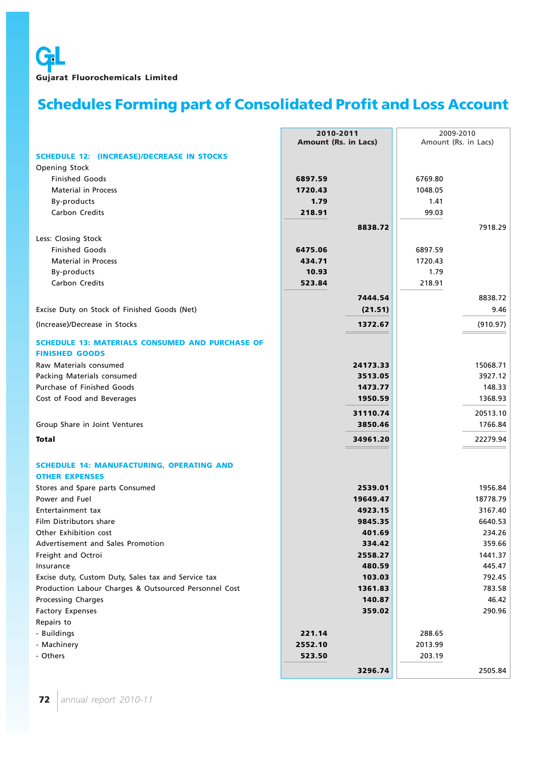

# Schedules Forming part of Consolidated Profit and Loss Account

|                                                        | 2010-2011<br><b>Amount (Rs. in Lacs)</b> |         | 2009-2010<br>Amount (Rs. in Lacs) |
|--------------------------------------------------------|------------------------------------------|---------|-----------------------------------|
| <b>SCHEDULE 12: (INCREASE)/DECREASE IN STOCKS</b>      |                                          |         |                                   |
| Opening Stock                                          |                                          |         |                                   |
| <b>Finished Goods</b>                                  | 6897.59                                  | 6769.80 |                                   |
| <b>Material in Process</b>                             | 1720.43                                  | 1048.05 |                                   |
| By-products                                            | 1.79                                     | 1.41    |                                   |
| Carbon Credits                                         | 218.91                                   | 99.03   |                                   |
|                                                        | 8838.72                                  |         | 7918.29                           |
| Less: Closing Stock                                    |                                          |         |                                   |
| <b>Finished Goods</b>                                  | 6475.06                                  | 6897.59 |                                   |
| <b>Material in Process</b>                             | 434.71                                   | 1720.43 |                                   |
| By-products                                            | 10.93                                    | 1.79    |                                   |
| Carbon Credits                                         | 523.84                                   | 218.91  |                                   |
|                                                        | 7444.54                                  |         | 8838.72                           |
| Excise Duty on Stock of Finished Goods (Net)           | (21.51)                                  |         | 9.46                              |
|                                                        |                                          |         |                                   |
| (Increase)/Decrease in Stocks                          | 1372.67                                  |         | (910.97)                          |
| <b>SCHEDULE 13: MATERIALS CONSUMED AND PURCHASE OF</b> |                                          |         |                                   |
| <b>FINISHED GOODS</b>                                  |                                          |         |                                   |
| Raw Materials consumed                                 | 24173.33                                 |         | 15068.71                          |
| Packing Materials consumed                             | 3513.05                                  |         | 3927.12                           |
| Purchase of Finished Goods                             | 1473.77                                  |         | 148.33                            |
| Cost of Food and Beverages                             | 1950.59                                  |         | 1368.93                           |
|                                                        | 31110.74                                 |         | 20513.10                          |
| Group Share in Joint Ventures                          | 3850.46                                  |         | 1766.84                           |
| Total                                                  | 34961.20                                 |         | 22279.94                          |
|                                                        |                                          |         |                                   |
| <b>SCHEDULE 14: MANUFACTURING, OPERATING AND</b>       |                                          |         |                                   |
| <b>OTHER EXPENSES</b>                                  |                                          |         |                                   |
| Stores and Spare parts Consumed                        | 2539.01                                  |         | 1956.84                           |
| Power and Fuel                                         | 19649.47                                 |         | 18778.79                          |
| Entertainment tax                                      | 4923.15                                  |         | 3167.40                           |
| Film Distributors share                                | 9845.35                                  |         | 6640.53                           |
| Other Exhibition cost                                  | 401.69                                   |         | 234.26                            |
| Advertisement and Sales Promotion                      | 334.42                                   |         | 359.66                            |
| Freight and Octroi                                     | 2558.27                                  |         | 1441.37                           |
| Insurance                                              | 480.59                                   |         | 445.47                            |
| Excise duty, Custom Duty, Sales tax and Service tax    | 103.03                                   |         | 792.45                            |
| Production Labour Charges & Outsourced Personnel Cost  | 1361.83                                  |         | 783.58                            |
| <b>Processing Charges</b>                              | 140.87                                   |         | 46.42                             |
| <b>Factory Expenses</b>                                | 359.02                                   |         | 290.96                            |
| Repairs to                                             |                                          |         |                                   |
| - Buildings                                            | 221.14                                   | 288.65  |                                   |
| - Machinery                                            | 2552.10                                  | 2013.99 |                                   |
| - Others                                               | 523.50                                   | 203.19  |                                   |
|                                                        | 3296.74                                  |         | 2505.84                           |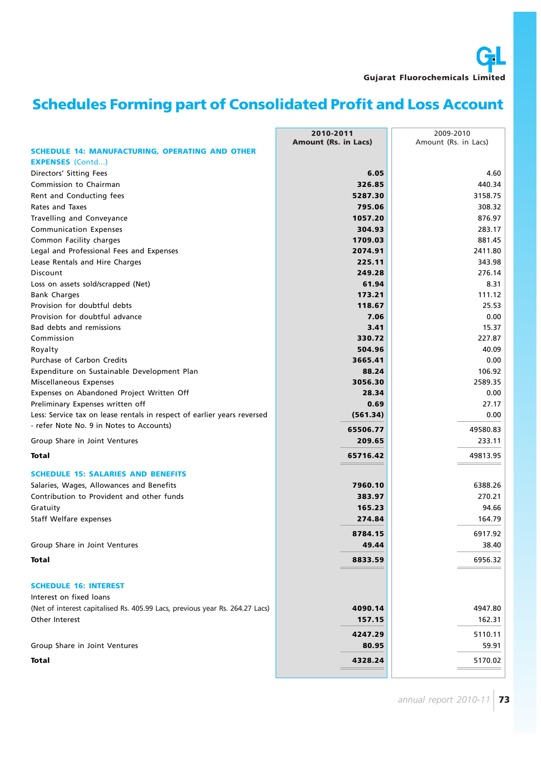

# Schedules Forming part of Consolidated Profit and Loss Account

|                                                                              | 2010-2011                   | 2009-2010            |
|------------------------------------------------------------------------------|-----------------------------|----------------------|
|                                                                              | <b>Amount (Rs. in Lacs)</b> | Amount (Rs. in Lacs) |
| <b>SCHEDULE 14: MANUFACTURING, OPERATING AND OTHER</b>                       |                             |                      |
| <b>EXPENSES</b> (Contd)                                                      |                             |                      |
| Directors' Sitting Fees                                                      | 6.05                        | 4.60                 |
| Commission to Chairman                                                       | 326.85                      | 440.34               |
| Rent and Conducting fees                                                     | 5287.30                     | 3158.75              |
| Rates and Taxes                                                              | 795.06                      | 308.32               |
| Travelling and Conveyance                                                    | 1057.20                     | 876.97               |
| <b>Communication Expenses</b>                                                | 304.93                      | 283.17               |
| Common Facility charges                                                      | 1709.03                     | 881.45               |
| Legal and Professional Fees and Expenses                                     | 2074.91                     | 2411.80              |
| Lease Rentals and Hire Charges                                               | 225.11                      | 343.98               |
| Discount                                                                     | 249.28                      | 276.14               |
| Loss on assets sold/scrapped (Net)                                           | 61.94                       | 8.31                 |
| <b>Bank Charges</b><br>Provision for doubtful debts                          | 173.21<br>118.67            | 111.12<br>25.53      |
| Provision for doubtful advance                                               |                             |                      |
|                                                                              | 7.06<br>3.41                | 0.00<br>15.37        |
| Bad debts and remissions<br>Commission                                       | 330.72                      | 227.87               |
|                                                                              | 504.96                      | 40.09                |
| Royalty<br>Purchase of Carbon Credits                                        | 3665.41                     | 0.00                 |
| Expenditure on Sustainable Development Plan                                  | 88.24                       | 106.92               |
| Miscellaneous Expenses                                                       | 3056.30                     | 2589.35              |
| Expenses on Abandoned Project Written Off                                    | 28.34                       | 0.00                 |
| Preliminary Expenses written off                                             | 0.69                        | 27.17                |
| Less: Service tax on lease rentals in respect of earlier years reversed      | (561.34)                    | 0.00                 |
| - refer Note No. 9 in Notes to Accounts)                                     |                             |                      |
|                                                                              | 65506.77                    | 49580.83             |
| Group Share in Joint Ventures                                                | 209.65                      | 233.11               |
| Total                                                                        | 65716.42                    | 49813.95             |
| <b>SCHEDULE 15: SALARIES AND BENEFITS</b>                                    |                             |                      |
| Salaries, Wages, Allowances and Benefits                                     | 7960.10                     | 6388.26              |
| Contribution to Provident and other funds                                    | 383.97                      | 270.21               |
| Gratuity                                                                     | 165.23                      | 94.66                |
| Staff Welfare expenses                                                       | 274.84                      | 164.79               |
|                                                                              | 8784.15                     | 6917.92              |
| Group Share in Joint Ventures                                                | 49.44                       | 38.40                |
|                                                                              |                             |                      |
| Total                                                                        | 8833.59                     | 6956.32              |
| <b>SCHEDULE 16: INTEREST</b>                                                 |                             |                      |
| Interest on fixed loans                                                      |                             |                      |
|                                                                              |                             |                      |
| (Net of interest capitalised Rs. 405.99 Lacs, previous year Rs. 264.27 Lacs) | 4090.14                     | 4947.80              |
| Other Interest                                                               | 157.15                      | 162.31               |
|                                                                              | 4247.29                     | 5110.11              |
| Group Share in Joint Ventures                                                | 80.95                       | 59.91                |
| Total                                                                        | 4328.24                     | 5170.02              |
|                                                                              |                             |                      |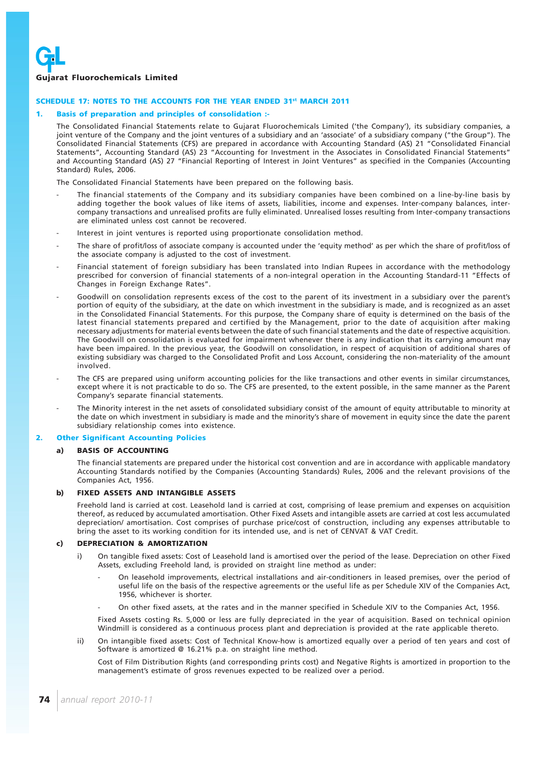

#### SCHEDULE 17: NOTES TO THE ACCOUNTS FOR THE YEAR ENDED 31st MARCH 2011

#### 1. Basis of preparation and principles of consolidation :-

The Consolidated Financial Statements relate to Gujarat Fluorochemicals Limited ('the Company'), its subsidiary companies, a joint venture of the Company and the joint ventures of a subsidiary and an 'associate' of a subsidiary company ("the Group"). The Consolidated Financial Statements (CFS) are prepared in accordance with Accounting Standard (AS) 21 "Consolidated Financial Statements", Accounting Standard (AS) 23 "Accounting for Investment in the Associates in Consolidated Financial Statements" and Accounting Standard (AS) 27 "Financial Reporting of Interest in Joint Ventures" as specified in the Companies (Accounting Standard) Rules, 2006.

The Consolidated Financial Statements have been prepared on the following basis.

- The financial statements of the Company and its subsidiary companies have been combined on a line-by-line basis by adding together the book values of like items of assets, liabilities, income and expenses. Inter-company balances, intercompany transactions and unrealised profits are fully eliminated. Unrealised losses resulting from Inter-company transactions are eliminated unless cost cannot be recovered.
- Interest in joint ventures is reported using proportionate consolidation method.
- The share of profit/loss of associate company is accounted under the 'equity method' as per which the share of profit/loss of the associate company is adjusted to the cost of investment.
- Financial statement of foreign subsidiary has been translated into Indian Rupees in accordance with the methodology prescribed for conversion of financial statements of a non-integral operation in the Accounting Standard-11 "Effects of Changes in Foreign Exchange Rates".
- Goodwill on consolidation represents excess of the cost to the parent of its investment in a subsidiary over the parent's portion of equity of the subsidiary, at the date on which investment in the subsidiary is made, and is recognized as an asset in the Consolidated Financial Statements. For this purpose, the Company share of equity is determined on the basis of the latest financial statements prepared and certified by the Management, prior to the date of acquisition after making necessary adjustments for material events between the date of such financial statements and the date of respective acquisition. The Goodwill on consolidation is evaluated for impairment whenever there is any indication that its carrying amount may have been impaired. In the previous year, the Goodwill on consolidation, in respect of acquisition of additional shares of existing subsidiary was charged to the Consolidated Profit and Loss Account, considering the non-materiality of the amount involved.
- The CFS are prepared using uniform accounting policies for the like transactions and other events in similar circumstances. except where it is not practicable to do so. The CFS are presented, to the extent possible, in the same manner as the Parent Company's separate financial statements.
- The Minority interest in the net assets of consolidated subsidiary consist of the amount of equity attributable to minority at the date on which investment in subsidiary is made and the minority's share of movement in equity since the date the parent subsidiary relationship comes into existence.

#### 2. Other Significant Accounting Policies

#### a) BASIS OF ACCOUNTING

The financial statements are prepared under the historical cost convention and are in accordance with applicable mandatory Accounting Standards notified by the Companies (Accounting Standards) Rules, 2006 and the relevant provisions of the Companies Act, 1956.

#### b) FIXED ASSETS AND INTANGIBLE ASSETS

Freehold land is carried at cost. Leasehold land is carried at cost, comprising of lease premium and expenses on acquisition thereof, as reduced by accumulated amortisation. Other Fixed Assets and intangible assets are carried at cost less accumulated depreciation/ amortisation. Cost comprises of purchase price/cost of construction, including any expenses attributable to bring the asset to its working condition for its intended use, and is net of CENVAT & VAT Credit.

#### c) DEPRECIATION & AMORTIZATION

- i) On tangible fixed assets: Cost of Leasehold land is amortised over the period of the lease. Depreciation on other Fixed Assets, excluding Freehold land, is provided on straight line method as under:
	- On leasehold improvements, electrical installations and air-conditioners in leased premises, over the period of useful life on the basis of the respective agreements or the useful life as per Schedule XIV of the Companies Act, 1956, whichever is shorter.
	- On other fixed assets, at the rates and in the manner specified in Schedule XIV to the Companies Act, 1956.

Fixed Assets costing Rs. 5,000 or less are fully depreciated in the year of acquisition. Based on technical opinion Windmill is considered as a continuous process plant and depreciation is provided at the rate applicable thereto.

ii) On intangible fixed assets: Cost of Technical Know-how is amortized equally over a period of ten years and cost of Software is amortized @ 16.21% p.a. on straight line method.

Cost of Film Distribution Rights (and corresponding prints cost) and Negative Rights is amortized in proportion to the management's estimate of gross revenues expected to be realized over a period.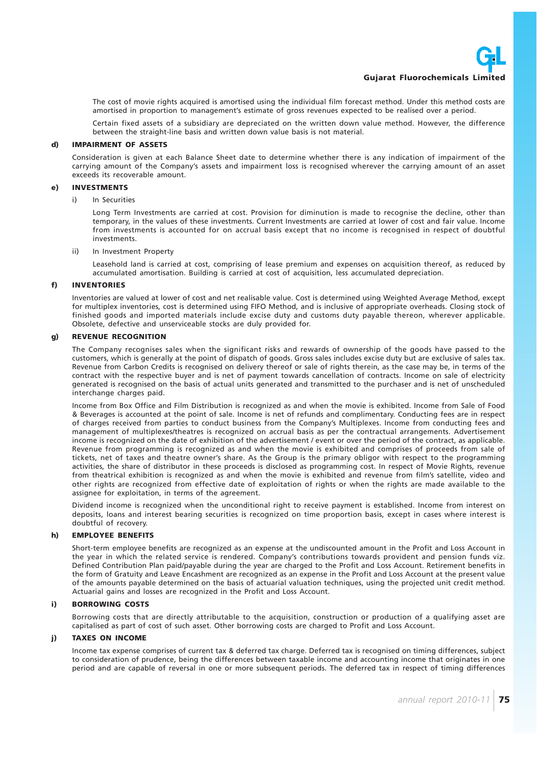The cost of movie rights acquired is amortised using the individual film forecast method. Under this method costs are amortised in proportion to management's estimate of gross revenues expected to be realised over a period.

Certain fixed assets of a subsidiary are depreciated on the written down value method. However, the difference between the straight-line basis and written down value basis is not material.

#### d) IMPAIRMENT OF ASSETS

Consideration is given at each Balance Sheet date to determine whether there is any indication of impairment of the carrying amount of the Company's assets and impairment loss is recognised wherever the carrying amount of an asset exceeds its recoverable amount.

#### e) INVESTMENTS

#### i) In Securities

Long Term Investments are carried at cost. Provision for diminution is made to recognise the decline, other than temporary, in the values of these investments. Current Investments are carried at lower of cost and fair value. Income from investments is accounted for on accrual basis except that no income is recognised in respect of doubtful investments.

#### ii) In Investment Property

Leasehold land is carried at cost, comprising of lease premium and expenses on acquisition thereof, as reduced by accumulated amortisation. Building is carried at cost of acquisition, less accumulated depreciation.

#### f) INVENTORIES

Inventories are valued at lower of cost and net realisable value. Cost is determined using Weighted Average Method, except for multiplex inventories, cost is determined using FIFO Method, and is inclusive of appropriate overheads. Closing stock of finished goods and imported materials include excise duty and customs duty payable thereon, wherever applicable. Obsolete, defective and unserviceable stocks are duly provided for.

#### g) REVENUE RECOGNITION

The Company recognises sales when the significant risks and rewards of ownership of the goods have passed to the customers, which is generally at the point of dispatch of goods. Gross sales includes excise duty but are exclusive of sales tax. Revenue from Carbon Credits is recognised on delivery thereof or sale of rights therein, as the case may be, in terms of the contract with the respective buyer and is net of payment towards cancellation of contracts. Income on sale of electricity generated is recognised on the basis of actual units generated and transmitted to the purchaser and is net of unscheduled interchange charges paid.

Income from Box Office and Film Distribution is recognized as and when the movie is exhibited. Income from Sale of Food & Beverages is accounted at the point of sale. Income is net of refunds and complimentary. Conducting fees are in respect of charges received from parties to conduct business from the Company's Multiplexes. Income from conducting fees and management of multiplexes/theatres is recognized on accrual basis as per the contractual arrangements. Advertisement income is recognized on the date of exhibition of the advertisement / event or over the period of the contract, as applicable. Revenue from programming is recognized as and when the movie is exhibited and comprises of proceeds from sale of tickets, net of taxes and theatre owner's share. As the Group is the primary obligor with respect to the programming activities, the share of distributor in these proceeds is disclosed as programming cost. In respect of Movie Rights, revenue from theatrical exhibition is recognized as and when the movie is exhibited and revenue from film's satellite, video and other rights are recognized from effective date of exploitation of rights or when the rights are made available to the assignee for exploitation, in terms of the agreement.

Dividend income is recognized when the unconditional right to receive payment is established. Income from interest on deposits, loans and interest bearing securities is recognized on time proportion basis, except in cases where interest is doubtful of recovery.

#### h) EMPLOYEE BENEFITS

Short-term employee benefits are recognized as an expense at the undiscounted amount in the Profit and Loss Account in the year in which the related service is rendered. Company's contributions towards provident and pension funds viz. Defined Contribution Plan paid/payable during the year are charged to the Profit and Loss Account. Retirement benefits in the form of Gratuity and Leave Encashment are recognized as an expense in the Profit and Loss Account at the present value of the amounts payable determined on the basis of actuarial valuation techniques, using the projected unit credit method. Actuarial gains and losses are recognized in the Profit and Loss Account.

#### i) BORROWING COSTS

Borrowing costs that are directly attributable to the acquisition, construction or production of a qualifying asset are capitalised as part of cost of such asset. Other borrowing costs are charged to Profit and Loss Account.

#### j) TAXES ON INCOME

Income tax expense comprises of current tax & deferred tax charge. Deferred tax is recognised on timing differences, subject to consideration of prudence, being the differences between taxable income and accounting income that originates in one period and are capable of reversal in one or more subsequent periods. The deferred tax in respect of timing differences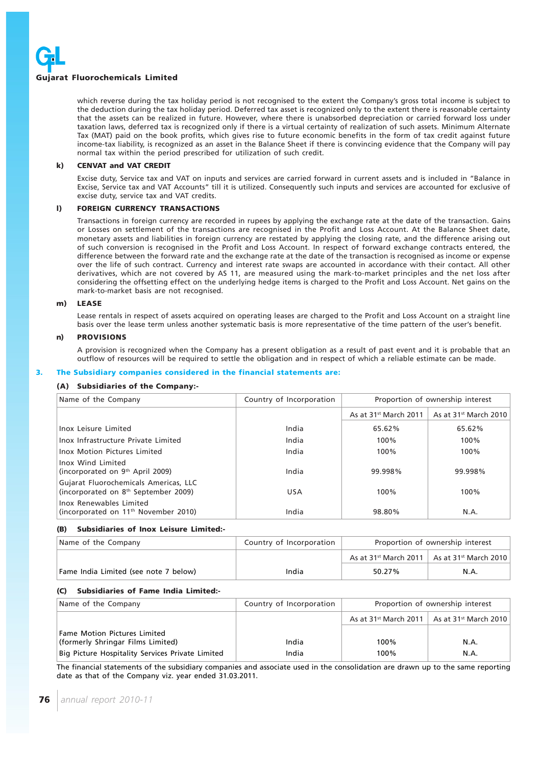

which reverse during the tax holiday period is not recognised to the extent the Company's gross total income is subject to the deduction during the tax holiday period. Deferred tax asset is recognized only to the extent there is reasonable certainty that the assets can be realized in future. However, where there is unabsorbed depreciation or carried forward loss under taxation laws, deferred tax is recognized only if there is a virtual certainty of realization of such assets. Minimum Alternate Tax (MAT) paid on the book profits, which gives rise to future economic benefits in the form of tax credit against future income-tax liability, is recognized as an asset in the Balance Sheet if there is convincing evidence that the Company will pay normal tax within the period prescribed for utilization of such credit.

#### k) CENVAT and VAT CREDIT

Excise duty, Service tax and VAT on inputs and services are carried forward in current assets and is included in "Balance in Excise, Service tax and VAT Accounts" till it is utilized. Consequently such inputs and services are accounted for exclusive of excise duty, service tax and VAT credits.

#### l) FOREIGN CURRENCY TRANSACTIONS

Transactions in foreign currency are recorded in rupees by applying the exchange rate at the date of the transaction. Gains or Losses on settlement of the transactions are recognised in the Profit and Loss Account. At the Balance Sheet date, monetary assets and liabilities in foreign currency are restated by applying the closing rate, and the difference arising out of such conversion is recognised in the Profit and Loss Account. In respect of forward exchange contracts entered, the difference between the forward rate and the exchange rate at the date of the transaction is recognised as income or expense over the life of such contract. Currency and interest rate swaps are accounted in accordance with their contact. All other derivatives, which are not covered by AS 11, are measured using the mark-to-market principles and the net loss after considering the offsetting effect on the underlying hedge items is charged to the Profit and Loss Account. Net gains on the mark-to-market basis are not recognised.

#### m) LEASE

Lease rentals in respect of assets acquired on operating leases are charged to the Profit and Loss Account on a straight line basis over the lease term unless another systematic basis is more representative of the time pattern of the user's benefit.

#### n) PROVISIONS

A provision is recognized when the Company has a present obligation as a result of past event and it is probable that an outflow of resources will be required to settle the obligation and in respect of which a reliable estimate can be made.

#### 3. The Subsidiary companies considered in the financial statements are:

#### (A) Subsidiaries of the Company:-

| Name of the Company                                                                       | Country of Incorporation | Proportion of ownership interest  |                                   |
|-------------------------------------------------------------------------------------------|--------------------------|-----------------------------------|-----------------------------------|
|                                                                                           |                          | As at 31 <sup>st</sup> March 2011 | As at 31 <sup>st</sup> March 2010 |
| Inox Leisure Limited                                                                      | India                    | 65.62%                            | 65.62%                            |
| Inox Infrastructure Private Limited                                                       | India                    | 100%                              | 100%                              |
| <b>Inox Motion Pictures Limited</b>                                                       | India                    | $100\%$                           | 100%                              |
| Inox Wind Limited<br>(incorporated on 9 <sup>th</sup> April 2009)                         | India                    | 99.998%                           | 99.998%                           |
| Gujarat Fluorochemicals Americas, LLC<br>(incorporated on 8 <sup>th</sup> September 2009) | <b>USA</b>               | 100%                              | 100%                              |
| Inox Renewables Limited<br>(incorporated on 11 <sup>th</sup> November 2010)               | India                    | 98.80%                            | N.A.                              |

#### (B) Subsidiaries of Inox Leisure Limited:-

| Name of the Company                   | Country of Incorporation | Proportion of ownership interest                                      |      |
|---------------------------------------|--------------------------|-----------------------------------------------------------------------|------|
|                                       |                          | As at 31 <sup>st</sup> March 2011   As at 31 <sup>st</sup> March 2010 |      |
| Fame India Limited (see note 7 below) | India                    | 50.27%                                                                | N.A. |

#### (C) Subsidiaries of Fame India Limited:-

| Name of the Company                                                      | Country of Incorporation | Proportion of ownership interest |                                                                       |
|--------------------------------------------------------------------------|--------------------------|----------------------------------|-----------------------------------------------------------------------|
|                                                                          |                          |                                  | As at 31 <sup>st</sup> March 2011   As at 31 <sup>st</sup> March 2010 |
| <b>Fame Motion Pictures Limited</b><br>(formerly Shringar Films Limited) | India                    | 100%                             | N.A.                                                                  |
| Big Picture Hospitality Services Private Limited                         | India                    | 100%                             | N.A.                                                                  |

The financial statements of the subsidiary companies and associate used in the consolidation are drawn up to the same reporting date as that of the Company viz. year ended 31.03.2011.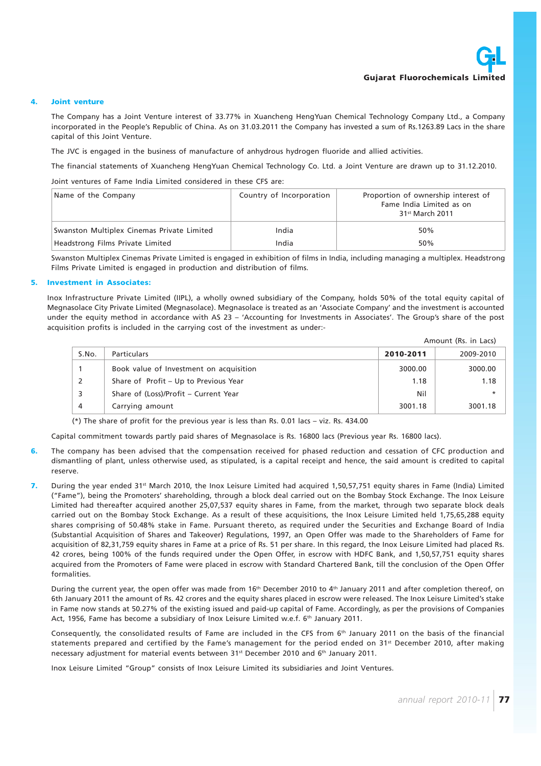#### 4. Joint venture

The Company has a Joint Venture interest of 33.77% in Xuancheng HengYuan Chemical Technology Company Ltd., a Company incorporated in the People's Republic of China. As on 31.03.2011 the Company has invested a sum of Rs.1263.89 Lacs in the share capital of this Joint Venture.

The JVC is engaged in the business of manufacture of anhydrous hydrogen fluoride and allied activities.

The financial statements of Xuancheng HengYuan Chemical Technology Co. Ltd. a Joint Venture are drawn up to 31.12.2010.

Joint ventures of Fame India Limited considered in these CFS are:

| Name of the Company                        | Country of Incorporation | Proportion of ownership interest of<br>Fame India Limited as on<br>31 <sup>st</sup> March 2011 |
|--------------------------------------------|--------------------------|------------------------------------------------------------------------------------------------|
| Swanston Multiplex Cinemas Private Limited | India                    | 50%                                                                                            |
| Headstrong Films Private Limited           | India                    | 50%                                                                                            |

Swanston Multiplex Cinemas Private Limited is engaged in exhibition of films in India, including managing a multiplex. Headstrong Films Private Limited is engaged in production and distribution of films.

#### 5. Investment in Associates:

Inox Infrastructure Private Limited (IIPL), a wholly owned subsidiary of the Company, holds 50% of the total equity capital of Megnasolace City Private Limited (Megnasolace). Megnasolace is treated as an 'Associate Company' and the investment is accounted under the equity method in accordance with AS 23 – 'Accounting for Investments in Associates'. The Group's share of the post acquisition profits is included in the carrying cost of the investment as under:-

|       |                                         |           | Amount (Rs. in Lacs) |
|-------|-----------------------------------------|-----------|----------------------|
| S.No. | <b>Particulars</b>                      | 2010-2011 | 2009-2010            |
|       | Book value of Investment on acquisition | 3000.00   | 3000.00              |
|       | Share of Profit – Up to Previous Year   | 1.18      | 1.18                 |
|       | Share of (Loss)/Profit - Current Year   | Nil       | $\star$              |
| 4     | Carrying amount                         | 3001.18   | 3001.18              |

(\*) The share of profit for the previous year is less than Rs. 0.01 lacs – viz. Rs. 434.00

Capital commitment towards partly paid shares of Megnasolace is Rs. 16800 lacs (Previous year Rs. 16800 lacs).

- 6. The company has been advised that the compensation received for phased reduction and cessation of CFC production and dismantling of plant, unless otherwise used, as stipulated, is a capital receipt and hence, the said amount is credited to capital reserve.
- 7. During the year ended 31<sup>st</sup> March 2010, the Inox Leisure Limited had acquired 1,50,57,751 equity shares in Fame (India) Limited ("Fame"), being the Promoters' shareholding, through a block deal carried out on the Bombay Stock Exchange. The Inox Leisure Limited had thereafter acquired another 25,07,537 equity shares in Fame, from the market, through two separate block deals carried out on the Bombay Stock Exchange. As a result of these acquisitions, the Inox Leisure Limited held 1,75,65,288 equity shares comprising of 50.48% stake in Fame. Pursuant thereto, as required under the Securities and Exchange Board of India (Substantial Acquisition of Shares and Takeover) Regulations, 1997, an Open Offer was made to the Shareholders of Fame for acquisition of 82,31,759 equity shares in Fame at a price of Rs. 51 per share. In this regard, the Inox Leisure Limited had placed Rs. 42 crores, being 100% of the funds required under the Open Offer, in escrow with HDFC Bank, and 1,50,57,751 equity shares acquired from the Promoters of Fame were placed in escrow with Standard Chartered Bank, till the conclusion of the Open Offer formalities.

During the current year, the open offer was made from 16<sup>th</sup> December 2010 to 4<sup>th</sup> January 2011 and after completion thereof, on 6th January 2011 the amount of Rs. 42 crores and the equity shares placed in escrow were released. The Inox Leisure Limited's stake in Fame now stands at 50.27% of the existing issued and paid-up capital of Fame. Accordingly, as per the provisions of Companies Act, 1956, Fame has become a subsidiary of Inox Leisure Limited w.e.f. 6th January 2011.

Consequently, the consolidated results of Fame are included in the CFS from 6th January 2011 on the basis of the financial statements prepared and certified by the Fame's management for the period ended on 31<sup>st</sup> December 2010, after making necessary adjustment for material events between 31<sup>st</sup> December 2010 and 6<sup>th</sup> January 2011.

Inox Leisure Limited "Group" consists of Inox Leisure Limited its subsidiaries and Joint Ventures.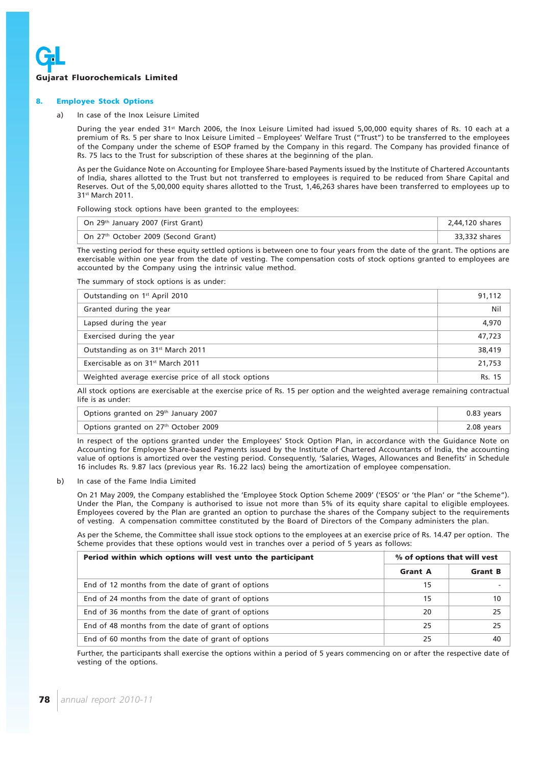

#### 8. Employee Stock Options

a) In case of the Inox Leisure Limited

During the year ended 31<sup>st</sup> March 2006, the Inox Leisure Limited had issued 5,00,000 equity shares of Rs. 10 each at a premium of Rs. 5 per share to Inox Leisure Limited – Employees' Welfare Trust ("Trust") to be transferred to the employees of the Company under the scheme of ESOP framed by the Company in this regard. The Company has provided finance of Rs. 75 lacs to the Trust for subscription of these shares at the beginning of the plan.

As per the Guidance Note on Accounting for Employee Share-based Payments issued by the Institute of Chartered Accountants of India, shares allotted to the Trust but not transferred to employees is required to be reduced from Share Capital and Reserves. Out of the 5,00,000 equity shares allotted to the Trust, 1,46,263 shares have been transferred to employees up to 31st March 2011.

Following stock options have been granted to the employees:

| On 29 <sup>th</sup> January 2007 (First Grant)  | 2,44,120 shares |
|-------------------------------------------------|-----------------|
| On 27 <sup>th</sup> October 2009 (Second Grant) | 33,332 shares   |

The vesting period for these equity settled options is between one to four years from the date of the grant. The options are exercisable within one year from the date of vesting. The compensation costs of stock options granted to employees are accounted by the Company using the intrinsic value method.

The summary of stock options is as under:

| Outstanding on 1 <sup>st</sup> April 2010            | 91,112 |
|------------------------------------------------------|--------|
| Granted during the year                              | Nil    |
| Lapsed during the year                               | 4,970  |
| Exercised during the year                            | 47,723 |
| Outstanding as on 31 <sup>st</sup> March 2011        | 38,419 |
| Exercisable as on 31 <sup>st</sup> March 2011        | 21,753 |
| Weighted average exercise price of all stock options | Rs. 15 |

All stock options are exercisable at the exercise price of Rs. 15 per option and the weighted average remaining contractual life is as under:

| Options granted on 29th January 2007             | 0.83 years |
|--------------------------------------------------|------------|
| Options granted on 27 <sup>th</sup> October 2009 | 2.08 years |

In respect of the options granted under the Employees' Stock Option Plan, in accordance with the Guidance Note on Accounting for Employee Share-based Payments issued by the Institute of Chartered Accountants of India, the accounting value of options is amortized over the vesting period. Consequently, 'Salaries, Wages, Allowances and Benefits' in Schedule 16 includes Rs. 9.87 lacs (previous year Rs. 16.22 lacs) being the amortization of employee compensation.

b) In case of the Fame India Limited

On 21 May 2009, the Company established the 'Employee Stock Option Scheme 2009' ('ESOS' or 'the Plan' or "the Scheme"). Under the Plan, the Company is authorised to issue not more than 5% of its equity share capital to eligible employees. Employees covered by the Plan are granted an option to purchase the shares of the Company subject to the requirements of vesting. A compensation committee constituted by the Board of Directors of the Company administers the plan.

As per the Scheme, the Committee shall issue stock options to the employees at an exercise price of Rs. 14.47 per option. The Scheme provides that these options would vest in tranches over a period of 5 years as follows:

| Period within which options will vest unto the participant |                | % of options that will vest |  |
|------------------------------------------------------------|----------------|-----------------------------|--|
|                                                            | <b>Grant A</b> | <b>Grant B</b>              |  |
| End of 12 months from the date of grant of options         | 15             | ۰                           |  |
| End of 24 months from the date of grant of options         | 15             | 10                          |  |
| End of 36 months from the date of grant of options         | 20             | 25                          |  |
| End of 48 months from the date of grant of options         | 25             | 25                          |  |
| End of 60 months from the date of grant of options         | 25             | 40                          |  |

Further, the participants shall exercise the options within a period of 5 years commencing on or after the respective date of vesting of the options.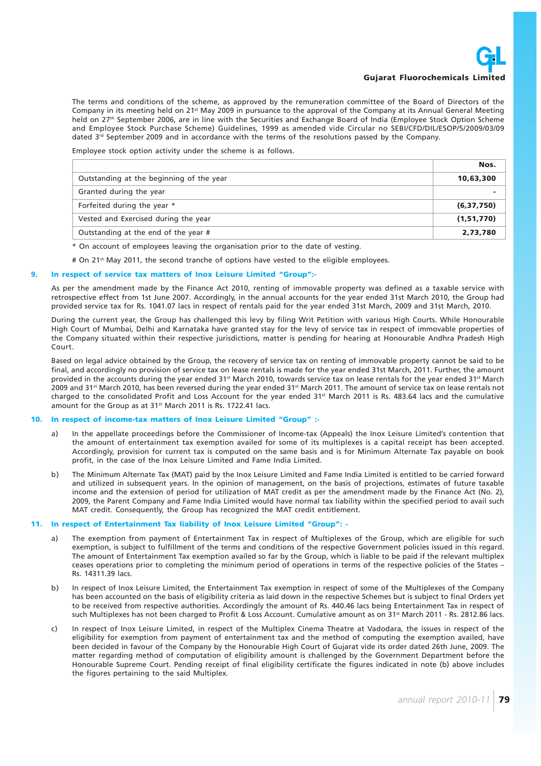The terms and conditions of the scheme, as approved by the remuneration committee of the Board of Directors of the Company in its meeting held on 21<sup>st</sup> May 2009 in pursuance to the approval of the Company at its Annual General Meeting held on 27th September 2006, are in line with the Securities and Exchange Board of India (Employee Stock Option Scheme and Employee Stock Purchase Scheme) Guidelines, 1999 as amended vide Circular no SEBI/CFD/DIL/ESOP/5/2009/03/09 dated 3rd September 2009 and in accordance with the terms of the resolutions passed by the Company.

Employee stock option activity under the scheme is as follows.

|                                          | Nos.         |
|------------------------------------------|--------------|
| Outstanding at the beginning of the year | 10,63,300    |
| Granted during the year                  |              |
| Forfeited during the year *              | (6, 37, 750) |
| Vested and Exercised during the year     | (1, 51, 770) |
| Outstanding at the end of the year #     | 2,73,780     |

\* On account of employees leaving the organisation prior to the date of vesting.

# On 21<sup>st</sup> May 2011, the second tranche of options have vested to the eligible employees.

#### 9. In respect of service tax matters of Inox Leisure Limited "Group":-

As per the amendment made by the Finance Act 2010, renting of immovable property was defined as a taxable service with retrospective effect from 1st June 2007. Accordingly, in the annual accounts for the year ended 31st March 2010, the Group had provided service tax for Rs. 1041.07 lacs in respect of rentals paid for the year ended 31st March, 2009 and 31st March, 2010.

During the current year, the Group has challenged this levy by filing Writ Petition with various High Courts. While Honourable High Court of Mumbai, Delhi and Karnataka have granted stay for the levy of service tax in respect of immovable properties of the Company situated within their respective jurisdictions, matter is pending for hearing at Honourable Andhra Pradesh High Court.

Based on legal advice obtained by the Group, the recovery of service tax on renting of immovable property cannot be said to be final, and accordingly no provision of service tax on lease rentals is made for the year ended 31st March, 2011. Further, the amount provided in the accounts during the year ended 31<sup>st</sup> March 2010, towards service tax on lease rentals for the year ended 31<sup>st</sup> March 2009 and 31<sup>st</sup> March 2010, has been reversed during the year ended 31<sup>st</sup> March 2011. The amount of service tax on lease rentals not charged to the consolidated Profit and Loss Account for the year ended 31st March 2011 is Rs. 483.64 lacs and the cumulative amount for the Group as at 31<sup>st</sup> March 2011 is Rs. 1722.41 lacs.

#### 10. In respect of income-tax matters of Inox Leisure Limited "Group" :-

- a) In the appellate proceedings before the Commissioner of Income-tax (Appeals) the Inox Leisure Limited's contention that the amount of entertainment tax exemption availed for some of its multiplexes is a capital receipt has been accepted. Accordingly, provision for current tax is computed on the same basis and is for Minimum Alternate Tax payable on book profit, in the case of the Inox Leisure Limited and Fame India Limited.
- b) The Minimum Alternate Tax (MAT) paid by the Inox Leisure Limited and Fame India Limited is entitled to be carried forward and utilized in subsequent years. In the opinion of management, on the basis of projections, estimates of future taxable income and the extension of period for utilization of MAT credit as per the amendment made by the Finance Act (No. 2), 2009, the Parent Company and Fame India Limited would have normal tax liability within the specified period to avail such MAT credit. Consequently, the Group has recognized the MAT credit entitlement.

#### 11. In respect of Entertainment Tax liability of Inox Leisure Limited "Group": -

- a) The exemption from payment of Entertainment Tax in respect of Multiplexes of the Group, which are eligible for such exemption, is subject to fulfillment of the terms and conditions of the respective Government policies issued in this regard. The amount of Entertainment Tax exemption availed so far by the Group, which is liable to be paid if the relevant multiplex ceases operations prior to completing the minimum period of operations in terms of the respective policies of the States – Rs. 14311.39 lacs.
- b) In respect of Inox Leisure Limited, the Entertainment Tax exemption in respect of some of the Multiplexes of the Company has been accounted on the basis of eligibility criteria as laid down in the respective Schemes but is subject to final Orders yet to be received from respective authorities. Accordingly the amount of Rs. 440.46 lacs being Entertainment Tax in respect of such Multiplexes has not been charged to Profit & Loss Account. Cumulative amount as on 31<sup>st</sup> March 2011 - Rs. 2812.86 lacs.
- c) In respect of Inox Leisure Limited, in respect of the Multiplex Cinema Theatre at Vadodara, the issues in respect of the eligibility for exemption from payment of entertainment tax and the method of computing the exemption availed, have been decided in favour of the Company by the Honourable High Court of Gujarat vide its order dated 26th June, 2009. The matter regarding method of computation of eligibility amount is challenged by the Government Department before the Honourable Supreme Court. Pending receipt of final eligibility certificate the figures indicated in note (b) above includes the figures pertaining to the said Multiplex.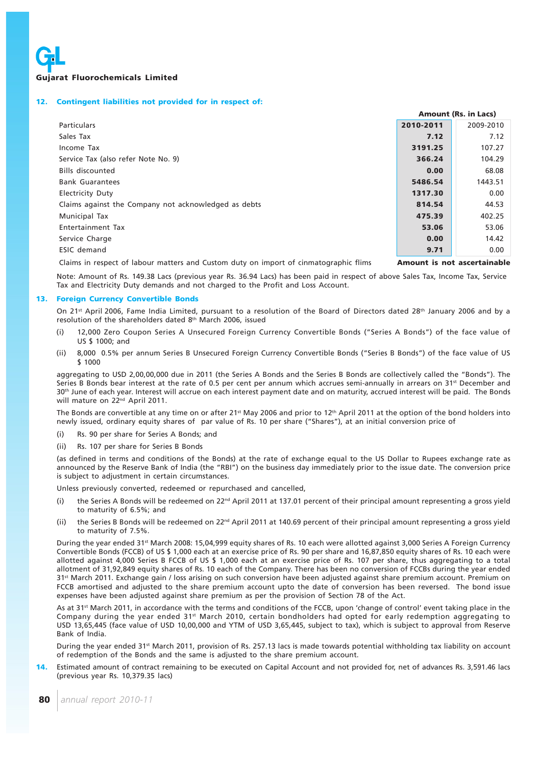

#### Contingent liabilities not provided for in respect of:

|                                                      |           | <b>Amount (Rs. in Lacs)</b> |
|------------------------------------------------------|-----------|-----------------------------|
| <b>Particulars</b>                                   | 2010-2011 | 2009-2010                   |
| Sales Tax                                            | 7.12      | 7.12                        |
| Income Tax                                           | 3191.25   | 107.27                      |
| Service Tax (also refer Note No. 9)                  | 366.24    | 104.29                      |
| <b>Bills discounted</b>                              | 0.00      | 68.08                       |
| <b>Bank Guarantees</b>                               | 5486.54   | 1443.51                     |
| <b>Electricity Duty</b>                              | 1317.30   | 0.00                        |
| Claims against the Company not acknowledged as debts | 814.54    | 44.53                       |
| Municipal Tax                                        | 475.39    | 402.25                      |
| Entertainment Tax                                    | 53.06     | 53.06                       |
| Service Charge                                       | 0.00      | 14.42                       |
| <b>ESIC</b> demand                                   | 9.71      | 0.00                        |
|                                                      |           |                             |

Claims in respect of labour matters and Custom duty on import of cinmatographic flims **Amount is not ascertainable** 

Note: Amount of Rs. 149.38 Lacs (previous year Rs. 36.94 Lacs) has been paid in respect of above Sales Tax, Income Tax, Service Tax and Electricity Duty demands and not charged to the Profit and Loss Account.

#### 13. Foreign Currency Convertible Bonds

On 21st April 2006, Fame India Limited, pursuant to a resolution of the Board of Directors dated 28<sup>th</sup> January 2006 and by a resolution of the shareholders dated 8<sup>th</sup> March 2006, issued

- (i) 12,000 Zero Coupon Series A Unsecured Foreign Currency Convertible Bonds ("Series A Bonds") of the face value of US \$ 1000; and
- (ii) 8,000 0.5% per annum Series B Unsecured Foreign Currency Convertible Bonds ("Series B Bonds") of the face value of US \$ 1000

aggregating to USD 2,00,00,000 due in 2011 (the Series A Bonds and the Series B Bonds are collectively called the "Bonds"). The Series B Bonds bear interest at the rate of 0.5 per cent per annum which accrues semi-annually in arrears on 31<sup>st</sup> December and 30<sup>th</sup> June of each year. Interest will accrue on each interest payment date and on maturity, accrued interest will be paid. The Bonds will mature on 22<sup>nd</sup> April 2011.

The Bonds are convertible at any time on or after 21<sup>st</sup> May 2006 and prior to 12<sup>th</sup> April 2011 at the option of the bond holders into newly issued, ordinary equity shares of par value of Rs. 10 per share ("Shares"), at an initial conversion price of

- (i) Rs. 90 per share for Series A Bonds; and
- (ii) Rs. 107 per share for Series B Bonds

(as defined in terms and conditions of the Bonds) at the rate of exchange equal to the US Dollar to Rupees exchange rate as announced by the Reserve Bank of India (the "RBI") on the business day immediately prior to the issue date. The conversion price is subject to adjustment in certain circumstances.

Unless previously converted, redeemed or repurchased and cancelled,

- (i) the Series A Bonds will be redeemed on  $22^{nd}$  April 2011 at 137.01 percent of their principal amount representing a gross yield to maturity of 6.5%; and
- (ii) the Series B Bonds will be redeemed on  $22^{nd}$  April 2011 at 140.69 percent of their principal amount representing a gross yield to maturity of 7.5%.

During the year ended 31<sup>st</sup> March 2008: 15,04,999 equity shares of Rs. 10 each were allotted against 3,000 Series A Foreign Currency Convertible Bonds (FCCB) of US \$ 1,000 each at an exercise price of Rs. 90 per share and 16,87,850 equity shares of Rs. 10 each were allotted against 4,000 Series B FCCB of US \$ 1,000 each at an exercise price of Rs. 107 per share, thus aggregating to a total allotment of 31,92,849 equity shares of Rs. 10 each of the Company. There has been no conversion of FCCBs during the year ended 31<sup>st</sup> March 2011. Exchange gain / loss arising on such conversion have been adjusted against share premium account. Premium on FCCB amortised and adjusted to the share premium account upto the date of conversion has been reversed. The bond issue expenses have been adjusted against share premium as per the provision of Section 78 of the Act.

As at 31<sup>st</sup> March 2011, in accordance with the terms and conditions of the FCCB, upon 'change of control' event taking place in the Company during the year ended 31<sup>st</sup> March 2010, certain bondholders had opted for early redemption aggregating to USD 13,65,445 (face value of USD 10,00,000 and YTM of USD 3,65,445, subject to tax), which is subject to approval from Reserve Bank of India.

During the year ended 31st March 2011, provision of Rs. 257.13 lacs is made towards potential withholding tax liability on account of redemption of the Bonds and the same is adjusted to the share premium account.

14. Estimated amount of contract remaining to be executed on Capital Account and not provided for, net of advances Rs. 3,591.46 lacs (previous year Rs. 10,379.35 lacs)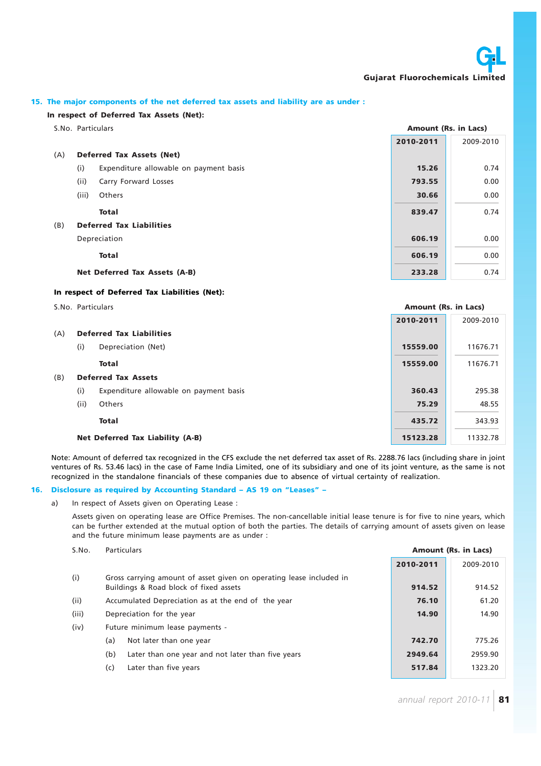#### 15. The major components of the net deferred tax assets and liability are as under :

#### In respect of Deferred Tax Assets (Net):

|     | S.No. Particulars |                                        |           | <b>Amount (Rs. in Lacs)</b> |  |  |  |
|-----|-------------------|----------------------------------------|-----------|-----------------------------|--|--|--|
|     |                   |                                        | 2010-2011 | 2009-2010                   |  |  |  |
| (A) |                   | <b>Deferred Tax Assets (Net)</b>       |           |                             |  |  |  |
|     | (i)               | Expenditure allowable on payment basis | 15.26     | 0.74                        |  |  |  |
|     | (ii)              | Carry Forward Losses                   | 793.55    | 0.00                        |  |  |  |
|     | (iii)             | Others                                 | 30.66     | 0.00                        |  |  |  |
|     |                   | <b>Total</b>                           | 839.47    | 0.74                        |  |  |  |
| (B) |                   | <b>Deferred Tax Liabilities</b>        |           |                             |  |  |  |
|     |                   | Depreciation                           | 606.19    | 0.00                        |  |  |  |
|     |                   | <b>Total</b>                           | 606.19    | 0.00                        |  |  |  |
|     |                   | Net Deferred Tax Assets (A-B)          | 233.28    | 0.74                        |  |  |  |

#### In respect of Deferred Tax Liabilities (Net):

|     | S.No. Particulars |                                        | <b>Amount (Rs. in Lacs)</b> |           |  |  |
|-----|-------------------|----------------------------------------|-----------------------------|-----------|--|--|
|     |                   |                                        | 2010-2011                   | 2009-2010 |  |  |
| (A) |                   | <b>Deferred Tax Liabilities</b>        |                             |           |  |  |
|     | (i)               | Depreciation (Net)                     | 15559.00                    | 11676.71  |  |  |
|     |                   | <b>Total</b>                           | 15559.00                    | 11676.71  |  |  |
| (B) |                   | <b>Deferred Tax Assets</b>             |                             |           |  |  |
|     | (i)               | Expenditure allowable on payment basis | 360.43                      | 295.38    |  |  |
|     | (ii)              | Others                                 | 75.29                       | 48.55     |  |  |
|     |                   | <b>Total</b>                           | 435.72                      | 343.93    |  |  |
|     |                   | Net Deferred Tax Liability (A-B)       | 15123.28                    | 11332.78  |  |  |

Note: Amount of deferred tax recognized in the CFS exclude the net deferred tax asset of Rs. 2288.76 lacs (including share in joint ventures of Rs. 53.46 lacs) in the case of Fame India Limited, one of its subsidiary and one of its joint venture, as the same is not recognized in the standalone financials of these companies due to absence of virtual certainty of realization.

#### 16. Disclosure as required by Accounting Standard – AS 19 on "Leases" –

a) In respect of Assets given on Operating Lease :

Assets given on operating lease are Office Premises. The non-cancellable initial lease tenure is for five to nine years, which can be further extended at the mutual option of both the parties. The details of carrying amount of assets given on lease and the future minimum lease payments are as under :

| S.No. | <b>Particulars</b>                                                                                            | <b>Amount (Rs. in Lacs)</b> |           |
|-------|---------------------------------------------------------------------------------------------------------------|-----------------------------|-----------|
|       |                                                                                                               | 2010-2011                   | 2009-2010 |
| (i)   | Gross carrying amount of asset given on operating lease included in<br>Buildings & Road block of fixed assets | 914.52                      | 914.52    |
| (ii)  | Accumulated Depreciation as at the end of the year                                                            | 76.10                       | 61.20     |
| (iii) | Depreciation for the year                                                                                     |                             | 14.90     |
| (iv)  | Future minimum lease payments -                                                                               |                             |           |
|       | Not later than one year<br>(a)                                                                                | 742.70                      | 775.26    |
|       | Later than one year and not later than five years<br>(b)                                                      | 2949.64                     | 2959.90   |
|       | (c)<br>Later than five years                                                                                  | 517.84                      | 1323.20   |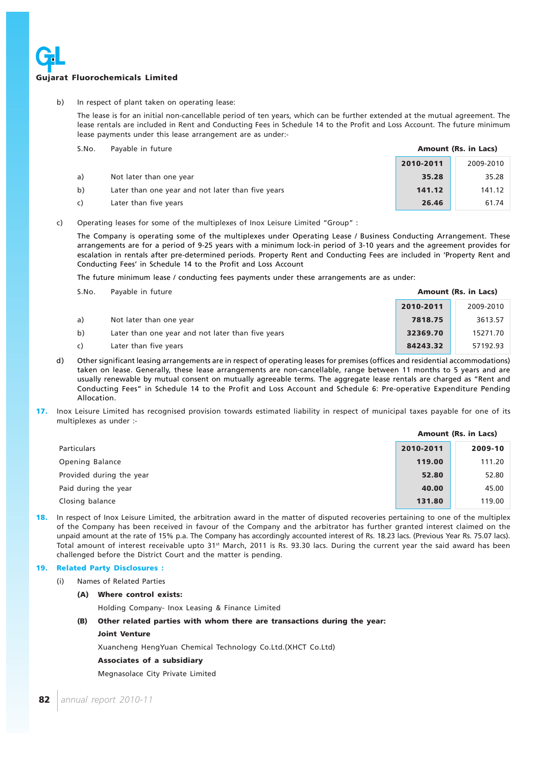### Gujarat Fluorochemicals Limited

b) In respect of plant taken on operating lease:

The lease is for an initial non-cancellable period of ten years, which can be further extended at the mutual agreement. The lease rentals are included in Rent and Conducting Fees in Schedule 14 to the Profit and Loss Account. The future minimum lease payments under this lease arrangement are as under:-

| S.No. | Payable in future                                 | <b>Amount (Rs. in Lacs)</b> |           |
|-------|---------------------------------------------------|-----------------------------|-----------|
|       |                                                   | 2010-2011                   | 2009-2010 |
| a)    | Not later than one year                           | 35.28                       | 35.28     |
| b)    | Later than one year and not later than five years | 141.12                      | 141.12    |
|       | Later than five years                             | 26.46                       | 61.74     |

c) Operating leases for some of the multiplexes of Inox Leisure Limited "Group" :

The Company is operating some of the multiplexes under Operating Lease / Business Conducting Arrangement. These arrangements are for a period of 9-25 years with a minimum lock-in period of 3-10 years and the agreement provides for escalation in rentals after pre-determined periods. Property Rent and Conducting Fees are included in 'Property Rent and Conducting Fees' in Schedule 14 to the Profit and Loss Account

The future minimum lease / conducting fees payments under these arrangements are as under:

| S.No. | Payable in future                                 |           | <b>Amount (Rs. in Lacs)</b> |
|-------|---------------------------------------------------|-----------|-----------------------------|
|       |                                                   | 2010-2011 | 2009-2010                   |
| a)    | Not later than one year                           | 7818.75   | 3613.57                     |
| b)    | Later than one year and not later than five years | 32369.70  | 15271.70                    |
|       | Later than five years                             | 84243.32  | 57192.93                    |

- d) Other significant leasing arrangements are in respect of operating leases for premises (offices and residential accommodations) taken on lease. Generally, these lease arrangements are non-cancellable, range between 11 months to 5 years and are usually renewable by mutual consent on mutually agreeable terms. The aggregate lease rentals are charged as "Rent and Conducting Fees" in Schedule 14 to the Profit and Loss Account and Schedule 6: Pre-operative Expenditure Pending Allocation.
- 17. Inox Leisure Limited has recognised provision towards estimated liability in respect of municipal taxes payable for one of its multiplexes as under :-

|                          | <b>Amount (Rs. in Lacs)</b> |         |  |  |
|--------------------------|-----------------------------|---------|--|--|
| <b>Particulars</b>       | 2010-2011                   | 2009-10 |  |  |
| Opening Balance          | 119.00                      | 111.20  |  |  |
| Provided during the year | 52.80                       | 52.80   |  |  |
| Paid during the year     | 40.00                       | 45.00   |  |  |
| Closing balance          | 131.80                      | 119.00  |  |  |

18. In respect of Inox Leisure Limited, the arbitration award in the matter of disputed recoveries pertaining to one of the multiplex of the Company has been received in favour of the Company and the arbitrator has further granted interest claimed on the unpaid amount at the rate of 15% p.a. The Company has accordingly accounted interest of Rs. 18.23 lacs. (Previous Year Rs. 75.07 lacs). Total amount of interest receivable upto 31<sup>st</sup> March, 2011 is Rs. 93.30 lacs. During the current year the said award has been challenged before the District Court and the matter is pending.

#### 19. Related Party Disclosures :

- (i) Names of Related Parties
	- (A) Where control exists:

Holding Company- Inox Leasing & Finance Limited

- (B) Other related parties with whom there are transactions during the year:
	- Joint Venture

Xuancheng HengYuan Chemical Technology Co.Ltd.(XHCT Co.Ltd)

#### Associates of a subsidiary

Megnasolace City Private Limited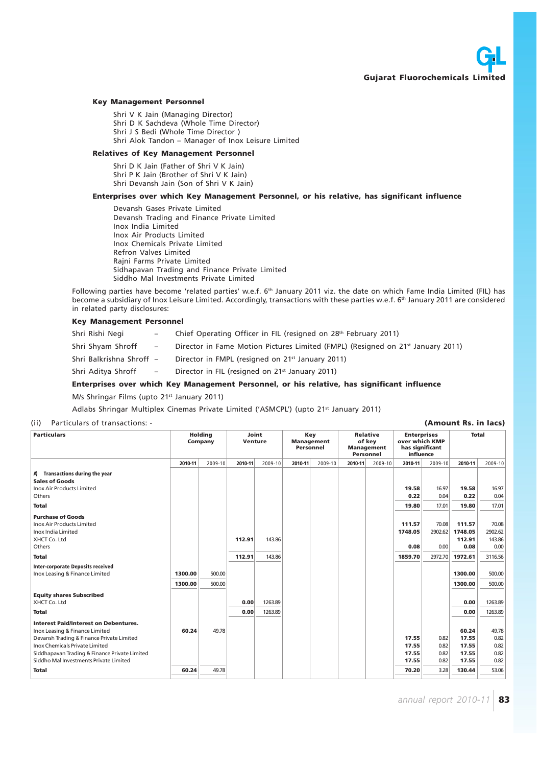#### Key Management Personnel

Shri V K Jain (Managing Director) Shri D K Sachdeva (Whole Time Director) Shri J S Bedi (Whole Time Director ) Shri Alok Tandon – Manager of Inox Leisure Limited

#### Relatives of Key Management Personnel

Shri D K Jain (Father of Shri V K Jain) Shri P K Jain (Brother of Shri V K Jain) Shri Devansh Jain (Son of Shri V K Jain)

#### Enterprises over which Key Management Personnel, or his relative, has significant influence

Devansh Gases Private Limited Devansh Trading and Finance Private Limited Inox India Limited Inox Air Products Limited Inox Chemicals Private Limited Refron Valves Limited Rajni Farms Private Limited Sidhapavan Trading and Finance Private Limited Siddho Mal Investments Private Limited

Following parties have become 'related parties' w.e.f. 6<sup>th</sup> January 2011 viz. the date on which Fame India Limited (FIL) has become a subsidiary of Inox Leisure Limited. Accordingly, transactions with these parties w.e.f. 6<sup>th</sup> January 2011 are considered in related party disclosures:

#### Key Management Personnel

| Shri Rishi Negi                               | Chief Operating Officer in FIL (resigned on 28 <sup>th</sup> February 2011)                 |
|-----------------------------------------------|---------------------------------------------------------------------------------------------|
| Shri Shvam Shroff<br>$\overline{\phantom{m}}$ | Director in Fame Motion Pictures Limited (FMPL) (Resigned on 21 <sup>st</sup> January 2011) |
| Shri Balkrishna Shroff –                      | Director in FMPL (resigned on 21 <sup>st</sup> January 2011)                                |
|                                               |                                                                                             |

Shri Aditya Shroff  $-$  Director in FIL (resigned on 21<sup>st</sup> January 2011)

#### Enterprises over which Key Management Personnel, or his relative, has significant influence

M/s Shringar Films (upto 21<sup>st</sup> January 2011)

Adlabs Shringar Multiplex Cinemas Private Limited ('ASMCPL') (upto 21<sup>st</sup> January 2011)

#### (ii) Particulars of transactions: - (Amount Rs. in lacs)

| <b>Particulars</b>                                                                      |         | Holding<br>Company | Joint<br><b>Venture</b> |         | Key<br><b>Management</b><br>Personnel |         |         |         |                   |                  |                   | <b>Relative</b><br>of key<br><b>Management</b><br>Personnel | <b>Enterprises</b><br>over which KMP<br>has significant<br>influence |  |  | <b>Total</b> |
|-----------------------------------------------------------------------------------------|---------|--------------------|-------------------------|---------|---------------------------------------|---------|---------|---------|-------------------|------------------|-------------------|-------------------------------------------------------------|----------------------------------------------------------------------|--|--|--------------|
|                                                                                         | 2010-11 | 2009-10            | 2010-11                 | 2009-10 | 2010-11                               | 2009-10 | 2010-11 | 2009-10 | 2010-11           | 2009-10          | 2010-11           | 2009-10                                                     |                                                                      |  |  |              |
| A) Transactions during the year<br><b>Sales of Goods</b>                                |         |                    |                         |         |                                       |         |         |         |                   |                  |                   |                                                             |                                                                      |  |  |              |
| Inox Air Products Limited                                                               |         |                    |                         |         |                                       |         |         |         | 19.58             | 16.97            | 19.58             | 16.97                                                       |                                                                      |  |  |              |
| Others                                                                                  |         |                    |                         |         |                                       |         |         |         | 0.22              | 0.04             | 0.22              | 0.04                                                        |                                                                      |  |  |              |
| <b>Total</b>                                                                            |         |                    |                         |         |                                       |         |         |         | 19.80             | 17.01            | 19.80             | 17.01                                                       |                                                                      |  |  |              |
| <b>Purchase of Goods</b>                                                                |         |                    |                         |         |                                       |         |         |         |                   |                  |                   |                                                             |                                                                      |  |  |              |
| Inox Air Products Limited<br>Inox India Limited                                         |         |                    |                         |         |                                       |         |         |         | 111.57<br>1748.05 | 70.08<br>2902.62 | 111.57<br>1748.05 | 70.08<br>2902.62                                            |                                                                      |  |  |              |
| XHCT Co. Ltd                                                                            |         |                    | 112.91                  | 143.86  |                                       |         |         |         |                   |                  | 112.91            | 143.86                                                      |                                                                      |  |  |              |
| Others                                                                                  |         |                    |                         |         |                                       |         |         |         | 0.08              | 0.00             | 0.08              | 0.00                                                        |                                                                      |  |  |              |
| <b>Total</b>                                                                            |         |                    | 112.91                  | 143.86  |                                       |         |         |         | 1859.70           | 2972.70          | 1972.61           | 3116.56                                                     |                                                                      |  |  |              |
| <b>Inter-corporate Deposits received</b>                                                |         |                    |                         |         |                                       |         |         |         |                   |                  |                   |                                                             |                                                                      |  |  |              |
| Inox Leasing & Finance Limited                                                          | 1300.00 | 500.00             |                         |         |                                       |         |         |         |                   |                  | 1300.00           | 500.00                                                      |                                                                      |  |  |              |
|                                                                                         | 1300.00 | 500.00             |                         |         |                                       |         |         |         |                   |                  | 1300.00           | 500.00                                                      |                                                                      |  |  |              |
| <b>Equity shares Subscribed</b>                                                         |         |                    |                         |         |                                       |         |         |         |                   |                  |                   |                                                             |                                                                      |  |  |              |
| XHCT Co. Ltd                                                                            |         |                    | 0.00                    | 1263.89 |                                       |         |         |         |                   |                  | 0.00              | 1263.89                                                     |                                                                      |  |  |              |
| <b>Total</b>                                                                            |         |                    | 0.00                    | 1263.89 |                                       |         |         |         |                   |                  | 0.00              | 1263.89                                                     |                                                                      |  |  |              |
| <b>Interest Paid/Interest on Debentures.</b>                                            |         |                    |                         |         |                                       |         |         |         |                   |                  |                   |                                                             |                                                                      |  |  |              |
| Inox Leasing & Finance Limited                                                          | 60.24   | 49.78              |                         |         |                                       |         |         |         |                   |                  | 60.24             | 49.78                                                       |                                                                      |  |  |              |
| Devansh Trading & Finance Private Limited                                               |         |                    |                         |         |                                       |         |         |         | 17.55             | 0.82             | 17.55             | 0.82                                                        |                                                                      |  |  |              |
| <b>Inox Chemicals Private Limited</b>                                                   |         |                    |                         |         |                                       |         |         |         | 17.55             | 0.82             | 17.55             | 0.82                                                        |                                                                      |  |  |              |
| Siddhapavan Trading & Finance Private Limited<br>Siddho Mal Investments Private Limited |         |                    |                         |         |                                       |         |         |         | 17.55<br>17.55    | 0.82<br>0.82     | 17.55<br>17.55    | 0.82<br>0.82                                                |                                                                      |  |  |              |
|                                                                                         |         |                    |                         |         |                                       |         |         |         |                   |                  |                   |                                                             |                                                                      |  |  |              |
| <b>Total</b>                                                                            | 60.24   | 49.78              |                         |         |                                       |         |         |         | 70.20             | 3.28             | 130.44            | 53.06                                                       |                                                                      |  |  |              |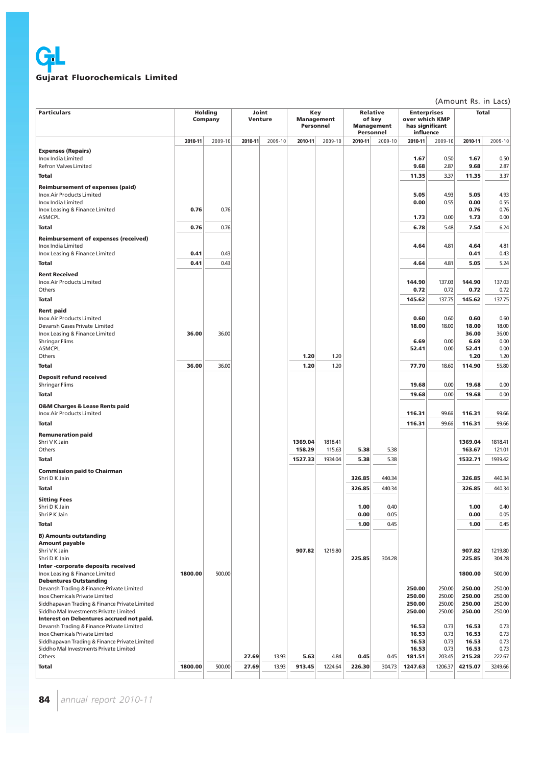# G Gujarat Fluorochemicals Limited

(Amount Rs. in Lacs)

| <b>Particulars</b>                                                                                                                                                                                                           | Joint<br>Holding<br>Key<br>Relative<br>Company<br><b>Venture</b><br><b>Management</b><br>of key<br>Personnel |         |         |         |                   |                   |         |         |                                            |                                        |                                            |                                        | <b>Management</b><br>Personnel |  |  |  |  |  |  |  | <b>Enterprises</b><br>over which KMP<br>has significant<br>influence |  | <b>Total</b> |
|------------------------------------------------------------------------------------------------------------------------------------------------------------------------------------------------------------------------------|--------------------------------------------------------------------------------------------------------------|---------|---------|---------|-------------------|-------------------|---------|---------|--------------------------------------------|----------------------------------------|--------------------------------------------|----------------------------------------|--------------------------------|--|--|--|--|--|--|--|----------------------------------------------------------------------|--|--------------|
|                                                                                                                                                                                                                              | 2010-11                                                                                                      | 2009-10 | 2010-11 | 2009-10 | 2010-11           | 2009-10           | 2010-11 | 2009-10 | 2010-11                                    | 2009-10                                | 2010-11                                    | 2009-10                                |                                |  |  |  |  |  |  |  |                                                                      |  |              |
| <b>Expenses (Repairs)</b><br>Inox India Limited<br><b>Refron Valves Limited</b>                                                                                                                                              |                                                                                                              |         |         |         |                   |                   |         |         | 1.67<br>9.68                               | 0.50<br>2.87                           | 1.67<br>9.68                               | 0.50<br>2.87                           |                                |  |  |  |  |  |  |  |                                                                      |  |              |
| Total                                                                                                                                                                                                                        |                                                                                                              |         |         |         |                   |                   |         |         | 11.35                                      | 3.37                                   | 11.35                                      | 3.37                                   |                                |  |  |  |  |  |  |  |                                                                      |  |              |
| Reimbursement of expenses (paid)<br>Inox Air Products Limited<br>Inox India Limited<br>Inox Leasing & Finance Limited                                                                                                        | 0.76                                                                                                         | 0.76    |         |         |                   |                   |         |         | 5.05<br>0.00                               | 4.93<br>0.55                           | 5.05<br>0.00<br>0.76                       | 4.93<br>0.55<br>0.76                   |                                |  |  |  |  |  |  |  |                                                                      |  |              |
| ASMCPL                                                                                                                                                                                                                       |                                                                                                              |         |         |         |                   |                   |         |         | 1.73                                       | 0.00                                   | 1.73                                       | 0.00                                   |                                |  |  |  |  |  |  |  |                                                                      |  |              |
| <b>Total</b>                                                                                                                                                                                                                 | 0.76                                                                                                         | 0.76    |         |         |                   |                   |         |         | 6.78                                       | 5.48                                   | 7.54                                       | 6.24                                   |                                |  |  |  |  |  |  |  |                                                                      |  |              |
| <b>Reimbursement of expenses (received)</b><br>Inox India Limited                                                                                                                                                            | 0.41                                                                                                         |         |         |         |                   |                   |         |         | 4.64                                       | 4.81                                   | 4.64                                       | 4.81                                   |                                |  |  |  |  |  |  |  |                                                                      |  |              |
| Inox Leasing & Finance Limited                                                                                                                                                                                               |                                                                                                              | 0.43    |         |         |                   |                   |         |         |                                            |                                        | 0.41                                       | 0.43                                   |                                |  |  |  |  |  |  |  |                                                                      |  |              |
| Total                                                                                                                                                                                                                        | 0.41                                                                                                         | 0.43    |         |         |                   |                   |         |         | 4.64                                       | 4.81                                   | 5.05                                       | 5.24                                   |                                |  |  |  |  |  |  |  |                                                                      |  |              |
| <b>Rent Received</b><br>Inox Air Products Limited<br>Others                                                                                                                                                                  |                                                                                                              |         |         |         |                   |                   |         |         | 144.90<br>0.72                             | 137.03<br>0.72                         | 144.90<br>0.72                             | 137.03<br>0.72                         |                                |  |  |  |  |  |  |  |                                                                      |  |              |
| Total                                                                                                                                                                                                                        |                                                                                                              |         |         |         |                   |                   |         |         | 145.62                                     | 137.75                                 | 145.62                                     | 137.75                                 |                                |  |  |  |  |  |  |  |                                                                      |  |              |
| <b>Rent paid</b><br>Inox Air Products Limited<br>Devansh Gases Private Limited                                                                                                                                               |                                                                                                              |         |         |         |                   |                   |         |         | 0.60<br>18.00                              | 0.60<br>18.00                          | 0.60<br>18.00                              | 0.60<br>18.00                          |                                |  |  |  |  |  |  |  |                                                                      |  |              |
| Inox Leasing & Finance Limited                                                                                                                                                                                               | 36.00                                                                                                        | 36.00   |         |         |                   |                   |         |         |                                            |                                        | 36.00                                      | 36.00                                  |                                |  |  |  |  |  |  |  |                                                                      |  |              |
| <b>Shringar Flims</b><br>ASMCPL<br>Others                                                                                                                                                                                    |                                                                                                              |         |         |         | 1.20              | 1.20              |         |         | 6.69<br>52.41                              | 0.00<br>0.00                           | 6.69<br>52.41<br>1.20                      | 0.00<br>0.00<br>1.20                   |                                |  |  |  |  |  |  |  |                                                                      |  |              |
| Total                                                                                                                                                                                                                        | 36.00                                                                                                        | 36.00   |         |         | 1.20              | 1.20              |         |         | 77.70                                      | 18.60                                  | 114.90                                     | 55.80                                  |                                |  |  |  |  |  |  |  |                                                                      |  |              |
| <b>Deposit refund received</b><br><b>Shringar Flims</b>                                                                                                                                                                      |                                                                                                              |         |         |         |                   |                   |         |         | 19.68                                      | 0.00                                   | 19.68                                      | 0.00                                   |                                |  |  |  |  |  |  |  |                                                                      |  |              |
| Total                                                                                                                                                                                                                        |                                                                                                              |         |         |         |                   |                   |         |         | 19.68                                      | 0.00                                   | 19.68                                      | 0.00                                   |                                |  |  |  |  |  |  |  |                                                                      |  |              |
| O&M Charges & Lease Rents paid<br>Inox Air Products Limited                                                                                                                                                                  |                                                                                                              |         |         |         |                   |                   |         |         | 116.31                                     | 99.66                                  | 116.31                                     | 99.66                                  |                                |  |  |  |  |  |  |  |                                                                      |  |              |
| Total                                                                                                                                                                                                                        |                                                                                                              |         |         |         |                   |                   |         |         | 116.31                                     | 99.66                                  | 116.31                                     | 99.66                                  |                                |  |  |  |  |  |  |  |                                                                      |  |              |
| <b>Remuneration paid</b><br>Shri V K Jain<br>Others                                                                                                                                                                          |                                                                                                              |         |         |         | 1369.04<br>158.29 | 1818.41<br>115.63 | 5.38    | 5.38    |                                            |                                        | 1369.04<br>163.67                          | 1818.41<br>121.01                      |                                |  |  |  |  |  |  |  |                                                                      |  |              |
| Total                                                                                                                                                                                                                        |                                                                                                              |         |         |         | 1527.33           | 1934.04           | 5.38    | 5.38    |                                            |                                        | 1532.71                                    | 1939.42                                |                                |  |  |  |  |  |  |  |                                                                      |  |              |
| <b>Commission paid to Chairman</b><br>Shri D K Jain                                                                                                                                                                          |                                                                                                              |         |         |         |                   |                   | 326.85  | 440.34  |                                            |                                        | 326.85                                     | 440.34                                 |                                |  |  |  |  |  |  |  |                                                                      |  |              |
| Total                                                                                                                                                                                                                        |                                                                                                              |         |         |         |                   |                   | 326.85  | 440.34  |                                            |                                        | 326.85                                     | 440.34                                 |                                |  |  |  |  |  |  |  |                                                                      |  |              |
| <b>Sitting Fees</b><br>Shri D K Jain                                                                                                                                                                                         |                                                                                                              |         |         |         |                   |                   | 1.00    | 0.40    |                                            |                                        | 1.00                                       | 0.40                                   |                                |  |  |  |  |  |  |  |                                                                      |  |              |
| Shri P K Jain                                                                                                                                                                                                                |                                                                                                              |         |         |         |                   |                   | 0.00    | 0.05    |                                            |                                        | 0.00                                       | 0.05                                   |                                |  |  |  |  |  |  |  |                                                                      |  |              |
| Total                                                                                                                                                                                                                        |                                                                                                              |         |         |         |                   |                   | 1.00    | 0.45    |                                            |                                        | 1.00                                       | 0.45                                   |                                |  |  |  |  |  |  |  |                                                                      |  |              |
| <b>B) Amounts outstanding</b><br><b>Amount payable</b><br>Shri V K Jain<br>Shri D K Jain<br>Inter -corporate deposits received                                                                                               |                                                                                                              |         |         |         | 907.82            | 1219.80           | 225.85  | 304.28  |                                            |                                        | 907.82<br>225.85                           | 1219.80<br>304.28                      |                                |  |  |  |  |  |  |  |                                                                      |  |              |
| Inox Leasing & Finance Limited                                                                                                                                                                                               | 1800.00                                                                                                      | 500.00  |         |         |                   |                   |         |         |                                            |                                        | 1800.00                                    | 500.00                                 |                                |  |  |  |  |  |  |  |                                                                      |  |              |
| <b>Debentures Outstanding</b><br>Devansh Trading & Finance Private Limited<br>Inox Chemicals Private Limited<br>Siddhapavan Trading & Finance Private Limited<br>Siddho Mal Investments Private Limited                      |                                                                                                              |         |         |         |                   |                   |         |         | 250.00<br>250.00<br>250.00<br>250.00       | 250.00<br>250.00<br>250.00<br>250.00   | 250.00<br>250.00<br>250.00<br>250.00       | 250.00<br>250.00<br>250.00<br>250.00   |                                |  |  |  |  |  |  |  |                                                                      |  |              |
| Interest on Debentures accrued not paid.<br>Devansh Trading & Finance Private Limited<br>Inox Chemicals Private Limited<br>Siddhapavan Trading & Finance Private Limited<br>Siddho Mal Investments Private Limited<br>Others |                                                                                                              |         | 27.69   | 13.93   | 5.63              | 4.84              | 0.45    | 0.45    | 16.53<br>16.53<br>16.53<br>16.53<br>181.51 | 0.73<br>0.73<br>0.73<br>0.73<br>203.45 | 16.53<br>16.53<br>16.53<br>16.53<br>215.28 | 0.73<br>0.73<br>0.73<br>0.73<br>222.67 |                                |  |  |  |  |  |  |  |                                                                      |  |              |
| Total                                                                                                                                                                                                                        | 1800.00                                                                                                      | 500.00  | 27.69   | 13.93   | 913.45            | 1224.64           | 226.30  | 304.73  | 1247.63                                    | 1206.37                                | 4215.07                                    | 3249.66                                |                                |  |  |  |  |  |  |  |                                                                      |  |              |
|                                                                                                                                                                                                                              |                                                                                                              |         |         |         |                   |                   |         |         |                                            |                                        |                                            |                                        |                                |  |  |  |  |  |  |  |                                                                      |  |              |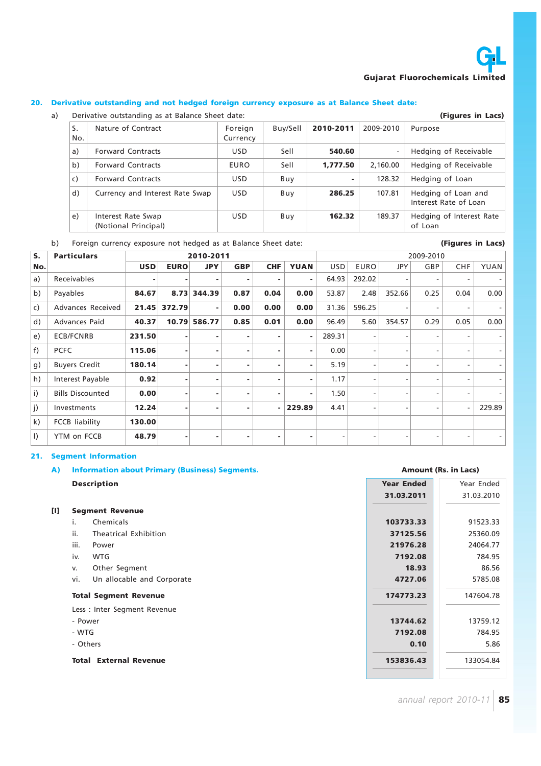#### 20. Derivative outstanding and not hedged foreign currency exposure as at Balance Sheet date:

| S.<br>No. | Nature of Contract                         | Foreign<br>Currency | Buy/Sell | 2010-2011 | 2009-2010 | Purpose                                      |
|-----------|--------------------------------------------|---------------------|----------|-----------|-----------|----------------------------------------------|
| a)        | <b>Forward Contracts</b>                   | <b>USD</b>          | Sell     | 540.60    |           | Hedging of Receivable                        |
| b)        | <b>Forward Contracts</b>                   | EURO                | Sell     | 1,777.50  | 2,160.00  | Hedging of Receivable                        |
| c)        | <b>Forward Contracts</b>                   | <b>USD</b>          | Buy      |           | 128.32    | Hedging of Loan                              |
| d)        | Currency and Interest Rate Swap            | USD.                | Buy      | 286.25    | 107.81    | Hedging of Loan and<br>Interest Rate of Loan |
| e)        | Interest Rate Swap<br>(Notional Principal) | USD.                | Buy      | 162.32    | 189.37    | Hedging of Interest Rate<br>of Loan          |

b) Foreign currency exposure not hedged as at Balance Sheet date: (Figures in Lacs)

| S.           | <b>Particulars</b>       |            | 2010-2011   |                |            |                |                | 2009-2010  |                          |            |      |                          |                          |
|--------------|--------------------------|------------|-------------|----------------|------------|----------------|----------------|------------|--------------------------|------------|------|--------------------------|--------------------------|
| No.          |                          | <b>USD</b> | <b>EURO</b> | <b>JPY</b>     | <b>GBP</b> | <b>CHF</b>     | <b>YUAN</b>    | <b>USD</b> | <b>EURO</b>              | <b>JPY</b> | GBP  | <b>CHF</b>               | <b>YUAN</b>              |
| a)           | Receivables              |            |             | ۰              | ۰          | $\blacksquare$ | ٠              | 64.93      | 292.02                   |            |      |                          |                          |
| b)           | Payables                 | 84.67      |             | 8.73 344.39    | 0.87       | 0.04           | 0.00           | 53.87      | 2.48                     | 352.66     | 0.25 | 0.04                     | 0.00                     |
| $\mathsf{c}$ | <b>Advances Received</b> | 21.45      | 372.79      | ٠              | 0.00       | 0.00           | 0.00           | 31.36      | 596.25                   |            |      |                          | $\overline{\phantom{a}}$ |
| d)           | Advances Paid            | 40.37      |             | 10.79 586.77   | 0.85       | 0.01           | 0.00           | 96.49      | 5.60                     | 354.57     | 0.29 | 0.05                     | 0.00                     |
| e)           | <b>ECB/FCNRB</b>         | 231.50     |             | ۰              | ٠          | $\blacksquare$ | ٠              | 289.31     | $\sim$                   |            |      |                          |                          |
| f)           | <b>PCFC</b>              | 115.06     |             | ۰              | ۰          | -              | ٠              | 0.00       | ۰                        |            | ۰    |                          |                          |
| g)           | <b>Buyers Credit</b>     | 180.14     |             | ۰              | ۰          | $\blacksquare$ | $\blacksquare$ | 5.19       | $\overline{\phantom{a}}$ |            | ۰    |                          | $\sim$                   |
| h)           | Interest Payable         | 0.92       |             | ۰              | ۰          | ۰              | ۰              | 1.17       | $\sim$                   |            | ٠    |                          | $\overline{\phantom{0}}$ |
| i)           | <b>Bills Discounted</b>  | 0.00       |             | ۰              | ٠          | ۰              | ۰              | 1.50       | ۰                        |            | ۰    | ۰                        | $\overline{\phantom{a}}$ |
| j)           | Investments              | 12.24      |             | ۰              | ۰          | ۰.             | 229.89         | 4.41       | ۰                        |            | ۰    | $\overline{\phantom{a}}$ | 229.89                   |
| k)           | <b>FCCB liability</b>    | 130.00     |             |                |            |                |                |            |                          |            |      |                          |                          |
| $\vert$ )    | YTM on FCCB              | 48.79      |             | $\blacksquare$ | ۰          | ٠              | ٠              |            |                          |            |      | ۰                        |                          |

#### 21. Segment Information

| A)    | <b>Information about Primary (Business) Segments.</b> | <b>Amount (Rs. in Lacs)</b> |            |  |  |
|-------|-------------------------------------------------------|-----------------------------|------------|--|--|
|       | <b>Description</b>                                    | <b>Year Ended</b>           | Year Ended |  |  |
|       |                                                       | 31.03.2011                  | 31.03.2010 |  |  |
| $[1]$ | <b>Segment Revenue</b>                                |                             |            |  |  |
|       | Chemicals<br>i.                                       | 103733.33                   | 91523.33   |  |  |
|       | ii.<br><b>Theatrical Exhibition</b>                   | 37125.56                    | 25360.09   |  |  |
|       | iii.<br>Power                                         | 21976.28                    | 24064.77   |  |  |
|       | <b>WTG</b><br>iv.                                     | 7192.08                     | 784.95     |  |  |
|       | Other Segment<br>v.                                   | 18.93                       | 86.56      |  |  |
|       | Un allocable and Corporate<br>vi.                     | 4727.06                     | 5785.08    |  |  |
|       | <b>Total Segment Revenue</b>                          | 174773.23                   | 147604.78  |  |  |
|       | Less: Inter Segment Revenue                           |                             |            |  |  |
|       | - Power                                               | 13744.62                    | 13759.12   |  |  |
|       | - WTG                                                 | 7192.08                     | 784.95     |  |  |
|       | - Others                                              | 0.10                        | 5.86       |  |  |
|       | <b>Total External Revenue</b>                         | 153836.43                   | 133054.84  |  |  |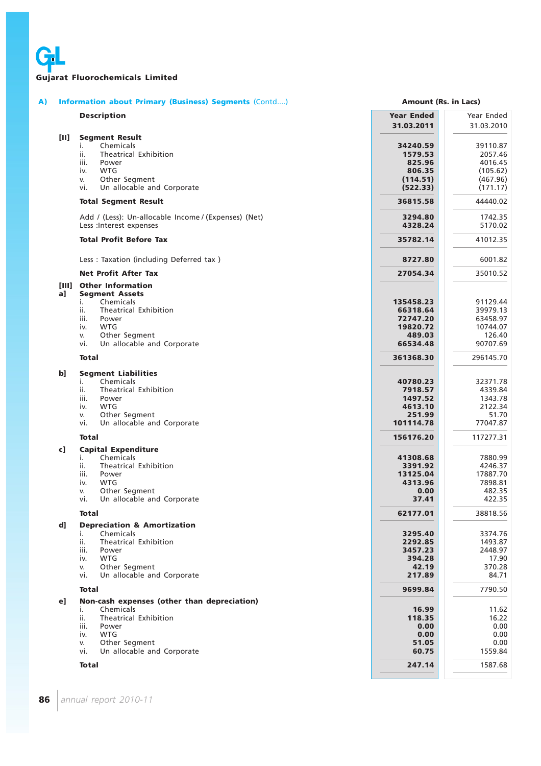Gujarat Fluorochemicals Limited

#### A) Information about Primary (Business) Segments (Contd....) **Amount (Rough Amount (Rs. in Lacs)** Description Year Ended Year Ended 31.03.2011 31.03.2010 [II] Segment Result<br>i. Chemicals i. Chemicals 39110.87 and 39110.87 and 34240.59  $\sim$  39110.87 and 39110.87 and 39110.87 and 39110.87 and 39110.87 and 39110.87 and 39110.87 and 39110.87 and 39110.87 and 39110.87 and 39110.87 and 39110.87 and 39110.87 and ii. Theatrical Exhibition **1579.53** 2057.46 2067.46 2067.46 2057.46 2057.46 2057.46 2057.46 2057.46 2057.46 2057.46 iii. Power 825.96 4016.45 iv. WTG (105.62) **806.35** (105.62) v. Other Segment (114.51) (467.96)<br>
vi. Un allocable and Corporate (171.17) (171.17) (522.33) (171.17) Un allocable and Corporate **Total Segment Result 36815.58** 44440.02 Add / (Less): Un-allocable Income / (Expenses) (Net) 3294.80 3294.80 1742.35<br>Less :Interest expenses 3170.02 Less : Interest expenses Total Profit Before Tax 35782.14 41012.35 Less : Taxation (including Deferred tax ) 8727.80 8727.80 6001.82 **Net Profit After Tax** 27054.34 35010.52 [III] Other Information **Segment Assets**<br>i. Chemicals i. Chemicals 135458.23 91129.44 ii. Theatrical Exhibition **1986 1899 12:33 13:44 12:45 13:46 13:46 13:46 13:46 14:46 14:46 14:46 14:46 14:46 14:4**<br>iii. Power 63458.97 iii. Power 72747.20 63458.97 iv. WTG 19820.72 10744.07 v. Other Segment 126.40<br>
vi. Un allocable and Corporate 1990 and the set of the set of the set of the set of the set of the set of the<br>
126.40 126.40 Un allocable and Corporate Total 361368.30 296145.70 b] Segment Liabilities i. Chemicals 32371.78 and the control of the control of the control of the control of the control of the control of the control of the control of the control of the control of the control of the control of the control of t ii. Theatrical Exhibition 7918.57 4339.84 iii. Power 1343.78 1343.78 1343.78 1343.78 1343.78 1343.78 1343.78 1343.78 1343.78 1343.78 1343.78 1343.78 134 iv. WTG 2122.34 **4613.10** 2122.34 v. Other Segment 251.70  $\sim$  251.99 51.70  $\sim$  251.99 51.70  $\sim$  251.99 51.70  $\sim$ vi. Un allocable and Corporate 101114.78 101114.78 77047.87 Total 156176.20 117277.31 c] Capital Expenditure i. Chemicals 41308.68 7880.99 م بين المستخدم المستخدم المستخدم المستخدم المستخدم المستخدم المستخدم المستخدم المستخدم ii. Theatrical Exhibition 3391.92 4246.37<br>13125.04 17887.70 17887.70 iii. Power 13125.04 13125.04 13125.04 13125.04 13125.04 13125.04 13125.04 13125.04 17887.70 iv. WTG 2006 2012 12:00:00 12:00 2012 12:00:00 2012 12:00:00 2012 12:00:00 2012 13:00:00 2013 13:00:00 2013 13:00:00 2013 13:00:00 2013 13:00:00 2013 13:00:00 2013 13:00:00 2013 13:00:00 2013 13:00:00 2013 13:00:00 2013 13 v. Other Segment 2002 and 2003 and 2004 and 2006 and 2006 and 2007 and 2008 and 2009 and 2008 and 2009 and 200 vi. Un allocable and Corporate 37.41 422.35 Total 62177.01 38818.56 d] Depreciation & Amortization<br>i. Chemicals i. Chemicals 3374.76 and 3374.76 and 3374.76 and 3374.76 and 3374.76 and 3374.76 and 3374.76 and 3374.76 and 3 ii. Theatrical Exhibition **2292.85** 1493.87 1493.87 1493.87 1493.87 1493.87 1493.87 1493.87 1493.87 1493.87 1493.87 1493.87 1493.87 1493.87 1493.87 1493.87 1493.87 1493.87 1493.87 1493.97 1493.97 1493.97 1493.97 1493.97 14 iii. Power 3457.23 2448.97 iv. WTG 394.28 17.90 v. Other Segment 12.19 370.28<br>
vi. Unallocable and Corporate 12.19 370.28<br>
42.19 370.28 217.89 Un allocable and Corporate Total 9699.84 7790.50 e] Non-cash expenses (other than depreciation) i. Chemicals 11.62 19 and 16.99 11.62 11.62 11.62 11.62 11.62 11.62 11.62 11.62 1 ii. Theatrical Exhibition 118.35 16.22<br>118.35 16.22 16.22 16.22 16.22 16.22 16.22 16.22 16.22 16.22 16.22 16.22 16.22 16.22 16.22 16.22 16.22 16.22 1 iii. Power 0.00 0.00 iv. WTG 0.00 0.00 v. Other Segment 1990 of the Company of the Company of the Company of the Company of the Company of the Company of the Company of the Company of the Company of the Company of the Company of the Company of the Company of th Un allocable and Corporate Total  $247.14$  1587.68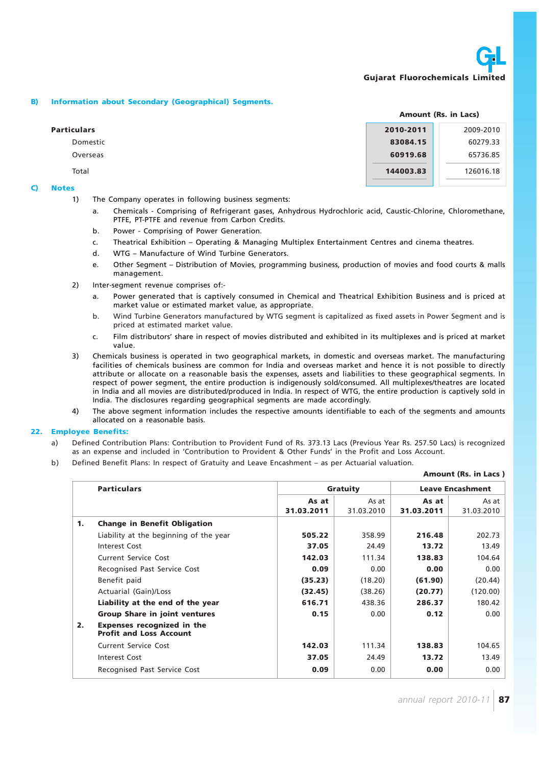#### B) Information about Secondary (Geographical) Segments.

|                    | Amount (Rs. in Lacs) |           |  |  |  |  |
|--------------------|----------------------|-----------|--|--|--|--|
| <b>Particulars</b> | 2010-2011            | 2009-2010 |  |  |  |  |
| Domestic           | 83084.15             | 60279.33  |  |  |  |  |
| Overseas           | 60919.68             | 65736.85  |  |  |  |  |
| Total              | 144003.83            | 126016.18 |  |  |  |  |

#### C) Notes

- 1) The Company operates in following business segments:
	- a. Chemicals Comprising of Refrigerant gases, Anhydrous Hydrochloric acid, Caustic-Chlorine, Chloromethane, PTFE, PT-PTFE and revenue from Carbon Credits.
	- b. Power Comprising of Power Generation.
	- c. Theatrical Exhibition Operating & Managing Multiplex Entertainment Centres and cinema theatres.
	- d. WTG Manufacture of Wind Turbine Generators.
	- e. Other Segment Distribution of Movies, programming business, production of movies and food courts & malls management.
- 2) Inter-segment revenue comprises of:
	- a. Power generated that is captively consumed in Chemical and Theatrical Exhibition Business and is priced at market value or estimated market value, as appropriate.
	- b. Wind Turbine Generators manufactured by WTG segment is capitalized as fixed assets in Power Segment and is priced at estimated market value.
	- c. Film distributors' share in respect of movies distributed and exhibited in its multiplexes and is priced at market value.
- 3) Chemicals business is operated in two geographical markets, in domestic and overseas market. The manufacturing facilities of chemicals business are common for India and overseas market and hence it is not possible to directly attribute or allocate on a reasonable basis the expenses, assets and liabilities to these geographical segments. In respect of power segment, the entire production is indigenously sold/consumed. All multiplexes/theatres are located in India and all movies are distributed/produced in India. In respect of WTG, the entire production is captively sold in India. The disclosures regarding geographical segments are made accordingly.
- 4) The above segment information includes the respective amounts identifiable to each of the segments and amounts allocated on a reasonable basis.

#### 22. Employee Benefits:

- a) Defined Contribution Plans: Contribution to Provident Fund of Rs. 373.13 Lacs (Previous Year Rs. 257.50 Lacs) is recognized as an expense and included in 'Contribution to Provident & Other Funds' in the Profit and Loss Account.
- b) Defined Benefit Plans: In respect of Gratuity and Leave Encashment as per Actuarial valuation.

|                | ן כשום ווו נכחן שווות                                               |                     |                     |                         |                     |  |  |
|----------------|---------------------------------------------------------------------|---------------------|---------------------|-------------------------|---------------------|--|--|
|                | <b>Particulars</b>                                                  |                     | Gratuity            | <b>Leave Encashment</b> |                     |  |  |
|                |                                                                     | As at<br>31.03.2011 | As at<br>31.03.2010 | As at<br>31.03.2011     | As at<br>31.03.2010 |  |  |
| $\mathbf{1}$ . | <b>Change in Benefit Obligation</b>                                 |                     |                     |                         |                     |  |  |
|                | Liability at the beginning of the year                              | 505.22              | 358.99              | 216.48                  | 202.73              |  |  |
|                | Interest Cost                                                       | 37.05               | 24.49               | 13.72                   | 13.49               |  |  |
|                | <b>Current Service Cost</b>                                         | 142.03              | 111.34              | 138.83                  | 104.64              |  |  |
|                | Recognised Past Service Cost                                        | 0.09                | 0.00                | 0.00                    | 0.00                |  |  |
|                | Benefit paid                                                        | (35.23)             | (18.20)             | (61.90)                 | (20.44)             |  |  |
|                | Actuarial (Gain)/Loss                                               | (32.45)             | (38.26)             | (20.77)                 | (120.00)            |  |  |
|                | Liability at the end of the year                                    | 616.71              | 438.36              | 286.37                  | 180.42              |  |  |
|                | <b>Group Share in joint ventures</b>                                | 0.15                | 0.00                | 0.12                    | 0.00                |  |  |
| 2.             | <b>Expenses recognized in the</b><br><b>Profit and Loss Account</b> |                     |                     |                         |                     |  |  |
|                | <b>Current Service Cost</b>                                         | 142.03              | 111.34              | 138.83                  | 104.65              |  |  |
|                | Interest Cost                                                       | 37.05               | 24.49               | 13.72                   | 13.49               |  |  |
|                | Recognised Past Service Cost                                        | 0.09                | 0.00                | 0.00                    | 0.00                |  |  |

Amount (Rs. in Lacs )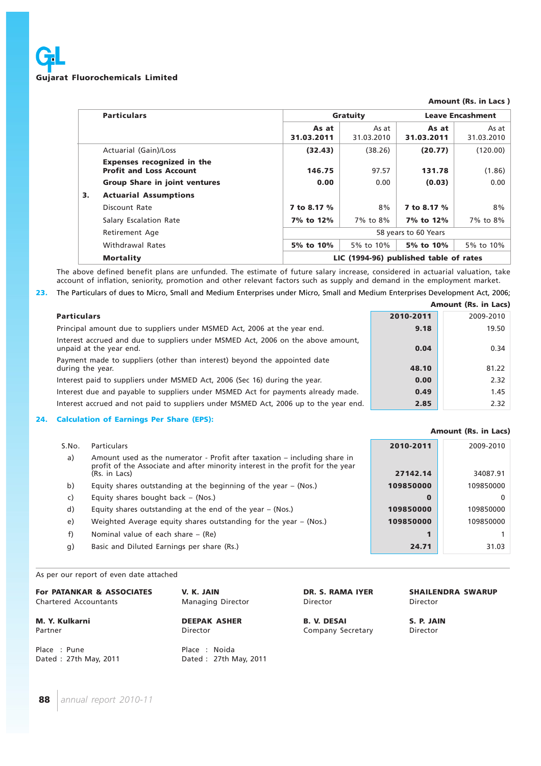#### Amount (Rs. in Lacs )

|    | <b>Particulars</b>                                                  | Gratuity    | <b>Leave Encashment</b>                |             |            |  |  |  |  |
|----|---------------------------------------------------------------------|-------------|----------------------------------------|-------------|------------|--|--|--|--|
|    |                                                                     | As at       | As at                                  | As at       | As at      |  |  |  |  |
|    |                                                                     | 31.03.2011  | 31.03.2010                             | 31.03.2011  | 31.03.2010 |  |  |  |  |
|    | Actuarial (Gain)/Loss                                               | (32.43)     | (38.26)                                | (20.77)     | (120.00)   |  |  |  |  |
|    | <b>Expenses recognized in the</b><br><b>Profit and Loss Account</b> | 146.75      | 97.57                                  | 131.78      | (1.86)     |  |  |  |  |
|    | <b>Group Share in joint ventures</b>                                | 0.00        | 0.00                                   | (0.03)      | 0.00       |  |  |  |  |
| 3. | <b>Actuarial Assumptions</b>                                        |             |                                        |             |            |  |  |  |  |
|    | Discount Rate                                                       | 7 to 8.17 % | 8%                                     | 7 to 8.17 % | 8%         |  |  |  |  |
|    | Salary Escalation Rate                                              | 7% to 12%   | 7% to 8%                               | 7% to 12%   | 7% to 8%   |  |  |  |  |
|    | Retirement Age                                                      |             | 58 years to 60 Years                   |             |            |  |  |  |  |
|    | Withdrawal Rates                                                    | 5% to 10%   | 5% to 10%                              | 5% to 10%   | 5% to 10%  |  |  |  |  |
|    | <b>Mortality</b>                                                    |             | LIC (1994-96) published table of rates |             |            |  |  |  |  |
|    |                                                                     |             |                                        |             |            |  |  |  |  |

The above defined benefit plans are unfunded. The estimate of future salary increase, considered in actuarial valuation, take account of inflation, seniority, promotion and other relevant factors such as supply and demand in the employment market.

23. The Particulars of dues to Micro, Small and Medium Enterprises under Micro, Small and Medium Enterprises Development Act, 2006;

|                                                                                                             |           | <b>Amount (Rs. in Lacs)</b> |
|-------------------------------------------------------------------------------------------------------------|-----------|-----------------------------|
| <b>Particulars</b>                                                                                          | 2010-2011 | 2009-2010                   |
| Principal amount due to suppliers under MSMED Act, 2006 at the year end.                                    | 9.18      | 19.50                       |
| Interest accrued and due to suppliers under MSMED Act, 2006 on the above amount,<br>unpaid at the year end. | 0.04      | 0.34                        |
| Payment made to suppliers (other than interest) beyond the appointed date<br>during the year.               | 48.10     | 81.22                       |
| Interest paid to suppliers under MSMED Act, 2006 (Sec 16) during the year.                                  | 0.00      | 2.32                        |
| Interest due and payable to suppliers under MSMED Act for payments already made.                            | 0.49      | 1.45                        |
| Interest accrued and not paid to suppliers under MSMED Act, 2006 up to the year end.                        | 2.85      | 2.32                        |

#### 24. Calculation of Earnings Per Share (EPS):

| S.No. | <b>Particulars</b>                                                                                                                                                           | 2010-2011 | 2009-2010 |
|-------|------------------------------------------------------------------------------------------------------------------------------------------------------------------------------|-----------|-----------|
| a)    | Amount used as the numerator - Profit after taxation – including share in<br>profit of the Associate and after minority interest in the profit for the year<br>(Rs. in Lacs) | 27142.14  | 34087.91  |
| b)    | Equity shares outstanding at the beginning of the year $-$ (Nos.)                                                                                                            | 109850000 | 109850000 |
| c)    | Equity shares bought back $-$ (Nos.)                                                                                                                                         | 0         | 0         |
| d)    | Equity shares outstanding at the end of the year $-$ (Nos.)                                                                                                                  | 109850000 | 109850000 |
| e)    | Weighted Average equity shares outstanding for the year $-$ (Nos.)                                                                                                           | 109850000 | 109850000 |
| f)    | Nominal value of each share $-$ (Re)                                                                                                                                         |           |           |
| g)    | Basic and Diluted Earnings per share (Rs.)                                                                                                                                   | 24.71     | 31.03     |

As per our report of even date attached

| <b>For PATANKAR &amp; ASSOCIATES</b>  | V. K. JAIN                             | <b>DR. S. RAMA IYER</b> | <b>SHAILENDRA SWARUP</b> |  |  |
|---------------------------------------|----------------------------------------|-------------------------|--------------------------|--|--|
| <b>Chartered Accountants</b>          | Managing Director                      | Director                | Director                 |  |  |
| M. Y. Kulkarni                        | <b>DEEPAK ASHER</b>                    | <b>B. V. DESAI</b>      | S. P. JAIN               |  |  |
| Partner                               | Director                               | Company Secretary       | Director                 |  |  |
| Place : Pune<br>Dated: 27th May, 2011 | Place : Noida<br>Dated: 27th May, 2011 |                         |                          |  |  |

### Amount (Rs. in Lacs)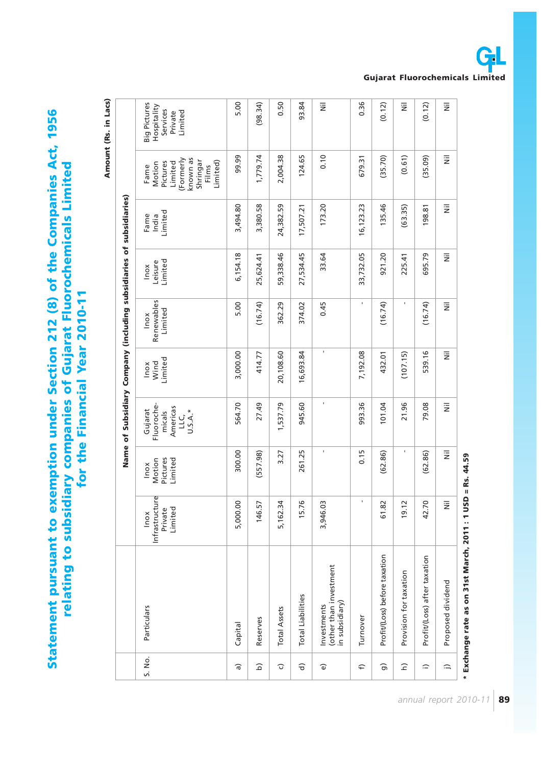Ś

Statement pursuant to exemption under Section 212 (8) of the Companies Act, 1956 relating to subsidiary companies of Gujarat Fluorochemicals Limited for the Financial Year 2010-11

relating to subsidiary companies of Gujarat Fluorochemicals Limited

for the Financial Year 2010-11

Statement pursuant to exemption under Section 212 (8) of the Companies Act, 1956

| Amount (Rs. in Lacs) |                                                                     | <b>Big Pictures</b><br>Hospitality<br>Services<br>Limited<br>Private                            | 5.00     | (98.34)            | 0.50                   | 93.84                    | Ξ                                                       | 0.36           | (0.12)                        | Ξ                      | (0.12)                       | $\bar{z}$                 |
|----------------------|---------------------------------------------------------------------|-------------------------------------------------------------------------------------------------|----------|--------------------|------------------------|--------------------------|---------------------------------------------------------|----------------|-------------------------------|------------------------|------------------------------|---------------------------|
|                      |                                                                     | Formerly)<br>known as<br>Shringar<br>Limited)<br>Pictures<br>Limited<br>Motion<br>Films<br>Fame | 99.99    | 1,779.74           | 2,004.38               | 124.65                   | 0.10                                                    | 679.31         | (35.70)                       | (0.61)                 | (35.09)                      | $\bar{z}$                 |
|                      |                                                                     | -imited<br>Fame<br>India                                                                        | 3,494.80 | 3,380.58           | 24,382.59              | 17,507.2                 | 173.20                                                  | 16, 123.23     | 135.46                        | (63.35)                | 198.81                       | $\bar{z}$                 |
|                      |                                                                     | Limited<br>Leisure<br>Inox                                                                      | 6,154.18 | 25,624.41          | 59,338.46              | 27,534.45                | 33.64                                                   | 33,732.05      | 921.20                        | 225.41                 | 695.79                       | Ξ                         |
|                      |                                                                     | Renewables<br>Limited<br>Inox                                                                   | 5.00     | (16.74)            | 362.29                 | 374.02                   | 0.45                                                    | $\blacksquare$ | (16.74)                       | J,                     | (16.74)                      | $\bar{z}$                 |
|                      | Name of Subsidiary Company (including subsidiaries of subsidiaries) | <i>imited</i><br>Wind<br>Inox                                                                   | 3,000.00 | 414.77             | 20,108.60              | 16,693.84                |                                                         | 7,192.08       | 432.01                        | (107.15)               | 539.16                       | $\bar{z}$                 |
|                      |                                                                     | Fluoroche-<br>Americas<br>Gujarat<br>micals<br>LLC,<br>U.S.A.*                                  | 564.70   | 27.49              | 1,537.79               | 945.60                   | ı                                                       | 993.36         | 101.04                        | 21.96                  | 79.08                        | $\bar{\bar{z}}$           |
|                      |                                                                     | Pictures<br>-imited<br>Motion<br>Inox                                                           | 300.00   | (557.98)           | 3.27                   | 261.25                   | ı                                                       | 0.15           | (62.86)                       | 1                      | (62.86)                      | $\overline{\overline{z}}$ |
|                      |                                                                     | Infrastructure<br>Private<br>Limited<br>Inox                                                    | 5,000.00 | 146.57             | 5,162.34               | 15.76                    | 3,946.03                                                | $\blacksquare$ | 61.82                         | $\sim$<br>19.1         | 42.70                        | $\overline{\overline{z}}$ |
|                      |                                                                     | Particulars                                                                                     | Capital  | Reserves           | <b>Total Assets</b>    | <b>Total Liabilities</b> | (other than investment<br>in subsidiary)<br>Investments | Turnover       | Profit/(Loss) before taxation | Provision for taxation | Profit/(Loss) after taxation | Proposed dividend         |
|                      |                                                                     | S. No.                                                                                          | ଳ        | $\widehat{\Omega}$ | $\widehat{\mathbf{C}}$ | ଟ                        | $\widehat{\mathbf{e}}$                                  | ₽              | $\widehat{\sigma}$            | $\widehat{=}$          | ≘                            | $\widehat{\phantom{m}}$   |

\* Exchange rate as on 31st March, 2011 : 1 USD = Rs. 44.59 \* Exchange rate as on 31st March, 2011 : 1 USD = Rs. 44.59

Gujarat Flu orochemicals Limited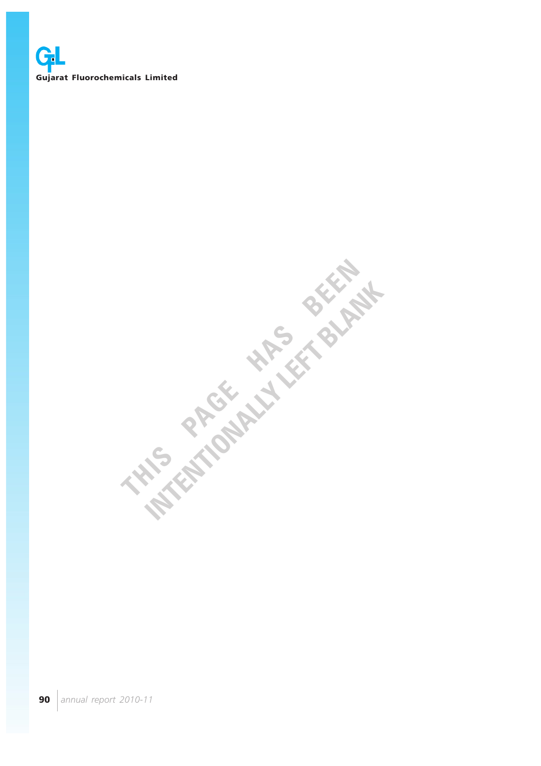

**THIS PAGE HAS BEEN INTENTIONALLY LEFT BENEFIT**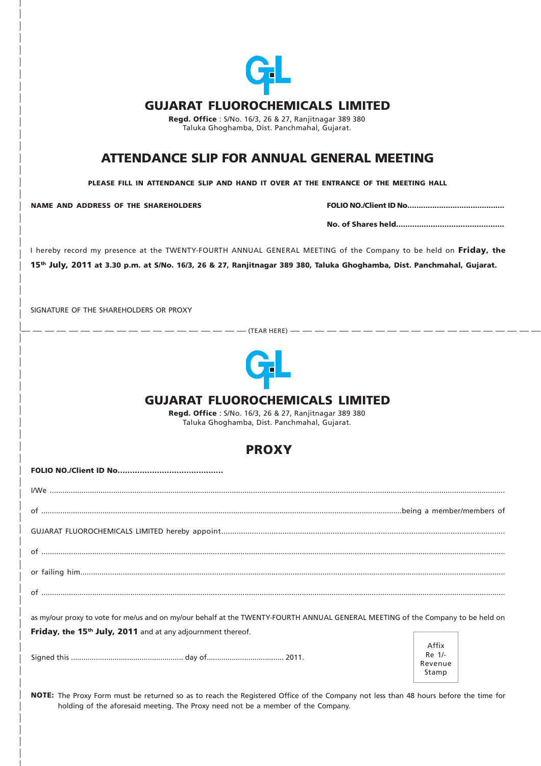

### GUJARAT FLUOROCHEMICALS LIMITED

Regd. Office : S/No. 16/3, 26 & 27, Ranjitnagar 389 380 Taluka Ghoghamba, Dist. Panchmahal, Gujarat.

## ATTENDANCE SLIP FOR ANNUAL GENERAL MEETING

PLEASE FILL IN ATTENDANCE SLIP AND HAND IT OVER AT THE ENTRANCE OF THE MEETING HALL

NAME AND ADDRESS OF THE SHAREHOLDERS FOLIO NO./Client ID No...........................................

No. of Shares held...............................................

I hereby record my presence at the TWENTY-FOURTH ANNUAL GENERAL MEETING of the Company to be held on Friday, the 15th July, 2011 at 3.30 p.m. at S/No. 16/3, 26 & 27, Ranjitnagar 389 380, Taluka Ghoghamba, Dist. Panchmahal, Gujarat.

SIGNATURE OF THE SHAREHOLDERS OR PROXY

 $---$  - - - - - (TEAR HERE) - - - - -

### GUJARAT FLUOROCHEMICALS LIMITED

Regd. Office : S/No. 16/3, 26 & 27, Ranjitnagar 389 380 Taluka Ghoghamba, Dist. Panchmahal, Gujarat.

# PROXY

| as my/our proxy to vote for me/us and on my/our behalf at the TWENTY-FOURTH ANNUAL GENERAL MEETING of the Company to be held on                                                                                                       |                                     |
|---------------------------------------------------------------------------------------------------------------------------------------------------------------------------------------------------------------------------------------|-------------------------------------|
| Friday, the 15 <sup>th</sup> July, 2011 and at any adjournment thereof.                                                                                                                                                               |                                     |
|                                                                                                                                                                                                                                       | Affix<br>Re 1/-<br>Revenue<br>Stamp |
| <b>NOTE:</b> The Proxy Form must be returned so as to reach the Registered Office of the Company not less than 48 hours before the time for<br>bolding of the officeral arealism. The Marin areal and he is arealism of the Component |                                     |

holding of the aforesaid meeting. The Proxy need not be a member of the Company.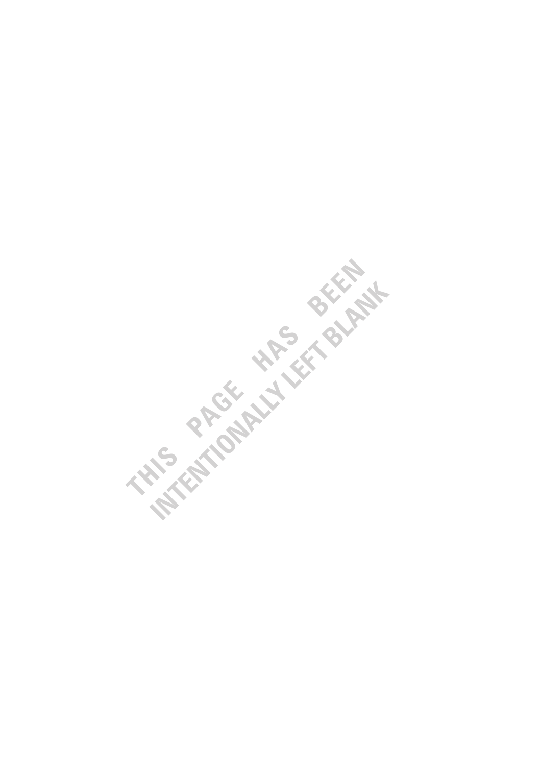**THIS PAGE HAS BEEN INTENTIONALLY LEFT BENEFIT**